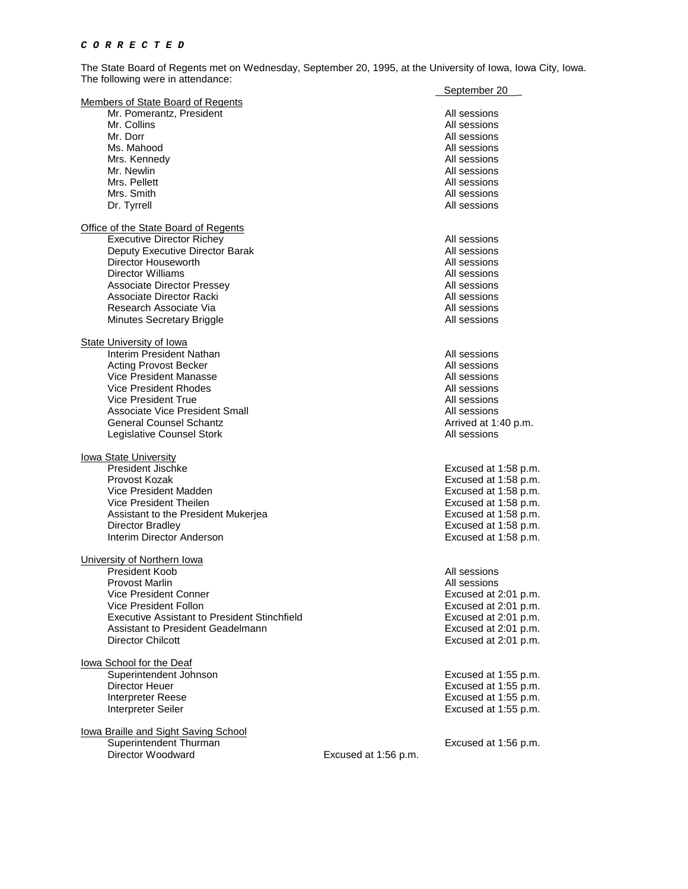The State Board of Regents met on Wednesday, September 20, 1995, at the University of Iowa, Iowa City, Iowa. The following were in attendance:

|                                              |                      | September 20         |
|----------------------------------------------|----------------------|----------------------|
| Members of State Board of Regents            |                      |                      |
| Mr. Pomerantz, President                     |                      | All sessions         |
| Mr. Collins                                  |                      | All sessions         |
| Mr. Dorr                                     |                      | All sessions         |
| Ms. Mahood                                   |                      | All sessions         |
| Mrs. Kennedv                                 |                      | All sessions         |
| Mr. Newlin                                   |                      | All sessions         |
| Mrs. Pellett                                 |                      | All sessions         |
| Mrs. Smith                                   |                      | All sessions         |
| Dr. Tyrrell                                  |                      | All sessions         |
|                                              |                      |                      |
| <b>Office of the State Board of Regents</b>  |                      |                      |
| <b>Executive Director Richey</b>             |                      | All sessions         |
| Deputy Executive Director Barak              |                      | All sessions         |
| Director Houseworth                          |                      | All sessions         |
| Director Williams                            |                      | All sessions         |
| Associate Director Pressey                   |                      | All sessions         |
| Associate Director Racki                     |                      | All sessions         |
| Research Associate Via                       |                      | All sessions         |
| <b>Minutes Secretary Briggle</b>             |                      | All sessions         |
| <b>State University of Iowa</b>              |                      |                      |
| Interim President Nathan                     |                      | All sessions         |
| <b>Acting Provost Becker</b>                 |                      | All sessions         |
| Vice President Manasse                       |                      | All sessions         |
| Vice President Rhodes                        |                      | All sessions         |
| Vice President True                          |                      | All sessions         |
| <b>Associate Vice President Small</b>        |                      |                      |
|                                              |                      | All sessions         |
| <b>General Counsel Schantz</b>               |                      | Arrived at 1:40 p.m. |
| Legislative Counsel Stork                    |                      | All sessions         |
| <u>Iowa State University</u>                 |                      |                      |
| President Jischke                            |                      | Excused at 1:58 p.m. |
| Provost Kozak                                |                      | Excused at 1:58 p.m. |
| Vice President Madden                        |                      | Excused at 1:58 p.m. |
| Vice President Theilen                       |                      | Excused at 1:58 p.m. |
| Assistant to the President Mukerjea          |                      | Excused at 1:58 p.m. |
| <b>Director Bradley</b>                      |                      | Excused at 1:58 p.m. |
| Interim Director Anderson                    |                      | Excused at 1:58 p.m. |
|                                              |                      |                      |
| University of Northern Iowa                  |                      |                      |
| President Koob                               |                      | All sessions         |
| Provost Marlin                               |                      | All sessions         |
| Vice President Conner                        |                      | Excused at 2:01 p.m. |
| Vice President Follon                        |                      | Excused at 2:01 p.m. |
| Executive Assistant to President Stinchfield |                      | Excused at 2:01 p.m. |
| Assistant to President Geadelmann            |                      | Excused at 2:01 p.m. |
| <b>Director Chilcott</b>                     |                      | Excused at 2:01 p.m. |
|                                              |                      |                      |
| lowa School for the Deaf                     |                      |                      |
| Superintendent Johnson                       |                      | Excused at 1:55 p.m. |
| <b>Director Heuer</b>                        |                      | Excused at 1:55 p.m. |
| Interpreter Reese                            |                      | Excused at 1:55 p.m. |
| Interpreter Seiler                           |                      | Excused at 1:55 p.m. |
| lowa Braille and Sight Saving School         |                      |                      |
| Superintendent Thurman                       |                      | Excused at 1:56 p.m. |
| Director Woodward                            | Excused at 1:56 p.m. |                      |
|                                              |                      |                      |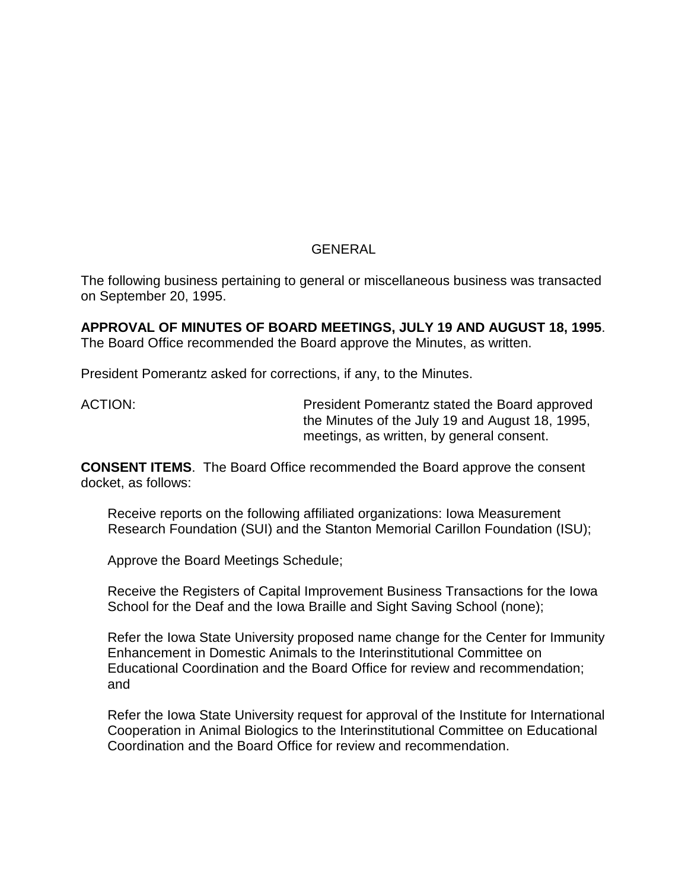# GENERAL

The following business pertaining to general or miscellaneous business was transacted on September 20, 1995.

**APPROVAL OF MINUTES OF BOARD MEETINGS, JULY 19 AND AUGUST 18, 1995**. The Board Office recommended the Board approve the Minutes, as written.

President Pomerantz asked for corrections, if any, to the Minutes.

ACTION: President Pomerantz stated the Board approved the Minutes of the July 19 and August 18, 1995, meetings, as written, by general consent.

**CONSENT ITEMS**. The Board Office recommended the Board approve the consent docket, as follows:

Receive reports on the following affiliated organizations: Iowa Measurement Research Foundation (SUI) and the Stanton Memorial Carillon Foundation (ISU);

Approve the Board Meetings Schedule;

Receive the Registers of Capital Improvement Business Transactions for the Iowa School for the Deaf and the Iowa Braille and Sight Saving School (none);

Refer the Iowa State University proposed name change for the Center for Immunity Enhancement in Domestic Animals to the Interinstitutional Committee on Educational Coordination and the Board Office for review and recommendation; and

Refer the Iowa State University request for approval of the Institute for International Cooperation in Animal Biologics to the Interinstitutional Committee on Educational Coordination and the Board Office for review and recommendation.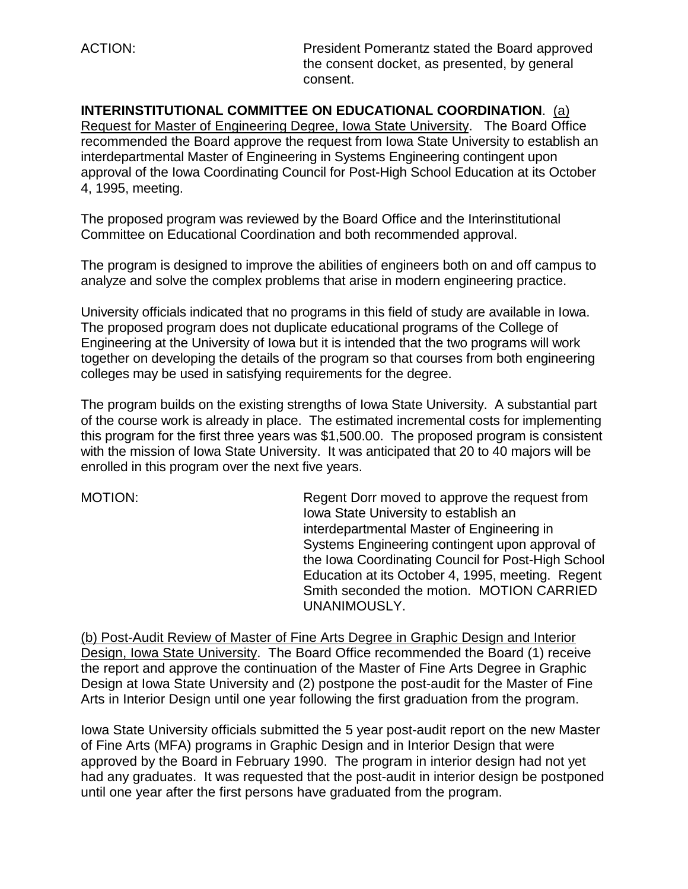ACTION: President Pomerantz stated the Board approved the consent docket, as presented, by general consent.

**INTERINSTITUTIONAL COMMITTEE ON EDUCATIONAL COORDINATION**. (a) Request for Master of Engineering Degree, Iowa State University. The Board Office recommended the Board approve the request from Iowa State University to establish an interdepartmental Master of Engineering in Systems Engineering contingent upon approval of the Iowa Coordinating Council for Post-High School Education at its October 4, 1995, meeting.

The proposed program was reviewed by the Board Office and the Interinstitutional Committee on Educational Coordination and both recommended approval.

The program is designed to improve the abilities of engineers both on and off campus to analyze and solve the complex problems that arise in modern engineering practice.

University officials indicated that no programs in this field of study are available in Iowa. The proposed program does not duplicate educational programs of the College of Engineering at the University of Iowa but it is intended that the two programs will work together on developing the details of the program so that courses from both engineering colleges may be used in satisfying requirements for the degree.

The program builds on the existing strengths of Iowa State University. A substantial part of the course work is already in place. The estimated incremental costs for implementing this program for the first three years was \$1,500.00. The proposed program is consistent with the mission of Iowa State University. It was anticipated that 20 to 40 majors will be enrolled in this program over the next five years.

MOTION: Regent Dorr moved to approve the request from Iowa State University to establish an interdepartmental Master of Engineering in Systems Engineering contingent upon approval of the Iowa Coordinating Council for Post-High School Education at its October 4, 1995, meeting. Regent Smith seconded the motion. MOTION CARRIED UNANIMOUSLY.

(b) Post-Audit Review of Master of Fine Arts Degree in Graphic Design and Interior Design, Iowa State University. The Board Office recommended the Board (1) receive the report and approve the continuation of the Master of Fine Arts Degree in Graphic Design at Iowa State University and (2) postpone the post-audit for the Master of Fine Arts in Interior Design until one year following the first graduation from the program.

Iowa State University officials submitted the 5 year post-audit report on the new Master of Fine Arts (MFA) programs in Graphic Design and in Interior Design that were approved by the Board in February 1990. The program in interior design had not yet had any graduates. It was requested that the post-audit in interior design be postponed until one year after the first persons have graduated from the program.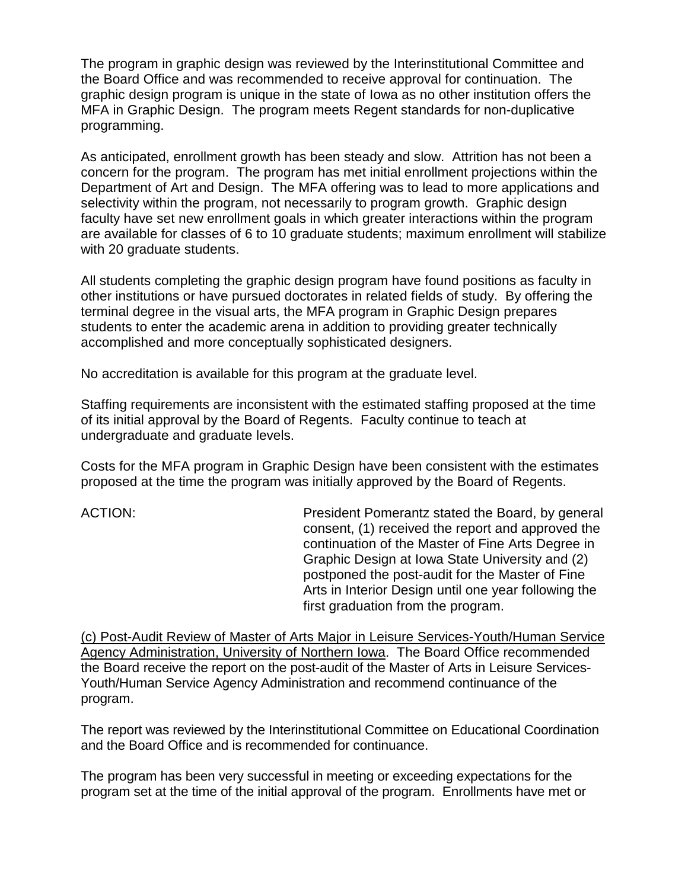The program in graphic design was reviewed by the Interinstitutional Committee and the Board Office and was recommended to receive approval for continuation. The graphic design program is unique in the state of Iowa as no other institution offers the MFA in Graphic Design. The program meets Regent standards for non-duplicative programming.

As anticipated, enrollment growth has been steady and slow. Attrition has not been a concern for the program. The program has met initial enrollment projections within the Department of Art and Design. The MFA offering was to lead to more applications and selectivity within the program, not necessarily to program growth. Graphic design faculty have set new enrollment goals in which greater interactions within the program are available for classes of 6 to 10 graduate students; maximum enrollment will stabilize with 20 graduate students.

All students completing the graphic design program have found positions as faculty in other institutions or have pursued doctorates in related fields of study. By offering the terminal degree in the visual arts, the MFA program in Graphic Design prepares students to enter the academic arena in addition to providing greater technically accomplished and more conceptually sophisticated designers.

No accreditation is available for this program at the graduate level.

Staffing requirements are inconsistent with the estimated staffing proposed at the time of its initial approval by the Board of Regents. Faculty continue to teach at undergraduate and graduate levels.

Costs for the MFA program in Graphic Design have been consistent with the estimates proposed at the time the program was initially approved by the Board of Regents.

ACTION: President Pomerantz stated the Board, by general consent, (1) received the report and approved the continuation of the Master of Fine Arts Degree in Graphic Design at Iowa State University and (2) postponed the post-audit for the Master of Fine Arts in Interior Design until one year following the first graduation from the program.

(c) Post-Audit Review of Master of Arts Major in Leisure Services-Youth/Human Service Agency Administration, University of Northern Iowa. The Board Office recommended the Board receive the report on the post-audit of the Master of Arts in Leisure Services-Youth/Human Service Agency Administration and recommend continuance of the program.

The report was reviewed by the Interinstitutional Committee on Educational Coordination and the Board Office and is recommended for continuance.

The program has been very successful in meeting or exceeding expectations for the program set at the time of the initial approval of the program. Enrollments have met or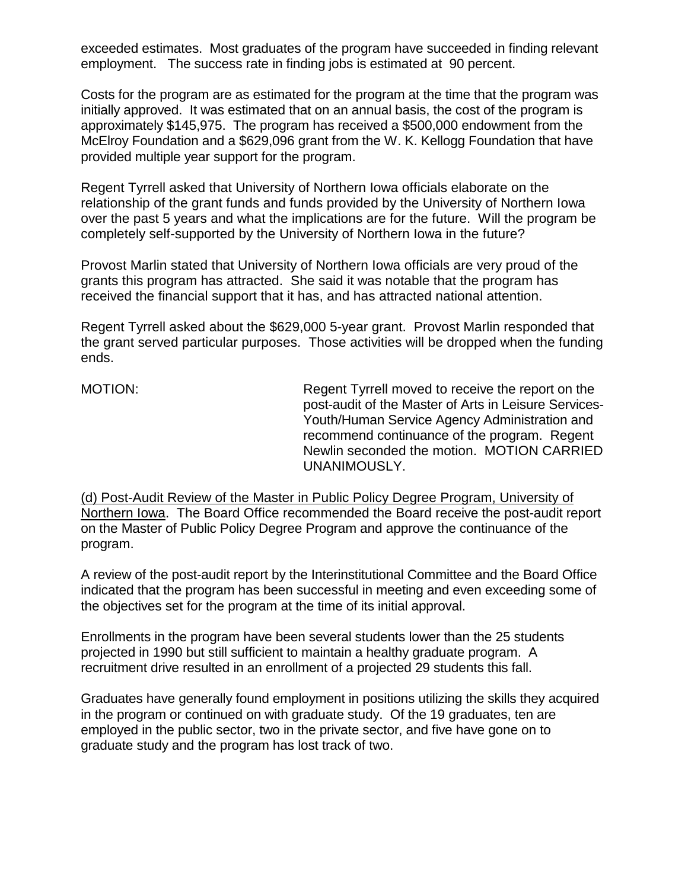exceeded estimates. Most graduates of the program have succeeded in finding relevant employment. The success rate in finding jobs is estimated at 90 percent.

Costs for the program are as estimated for the program at the time that the program was initially approved. It was estimated that on an annual basis, the cost of the program is approximately \$145,975. The program has received a \$500,000 endowment from the McElroy Foundation and a \$629,096 grant from the W. K. Kellogg Foundation that have provided multiple year support for the program.

Regent Tyrrell asked that University of Northern Iowa officials elaborate on the relationship of the grant funds and funds provided by the University of Northern Iowa over the past 5 years and what the implications are for the future. Will the program be completely self-supported by the University of Northern Iowa in the future?

Provost Marlin stated that University of Northern Iowa officials are very proud of the grants this program has attracted. She said it was notable that the program has received the financial support that it has, and has attracted national attention.

Regent Tyrrell asked about the \$629,000 5-year grant. Provost Marlin responded that the grant served particular purposes. Those activities will be dropped when the funding ends.

MOTION: MOTION: Regent Tyrrell moved to receive the report on the post-audit of the Master of Arts in Leisure Services-Youth/Human Service Agency Administration and recommend continuance of the program. Regent Newlin seconded the motion. MOTION CARRIED UNANIMOUSLY.

(d) Post-Audit Review of the Master in Public Policy Degree Program, University of Northern Iowa. The Board Office recommended the Board receive the post-audit report on the Master of Public Policy Degree Program and approve the continuance of the program.

A review of the post-audit report by the Interinstitutional Committee and the Board Office indicated that the program has been successful in meeting and even exceeding some of the objectives set for the program at the time of its initial approval.

Enrollments in the program have been several students lower than the 25 students projected in 1990 but still sufficient to maintain a healthy graduate program. A recruitment drive resulted in an enrollment of a projected 29 students this fall.

Graduates have generally found employment in positions utilizing the skills they acquired in the program or continued on with graduate study. Of the 19 graduates, ten are employed in the public sector, two in the private sector, and five have gone on to graduate study and the program has lost track of two.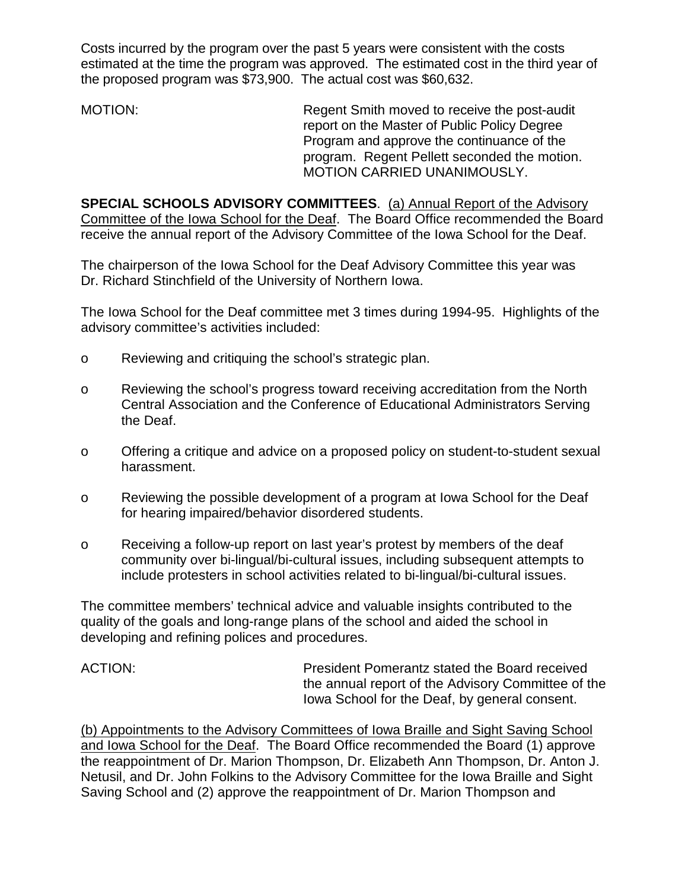Costs incurred by the program over the past 5 years were consistent with the costs estimated at the time the program was approved. The estimated cost in the third year of the proposed program was \$73,900. The actual cost was \$60,632.

MOTION: Regent Smith moved to receive the post-audit report on the Master of Public Policy Degree Program and approve the continuance of the program. Regent Pellett seconded the motion. MOTION CARRIED UNANIMOUSLY.

**SPECIAL SCHOOLS ADVISORY COMMITTEES**. (a) Annual Report of the Advisory Committee of the Iowa School for the Deaf. The Board Office recommended the Board receive the annual report of the Advisory Committee of the Iowa School for the Deaf.

The chairperson of the Iowa School for the Deaf Advisory Committee this year was Dr. Richard Stinchfield of the University of Northern Iowa.

The Iowa School for the Deaf committee met 3 times during 1994-95. Highlights of the advisory committee's activities included:

- o Reviewing and critiquing the school's strategic plan.
- o Reviewing the school's progress toward receiving accreditation from the North Central Association and the Conference of Educational Administrators Serving the Deaf.
- o Offering a critique and advice on a proposed policy on student-to-student sexual harassment.
- o Reviewing the possible development of a program at Iowa School for the Deaf for hearing impaired/behavior disordered students.
- o Receiving a follow-up report on last year's protest by members of the deaf community over bi-lingual/bi-cultural issues, including subsequent attempts to include protesters in school activities related to bi-lingual/bi-cultural issues.

The committee members' technical advice and valuable insights contributed to the quality of the goals and long-range plans of the school and aided the school in developing and refining polices and procedures.

ACTION: President Pomerantz stated the Board received the annual report of the Advisory Committee of the Iowa School for the Deaf, by general consent.

(b) Appointments to the Advisory Committees of Iowa Braille and Sight Saving School and Iowa School for the Deaf. The Board Office recommended the Board (1) approve the reappointment of Dr. Marion Thompson, Dr. Elizabeth Ann Thompson, Dr. Anton J. Netusil, and Dr. John Folkins to the Advisory Committee for the Iowa Braille and Sight Saving School and (2) approve the reappointment of Dr. Marion Thompson and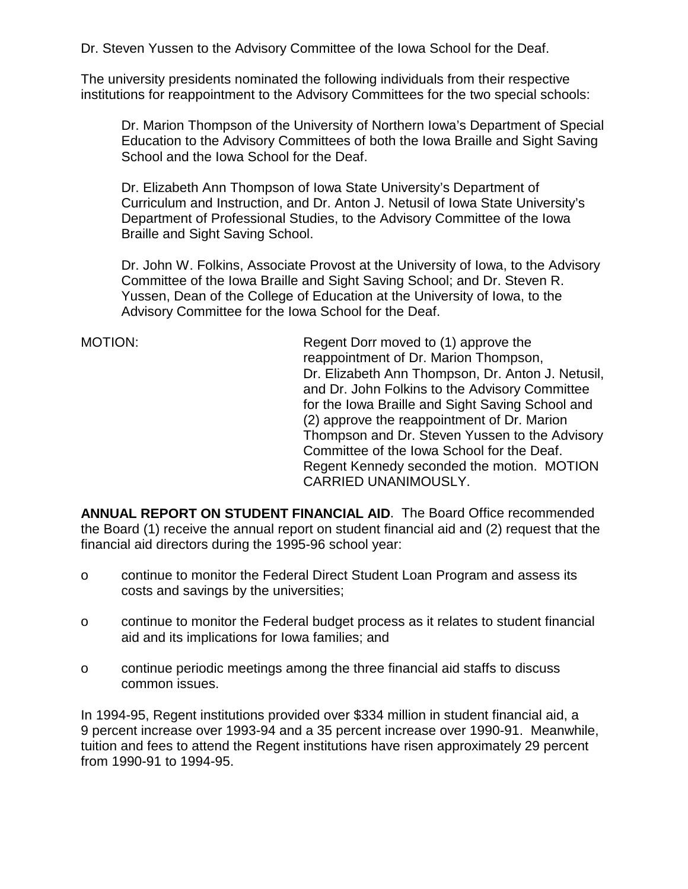Dr. Steven Yussen to the Advisory Committee of the Iowa School for the Deaf.

The university presidents nominated the following individuals from their respective institutions for reappointment to the Advisory Committees for the two special schools:

Dr. Marion Thompson of the University of Northern Iowa's Department of Special Education to the Advisory Committees of both the Iowa Braille and Sight Saving School and the Iowa School for the Deaf.

Dr. Elizabeth Ann Thompson of Iowa State University's Department of Curriculum and Instruction, and Dr. Anton J. Netusil of Iowa State University's Department of Professional Studies, to the Advisory Committee of the Iowa Braille and Sight Saving School.

Dr. John W. Folkins, Associate Provost at the University of Iowa, to the Advisory Committee of the Iowa Braille and Sight Saving School; and Dr. Steven R. Yussen, Dean of the College of Education at the University of Iowa, to the Advisory Committee for the Iowa School for the Deaf.

MOTION: Regent Dorr moved to (1) approve the reappointment of Dr. Marion Thompson, Dr. Elizabeth Ann Thompson, Dr. Anton J. Netusil, and Dr. John Folkins to the Advisory Committee for the Iowa Braille and Sight Saving School and (2) approve the reappointment of Dr. Marion Thompson and Dr. Steven Yussen to the Advisory Committee of the Iowa School for the Deaf. Regent Kennedy seconded the motion. MOTION CARRIED UNANIMOUSLY.

**ANNUAL REPORT ON STUDENT FINANCIAL AID**. The Board Office recommended the Board (1) receive the annual report on student financial aid and (2) request that the financial aid directors during the 1995-96 school year:

- o continue to monitor the Federal Direct Student Loan Program and assess its costs and savings by the universities;
- o continue to monitor the Federal budget process as it relates to student financial aid and its implications for Iowa families; and
- o continue periodic meetings among the three financial aid staffs to discuss common issues.

In 1994-95, Regent institutions provided over \$334 million in student financial aid, a 9 percent increase over 1993-94 and a 35 percent increase over 1990-91. Meanwhile, tuition and fees to attend the Regent institutions have risen approximately 29 percent from 1990-91 to 1994-95.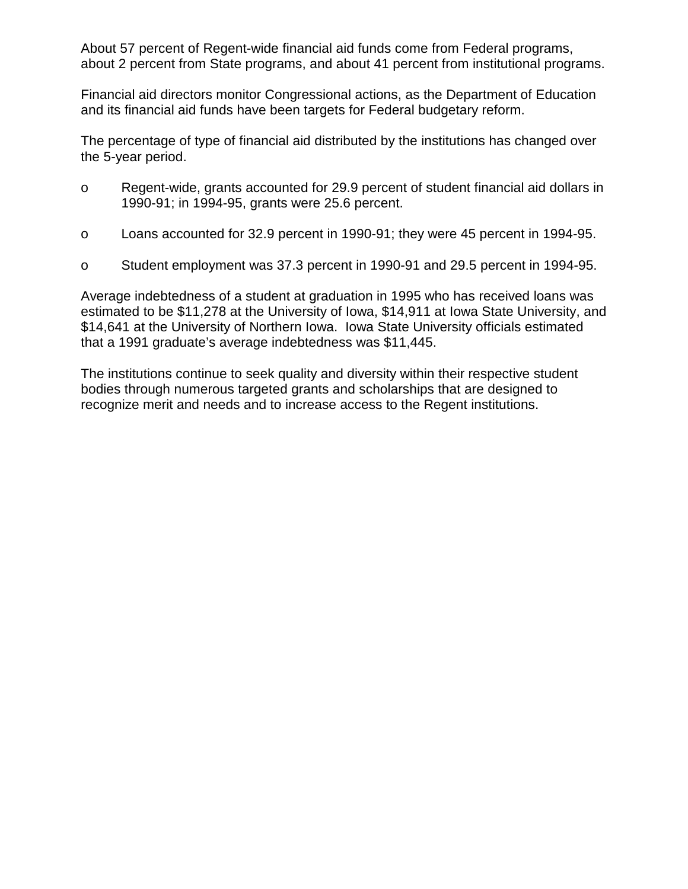About 57 percent of Regent-wide financial aid funds come from Federal programs, about 2 percent from State programs, and about 41 percent from institutional programs.

Financial aid directors monitor Congressional actions, as the Department of Education and its financial aid funds have been targets for Federal budgetary reform.

The percentage of type of financial aid distributed by the institutions has changed over the 5-year period.

- o Regent-wide, grants accounted for 29.9 percent of student financial aid dollars in 1990-91; in 1994-95, grants were 25.6 percent.
- o Loans accounted for 32.9 percent in 1990-91; they were 45 percent in 1994-95.
- o Student employment was 37.3 percent in 1990-91 and 29.5 percent in 1994-95.

Average indebtedness of a student at graduation in 1995 who has received loans was estimated to be \$11,278 at the University of Iowa, \$14,911 at Iowa State University, and \$14,641 at the University of Northern Iowa. Iowa State University officials estimated that a 1991 graduate's average indebtedness was \$11,445.

The institutions continue to seek quality and diversity within their respective student bodies through numerous targeted grants and scholarships that are designed to recognize merit and needs and to increase access to the Regent institutions.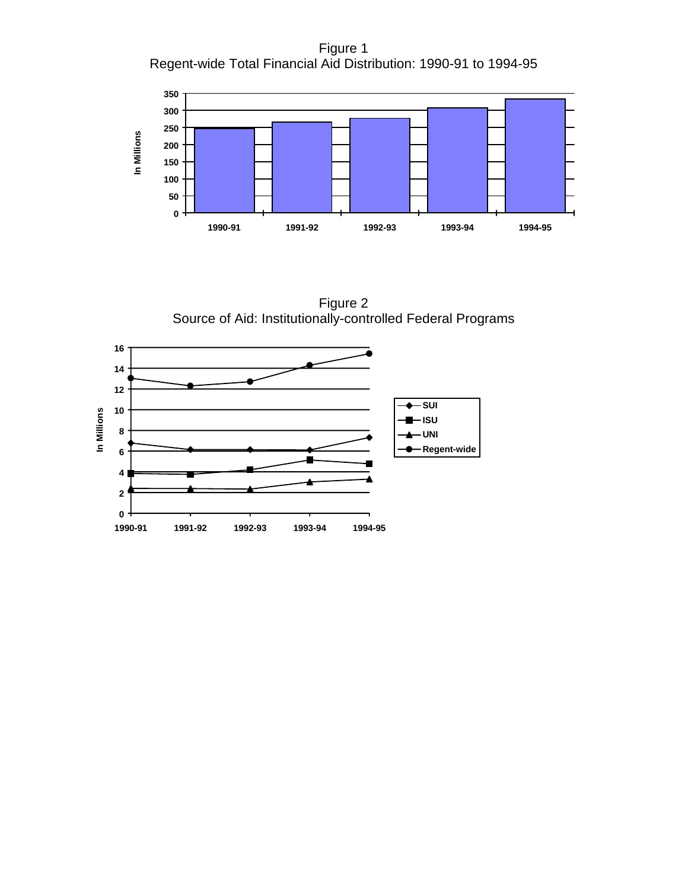Figure 1 Regent-wide Total Financial Aid Distribution: 1990-91 to 1994-95



Figure 2 Source of Aid: Institutionally-controlled Federal Programs

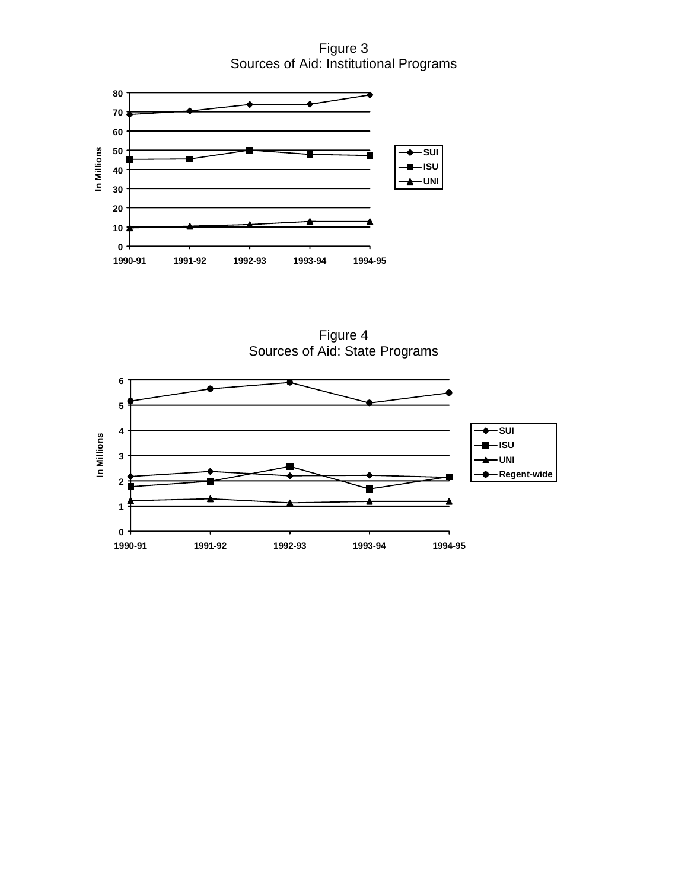Figure 3 Sources of Aid: Institutional Programs



Figure 4 Sources of Aid: State Programs

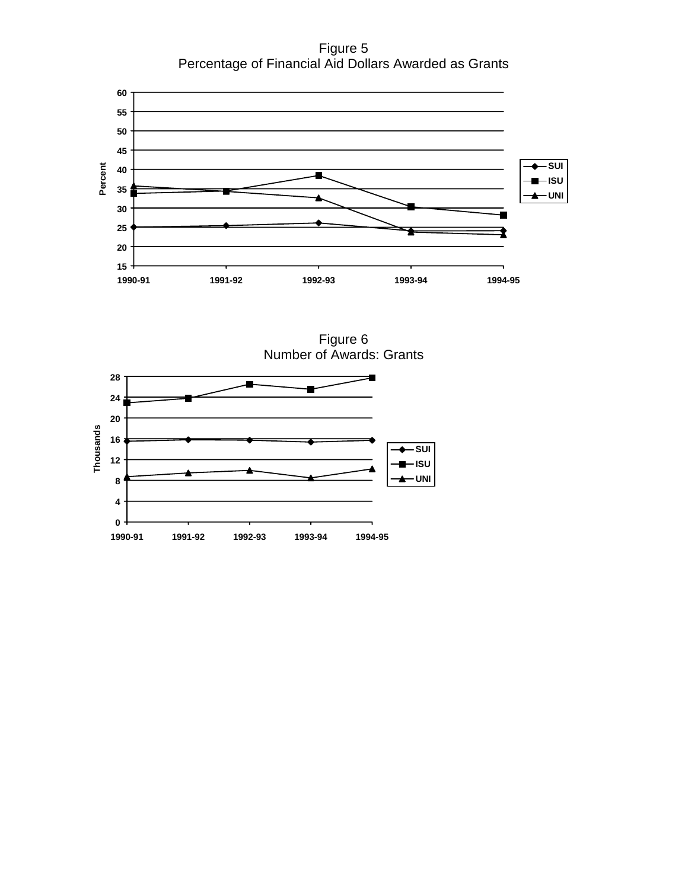Figure 5 Percentage of Financial Aid Dollars Awarded as Grants



Figure 6 Number of Awards: Grants

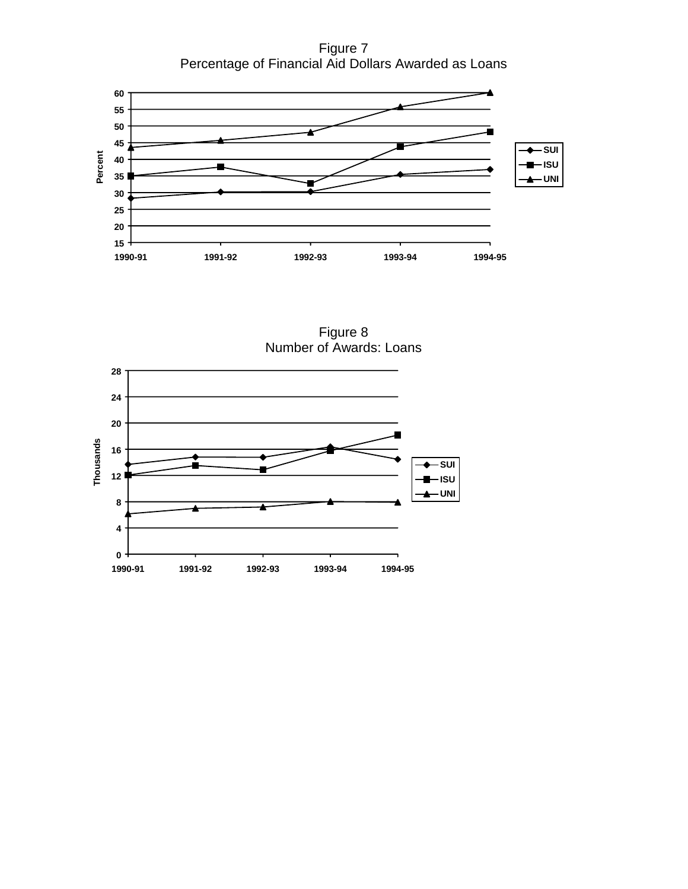Figure 7 Percentage of Financial Aid Dollars Awarded as Loans



Figure 8 Number of Awards: Loans

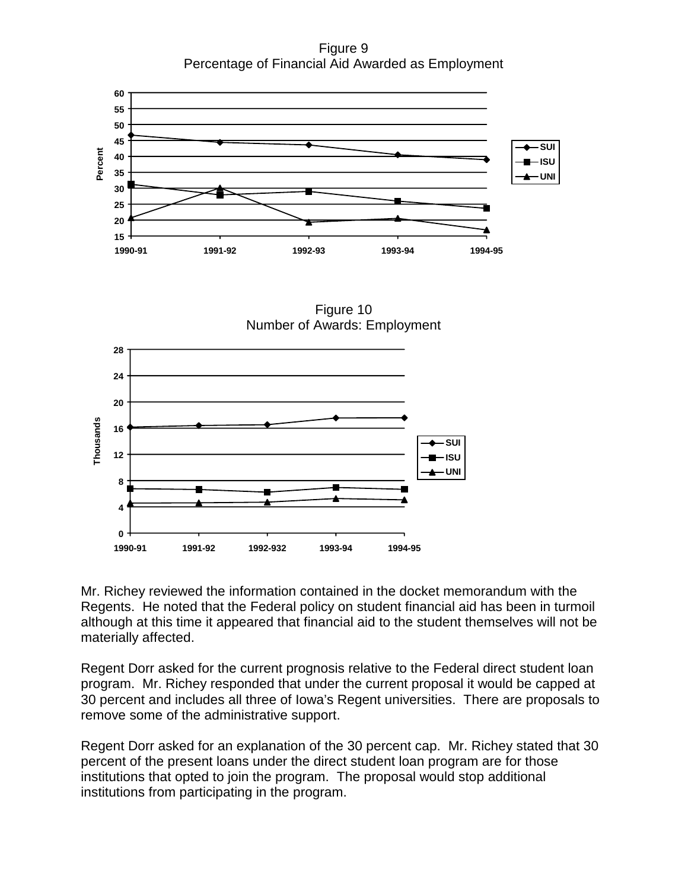Figure 9 Percentage of Financial Aid Awarded as Employment



Figure 10 Number of Awards: Employment



Mr. Richey reviewed the information contained in the docket memorandum with the Regents. He noted that the Federal policy on student financial aid has been in turmoil although at this time it appeared that financial aid to the student themselves will not be materially affected.

Regent Dorr asked for the current prognosis relative to the Federal direct student loan program. Mr. Richey responded that under the current proposal it would be capped at 30 percent and includes all three of Iowa's Regent universities. There are proposals to remove some of the administrative support.

Regent Dorr asked for an explanation of the 30 percent cap. Mr. Richey stated that 30 percent of the present loans under the direct student loan program are for those institutions that opted to join the program. The proposal would stop additional institutions from participating in the program.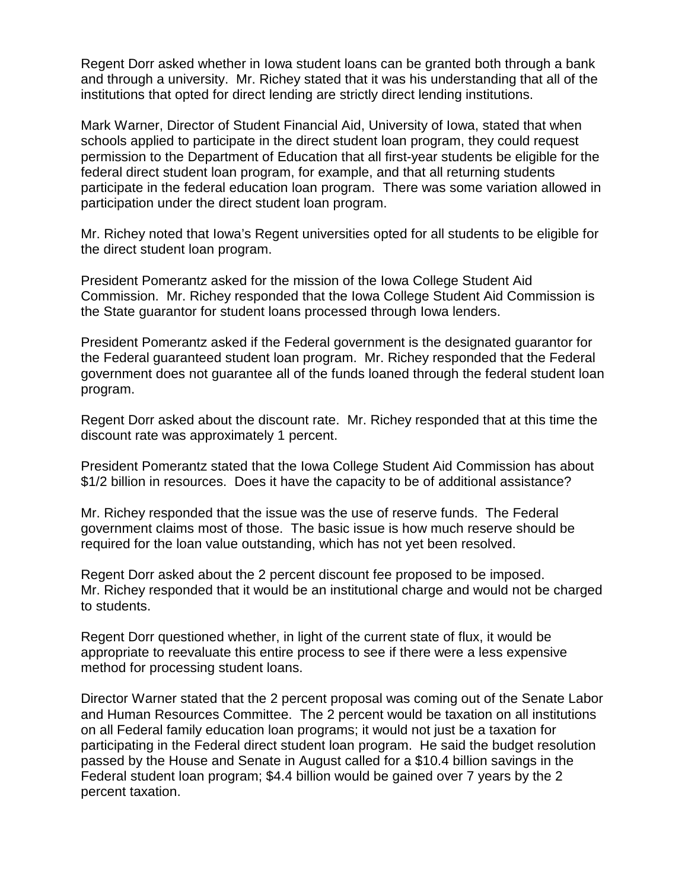Regent Dorr asked whether in Iowa student loans can be granted both through a bank and through a university. Mr. Richey stated that it was his understanding that all of the institutions that opted for direct lending are strictly direct lending institutions.

Mark Warner, Director of Student Financial Aid, University of Iowa, stated that when schools applied to participate in the direct student loan program, they could request permission to the Department of Education that all first-year students be eligible for the federal direct student loan program, for example, and that all returning students participate in the federal education loan program. There was some variation allowed in participation under the direct student loan program.

Mr. Richey noted that Iowa's Regent universities opted for all students to be eligible for the direct student loan program.

President Pomerantz asked for the mission of the Iowa College Student Aid Commission. Mr. Richey responded that the Iowa College Student Aid Commission is the State guarantor for student loans processed through Iowa lenders.

President Pomerantz asked if the Federal government is the designated guarantor for the Federal guaranteed student loan program. Mr. Richey responded that the Federal government does not guarantee all of the funds loaned through the federal student loan program.

Regent Dorr asked about the discount rate. Mr. Richey responded that at this time the discount rate was approximately 1 percent.

President Pomerantz stated that the Iowa College Student Aid Commission has about \$1/2 billion in resources. Does it have the capacity to be of additional assistance?

Mr. Richey responded that the issue was the use of reserve funds. The Federal government claims most of those. The basic issue is how much reserve should be required for the loan value outstanding, which has not yet been resolved.

Regent Dorr asked about the 2 percent discount fee proposed to be imposed. Mr. Richey responded that it would be an institutional charge and would not be charged to students.

Regent Dorr questioned whether, in light of the current state of flux, it would be appropriate to reevaluate this entire process to see if there were a less expensive method for processing student loans.

Director Warner stated that the 2 percent proposal was coming out of the Senate Labor and Human Resources Committee. The 2 percent would be taxation on all institutions on all Federal family education loan programs; it would not just be a taxation for participating in the Federal direct student loan program. He said the budget resolution passed by the House and Senate in August called for a \$10.4 billion savings in the Federal student loan program; \$4.4 billion would be gained over 7 years by the 2 percent taxation.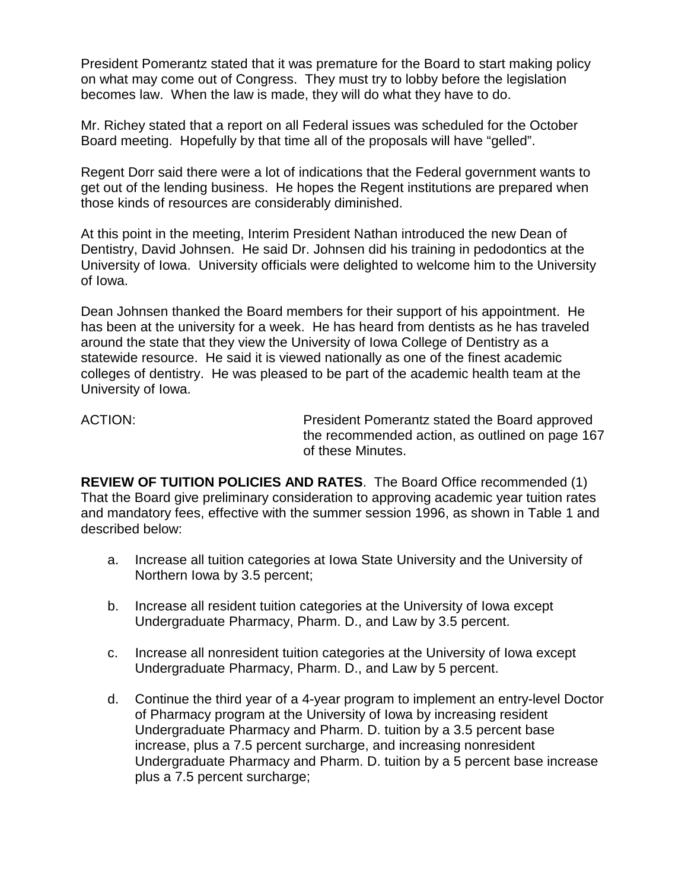President Pomerantz stated that it was premature for the Board to start making policy on what may come out of Congress. They must try to lobby before the legislation becomes law. When the law is made, they will do what they have to do.

Mr. Richey stated that a report on all Federal issues was scheduled for the October Board meeting. Hopefully by that time all of the proposals will have "gelled".

Regent Dorr said there were a lot of indications that the Federal government wants to get out of the lending business. He hopes the Regent institutions are prepared when those kinds of resources are considerably diminished.

At this point in the meeting, Interim President Nathan introduced the new Dean of Dentistry, David Johnsen. He said Dr. Johnsen did his training in pedodontics at the University of Iowa. University officials were delighted to welcome him to the University of Iowa.

Dean Johnsen thanked the Board members for their support of his appointment. He has been at the university for a week. He has heard from dentists as he has traveled around the state that they view the University of Iowa College of Dentistry as a statewide resource. He said it is viewed nationally as one of the finest academic colleges of dentistry. He was pleased to be part of the academic health team at the University of Iowa.

ACTION: President Pomerantz stated the Board approved the recommended action, as outlined on page 167 of these Minutes.

**REVIEW OF TUITION POLICIES AND RATES**. The Board Office recommended (1) That the Board give preliminary consideration to approving academic year tuition rates and mandatory fees, effective with the summer session 1996, as shown in Table 1 and described below:

- a. Increase all tuition categories at Iowa State University and the University of Northern Iowa by 3.5 percent;
- b. Increase all resident tuition categories at the University of Iowa except Undergraduate Pharmacy, Pharm. D., and Law by 3.5 percent.
- c. Increase all nonresident tuition categories at the University of Iowa except Undergraduate Pharmacy, Pharm. D., and Law by 5 percent.
- d. Continue the third year of a 4-year program to implement an entry-level Doctor of Pharmacy program at the University of Iowa by increasing resident Undergraduate Pharmacy and Pharm. D. tuition by a 3.5 percent base increase, plus a 7.5 percent surcharge, and increasing nonresident Undergraduate Pharmacy and Pharm. D. tuition by a 5 percent base increase plus a 7.5 percent surcharge;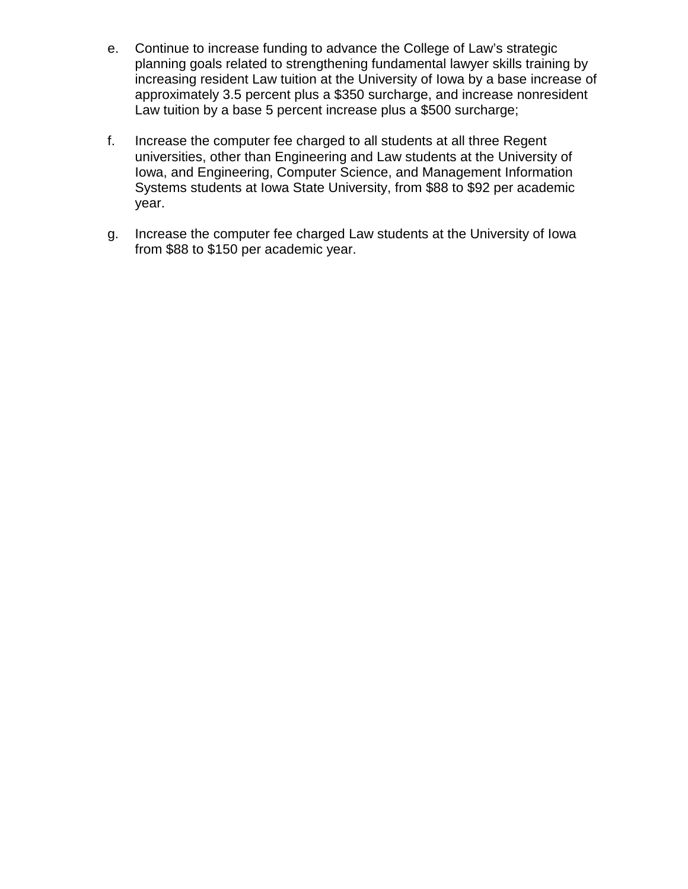- e. Continue to increase funding to advance the College of Law's strategic planning goals related to strengthening fundamental lawyer skills training by increasing resident Law tuition at the University of Iowa by a base increase of approximately 3.5 percent plus a \$350 surcharge, and increase nonresident Law tuition by a base 5 percent increase plus a \$500 surcharge;
- f. Increase the computer fee charged to all students at all three Regent universities, other than Engineering and Law students at the University of Iowa, and Engineering, Computer Science, and Management Information Systems students at Iowa State University, from \$88 to \$92 per academic year.
- g. Increase the computer fee charged Law students at the University of Iowa from \$88 to \$150 per academic year.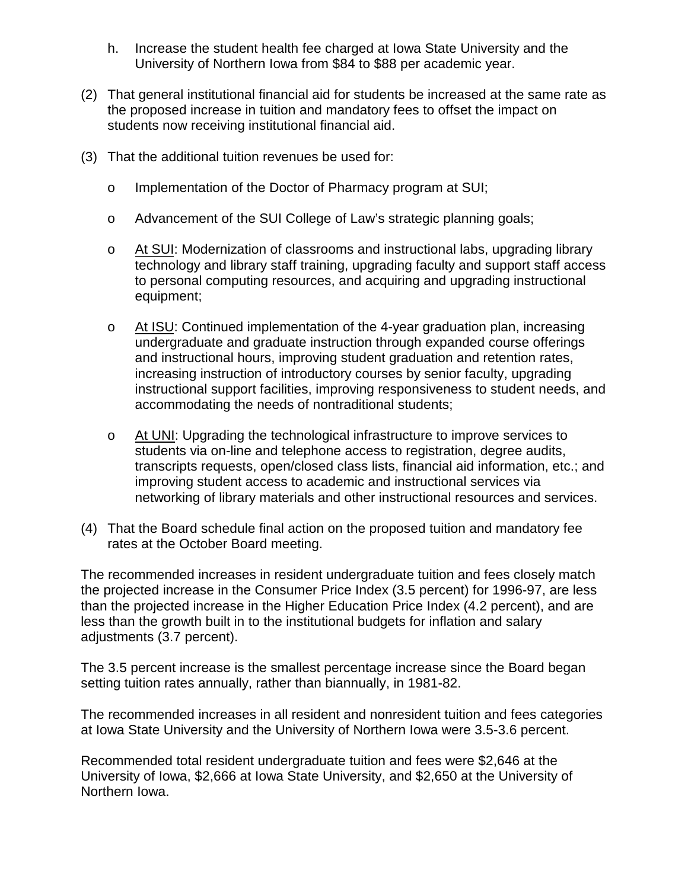- h. Increase the student health fee charged at Iowa State University and the University of Northern Iowa from \$84 to \$88 per academic year.
- (2) That general institutional financial aid for students be increased at the same rate as the proposed increase in tuition and mandatory fees to offset the impact on students now receiving institutional financial aid.
- (3) That the additional tuition revenues be used for:
	- o Implementation of the Doctor of Pharmacy program at SUI;
	- o Advancement of the SUI College of Law's strategic planning goals;
	- o At SUI: Modernization of classrooms and instructional labs, upgrading library technology and library staff training, upgrading faculty and support staff access to personal computing resources, and acquiring and upgrading instructional equipment;
	- o At ISU: Continued implementation of the 4-year graduation plan, increasing undergraduate and graduate instruction through expanded course offerings and instructional hours, improving student graduation and retention rates, increasing instruction of introductory courses by senior faculty, upgrading instructional support facilities, improving responsiveness to student needs, and accommodating the needs of nontraditional students;
	- o At UNI: Upgrading the technological infrastructure to improve services to students via on-line and telephone access to registration, degree audits, transcripts requests, open/closed class lists, financial aid information, etc.; and improving student access to academic and instructional services via networking of library materials and other instructional resources and services.
- (4) That the Board schedule final action on the proposed tuition and mandatory fee rates at the October Board meeting.

The recommended increases in resident undergraduate tuition and fees closely match the projected increase in the Consumer Price Index (3.5 percent) for 1996-97, are less than the projected increase in the Higher Education Price Index (4.2 percent), and are less than the growth built in to the institutional budgets for inflation and salary adjustments (3.7 percent).

The 3.5 percent increase is the smallest percentage increase since the Board began setting tuition rates annually, rather than biannually, in 1981-82.

The recommended increases in all resident and nonresident tuition and fees categories at Iowa State University and the University of Northern Iowa were 3.5-3.6 percent.

Recommended total resident undergraduate tuition and fees were \$2,646 at the University of Iowa, \$2,666 at Iowa State University, and \$2,650 at the University of Northern Iowa.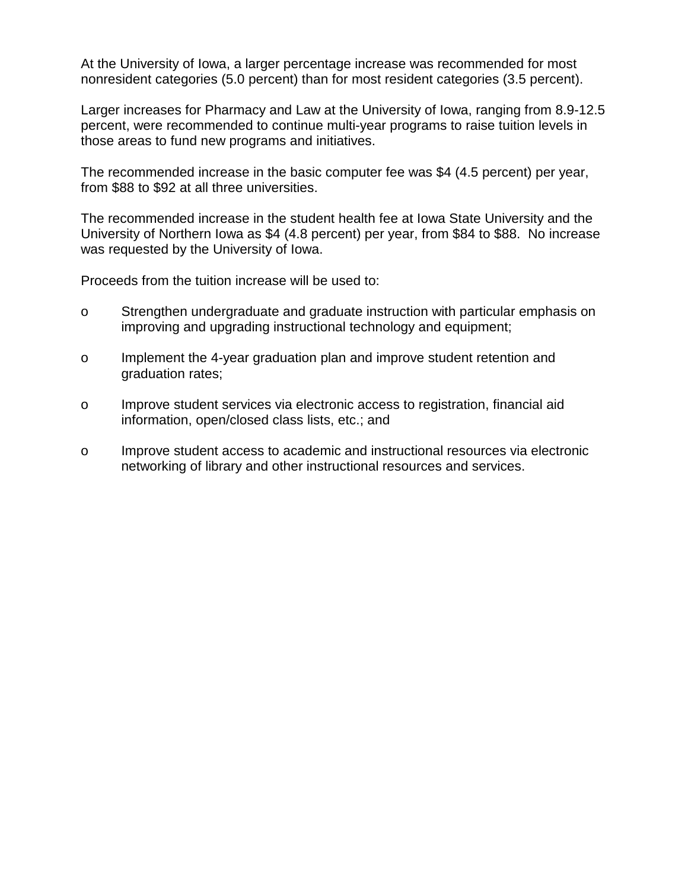At the University of Iowa, a larger percentage increase was recommended for most nonresident categories (5.0 percent) than for most resident categories (3.5 percent).

Larger increases for Pharmacy and Law at the University of Iowa, ranging from 8.9-12.5 percent, were recommended to continue multi-year programs to raise tuition levels in those areas to fund new programs and initiatives.

The recommended increase in the basic computer fee was \$4 (4.5 percent) per year, from \$88 to \$92 at all three universities.

The recommended increase in the student health fee at Iowa State University and the University of Northern Iowa as \$4 (4.8 percent) per year, from \$84 to \$88. No increase was requested by the University of Iowa.

Proceeds from the tuition increase will be used to:

- o Strengthen undergraduate and graduate instruction with particular emphasis on improving and upgrading instructional technology and equipment;
- o Implement the 4-year graduation plan and improve student retention and graduation rates;
- o Improve student services via electronic access to registration, financial aid information, open/closed class lists, etc.; and
- o Improve student access to academic and instructional resources via electronic networking of library and other instructional resources and services.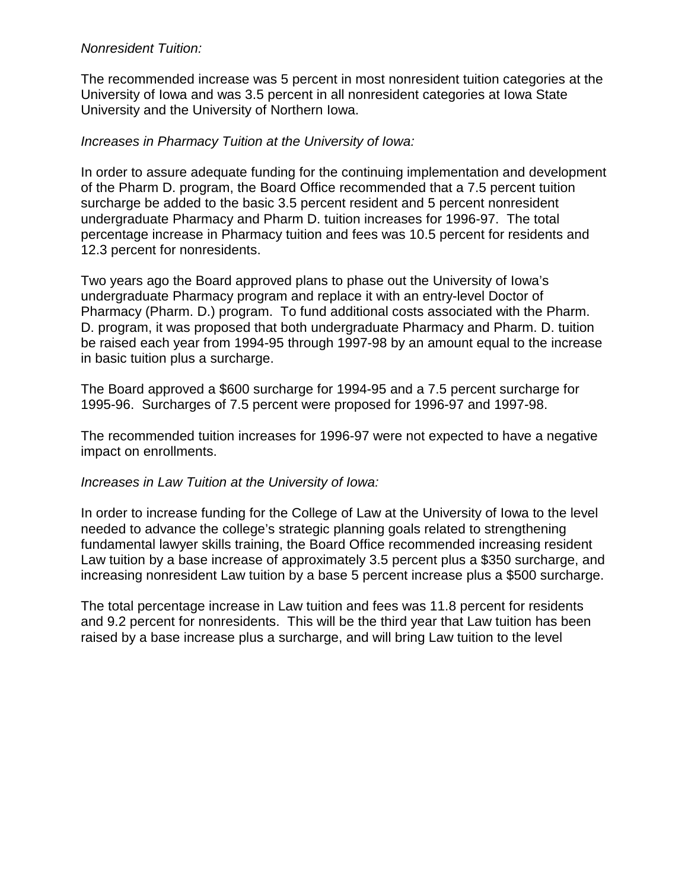## *Nonresident Tuition:*

The recommended increase was 5 percent in most nonresident tuition categories at the University of Iowa and was 3.5 percent in all nonresident categories at Iowa State University and the University of Northern Iowa.

# *Increases in Pharmacy Tuition at the University of Iowa:*

In order to assure adequate funding for the continuing implementation and development of the Pharm D. program, the Board Office recommended that a 7.5 percent tuition surcharge be added to the basic 3.5 percent resident and 5 percent nonresident undergraduate Pharmacy and Pharm D. tuition increases for 1996-97. The total percentage increase in Pharmacy tuition and fees was 10.5 percent for residents and 12.3 percent for nonresidents.

Two years ago the Board approved plans to phase out the University of Iowa's undergraduate Pharmacy program and replace it with an entry-level Doctor of Pharmacy (Pharm. D.) program. To fund additional costs associated with the Pharm. D. program, it was proposed that both undergraduate Pharmacy and Pharm. D. tuition be raised each year from 1994-95 through 1997-98 by an amount equal to the increase in basic tuition plus a surcharge.

The Board approved a \$600 surcharge for 1994-95 and a 7.5 percent surcharge for 1995-96. Surcharges of 7.5 percent were proposed for 1996-97 and 1997-98.

The recommended tuition increases for 1996-97 were not expected to have a negative impact on enrollments.

*Increases in Law Tuition at the University of Iowa:*

In order to increase funding for the College of Law at the University of Iowa to the level needed to advance the college's strategic planning goals related to strengthening fundamental lawyer skills training, the Board Office recommended increasing resident Law tuition by a base increase of approximately 3.5 percent plus a \$350 surcharge, and increasing nonresident Law tuition by a base 5 percent increase plus a \$500 surcharge.

The total percentage increase in Law tuition and fees was 11.8 percent for residents and 9.2 percent for nonresidents. This will be the third year that Law tuition has been raised by a base increase plus a surcharge, and will bring Law tuition to the level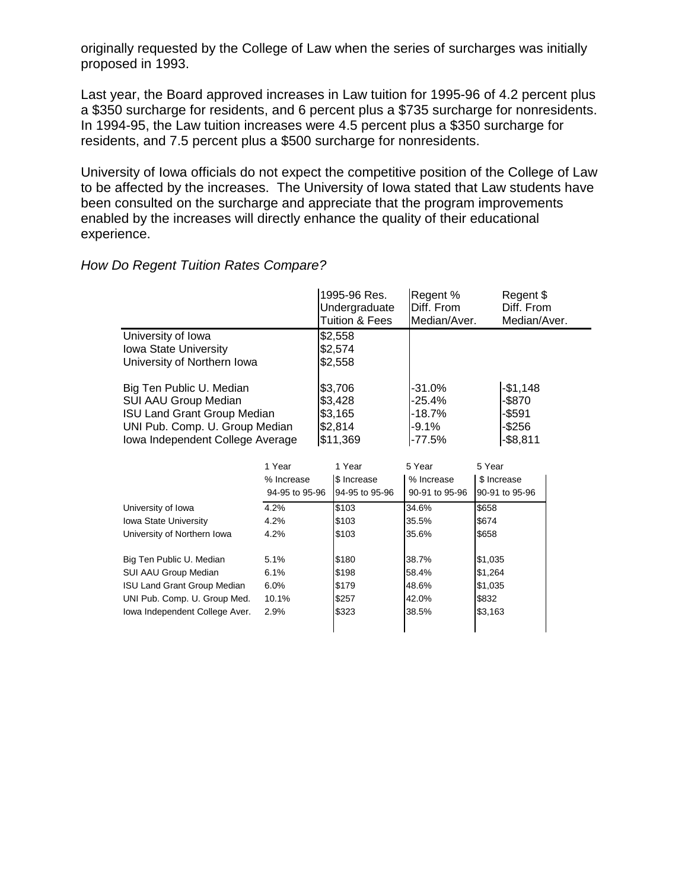originally requested by the College of Law when the series of surcharges was initially proposed in 1993.

Last year, the Board approved increases in Law tuition for 1995-96 of 4.2 percent plus a \$350 surcharge for residents, and 6 percent plus a \$735 surcharge for nonresidents. In 1994-95, the Law tuition increases were 4.5 percent plus a \$350 surcharge for residents, and 7.5 percent plus a \$500 surcharge for nonresidents.

University of Iowa officials do not expect the competitive position of the College of Law to be affected by the increases. The University of Iowa stated that Law students have been consulted on the surcharge and appreciate that the program improvements enabled by the increases will directly enhance the quality of their educational experience.

#### 1995-96 Res. Regent % Regent \$ Undergraduate Diff. From Diff. From Tuition & Fees | Median/Aver. Median/Aver. University of Iowa \$2,558 Iowa State University **\$2,574** University of Northern Iowa **\$2,558** Big Ten Public U. Median  $\frac{1}{3}3,706$   $\frac{1}{31.0\%}$  -31.0%  $\frac{1}{31,148}$ SUI AAU Group Median <br>
ISU Land Grant Group Median <br>  $$3,165$  -18.7% -\$591 ISU Land Grant Group Median  $$3,165$  -18.7% UNI Pub. Comp. U. Group Median  $$2,814$   $|-9.1\%$   $|-$256$  $I_{\text{row}}$  Independent College Average  $\frac{1}{311,369}$  -77.5%  $\frac{1}{38,811}$

#### *How Do Regent Tuition Rates Compare?*

|                                    | 1 Year<br>% Increase<br>94-95 to 95-96 | 1 Year<br>\$ Increase<br>94-95 to 95-96 | 5 Year<br>% Increase<br>90-91 to 95-96 | 5 Year<br>\$ Increase<br>90-91 to 95-96 |
|------------------------------------|----------------------------------------|-----------------------------------------|----------------------------------------|-----------------------------------------|
| University of Iowa                 | 4.2%                                   | \$103                                   | 34.6%                                  | \$658                                   |
| <b>Iowa State University</b>       | 4.2%                                   | \$103                                   | 35.5%                                  | \$674                                   |
| University of Northern Iowa        | 4.2%                                   | \$103                                   | 35.6%                                  | \$658                                   |
| Big Ten Public U. Median           | 5.1%                                   | \$180                                   | 38.7%                                  | \$1,035                                 |
| SUI AAU Group Median               | 6.1%                                   | \$198                                   | 58.4%                                  | \$1,264                                 |
| <b>ISU Land Grant Group Median</b> | 6.0%                                   | \$179                                   | 48.6%                                  | \$1,035                                 |
| UNI Pub. Comp. U. Group Med.       | 10.1%                                  | \$257                                   | 42.0%                                  | \$832                                   |
| Iowa Independent College Aver.     | 2.9%                                   | \$323                                   | 38.5%                                  | \$3,163                                 |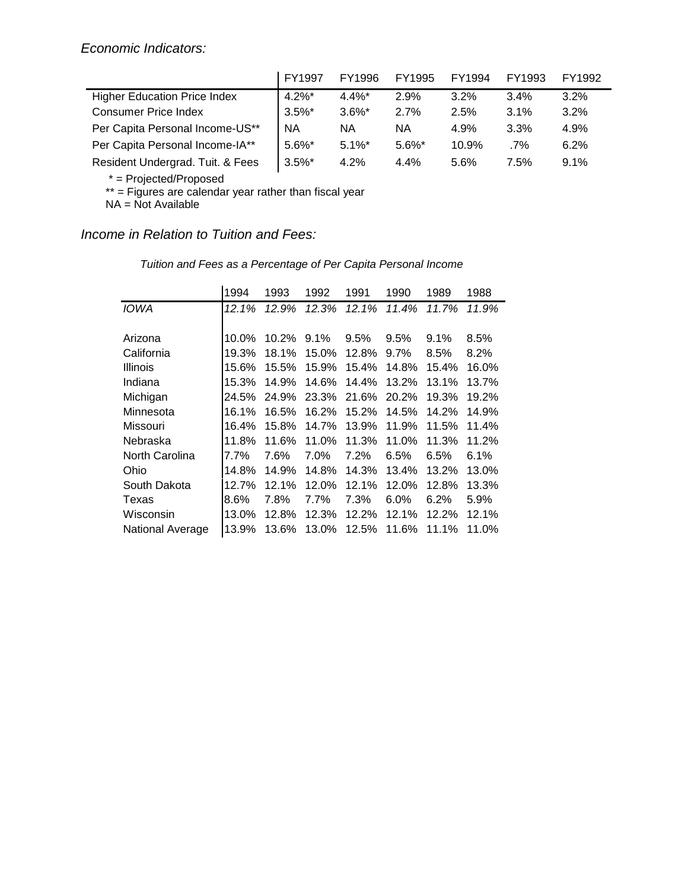|                                     | FY1997    | FY1996    | FY1995    | FY1994  | FY1993 | FY1992 |
|-------------------------------------|-----------|-----------|-----------|---------|--------|--------|
| <b>Higher Education Price Index</b> | $4.2\%$ * | $4.4\%$ * | 2.9%      | $3.2\%$ | 3.4%   | 3.2%   |
| <b>Consumer Price Index</b>         | $3.5\%$ * | $3.6\%$ * | 2.7%      | 2.5%    | 3.1%   | 3.2%   |
| Per Capita Personal Income-US**     | <b>NA</b> | <b>NA</b> | ΝA        | 4.9%    | 3.3%   | 4.9%   |
| Per Capita Personal Income-IA**     | $5.6\%$ * | $5.1\%$ * | $5.6\%$ * | 10.9%   | .7%    | 6.2%   |
| Resident Undergrad. Tuit. & Fees    | $3.5\%$ * | 4.2%      | 4.4%      | 5.6%    | 7.5%   | 9.1%   |

\* = Projected/Proposed

\*\* = Figures are calendar year rather than fiscal year

NA = Not Available

*Income in Relation to Tuition and Fees:*

| Tuition and Fees as a Percentage of Per Capita Personal Income |
|----------------------------------------------------------------|
|                                                                |

|                  | 1994    | 1993     | 1992    | 1991    | 1990    | 1989     | 1988  |
|------------------|---------|----------|---------|---------|---------|----------|-------|
| IOWA             | 12.1%   | 12.9%    | 12.3%   | 12.1%   | 11.4%   | 11.7%    | 11.9% |
|                  |         |          |         |         |         |          |       |
| Arizona          | 10.0%   | $10.2\%$ | $9.1\%$ | $9.5\%$ | $9.5\%$ | $9.1\%$  | 8.5%  |
| California       | 19.3%   | 18.1%    | 15.0%   | 12.8%   | 9.7%    | 8.5%     | 8.2%  |
| <b>Illinois</b>  | 15.6%   | 15.5%    | 15.9%   | 15.4%   | 14.8%   | 15.4%    | 16.0% |
| Indiana          | 15.3%   | 14.9%    | 14.6%   | 14.4%   | 13.2%   | 13.1%    | 13.7% |
| Michigan         | 24.5%   | 24.9%    | 23.3%   | 21.6%   | 20.2%   | 19.3%    | 19.2% |
| Minnesota        | 16.1%   | 16.5%    | 16.2%   | 15.2%   | 14.5%   | 14.2%    | 14.9% |
| Missouri         | 16.4%   | 15.8%    | 14.7%   | 13.9%   | 11.9%   | 11.5%    | 11.4% |
| Nebraska         | 11.8%   | 11.6%    | 11.0%   | 11.3%   | 11.0%   | 11.3%    | 11.2% |
| North Carolina   | $7.7\%$ | 7.6%     | 7.0%    | 7.2%    | 6.5%    | 6.5%     | 6.1%  |
| Ohio             | 14.8%   | 14.9%    | 14.8%   | 14.3%   | 13.4%   | 13.2%    | 13.0% |
| South Dakota     | 12.7%   | 12.1%    | 12.0%   | 12.1%   | 12.0%   | 12.8%    | 13.3% |
| Texas            | 8.6%    | 7.8%     | 7.7%    | 7.3%    | $6.0\%$ | 6.2%     | 5.9%  |
| Wisconsin        | 13.0%   | 12.8%    | 12.3%   | 12.2%   | 12.1%   | $12.2\%$ | 12.1% |
| National Average | 13.9%   | 13.6%    | 13.0%   | 12.5%   | 11.6%   | 11.1%    | 11.0% |
|                  |         |          |         |         |         |          |       |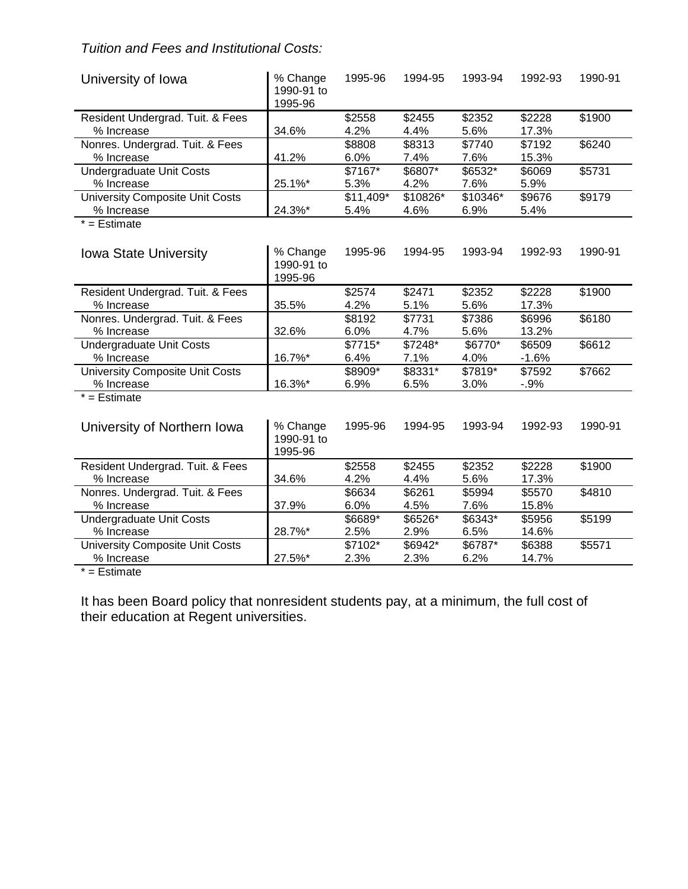# *Tuition and Fees and Institutional Costs:*

| University of Iowa                     | % Change<br>1990-91 to<br>1995-96 | 1995-96   | 1994-95  | 1993-94  | 1992-93 | 1990-91 |
|----------------------------------------|-----------------------------------|-----------|----------|----------|---------|---------|
| Resident Undergrad. Tuit. & Fees       |                                   | \$2558    | \$2455   | \$2352   | \$2228  | \$1900  |
| % Increase                             | 34.6%                             | 4.2%      | 4.4%     | 5.6%     | 17.3%   |         |
| Nonres. Undergrad. Tuit. & Fees        |                                   | \$8808    | \$8313   | \$7740   | \$7192  | \$6240  |
| % Increase                             | 41.2%                             | 6.0%      | 7.4%     | 7.6%     | 15.3%   |         |
| <b>Undergraduate Unit Costs</b>        |                                   | \$7167*   | \$6807*  | \$6532*  | \$6069  | \$5731  |
| % Increase                             | 25.1%*                            | 5.3%      | 4.2%     | 7.6%     | 5.9%    |         |
| <b>University Composite Unit Costs</b> |                                   | \$11,409* | \$10826* | \$10346* | \$9676  | \$9179  |
| % Increase                             | 24.3%*                            | 5.4%      | 4.6%     | 6.9%     | 5.4%    |         |
| $* =$ Estimate                         |                                   |           |          |          |         |         |
| Iowa State University                  | % Change<br>1990-91 to<br>1995-96 | 1995-96   | 1994-95  | 1993-94  | 1992-93 | 1990-91 |
| Resident Undergrad. Tuit. & Fees       |                                   | \$2574    | \$2471   | \$2352   | \$2228  | \$1900  |
| % Increase                             | 35.5%                             | 4.2%      | 5.1%     | 5.6%     | 17.3%   |         |
| Nonres. Undergrad. Tuit. & Fees        |                                   | \$8192    | \$7731   | \$7386   | \$6996  | \$6180  |
| % Increase                             | 32.6%                             | 6.0%      | 4.7%     | 5.6%     | 13.2%   |         |
| Undergraduate Unit Costs               |                                   | \$7715*   | \$7248*  | \$6770*  | \$6509  | \$6612  |
| % Increase                             | 16.7%*                            | 6.4%      | 7.1%     | 4.0%     | $-1.6%$ |         |
| <b>University Composite Unit Costs</b> |                                   | \$8909*   | \$8331*  | \$7819*  | \$7592  | \$7662  |
| % Increase                             | 16.3%*                            | 6.9%      | 6.5%     | 3.0%     | $-.9%$  |         |
| $\overline{f}$ = Estimate              |                                   |           |          |          |         |         |
| University of Northern Iowa            | % Change<br>1990-91 to<br>1995-96 | 1995-96   | 1994-95  | 1993-94  | 1992-93 | 1990-91 |
| Resident Undergrad. Tuit. & Fees       |                                   | \$2558    | \$2455   | \$2352   | \$2228  | \$1900  |
| % Increase                             | 34.6%                             | 4.2%      | 4.4%     | 5.6%     | 17.3%   |         |
| Nonres. Undergrad. Tuit. & Fees        |                                   | \$6634    | \$6261   | \$5994   | \$5570  | \$4810  |
| % Increase                             | 37.9%                             | 6.0%      | 4.5%     | 7.6%     | 15.8%   |         |
| <b>Undergraduate Unit Costs</b>        |                                   | \$6689*   | \$6526*  | \$6343*  | \$5956  | \$5199  |
| % Increase                             | 28.7%*                            | 2.5%      | 2.9%     | 6.5%     | 14.6%   |         |
| University Composite Unit Costs        |                                   | \$7102*   | \$6942*  | \$6787*  | \$6388  | \$5571  |
| % Increase                             | 27.5%*                            | 2.3%      | 2.3%     | 6.2%     | 14.7%   |         |
| $*$ $F_{\alpha+1}$ $\cdots$            |                                   |           |          |          |         |         |

 $=$  Estimate

It has been Board policy that nonresident students pay, at a minimum, the full cost of their education at Regent universities.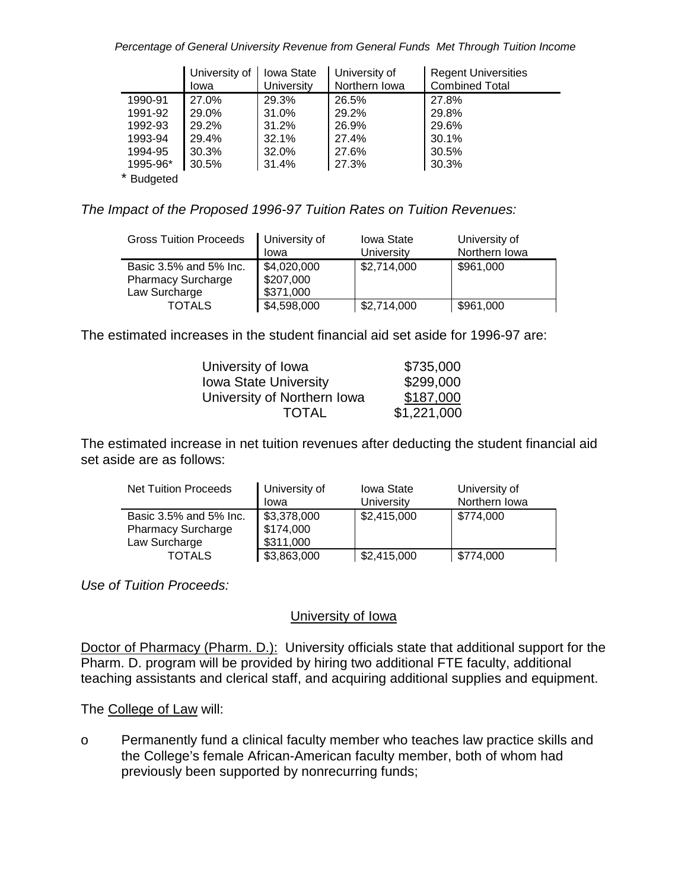*Percentage of General University Revenue from General Funds Met Through Tuition Income*

|          | University of | <b>Iowa State</b> | University of | <b>Regent Universities</b> |
|----------|---------------|-------------------|---------------|----------------------------|
|          | Iowa          | University        | Northern Iowa | <b>Combined Total</b>      |
| 1990-91  | 27.0%         | 29.3%             | 26.5%         | 27.8%                      |
| 1991-92  | 29.0%         | 31.0%             | 29.2%         | 29.8%                      |
| 1992-93  | 29.2%         | 31.2%             | 26.9%         | 29.6%                      |
| 1993-94  | 29.4%         | 32.1%             | 27.4%         | 30.1%                      |
| 1994-95  | 30.3%         | 32.0%             | 27.6%         | 30.5%                      |
| 1995-96* | 30.5%         | 31.4%             | 27.3%         | 30.3%                      |
| als in   |               |                   |               |                            |

\* Budgeted

*The Impact of the Proposed 1996-97 Tuition Rates on Tuition Revenues:*

| <b>Gross Tuition Proceeds</b>                                        | University of<br>Iowa                 | <b>Iowa State</b><br>University | University of<br>Northern Iowa |
|----------------------------------------------------------------------|---------------------------------------|---------------------------------|--------------------------------|
| Basic 3.5% and 5% Inc.<br><b>Pharmacy Surcharge</b><br>Law Surcharge | \$4,020,000<br>\$207,000<br>\$371,000 | \$2,714,000                     | \$961,000                      |
| <b>TOTALS</b>                                                        | \$4,598,000                           | \$2,714,000                     | \$961,000                      |

The estimated increases in the student financial aid set aside for 1996-97 are:

| University of Iowa           | \$735,000   |
|------------------------------|-------------|
| <b>Iowa State University</b> | \$299,000   |
| University of Northern Iowa  | \$187,000   |
| <b>TOTAL</b>                 | \$1,221,000 |

The estimated increase in net tuition revenues after deducting the student financial aid set aside are as follows:

| <b>Net Tuition Proceeds</b>                                          | University of<br>Iowa                 | <b>Iowa State</b><br>University | University of<br>Northern Iowa |
|----------------------------------------------------------------------|---------------------------------------|---------------------------------|--------------------------------|
| Basic 3.5% and 5% Inc.<br><b>Pharmacy Surcharge</b><br>Law Surcharge | \$3,378,000<br>\$174,000<br>\$311,000 | \$2,415,000                     | \$774,000                      |
| <b>TOTALS</b>                                                        | \$3,863,000                           | \$2,415,000                     | \$774,000                      |

*Use of Tuition Proceeds:*

## University of Iowa

Doctor of Pharmacy (Pharm. D.): University officials state that additional support for the Pharm. D. program will be provided by hiring two additional FTE faculty, additional teaching assistants and clerical staff, and acquiring additional supplies and equipment.

The College of Law will:

o Permanently fund a clinical faculty member who teaches law practice skills and the College's female African-American faculty member, both of whom had previously been supported by nonrecurring funds;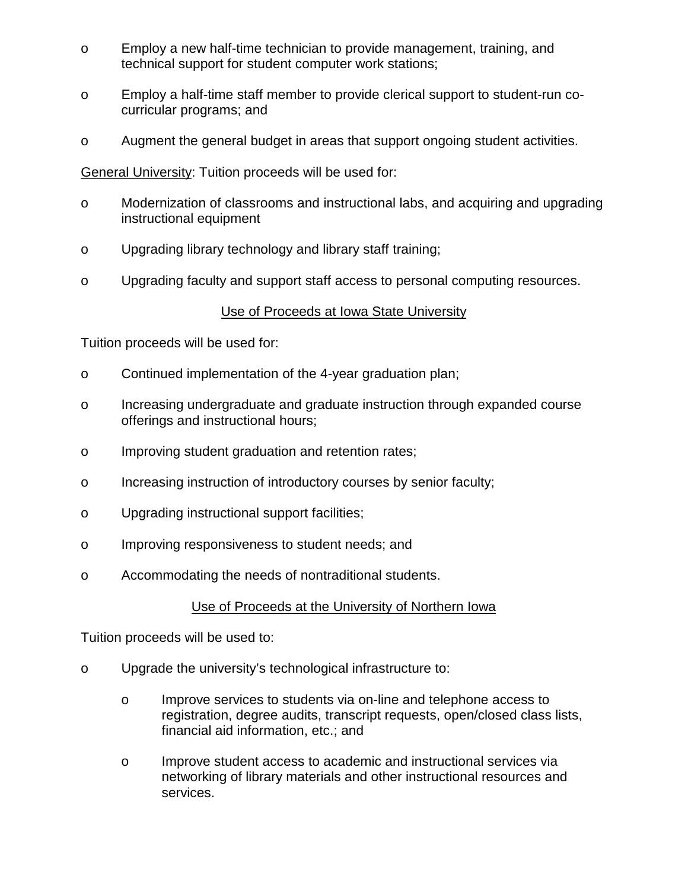- o Employ a new half-time technician to provide management, training, and technical support for student computer work stations;
- o Employ a half-time staff member to provide clerical support to student-run cocurricular programs; and
- o Augment the general budget in areas that support ongoing student activities.

General University: Tuition proceeds will be used for:

- o Modernization of classrooms and instructional labs, and acquiring and upgrading instructional equipment
- o Upgrading library technology and library staff training;
- o Upgrading faculty and support staff access to personal computing resources.

## Use of Proceeds at Iowa State University

Tuition proceeds will be used for:

- o Continued implementation of the 4-year graduation plan;
- o Increasing undergraduate and graduate instruction through expanded course offerings and instructional hours;
- o Improving student graduation and retention rates;
- o Increasing instruction of introductory courses by senior faculty;
- o Upgrading instructional support facilities;
- o Improving responsiveness to student needs; and
- o Accommodating the needs of nontraditional students.

## Use of Proceeds at the University of Northern Iowa

Tuition proceeds will be used to:

- o Upgrade the university's technological infrastructure to:
	- o Improve services to students via on-line and telephone access to registration, degree audits, transcript requests, open/closed class lists, financial aid information, etc.; and
	- o Improve student access to academic and instructional services via networking of library materials and other instructional resources and services.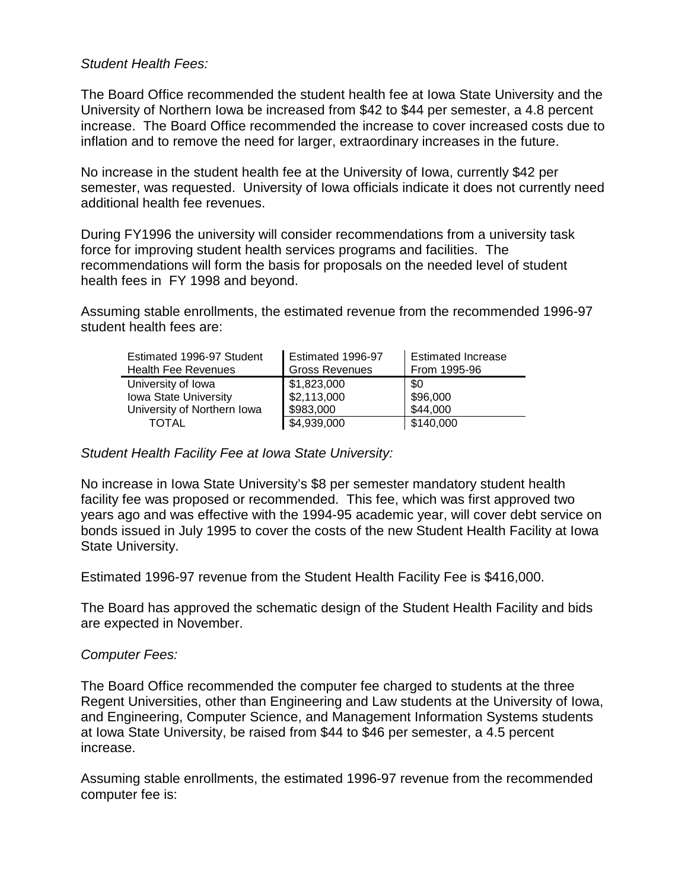#### *Student Health Fees:*

The Board Office recommended the student health fee at Iowa State University and the University of Northern Iowa be increased from \$42 to \$44 per semester, a 4.8 percent increase. The Board Office recommended the increase to cover increased costs due to inflation and to remove the need for larger, extraordinary increases in the future.

No increase in the student health fee at the University of Iowa, currently \$42 per semester, was requested. University of Iowa officials indicate it does not currently need additional health fee revenues.

During FY1996 the university will consider recommendations from a university task force for improving student health services programs and facilities. The recommendations will form the basis for proposals on the needed level of student health fees in FY 1998 and beyond.

Assuming stable enrollments, the estimated revenue from the recommended 1996-97 student health fees are:

| Estimated 1996-97 Student   | Estimated 1996-97     | <b>Estimated Increase</b> |
|-----------------------------|-----------------------|---------------------------|
| <b>Health Fee Revenues</b>  | <b>Gross Revenues</b> | From 1995-96              |
| University of Iowa          | \$1,823,000           | \$0                       |
| Iowa State University       | \$2,113,000           | \$96,000                  |
| University of Northern Iowa | \$983,000             | \$44,000                  |
| TOTAL                       | \$4,939,000           | \$140,000                 |

#### *Student Health Facility Fee at Iowa State University:*

No increase in Iowa State University's \$8 per semester mandatory student health facility fee was proposed or recommended. This fee, which was first approved two years ago and was effective with the 1994-95 academic year, will cover debt service on bonds issued in July 1995 to cover the costs of the new Student Health Facility at Iowa State University.

Estimated 1996-97 revenue from the Student Health Facility Fee is \$416,000.

The Board has approved the schematic design of the Student Health Facility and bids are expected in November.

#### *Computer Fees:*

The Board Office recommended the computer fee charged to students at the three Regent Universities, other than Engineering and Law students at the University of Iowa, and Engineering, Computer Science, and Management Information Systems students at Iowa State University, be raised from \$44 to \$46 per semester, a 4.5 percent increase.

Assuming stable enrollments, the estimated 1996-97 revenue from the recommended computer fee is: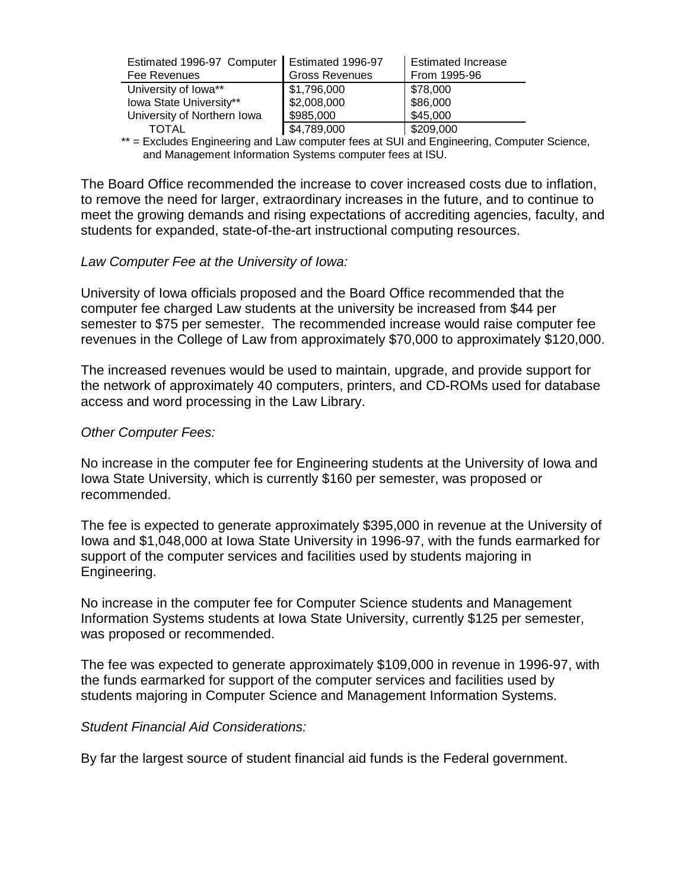| Estimated 1996-97 Computer   Estimated 1996-97<br>Fee Revenues | <b>Gross Revenues</b> | <b>Estimated Increase</b><br>From 1995-96 |
|----------------------------------------------------------------|-----------------------|-------------------------------------------|
| University of Iowa**                                           | \$1,796,000           | \$78,000                                  |
| Iowa State University**                                        | \$2,008,000           | \$86,000                                  |
| University of Northern Iowa                                    | \$985,000             | \$45,000                                  |
| TOTAL                                                          | \$4,789,000           | \$209,000                                 |

\*\* = Excludes Engineering and Law computer fees at SUI and Engineering, Computer Science, and Management Information Systems computer fees at ISU.

The Board Office recommended the increase to cover increased costs due to inflation, to remove the need for larger, extraordinary increases in the future, and to continue to meet the growing demands and rising expectations of accrediting agencies, faculty, and students for expanded, state-of-the-art instructional computing resources.

#### *Law Computer Fee at the University of Iowa:*

University of Iowa officials proposed and the Board Office recommended that the computer fee charged Law students at the university be increased from \$44 per semester to \$75 per semester. The recommended increase would raise computer fee revenues in the College of Law from approximately \$70,000 to approximately \$120,000.

The increased revenues would be used to maintain, upgrade, and provide support for the network of approximately 40 computers, printers, and CD-ROMs used for database access and word processing in the Law Library.

#### *Other Computer Fees:*

No increase in the computer fee for Engineering students at the University of Iowa and Iowa State University, which is currently \$160 per semester, was proposed or recommended.

The fee is expected to generate approximately \$395,000 in revenue at the University of Iowa and \$1,048,000 at Iowa State University in 1996-97, with the funds earmarked for support of the computer services and facilities used by students majoring in Engineering.

No increase in the computer fee for Computer Science students and Management Information Systems students at Iowa State University, currently \$125 per semester, was proposed or recommended.

The fee was expected to generate approximately \$109,000 in revenue in 1996-97, with the funds earmarked for support of the computer services and facilities used by students majoring in Computer Science and Management Information Systems.

#### *Student Financial Aid Considerations:*

By far the largest source of student financial aid funds is the Federal government.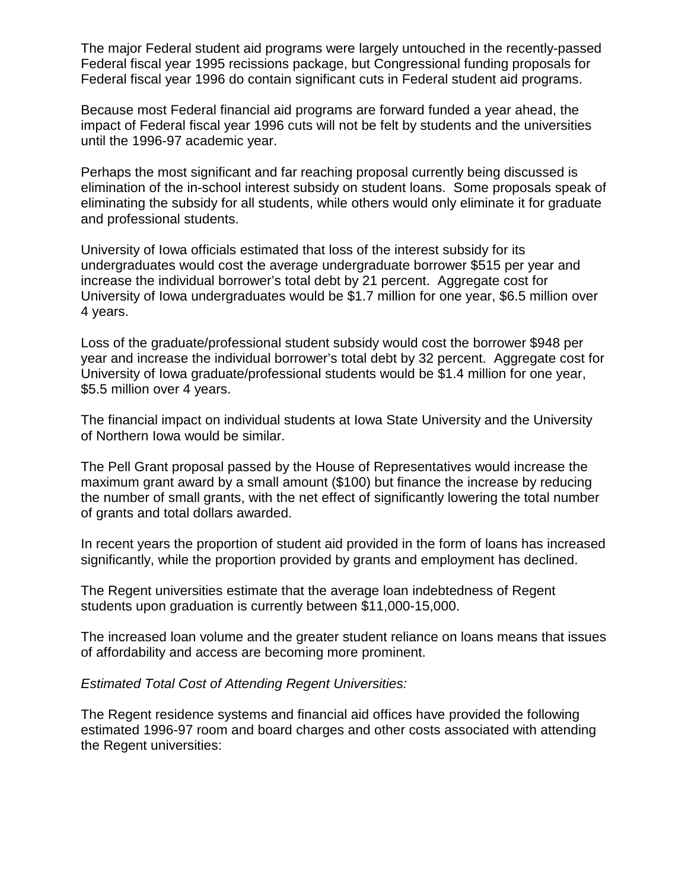The major Federal student aid programs were largely untouched in the recently-passed Federal fiscal year 1995 recissions package, but Congressional funding proposals for Federal fiscal year 1996 do contain significant cuts in Federal student aid programs.

Because most Federal financial aid programs are forward funded a year ahead, the impact of Federal fiscal year 1996 cuts will not be felt by students and the universities until the 1996-97 academic year.

Perhaps the most significant and far reaching proposal currently being discussed is elimination of the in-school interest subsidy on student loans. Some proposals speak of eliminating the subsidy for all students, while others would only eliminate it for graduate and professional students.

University of Iowa officials estimated that loss of the interest subsidy for its undergraduates would cost the average undergraduate borrower \$515 per year and increase the individual borrower's total debt by 21 percent. Aggregate cost for University of Iowa undergraduates would be \$1.7 million for one year, \$6.5 million over 4 years.

Loss of the graduate/professional student subsidy would cost the borrower \$948 per year and increase the individual borrower's total debt by 32 percent. Aggregate cost for University of Iowa graduate/professional students would be \$1.4 million for one year, \$5.5 million over 4 years.

The financial impact on individual students at Iowa State University and the University of Northern Iowa would be similar.

The Pell Grant proposal passed by the House of Representatives would increase the maximum grant award by a small amount (\$100) but finance the increase by reducing the number of small grants, with the net effect of significantly lowering the total number of grants and total dollars awarded.

In recent years the proportion of student aid provided in the form of loans has increased significantly, while the proportion provided by grants and employment has declined.

The Regent universities estimate that the average loan indebtedness of Regent students upon graduation is currently between \$11,000-15,000.

The increased loan volume and the greater student reliance on loans means that issues of affordability and access are becoming more prominent.

*Estimated Total Cost of Attending Regent Universities:*

The Regent residence systems and financial aid offices have provided the following estimated 1996-97 room and board charges and other costs associated with attending the Regent universities: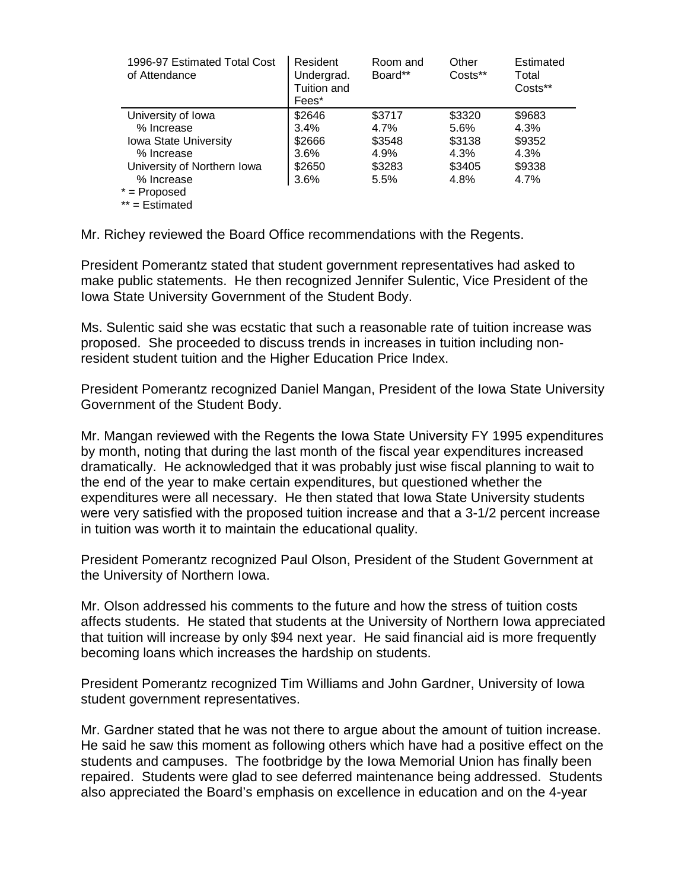| 1996-97 Estimated Total Cost<br>of Attendance | Resident<br>Undergrad.<br>Tuition and<br>Fees* | Room and<br>Board** | Other<br>Costs** | Estimated<br>Total<br>Costs** |
|-----------------------------------------------|------------------------------------------------|---------------------|------------------|-------------------------------|
| University of Iowa                            | \$2646                                         | \$3717              | \$3320           | \$9683                        |
| % Increase                                    | 3.4%                                           | 4.7%                | 5.6%             | 4.3%                          |
| <b>Iowa State University</b>                  | \$2666                                         | \$3548              | \$3138           | \$9352                        |
| % Increase                                    | 3.6%                                           | 4.9%                | 4.3%             | 4.3%                          |
| University of Northern Iowa                   | \$2650                                         | \$3283              | \$3405           | \$9338                        |
| % Increase                                    | 3.6%                                           | 5.5%                | 4.8%             | $4.7\%$                       |
| $* =$ Proposed                                |                                                |                     |                  |                               |
| $**$ = Estimated                              |                                                |                     |                  |                               |

Mr. Richey reviewed the Board Office recommendations with the Regents.

President Pomerantz stated that student government representatives had asked to make public statements. He then recognized Jennifer Sulentic, Vice President of the Iowa State University Government of the Student Body.

Ms. Sulentic said she was ecstatic that such a reasonable rate of tuition increase was proposed. She proceeded to discuss trends in increases in tuition including nonresident student tuition and the Higher Education Price Index.

President Pomerantz recognized Daniel Mangan, President of the Iowa State University Government of the Student Body.

Mr. Mangan reviewed with the Regents the Iowa State University FY 1995 expenditures by month, noting that during the last month of the fiscal year expenditures increased dramatically. He acknowledged that it was probably just wise fiscal planning to wait to the end of the year to make certain expenditures, but questioned whether the expenditures were all necessary. He then stated that Iowa State University students were very satisfied with the proposed tuition increase and that a 3-1/2 percent increase in tuition was worth it to maintain the educational quality.

President Pomerantz recognized Paul Olson, President of the Student Government at the University of Northern Iowa.

Mr. Olson addressed his comments to the future and how the stress of tuition costs affects students. He stated that students at the University of Northern Iowa appreciated that tuition will increase by only \$94 next year. He said financial aid is more frequently becoming loans which increases the hardship on students.

President Pomerantz recognized Tim Williams and John Gardner, University of Iowa student government representatives.

Mr. Gardner stated that he was not there to argue about the amount of tuition increase. He said he saw this moment as following others which have had a positive effect on the students and campuses. The footbridge by the Iowa Memorial Union has finally been repaired. Students were glad to see deferred maintenance being addressed. Students also appreciated the Board's emphasis on excellence in education and on the 4-year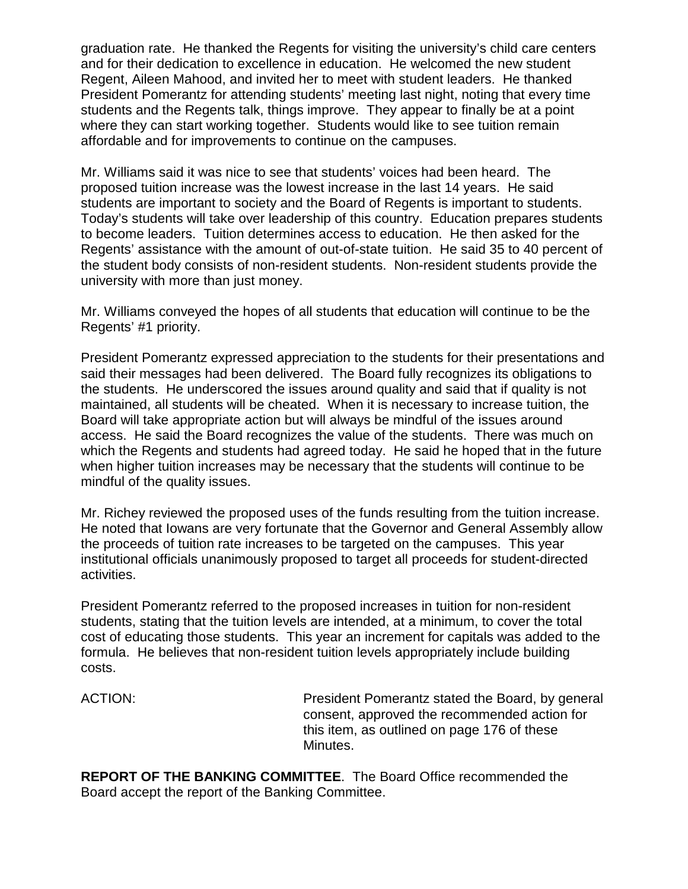graduation rate. He thanked the Regents for visiting the university's child care centers and for their dedication to excellence in education. He welcomed the new student Regent, Aileen Mahood, and invited her to meet with student leaders. He thanked President Pomerantz for attending students' meeting last night, noting that every time students and the Regents talk, things improve. They appear to finally be at a point where they can start working together. Students would like to see tuition remain affordable and for improvements to continue on the campuses.

Mr. Williams said it was nice to see that students' voices had been heard. The proposed tuition increase was the lowest increase in the last 14 years. He said students are important to society and the Board of Regents is important to students. Today's students will take over leadership of this country. Education prepares students to become leaders. Tuition determines access to education. He then asked for the Regents' assistance with the amount of out-of-state tuition. He said 35 to 40 percent of the student body consists of non-resident students. Non-resident students provide the university with more than just money.

Mr. Williams conveyed the hopes of all students that education will continue to be the Regents' #1 priority.

President Pomerantz expressed appreciation to the students for their presentations and said their messages had been delivered. The Board fully recognizes its obligations to the students. He underscored the issues around quality and said that if quality is not maintained, all students will be cheated. When it is necessary to increase tuition, the Board will take appropriate action but will always be mindful of the issues around access. He said the Board recognizes the value of the students. There was much on which the Regents and students had agreed today. He said he hoped that in the future when higher tuition increases may be necessary that the students will continue to be mindful of the quality issues.

Mr. Richey reviewed the proposed uses of the funds resulting from the tuition increase. He noted that Iowans are very fortunate that the Governor and General Assembly allow the proceeds of tuition rate increases to be targeted on the campuses. This year institutional officials unanimously proposed to target all proceeds for student-directed activities.

President Pomerantz referred to the proposed increases in tuition for non-resident students, stating that the tuition levels are intended, at a minimum, to cover the total cost of educating those students. This year an increment for capitals was added to the formula. He believes that non-resident tuition levels appropriately include building costs.

ACTION: President Pomerantz stated the Board, by general consent, approved the recommended action for this item, as outlined on page 176 of these Minutes.

**REPORT OF THE BANKING COMMITTEE**. The Board Office recommended the Board accept the report of the Banking Committee.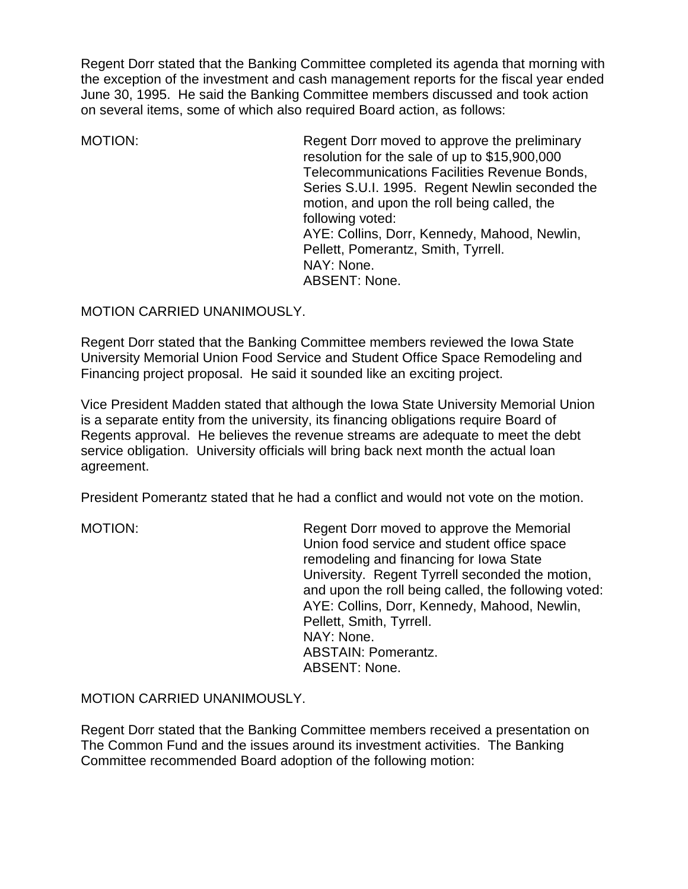Regent Dorr stated that the Banking Committee completed its agenda that morning with the exception of the investment and cash management reports for the fiscal year ended June 30, 1995. He said the Banking Committee members discussed and took action on several items, some of which also required Board action, as follows:

MOTION: Regent Dorr moved to approve the preliminary resolution for the sale of up to \$15,900,000 Telecommunications Facilities Revenue Bonds, Series S.U.I. 1995. Regent Newlin seconded the motion, and upon the roll being called, the following voted: AYE: Collins, Dorr, Kennedy, Mahood, Newlin, Pellett, Pomerantz, Smith, Tyrrell. NAY: None. ABSENT: None.

# MOTION CARRIED UNANIMOUSLY.

Regent Dorr stated that the Banking Committee members reviewed the Iowa State University Memorial Union Food Service and Student Office Space Remodeling and Financing project proposal. He said it sounded like an exciting project.

Vice President Madden stated that although the Iowa State University Memorial Union is a separate entity from the university, its financing obligations require Board of Regents approval. He believes the revenue streams are adequate to meet the debt service obligation. University officials will bring back next month the actual loan agreement.

President Pomerantz stated that he had a conflict and would not vote on the motion.

MOTION: Regent Dorr moved to approve the Memorial Union food service and student office space remodeling and financing for Iowa State University. Regent Tyrrell seconded the motion, and upon the roll being called, the following voted: AYE: Collins, Dorr, Kennedy, Mahood, Newlin, Pellett, Smith, Tyrrell. NAY: None. ABSTAIN: Pomerantz. ABSENT: None.

MOTION CARRIED UNANIMOUSLY.

Regent Dorr stated that the Banking Committee members received a presentation on The Common Fund and the issues around its investment activities. The Banking Committee recommended Board adoption of the following motion: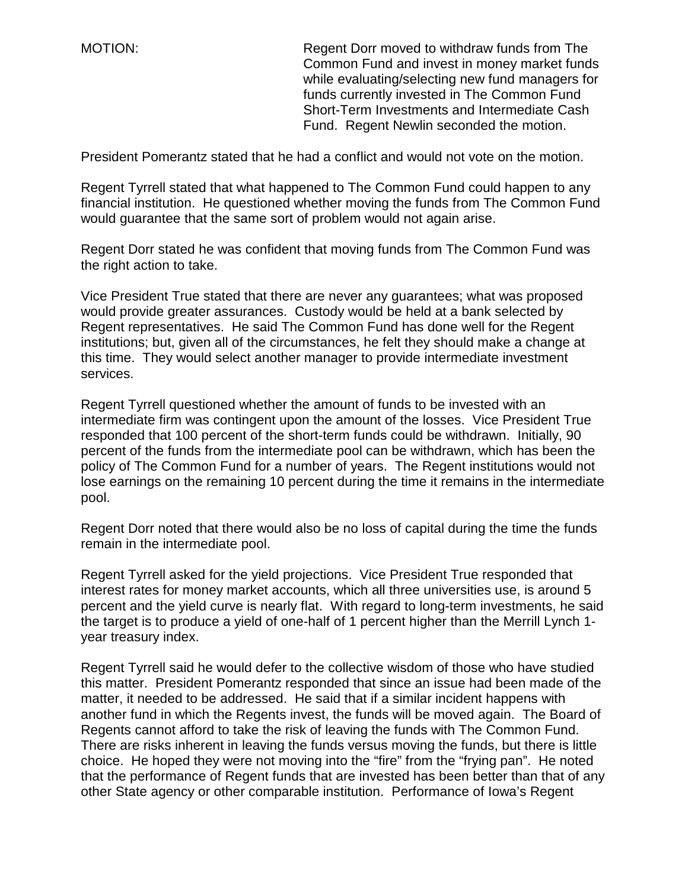MOTION: Regent Dorr moved to withdraw funds from The Common Fund and invest in money market funds while evaluating/selecting new fund managers for funds currently invested in The Common Fund Short-Term Investments and Intermediate Cash Fund. Regent Newlin seconded the motion.

President Pomerantz stated that he had a conflict and would not vote on the motion.

Regent Tyrrell stated that what happened to The Common Fund could happen to any financial institution. He questioned whether moving the funds from The Common Fund would guarantee that the same sort of problem would not again arise.

Regent Dorr stated he was confident that moving funds from The Common Fund was the right action to take.

Vice President True stated that there are never any guarantees; what was proposed would provide greater assurances. Custody would be held at a bank selected by Regent representatives. He said The Common Fund has done well for the Regent institutions; but, given all of the circumstances, he felt they should make a change at this time. They would select another manager to provide intermediate investment services.

Regent Tyrrell questioned whether the amount of funds to be invested with an intermediate firm was contingent upon the amount of the losses. Vice President True responded that 100 percent of the short-term funds could be withdrawn. Initially, 90 percent of the funds from the intermediate pool can be withdrawn, which has been the policy of The Common Fund for a number of years. The Regent institutions would not lose earnings on the remaining 10 percent during the time it remains in the intermediate pool.

Regent Dorr noted that there would also be no loss of capital during the time the funds remain in the intermediate pool.

Regent Tyrrell asked for the yield projections. Vice President True responded that interest rates for money market accounts, which all three universities use, is around 5 percent and the yield curve is nearly flat. With regard to long-term investments, he said the target is to produce a yield of one-half of 1 percent higher than the Merrill Lynch 1 year treasury index.

Regent Tyrrell said he would defer to the collective wisdom of those who have studied this matter. President Pomerantz responded that since an issue had been made of the matter, it needed to be addressed. He said that if a similar incident happens with another fund in which the Regents invest, the funds will be moved again. The Board of Regents cannot afford to take the risk of leaving the funds with The Common Fund. There are risks inherent in leaving the funds versus moving the funds, but there is little choice. He hoped they were not moving into the "fire" from the "frying pan". He noted that the performance of Regent funds that are invested has been better than that of any other State agency or other comparable institution. Performance of Iowa's Regent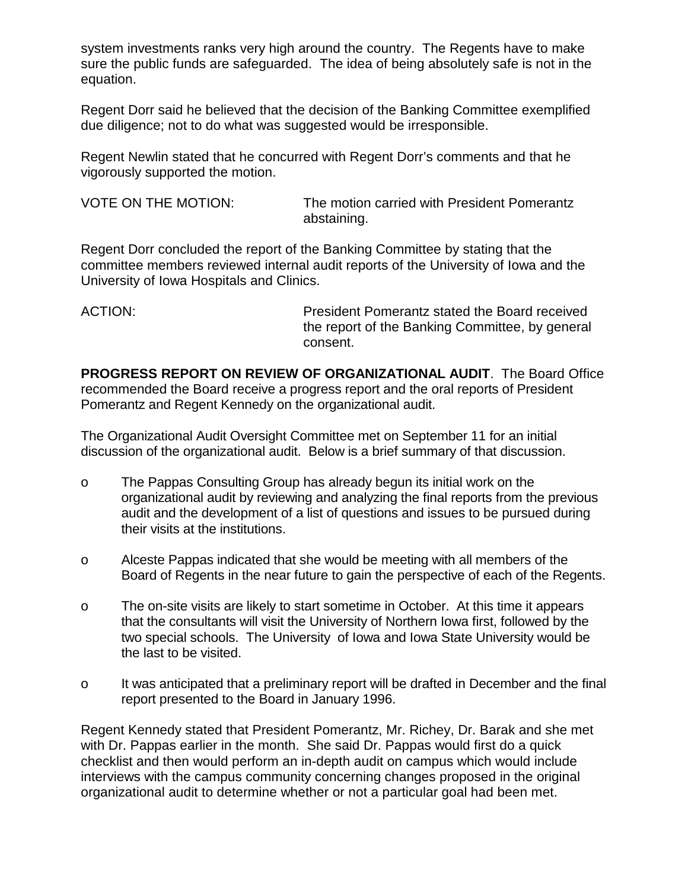system investments ranks very high around the country. The Regents have to make sure the public funds are safeguarded. The idea of being absolutely safe is not in the equation.

Regent Dorr said he believed that the decision of the Banking Committee exemplified due diligence; not to do what was suggested would be irresponsible.

Regent Newlin stated that he concurred with Regent Dorr's comments and that he vigorously supported the motion.

VOTE ON THE MOTION: The motion carried with President Pomerantz abstaining.

Regent Dorr concluded the report of the Banking Committee by stating that the committee members reviewed internal audit reports of the University of Iowa and the University of Iowa Hospitals and Clinics.

ACTION: President Pomerantz stated the Board received the report of the Banking Committee, by general consent.

**PROGRESS REPORT ON REVIEW OF ORGANIZATIONAL AUDIT**. The Board Office recommended the Board receive a progress report and the oral reports of President Pomerantz and Regent Kennedy on the organizational audit.

The Organizational Audit Oversight Committee met on September 11 for an initial discussion of the organizational audit. Below is a brief summary of that discussion.

- o The Pappas Consulting Group has already begun its initial work on the organizational audit by reviewing and analyzing the final reports from the previous audit and the development of a list of questions and issues to be pursued during their visits at the institutions.
- o Alceste Pappas indicated that she would be meeting with all members of the Board of Regents in the near future to gain the perspective of each of the Regents.
- o The on-site visits are likely to start sometime in October. At this time it appears that the consultants will visit the University of Northern Iowa first, followed by the two special schools. The University of Iowa and Iowa State University would be the last to be visited.
- o It was anticipated that a preliminary report will be drafted in December and the final report presented to the Board in January 1996.

Regent Kennedy stated that President Pomerantz, Mr. Richey, Dr. Barak and she met with Dr. Pappas earlier in the month. She said Dr. Pappas would first do a quick checklist and then would perform an in-depth audit on campus which would include interviews with the campus community concerning changes proposed in the original organizational audit to determine whether or not a particular goal had been met.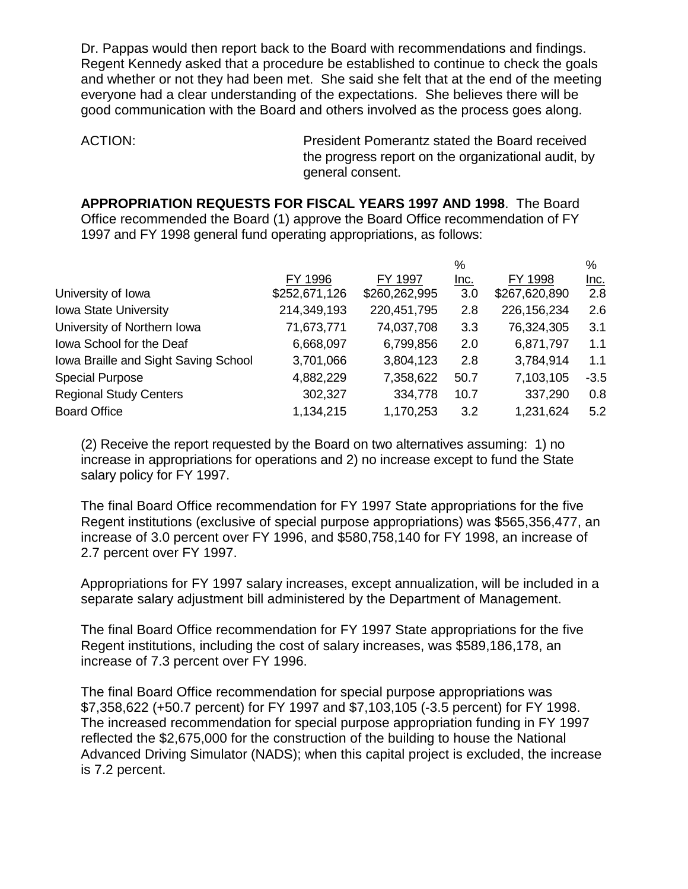Dr. Pappas would then report back to the Board with recommendations and findings. Regent Kennedy asked that a procedure be established to continue to check the goals and whether or not they had been met. She said she felt that at the end of the meeting everyone had a clear understanding of the expectations. She believes there will be good communication with the Board and others involved as the process goes along.

ACTION: President Pomerantz stated the Board received the progress report on the organizational audit, by general consent.

**APPROPRIATION REQUESTS FOR FISCAL YEARS 1997 AND 1998**. The Board Office recommended the Board (1) approve the Board Office recommendation of FY 1997 and FY 1998 general fund operating appropriations, as follows:

|                                      |               |               | %           |               | %           |
|--------------------------------------|---------------|---------------|-------------|---------------|-------------|
|                                      | FY 1996       | FY 1997       | <u>Inc.</u> | FY 1998       | <u>lnc.</u> |
| University of Iowa                   | \$252,671,126 | \$260,262,995 | 3.0         | \$267,620,890 | 2.8         |
| Iowa State University                | 214,349,193   | 220,451,795   | 2.8         | 226, 156, 234 | 2.6         |
| University of Northern Iowa          | 71,673,771    | 74,037,708    | 3.3         | 76,324,305    | 3.1         |
| Iowa School for the Deaf             | 6,668,097     | 6,799,856     | 2.0         | 6,871,797     | 1.1         |
| Iowa Braille and Sight Saving School | 3,701,066     | 3,804,123     | 2.8         | 3,784,914     | 1.1         |
| <b>Special Purpose</b>               | 4,882,229     | 7,358,622     | 50.7        | 7,103,105     | $-3.5$      |
| <b>Regional Study Centers</b>        | 302,327       | 334,778       | 10.7        | 337,290       | 0.8         |
| <b>Board Office</b>                  | 1,134,215     | 1,170,253     | 3.2         | 1,231,624     | 5.2         |

(2) Receive the report requested by the Board on two alternatives assuming: 1) no increase in appropriations for operations and 2) no increase except to fund the State salary policy for FY 1997.

The final Board Office recommendation for FY 1997 State appropriations for the five Regent institutions (exclusive of special purpose appropriations) was \$565,356,477, an increase of 3.0 percent over FY 1996, and \$580,758,140 for FY 1998, an increase of 2.7 percent over FY 1997.

Appropriations for FY 1997 salary increases, except annualization, will be included in a separate salary adjustment bill administered by the Department of Management.

The final Board Office recommendation for FY 1997 State appropriations for the five Regent institutions, including the cost of salary increases, was \$589,186,178, an increase of 7.3 percent over FY 1996.

The final Board Office recommendation for special purpose appropriations was \$7,358,622 (+50.7 percent) for FY 1997 and \$7,103,105 (-3.5 percent) for FY 1998. The increased recommendation for special purpose appropriation funding in FY 1997 reflected the \$2,675,000 for the construction of the building to house the National Advanced Driving Simulator (NADS); when this capital project is excluded, the increase is 7.2 percent.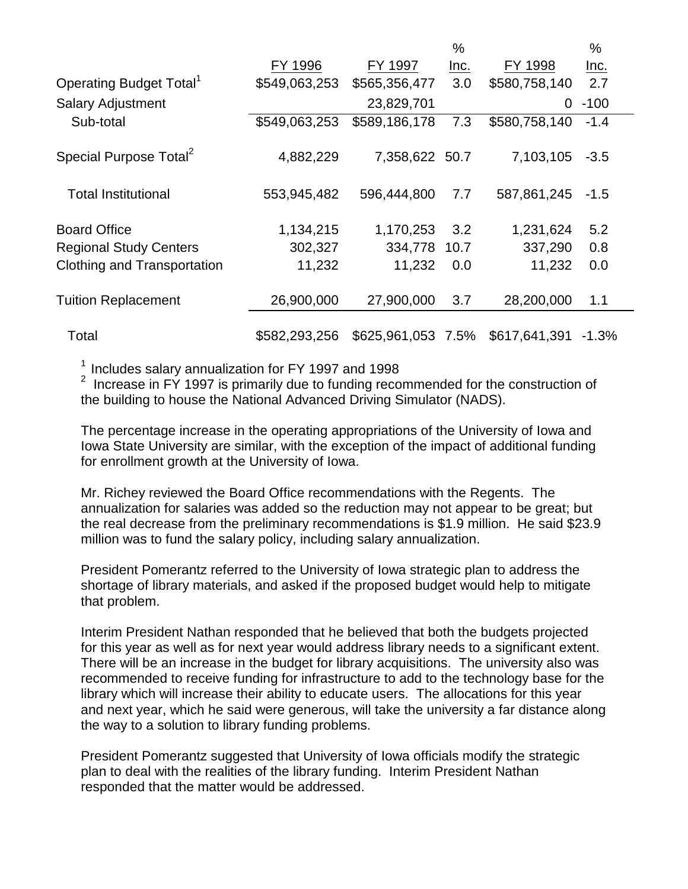|                                     |               |                    | %           |               | %           |  |
|-------------------------------------|---------------|--------------------|-------------|---------------|-------------|--|
|                                     | FY 1996       | FY 1997            | <u>Inc.</u> | FY 1998       | <u>Inc.</u> |  |
| Operating Budget Total <sup>1</sup> | \$549,063,253 | \$565,356,477      | 3.0         | \$580,758,140 | 2.7         |  |
| <b>Salary Adjustment</b>            |               | 23,829,701         |             | 0             | $-100$      |  |
| Sub-total                           | \$549,063,253 | \$589,186,178      | 7.3         | \$580,758,140 | $-1.4$      |  |
| Special Purpose Total <sup>2</sup>  | 4,882,229     | 7,358,622 50.7     |             | 7,103,105     | $-3.5$      |  |
| <b>Total Institutional</b>          | 553,945,482   | 596,444,800        | 7.7         | 587,861,245   | $-1.5$      |  |
| <b>Board Office</b>                 | 1,134,215     | 1,170,253          | 3.2         | 1,231,624     | 5.2         |  |
| <b>Regional Study Centers</b>       | 302,327       | 334,778            | 10.7        | 337,290       | 0.8         |  |
| Clothing and Transportation         | 11,232        | 11,232             | 0.0         | 11,232        | 0.0         |  |
| <b>Tuition Replacement</b>          | 26,900,000    | 27,900,000         | 3.7         | 28,200,000    | 1.1         |  |
| Total                               | \$582,293,256 | \$625,961,053 7.5% |             | \$617,641,391 | $-1.3%$     |  |

 $1$  Includes salary annualization for FY 1997 and 1998

<sup>2</sup> Increase in FY 1997 is primarily due to funding recommended for the construction of the building to house the National Advanced Driving Simulator (NADS).

The percentage increase in the operating appropriations of the University of Iowa and Iowa State University are similar, with the exception of the impact of additional funding for enrollment growth at the University of Iowa.

Mr. Richey reviewed the Board Office recommendations with the Regents. The annualization for salaries was added so the reduction may not appear to be great; but the real decrease from the preliminary recommendations is \$1.9 million. He said \$23.9 million was to fund the salary policy, including salary annualization.

President Pomerantz referred to the University of Iowa strategic plan to address the shortage of library materials, and asked if the proposed budget would help to mitigate that problem.

Interim President Nathan responded that he believed that both the budgets projected for this year as well as for next year would address library needs to a significant extent. There will be an increase in the budget for library acquisitions. The university also was recommended to receive funding for infrastructure to add to the technology base for the library which will increase their ability to educate users. The allocations for this year and next year, which he said were generous, will take the university a far distance along the way to a solution to library funding problems.

President Pomerantz suggested that University of Iowa officials modify the strategic plan to deal with the realities of the library funding. Interim President Nathan responded that the matter would be addressed.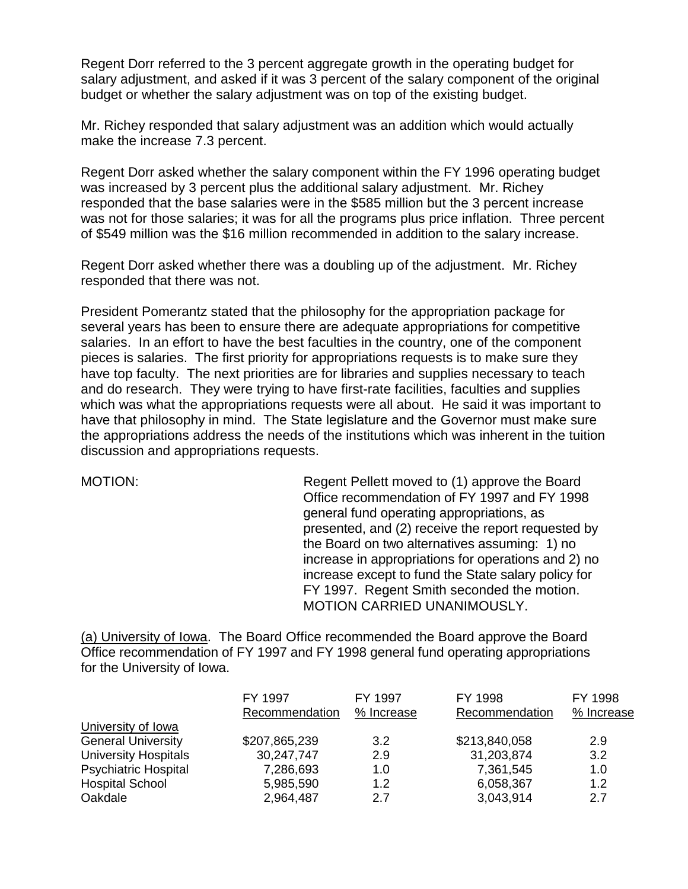Regent Dorr referred to the 3 percent aggregate growth in the operating budget for salary adjustment, and asked if it was 3 percent of the salary component of the original budget or whether the salary adjustment was on top of the existing budget.

Mr. Richey responded that salary adjustment was an addition which would actually make the increase 7.3 percent.

Regent Dorr asked whether the salary component within the FY 1996 operating budget was increased by 3 percent plus the additional salary adjustment. Mr. Richey responded that the base salaries were in the \$585 million but the 3 percent increase was not for those salaries; it was for all the programs plus price inflation. Three percent of \$549 million was the \$16 million recommended in addition to the salary increase.

Regent Dorr asked whether there was a doubling up of the adjustment. Mr. Richey responded that there was not.

President Pomerantz stated that the philosophy for the appropriation package for several years has been to ensure there are adequate appropriations for competitive salaries. In an effort to have the best faculties in the country, one of the component pieces is salaries. The first priority for appropriations requests is to make sure they have top faculty. The next priorities are for libraries and supplies necessary to teach and do research. They were trying to have first-rate facilities, faculties and supplies which was what the appropriations requests were all about. He said it was important to have that philosophy in mind. The State legislature and the Governor must make sure the appropriations address the needs of the institutions which was inherent in the tuition discussion and appropriations requests.

MOTION: Regent Pellett moved to (1) approve the Board Office recommendation of FY 1997 and FY 1998 general fund operating appropriations, as presented, and (2) receive the report requested by the Board on two alternatives assuming: 1) no increase in appropriations for operations and 2) no increase except to fund the State salary policy for FY 1997. Regent Smith seconded the motion. MOTION CARRIED UNANIMOUSLY.

(a) University of Iowa. The Board Office recommended the Board approve the Board Office recommendation of FY 1997 and FY 1998 general fund operating appropriations for the University of Iowa.

|                             | FY 1997<br>Recommendation | FY 1997<br>% Increase | FY 1998<br>Recommendation | FY 1998<br>% Increase |
|-----------------------------|---------------------------|-----------------------|---------------------------|-----------------------|
| University of Iowa          |                           |                       |                           |                       |
| <b>General University</b>   | \$207,865,239             | 3.2                   | \$213,840,058             | 2.9                   |
| <b>University Hospitals</b> | 30,247,747                | 2.9                   | 31,203,874                | 3.2                   |
| <b>Psychiatric Hospital</b> | 7,286,693                 | 1.0                   | 7,361,545                 | 1.0                   |
| <b>Hospital School</b>      | 5,985,590                 | 1.2                   | 6,058,367                 | 1.2                   |
| Oakdale                     | 2,964,487                 | 2.7                   | 3,043,914                 | 2.7                   |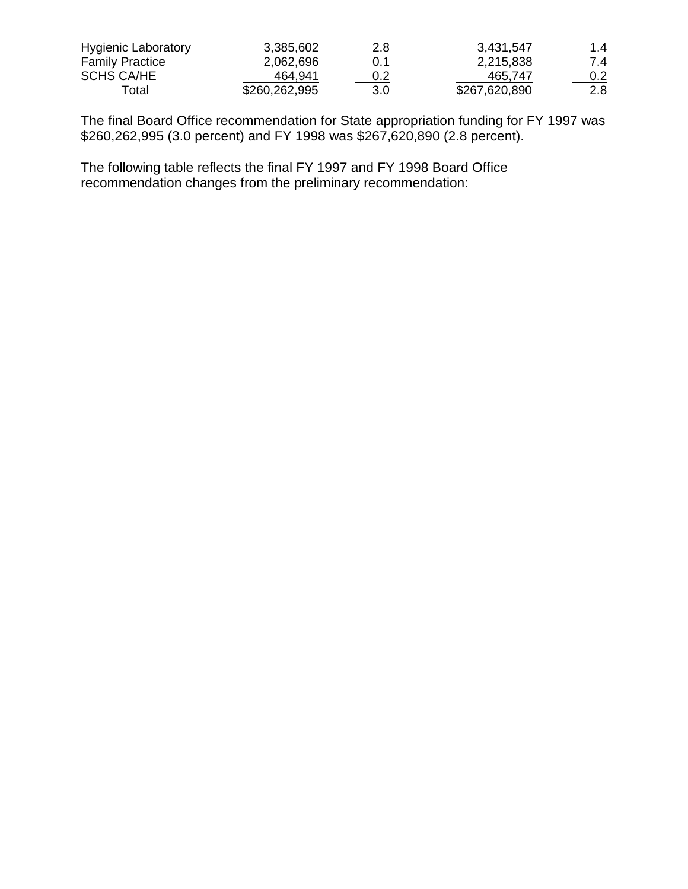| <b>Hygienic Laboratory</b> | 3,385,602     | 2.8 | 3,431,547     | 1.4              |
|----------------------------|---------------|-----|---------------|------------------|
| <b>Family Practice</b>     | 2.062.696     | 0.1 | 2,215,838     | 7.4              |
| <b>SCHS CA/HE</b>          | 464.941       | 0.2 | 465.747       | $0.2^{\circ}$    |
| Total                      | \$260,262,995 | 3.0 | \$267,620,890 | 2.8 <sub>2</sub> |

The final Board Office recommendation for State appropriation funding for FY 1997 was \$260,262,995 (3.0 percent) and FY 1998 was \$267,620,890 (2.8 percent).

The following table reflects the final FY 1997 and FY 1998 Board Office recommendation changes from the preliminary recommendation: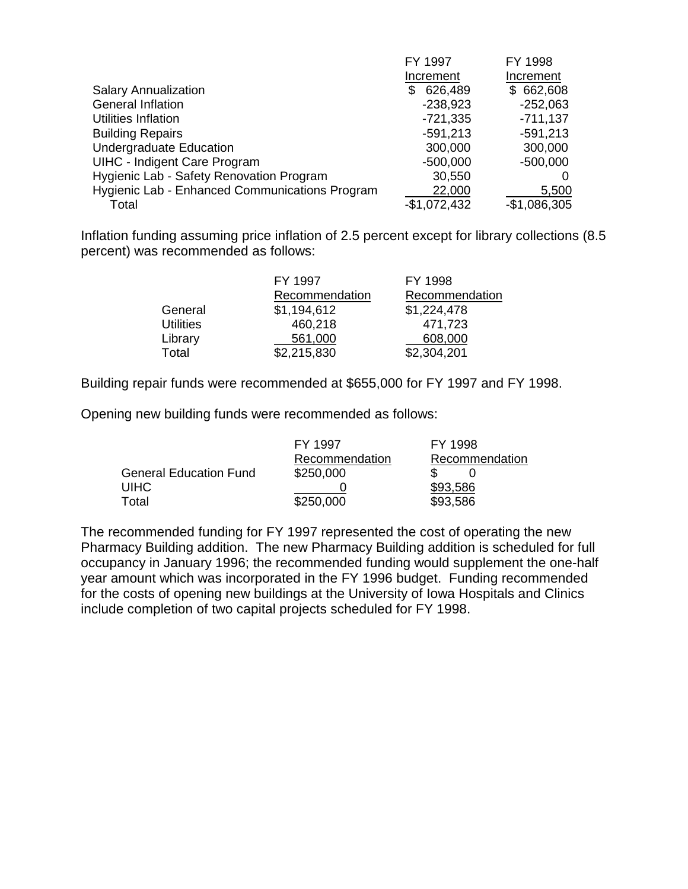|                                                | FY 1997       | FY 1998       |
|------------------------------------------------|---------------|---------------|
|                                                | Increment     | Increment     |
| <b>Salary Annualization</b>                    | 626,489<br>S  | \$662,608     |
| <b>General Inflation</b>                       | $-238,923$    | $-252,063$    |
| Utilities Inflation                            | $-721,335$    | $-711,137$    |
| <b>Building Repairs</b>                        | $-591,213$    | $-591,213$    |
| <b>Undergraduate Education</b>                 | 300,000       | 300,000       |
| <b>UIHC - Indigent Care Program</b>            | $-500,000$    | $-500,000$    |
| Hygienic Lab - Safety Renovation Program       | 30,550        |               |
| Hygienic Lab - Enhanced Communications Program | 22,000        | 5,500         |
| Total                                          | $-$1,072,432$ | $-$1,086,305$ |

Inflation funding assuming price inflation of 2.5 percent except for library collections (8.5 percent) was recommended as follows:

|                  | FY 1997        | FY 1998        |
|------------------|----------------|----------------|
|                  | Recommendation | Recommendation |
| General          | \$1,194,612    | \$1,224,478    |
| <b>Utilities</b> | 460,218        | 471,723        |
| Library          | 561,000        | 608,000        |
| Total            | \$2,215,830    | \$2,304,201    |

Building repair funds were recommended at \$655,000 for FY 1997 and FY 1998.

Opening new building funds were recommended as follows:

|                               | FY 1997        | FY 1998        |
|-------------------------------|----------------|----------------|
|                               | Recommendation | Recommendation |
| <b>General Education Fund</b> | \$250,000      |                |
| <b>UIHC</b>                   |                | \$93,586       |
| Total                         | \$250,000      | \$93,586       |

The recommended funding for FY 1997 represented the cost of operating the new Pharmacy Building addition. The new Pharmacy Building addition is scheduled for full occupancy in January 1996; the recommended funding would supplement the one-half year amount which was incorporated in the FY 1996 budget. Funding recommended for the costs of opening new buildings at the University of Iowa Hospitals and Clinics include completion of two capital projects scheduled for FY 1998.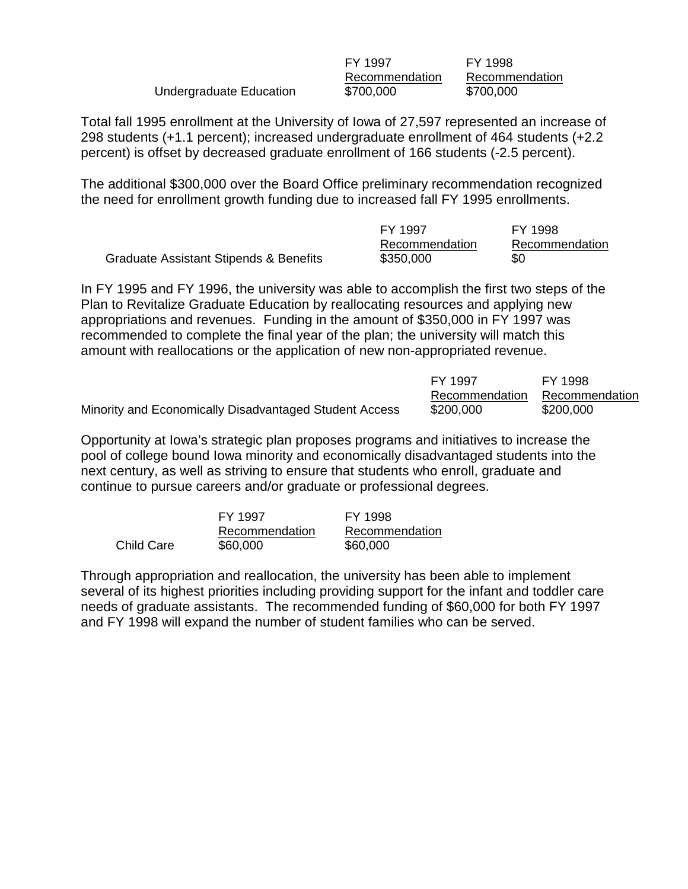|                         | FY 1997        | FY 1998        |
|-------------------------|----------------|----------------|
|                         | Recommendation | Recommendation |
| Undergraduate Education | \$700,000      | \$700,000      |

Total fall 1995 enrollment at the University of Iowa of 27,597 represented an increase of 298 students (+1.1 percent); increased undergraduate enrollment of 464 students (+2.2 percent) is offset by decreased graduate enrollment of 166 students (-2.5 percent).

The additional \$300,000 over the Board Office preliminary recommendation recognized the need for enrollment growth funding due to increased fall FY 1995 enrollments.

|                                        | FY 1997        | FY 1998        |
|----------------------------------------|----------------|----------------|
|                                        | Recommendation | Recommendation |
| Graduate Assistant Stipends & Benefits | \$350,000      | \$0            |

In FY 1995 and FY 1996, the university was able to accomplish the first two steps of the Plan to Revitalize Graduate Education by reallocating resources and applying new appropriations and revenues. Funding in the amount of \$350,000 in FY 1997 was recommended to complete the final year of the plan; the university will match this amount with reallocations or the application of new non-appropriated revenue.

|                                                        | FY 1997        | FY 1998        |
|--------------------------------------------------------|----------------|----------------|
|                                                        | Recommendation | Recommendation |
| Minority and Economically Disadvantaged Student Access | \$200,000      | \$200,000      |

Opportunity at Iowa's strategic plan proposes programs and initiatives to increase the pool of college bound Iowa minority and economically disadvantaged students into the next century, as well as striving to ensure that students who enroll, graduate and continue to pursue careers and/or graduate or professional degrees.

|                   | FY 1997        | FY 1998        |
|-------------------|----------------|----------------|
|                   | Recommendation | Recommendation |
| <b>Child Care</b> | \$60,000       | \$60,000       |

Through appropriation and reallocation, the university has been able to implement several of its highest priorities including providing support for the infant and toddler care needs of graduate assistants. The recommended funding of \$60,000 for both FY 1997 and FY 1998 will expand the number of student families who can be served.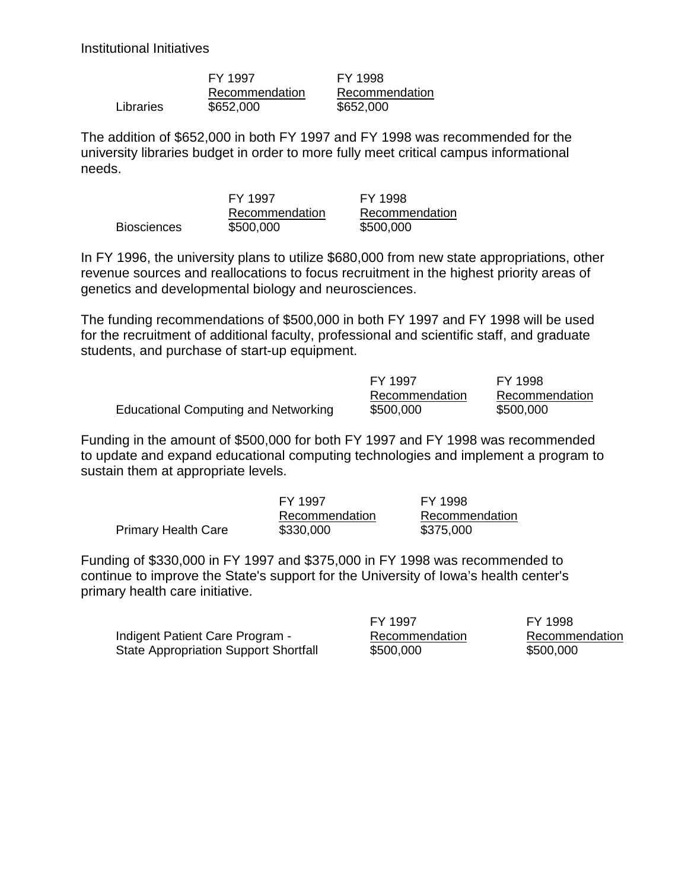Institutional Initiatives

|           | FY 1997        | FY 1998        |
|-----------|----------------|----------------|
|           | Recommendation | Recommendation |
| Libraries | \$652,000      | \$652,000      |

The addition of \$652,000 in both FY 1997 and FY 1998 was recommended for the university libraries budget in order to more fully meet critical campus informational needs.

|                    | FY 1997        | FY 1998        |
|--------------------|----------------|----------------|
|                    | Recommendation | Recommendation |
| <b>Biosciences</b> | \$500,000      | \$500,000      |

In FY 1996, the university plans to utilize \$680,000 from new state appropriations, other revenue sources and reallocations to focus recruitment in the highest priority areas of genetics and developmental biology and neurosciences.

The funding recommendations of \$500,000 in both FY 1997 and FY 1998 will be used for the recruitment of additional faculty, professional and scientific staff, and graduate students, and purchase of start-up equipment.

|                                             | FY 1997        | FY 1998        |
|---------------------------------------------|----------------|----------------|
|                                             | Recommendation | Recommendation |
| <b>Educational Computing and Networking</b> | \$500,000      | \$500,000      |

Funding in the amount of \$500,000 for both FY 1997 and FY 1998 was recommended to update and expand educational computing technologies and implement a program to sustain them at appropriate levels.

|                            | FY 1997        | FY 1998        |
|----------------------------|----------------|----------------|
|                            | Recommendation | Recommendation |
| <b>Primary Health Care</b> | \$330,000      | \$375,000      |

Funding of \$330,000 in FY 1997 and \$375,000 in FY 1998 was recommended to continue to improve the State's support for the University of Iowa's health center's primary health care initiative.

Indigent Patient Care Program - Recommendation Recommendation State Appropriation Support Shortfall  $$500,000$  \$500,000

FY 1997 FY 1998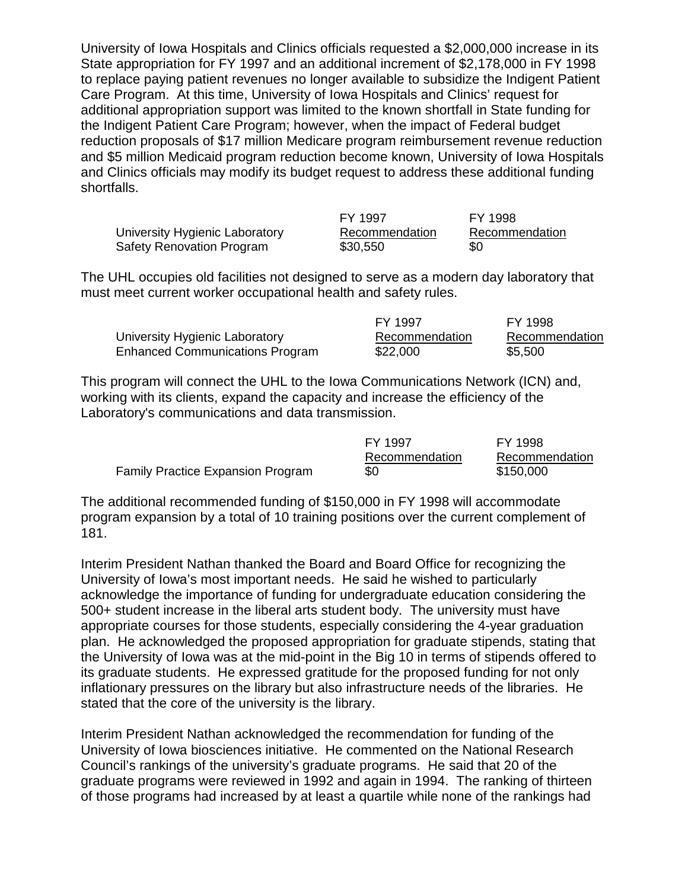University of Iowa Hospitals and Clinics officials requested a \$2,000,000 increase in its State appropriation for FY 1997 and an additional increment of \$2,178,000 in FY 1998 to replace paying patient revenues no longer available to subsidize the Indigent Patient Care Program. At this time, University of Iowa Hospitals and Clinics' request for additional appropriation support was limited to the known shortfall in State funding for the Indigent Patient Care Program; however, when the impact of Federal budget reduction proposals of \$17 million Medicare program reimbursement revenue reduction and \$5 million Medicaid program reduction become known, University of Iowa Hospitals and Clinics officials may modify its budget request to address these additional funding shortfalls.

|                                | FY 1997        | FY 1998        |
|--------------------------------|----------------|----------------|
| University Hygienic Laboratory | Recommendation | Recommendation |
| Safety Renovation Program      | \$30,550       | \$0            |

The UHL occupies old facilities not designed to serve as a modern day laboratory that must meet current worker occupational health and safety rules.

|                                        | FY 1997        | FY 1998        |
|----------------------------------------|----------------|----------------|
| University Hygienic Laboratory         | Recommendation | Recommendation |
| <b>Enhanced Communications Program</b> | \$22,000       | \$5,500        |

This program will connect the UHL to the Iowa Communications Network (ICN) and, working with its clients, expand the capacity and increase the efficiency of the Laboratory's communications and data transmission.

|                                   | FY 1997        | FY 1998        |
|-----------------------------------|----------------|----------------|
|                                   | Recommendation | Recommendation |
| Family Practice Expansion Program | \$0            | \$150,000      |

The additional recommended funding of \$150,000 in FY 1998 will accommodate program expansion by a total of 10 training positions over the current complement of 181.

Interim President Nathan thanked the Board and Board Office for recognizing the University of Iowa's most important needs. He said he wished to particularly acknowledge the importance of funding for undergraduate education considering the 500+ student increase in the liberal arts student body. The university must have appropriate courses for those students, especially considering the 4-year graduation plan. He acknowledged the proposed appropriation for graduate stipends, stating that the University of Iowa was at the mid-point in the Big 10 in terms of stipends offered to its graduate students. He expressed gratitude for the proposed funding for not only inflationary pressures on the library but also infrastructure needs of the libraries. He stated that the core of the university is the library.

Interim President Nathan acknowledged the recommendation for funding of the University of Iowa biosciences initiative. He commented on the National Research Council's rankings of the university's graduate programs. He said that 20 of the graduate programs were reviewed in 1992 and again in 1994. The ranking of thirteen of those programs had increased by at least a quartile while none of the rankings had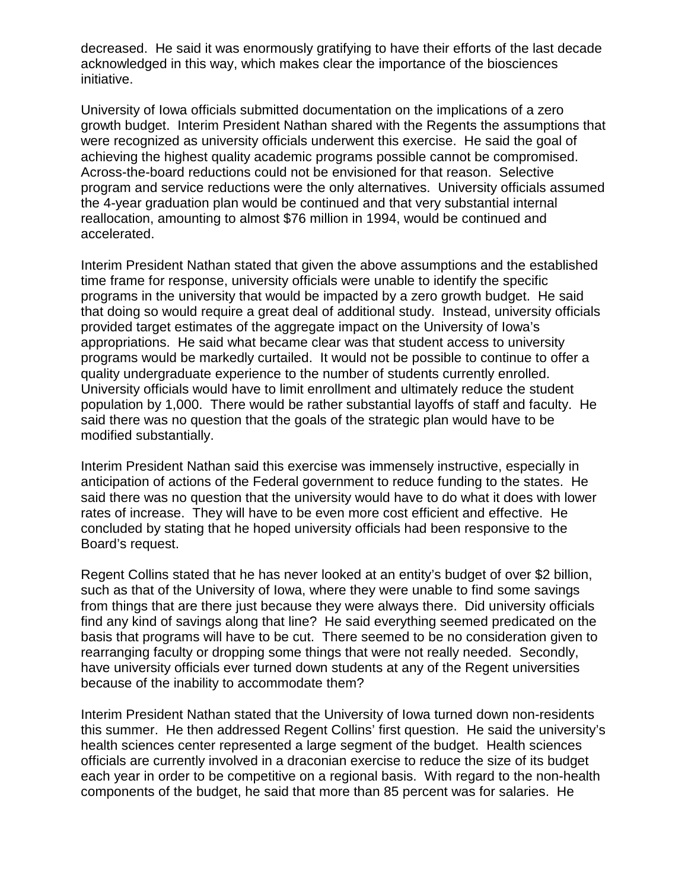decreased. He said it was enormously gratifying to have their efforts of the last decade acknowledged in this way, which makes clear the importance of the biosciences initiative.

University of Iowa officials submitted documentation on the implications of a zero growth budget. Interim President Nathan shared with the Regents the assumptions that were recognized as university officials underwent this exercise. He said the goal of achieving the highest quality academic programs possible cannot be compromised. Across-the-board reductions could not be envisioned for that reason. Selective program and service reductions were the only alternatives. University officials assumed the 4-year graduation plan would be continued and that very substantial internal reallocation, amounting to almost \$76 million in 1994, would be continued and accelerated.

Interim President Nathan stated that given the above assumptions and the established time frame for response, university officials were unable to identify the specific programs in the university that would be impacted by a zero growth budget. He said that doing so would require a great deal of additional study. Instead, university officials provided target estimates of the aggregate impact on the University of Iowa's appropriations. He said what became clear was that student access to university programs would be markedly curtailed. It would not be possible to continue to offer a quality undergraduate experience to the number of students currently enrolled. University officials would have to limit enrollment and ultimately reduce the student population by 1,000. There would be rather substantial layoffs of staff and faculty. He said there was no question that the goals of the strategic plan would have to be modified substantially.

Interim President Nathan said this exercise was immensely instructive, especially in anticipation of actions of the Federal government to reduce funding to the states. He said there was no question that the university would have to do what it does with lower rates of increase. They will have to be even more cost efficient and effective. He concluded by stating that he hoped university officials had been responsive to the Board's request.

Regent Collins stated that he has never looked at an entity's budget of over \$2 billion, such as that of the University of Iowa, where they were unable to find some savings from things that are there just because they were always there. Did university officials find any kind of savings along that line? He said everything seemed predicated on the basis that programs will have to be cut. There seemed to be no consideration given to rearranging faculty or dropping some things that were not really needed. Secondly, have university officials ever turned down students at any of the Regent universities because of the inability to accommodate them?

Interim President Nathan stated that the University of Iowa turned down non-residents this summer. He then addressed Regent Collins' first question. He said the university's health sciences center represented a large segment of the budget. Health sciences officials are currently involved in a draconian exercise to reduce the size of its budget each year in order to be competitive on a regional basis. With regard to the non-health components of the budget, he said that more than 85 percent was for salaries. He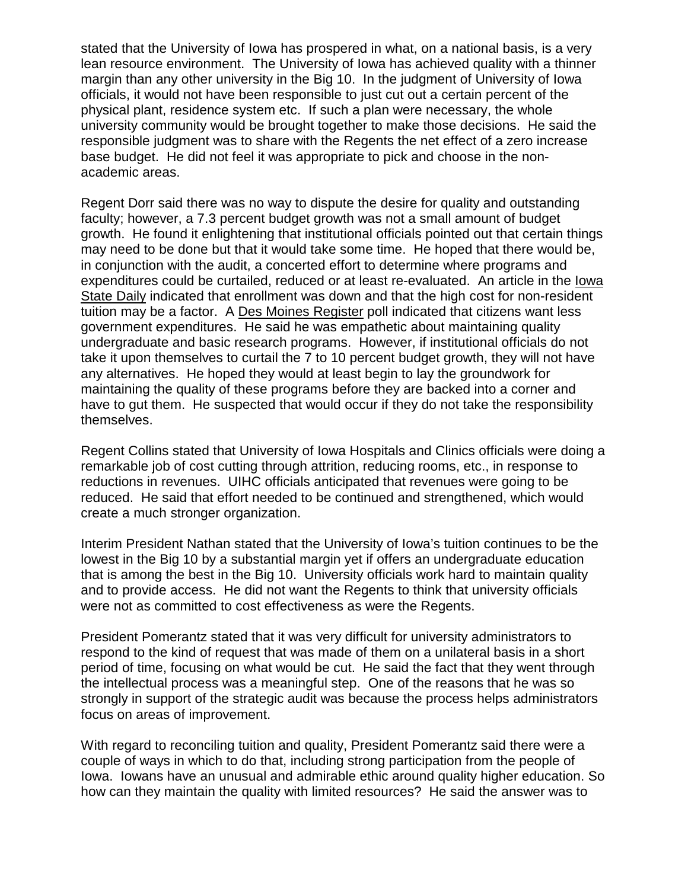stated that the University of Iowa has prospered in what, on a national basis, is a very lean resource environment. The University of Iowa has achieved quality with a thinner margin than any other university in the Big 10. In the judgment of University of Iowa officials, it would not have been responsible to just cut out a certain percent of the physical plant, residence system etc. If such a plan were necessary, the whole university community would be brought together to make those decisions. He said the responsible judgment was to share with the Regents the net effect of a zero increase base budget. He did not feel it was appropriate to pick and choose in the nonacademic areas.

Regent Dorr said there was no way to dispute the desire for quality and outstanding faculty; however, a 7.3 percent budget growth was not a small amount of budget growth. He found it enlightening that institutional officials pointed out that certain things may need to be done but that it would take some time. He hoped that there would be, in conjunction with the audit, a concerted effort to determine where programs and expenditures could be curtailed, reduced or at least re-evaluated. An article in the Iowa State Daily indicated that enrollment was down and that the high cost for non-resident tuition may be a factor. A Des Moines Register poll indicated that citizens want less government expenditures. He said he was empathetic about maintaining quality undergraduate and basic research programs. However, if institutional officials do not take it upon themselves to curtail the 7 to 10 percent budget growth, they will not have any alternatives. He hoped they would at least begin to lay the groundwork for maintaining the quality of these programs before they are backed into a corner and have to gut them. He suspected that would occur if they do not take the responsibility themselves.

Regent Collins stated that University of Iowa Hospitals and Clinics officials were doing a remarkable job of cost cutting through attrition, reducing rooms, etc., in response to reductions in revenues. UIHC officials anticipated that revenues were going to be reduced. He said that effort needed to be continued and strengthened, which would create a much stronger organization.

Interim President Nathan stated that the University of Iowa's tuition continues to be the lowest in the Big 10 by a substantial margin yet if offers an undergraduate education that is among the best in the Big 10. University officials work hard to maintain quality and to provide access. He did not want the Regents to think that university officials were not as committed to cost effectiveness as were the Regents.

President Pomerantz stated that it was very difficult for university administrators to respond to the kind of request that was made of them on a unilateral basis in a short period of time, focusing on what would be cut. He said the fact that they went through the intellectual process was a meaningful step. One of the reasons that he was so strongly in support of the strategic audit was because the process helps administrators focus on areas of improvement.

With regard to reconciling tuition and quality, President Pomerantz said there were a couple of ways in which to do that, including strong participation from the people of Iowa. Iowans have an unusual and admirable ethic around quality higher education. So how can they maintain the quality with limited resources? He said the answer was to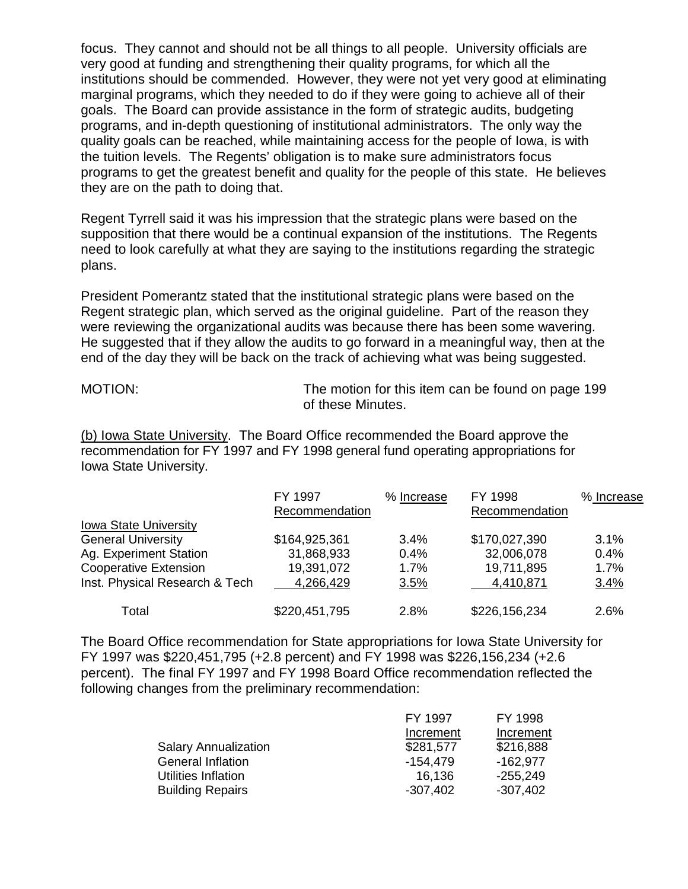focus. They cannot and should not be all things to all people. University officials are very good at funding and strengthening their quality programs, for which all the institutions should be commended. However, they were not yet very good at eliminating marginal programs, which they needed to do if they were going to achieve all of their goals. The Board can provide assistance in the form of strategic audits, budgeting programs, and in-depth questioning of institutional administrators. The only way the quality goals can be reached, while maintaining access for the people of Iowa, is with the tuition levels. The Regents' obligation is to make sure administrators focus programs to get the greatest benefit and quality for the people of this state. He believes they are on the path to doing that.

Regent Tyrrell said it was his impression that the strategic plans were based on the supposition that there would be a continual expansion of the institutions. The Regents need to look carefully at what they are saying to the institutions regarding the strategic plans.

President Pomerantz stated that the institutional strategic plans were based on the Regent strategic plan, which served as the original guideline. Part of the reason they were reviewing the organizational audits was because there has been some wavering. He suggested that if they allow the audits to go forward in a meaningful way, then at the end of the day they will be back on the track of achieving what was being suggested.

MOTION: The motion for this item can be found on page 199 of these Minutes.

(b) Iowa State University. The Board Office recommended the Board approve the recommendation for FY 1997 and FY 1998 general fund operating appropriations for Iowa State University.

|                                | FY 1997<br>Recommendation | % Increase | FY 1998<br>Recommendation | % Increase |
|--------------------------------|---------------------------|------------|---------------------------|------------|
| <b>Iowa State University</b>   |                           |            |                           |            |
| <b>General University</b>      | \$164,925,361             | $3.4\%$    | \$170,027,390             | 3.1%       |
| Ag. Experiment Station         | 31,868,933                | 0.4%       | 32,006,078                | 0.4%       |
| <b>Cooperative Extension</b>   | 19,391,072                | 1.7%       | 19,711,895                | 1.7%       |
| Inst. Physical Research & Tech | 4,266,429                 | 3.5%       | 4,410,871                 | 3.4%       |
| Total                          | \$220,451,795             | 2.8%       | \$226,156,234             | 2.6%       |

The Board Office recommendation for State appropriations for Iowa State University for FY 1997 was \$220,451,795 (+2.8 percent) and FY 1998 was \$226,156,234 (+2.6 percent).The final FY 1997 and FY 1998 Board Office recommendation reflected the following changes from the preliminary recommendation:

|                             | FY 1997    | FY 1998    |
|-----------------------------|------------|------------|
|                             | Increment  | Increment  |
| <b>Salary Annualization</b> | \$281,577  | \$216,888  |
| General Inflation           | -154.479   | $-162,977$ |
| Utilities Inflation         | 16,136     | $-255,249$ |
| <b>Building Repairs</b>     | $-307,402$ | $-307,402$ |
|                             |            |            |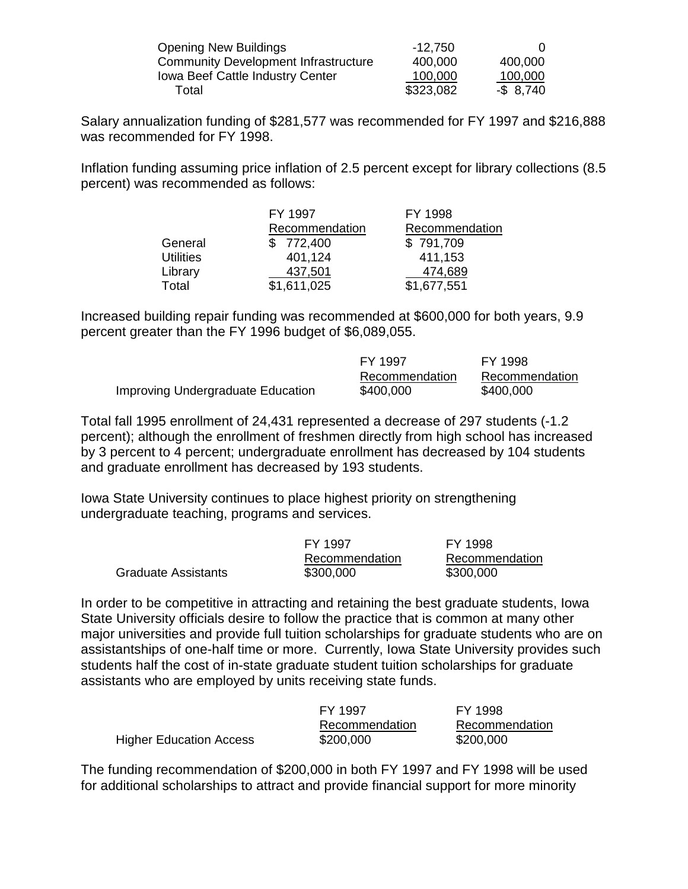| <b>Opening New Buildings</b>                | $-12,750$ |              |
|---------------------------------------------|-----------|--------------|
| <b>Community Development Infrastructure</b> | 400,000   | 400,000      |
| <b>Iowa Beef Cattle Industry Center</b>     | 100,000   | 100,000      |
| Total                                       | \$323,082 | $-$ \$ 8,740 |

Salary annualization funding of \$281,577 was recommended for FY 1997 and \$216,888 was recommended for FY 1998.

Inflation funding assuming price inflation of 2.5 percent except for library collections (8.5 percent) was recommended as follows:

|                  | FY 1997        | FY 1998        |
|------------------|----------------|----------------|
|                  | Recommendation | Recommendation |
| General          | \$772,400      | \$791,709      |
| <b>Utilities</b> | 401,124        | 411,153        |
| Library          | 437,501        | 474,689        |
| Total            | \$1,611,025    | \$1,677,551    |

Increased building repair funding was recommended at \$600,000 for both years, 9.9 percent greater than the FY 1996 budget of \$6,089,055.

|                                   | FY 1997        | FY 1998        |
|-----------------------------------|----------------|----------------|
|                                   | Recommendation | Recommendation |
| Improving Undergraduate Education | \$400,000      | \$400,000      |

Total fall 1995 enrollment of 24,431 represented a decrease of 297 students (-1.2 percent); although the enrollment of freshmen directly from high school has increased by 3 percent to 4 percent; undergraduate enrollment has decreased by 104 students and graduate enrollment has decreased by 193 students.

Iowa State University continues to place highest priority on strengthening undergraduate teaching, programs and services.

|                            | FY 1997        | FY 1998        |
|----------------------------|----------------|----------------|
|                            | Recommendation | Recommendation |
| <b>Graduate Assistants</b> | \$300,000      | \$300,000      |

In order to be competitive in attracting and retaining the best graduate students, Iowa State University officials desire to follow the practice that is common at many other major universities and provide full tuition scholarships for graduate students who are on assistantships of one-half time or more. Currently, Iowa State University provides such students half the cost of in-state graduate student tuition scholarships for graduate assistants who are employed by units receiving state funds.

|                                | FY 1997        | FY 1998        |
|--------------------------------|----------------|----------------|
|                                | Recommendation | Recommendation |
| <b>Higher Education Access</b> | \$200,000      | \$200,000      |

The funding recommendation of \$200,000 in both FY 1997 and FY 1998 will be used for additional scholarships to attract and provide financial support for more minority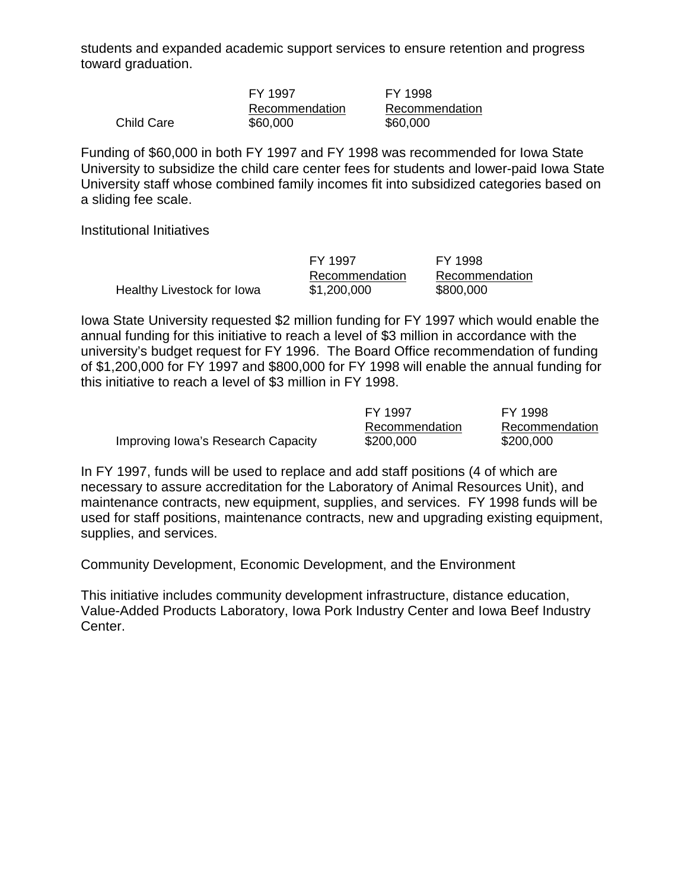students and expanded academic support services to ensure retention and progress toward graduation.

| FY 1997        | FY 1998        |
|----------------|----------------|
| Recommendation | Recommendation |
| \$60,000       | \$60,000       |

Funding of \$60,000 in both FY 1997 and FY 1998 was recommended for Iowa State University to subsidize the child care center fees for students and lower-paid Iowa State University staff whose combined family incomes fit into subsidized categories based on a sliding fee scale.

Institutional Initiatives

Child Care

FY 1997 FY 1998 Healthy Livestock for Iowa  $$1,200,000$   $$800,000$ 

Recommendation Recommendation

Iowa State University requested \$2 million funding for FY 1997 which would enable the annual funding for this initiative to reach a level of \$3 million in accordance with the university's budget request for FY 1996. The Board Office recommendation of funding of \$1,200,000 for FY 1997 and \$800,000 for FY 1998 will enable the annual funding for this initiative to reach a level of \$3 million in FY 1998.

|                                    | FY 1997        | FY 1998        |
|------------------------------------|----------------|----------------|
|                                    | Recommendation | Recommendation |
| Improving Iowa's Research Capacity | \$200,000      | \$200,000      |

In FY 1997, funds will be used to replace and add staff positions (4 of which are necessary to assure accreditation for the Laboratory of Animal Resources Unit), and maintenance contracts, new equipment, supplies, and services. FY 1998 funds will be used for staff positions, maintenance contracts, new and upgrading existing equipment, supplies, and services.

Community Development, Economic Development, and the Environment

This initiative includes community development infrastructure, distance education, Value-Added Products Laboratory, Iowa Pork Industry Center and Iowa Beef Industry Center.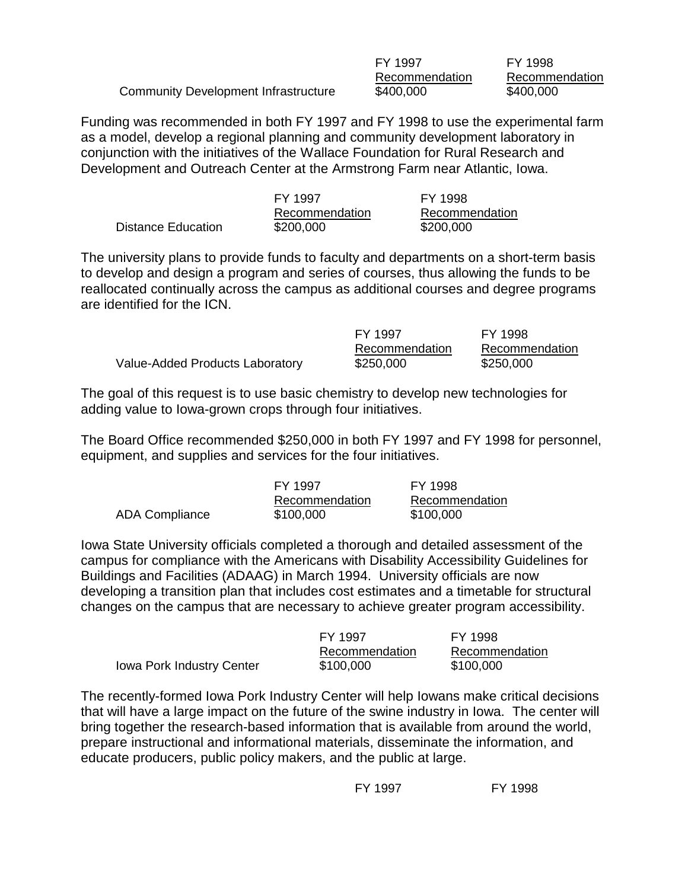|                                      | FY 1997        | FY 1998        |
|--------------------------------------|----------------|----------------|
|                                      | Recommendation | Recommendation |
| Community Development Infrastructure | \$400,000      | \$400,000      |

Funding was recommended in both FY 1997 and FY 1998 to use the experimental farm as a model, develop a regional planning and community development laboratory in conjunction with the initiatives of the Wallace Foundation for Rural Research and Development and Outreach Center at the Armstrong Farm near Atlantic, Iowa.

|                    | FY 1997        | FY 1998        |
|--------------------|----------------|----------------|
|                    | Recommendation | Recommendation |
| Distance Education | \$200,000      | \$200,000      |

The university plans to provide funds to faculty and departments on a short-term basis to develop and design a program and series of courses, thus allowing the funds to be reallocated continually across the campus as additional courses and degree programs are identified for the ICN.

|                                 | FY 1997        | FY 1998        |
|---------------------------------|----------------|----------------|
|                                 | Recommendation | Recommendation |
| Value-Added Products Laboratory | \$250,000      | \$250,000      |

The goal of this request is to use basic chemistry to develop new technologies for adding value to Iowa-grown crops through four initiatives.

The Board Office recommended \$250,000 in both FY 1997 and FY 1998 for personnel, equipment, and supplies and services for the four initiatives.

|                | FY 1997        | FY 1998        |
|----------------|----------------|----------------|
|                | Recommendation | Recommendation |
| ADA Compliance | \$100,000      | \$100,000      |

Iowa State University officials completed a thorough and detailed assessment of the campus for compliance with the Americans with Disability Accessibility Guidelines for Buildings and Facilities (ADAAG) in March 1994. University officials are now developing a transition plan that includes cost estimates and a timetable for structural changes on the campus that are necessary to achieve greater program accessibility.

|                                  | FY 1997        | FY 1998        |
|----------------------------------|----------------|----------------|
|                                  | Recommendation | Recommendation |
| <b>Iowa Pork Industry Center</b> | \$100,000      | \$100,000      |

The recently-formed Iowa Pork Industry Center will help Iowans make critical decisions that will have a large impact on the future of the swine industry in Iowa. The center will bring together the research-based information that is available from around the world, prepare instructional and informational materials, disseminate the information, and educate producers, public policy makers, and the public at large.

FY 1997 FY 1998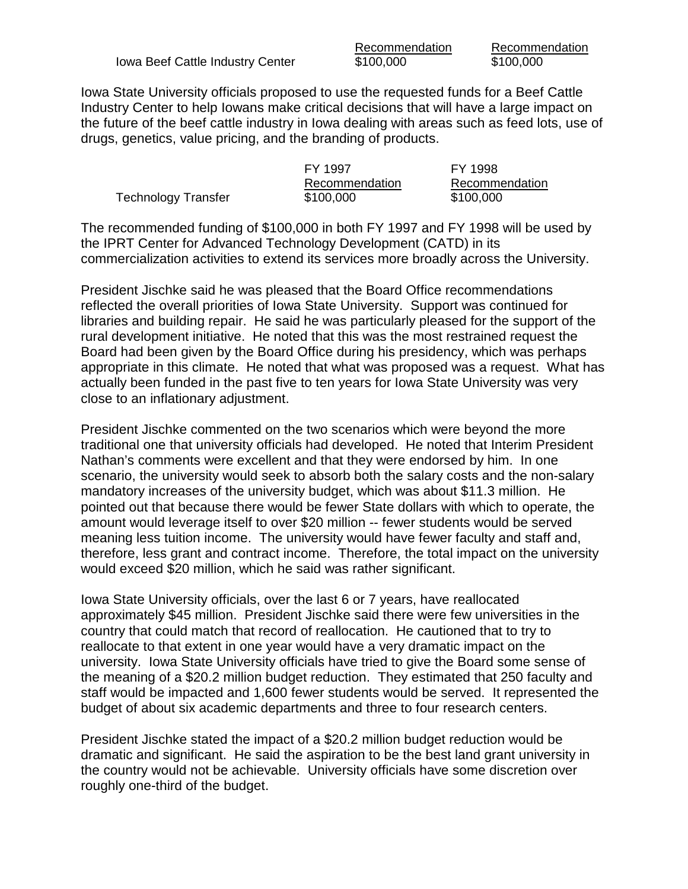Iowa Beef Cattle Industry Center  $$100,000$  \$100,000

Recommendation Recommendation

Iowa State University officials proposed to use the requested funds for a Beef Cattle Industry Center to help Iowans make critical decisions that will have a large impact on the future of the beef cattle industry in Iowa dealing with areas such as feed lots, use of drugs, genetics, value pricing, and the branding of products.

|                            | FY 1997        | FY 1998        |
|----------------------------|----------------|----------------|
|                            | Recommendation | Recommendation |
| <b>Technology Transfer</b> | \$100,000      | \$100,000      |

The recommended funding of \$100,000 in both FY 1997 and FY 1998 will be used by the IPRT Center for Advanced Technology Development (CATD) in its commercialization activities to extend its services more broadly across the University.

President Jischke said he was pleased that the Board Office recommendations reflected the overall priorities of Iowa State University. Support was continued for libraries and building repair. He said he was particularly pleased for the support of the rural development initiative. He noted that this was the most restrained request the Board had been given by the Board Office during his presidency, which was perhaps appropriate in this climate. He noted that what was proposed was a request. What has actually been funded in the past five to ten years for Iowa State University was very close to an inflationary adjustment.

President Jischke commented on the two scenarios which were beyond the more traditional one that university officials had developed. He noted that Interim President Nathan's comments were excellent and that they were endorsed by him. In one scenario, the university would seek to absorb both the salary costs and the non-salary mandatory increases of the university budget, which was about \$11.3 million. He pointed out that because there would be fewer State dollars with which to operate, the amount would leverage itself to over \$20 million -- fewer students would be served meaning less tuition income. The university would have fewer faculty and staff and, therefore, less grant and contract income. Therefore, the total impact on the university would exceed \$20 million, which he said was rather significant.

Iowa State University officials, over the last 6 or 7 years, have reallocated approximately \$45 million. President Jischke said there were few universities in the country that could match that record of reallocation. He cautioned that to try to reallocate to that extent in one year would have a very dramatic impact on the university. Iowa State University officials have tried to give the Board some sense of the meaning of a \$20.2 million budget reduction. They estimated that 250 faculty and staff would be impacted and 1,600 fewer students would be served. It represented the budget of about six academic departments and three to four research centers.

President Jischke stated the impact of a \$20.2 million budget reduction would be dramatic and significant. He said the aspiration to be the best land grant university in the country would not be achievable. University officials have some discretion over roughly one-third of the budget.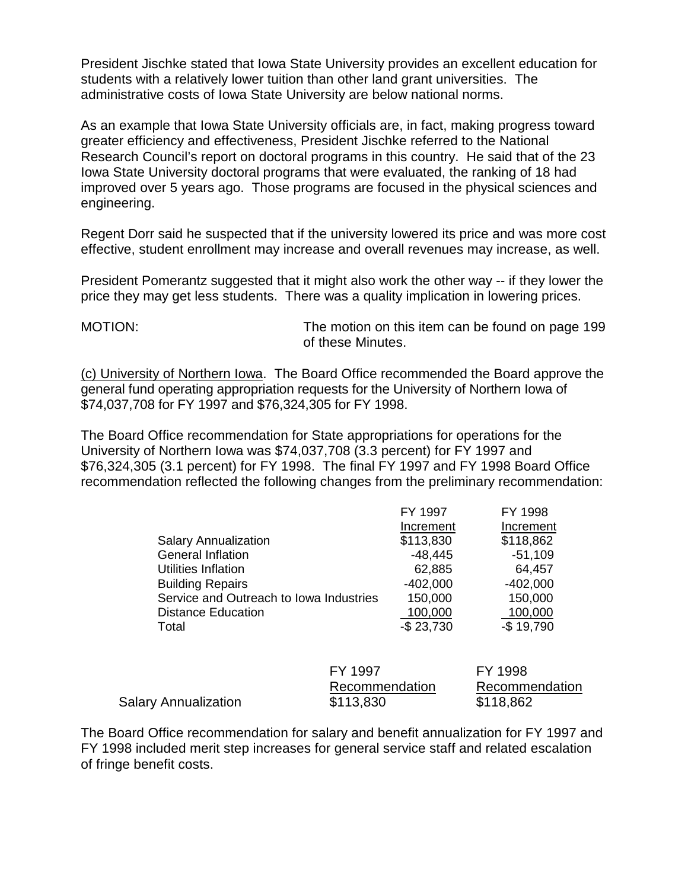President Jischke stated that Iowa State University provides an excellent education for students with a relatively lower tuition than other land grant universities. The administrative costs of Iowa State University are below national norms.

As an example that Iowa State University officials are, in fact, making progress toward greater efficiency and effectiveness, President Jischke referred to the National Research Council's report on doctoral programs in this country. He said that of the 23 Iowa State University doctoral programs that were evaluated, the ranking of 18 had improved over 5 years ago. Those programs are focused in the physical sciences and engineering.

Regent Dorr said he suspected that if the university lowered its price and was more cost effective, student enrollment may increase and overall revenues may increase, as well.

President Pomerantz suggested that it might also work the other way -- if they lower the price they may get less students. There was a quality implication in lowering prices.

MOTION: The motion on this item can be found on page 199 of these Minutes.

(c) University of Northern Iowa. The Board Office recommended the Board approve the general fund operating appropriation requests for the University of Northern Iowa of \$74,037,708 for FY 1997 and \$76,324,305 for FY 1998.

The Board Office recommendation for State appropriations for operations for the University of Northern Iowa was \$74,037,708 (3.3 percent) for FY 1997 and \$76,324,305 (3.1 percent) for FY 1998. The final FY 1997 and FY 1998 Board Office recommendation reflected the following changes from the preliminary recommendation:

|                                         | FY 1997       | FY 1998    |
|-----------------------------------------|---------------|------------|
|                                         | Increment     | Increment  |
| <b>Salary Annualization</b>             | \$113,830     | \$118,862  |
| <b>General Inflation</b>                | $-48,445$     | $-51,109$  |
| <b>Utilities Inflation</b>              | 62,885        | 64,457     |
| <b>Building Repairs</b>                 | $-402,000$    | $-402,000$ |
| Service and Outreach to Iowa Industries | 150,000       | 150,000    |
| <b>Distance Education</b>               | 100,000       | 100,000    |
| Total                                   | $-$ \$ 23,730 | $-$19,790$ |

|                             | FY 1997        | FY 1998        |
|-----------------------------|----------------|----------------|
|                             | Recommendation | Recommendation |
| <b>Salary Annualization</b> | \$113,830      | \$118,862      |

The Board Office recommendation for salary and benefit annualization for FY 1997 and FY 1998 included merit step increases for general service staff and related escalation of fringe benefit costs.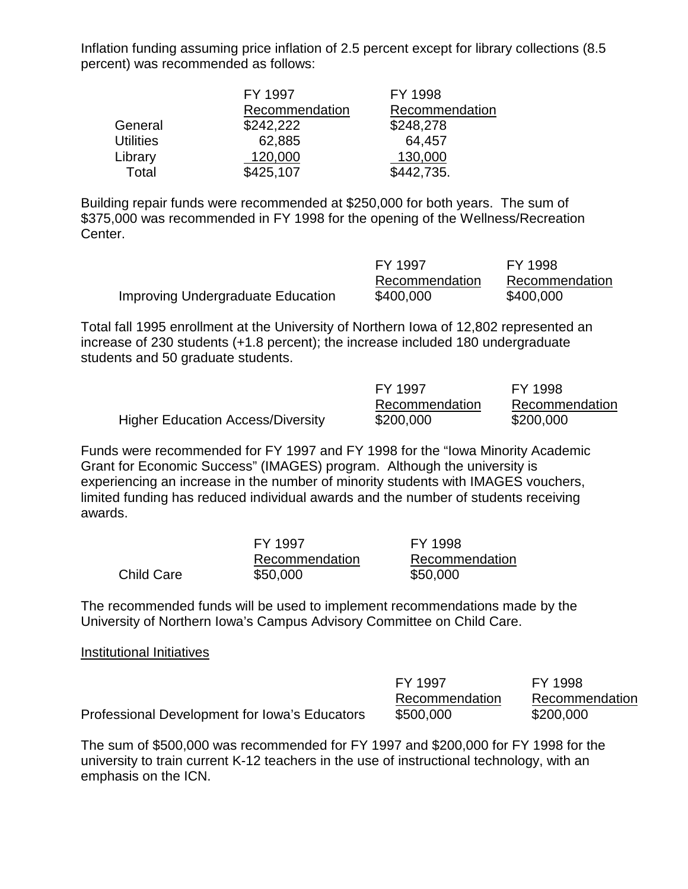Inflation funding assuming price inflation of 2.5 percent except for library collections (8.5 percent) was recommended as follows:

|                  | FY 1997        | FY 1998        |
|------------------|----------------|----------------|
|                  | Recommendation | Recommendation |
| General          | \$242,222      | \$248,278      |
| <b>Utilities</b> | 62,885         | 64,457         |
| Library          | 120,000        | 130,000        |
| Total            | \$425,107      | \$442,735.     |

Building repair funds were recommended at \$250,000 for both years. The sum of \$375,000 was recommended in FY 1998 for the opening of the Wellness/Recreation Center.

|                                          | FY 1997        | FY 1998        |
|------------------------------------------|----------------|----------------|
|                                          | Recommendation | Recommendation |
| <b>Improving Undergraduate Education</b> | \$400,000      | \$400,000      |

Total fall 1995 enrollment at the University of Northern Iowa of 12,802 represented an increase of 230 students (+1.8 percent); the increase included 180 undergraduate students and 50 graduate students.

|                                          | FY 1997        | FY 1998        |
|------------------------------------------|----------------|----------------|
|                                          | Recommendation | Recommendation |
| <b>Higher Education Access/Diversity</b> | \$200,000      | \$200,000      |

Funds were recommended for FY 1997 and FY 1998 for the "Iowa Minority Academic Grant for Economic Success" (IMAGES) program. Although the university is experiencing an increase in the number of minority students with IMAGES vouchers, limited funding has reduced individual awards and the number of students receiving awards.

|                   | FY 1997        | FY 1998        |
|-------------------|----------------|----------------|
|                   | Recommendation | Recommendation |
| <b>Child Care</b> | \$50,000       | \$50,000       |

The recommended funds will be used to implement recommendations made by the University of Northern Iowa's Campus Advisory Committee on Child Care.

### Institutional Initiatives

|                                               | FY 1997        | FY 1998        |
|-----------------------------------------------|----------------|----------------|
|                                               | Recommendation | Recommendation |
| Professional Development for Iowa's Educators | \$500,000      | \$200,000      |

The sum of \$500,000 was recommended for FY 1997 and \$200,000 for FY 1998 for the university to train current K-12 teachers in the use of instructional technology, with an emphasis on the ICN.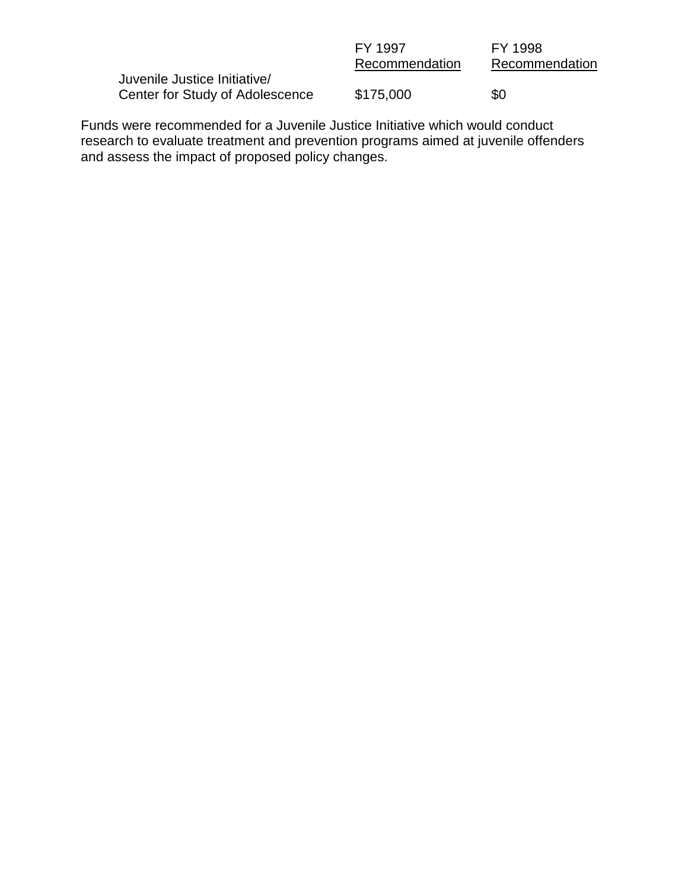| FY 1997        | FY 1998        |
|----------------|----------------|
| Recommendation | Recommendation |
|                |                |
| \$175,000      | \$0            |
|                |                |

Funds were recommended for a Juvenile Justice Initiative which would conduct research to evaluate treatment and prevention programs aimed at juvenile offenders and assess the impact of proposed policy changes.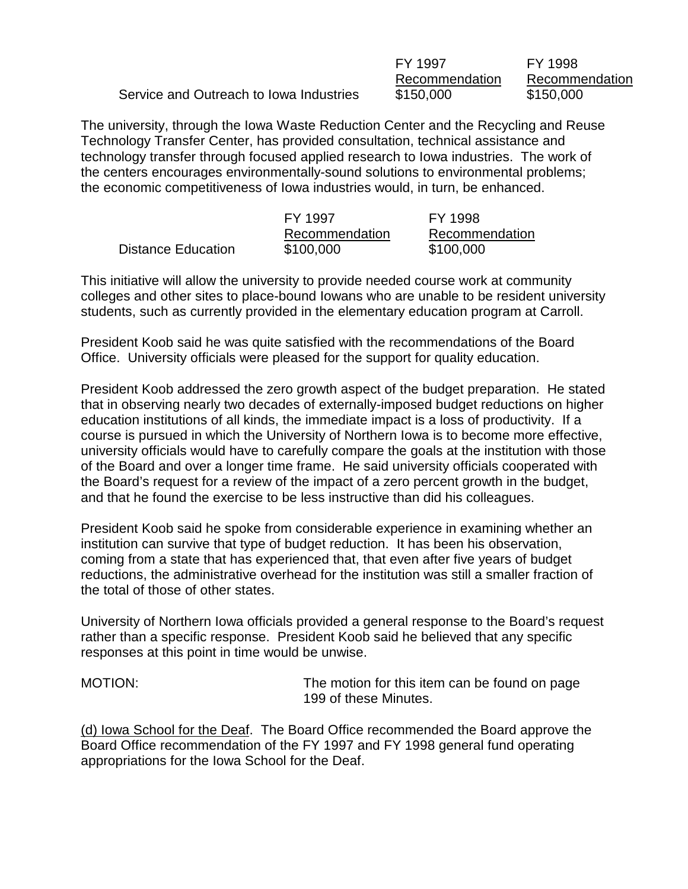|                                         | FY 1997        | FY 1998        |
|-----------------------------------------|----------------|----------------|
|                                         | Recommendation | Recommendation |
| Service and Outreach to Iowa Industries | \$150,000      | \$150,000      |

The university, through the Iowa Waste Reduction Center and the Recycling and Reuse Technology Transfer Center, has provided consultation, technical assistance and technology transfer through focused applied research to Iowa industries. The work of the centers encourages environmentally-sound solutions to environmental problems; the economic competitiveness of Iowa industries would, in turn, be enhanced.

|                    | FY 1997        | FY 1998        |
|--------------------|----------------|----------------|
|                    | Recommendation | Recommendation |
| Distance Education | \$100,000      | \$100,000      |

This initiative will allow the university to provide needed course work at community colleges and other sites to place-bound Iowans who are unable to be resident university students, such as currently provided in the elementary education program at Carroll.

President Koob said he was quite satisfied with the recommendations of the Board Office. University officials were pleased for the support for quality education.

President Koob addressed the zero growth aspect of the budget preparation. He stated that in observing nearly two decades of externally-imposed budget reductions on higher education institutions of all kinds, the immediate impact is a loss of productivity. If a course is pursued in which the University of Northern Iowa is to become more effective, university officials would have to carefully compare the goals at the institution with those of the Board and over a longer time frame. He said university officials cooperated with the Board's request for a review of the impact of a zero percent growth in the budget, and that he found the exercise to be less instructive than did his colleagues.

President Koob said he spoke from considerable experience in examining whether an institution can survive that type of budget reduction. It has been his observation, coming from a state that has experienced that, that even after five years of budget reductions, the administrative overhead for the institution was still a smaller fraction of the total of those of other states.

University of Northern Iowa officials provided a general response to the Board's request rather than a specific response. President Koob said he believed that any specific responses at this point in time would be unwise.

MOTION: The motion for this item can be found on page 199 of these Minutes.

(d) Iowa School for the Deaf. The Board Office recommended the Board approve the Board Office recommendation of the FY 1997 and FY 1998 general fund operating appropriations for the Iowa School for the Deaf.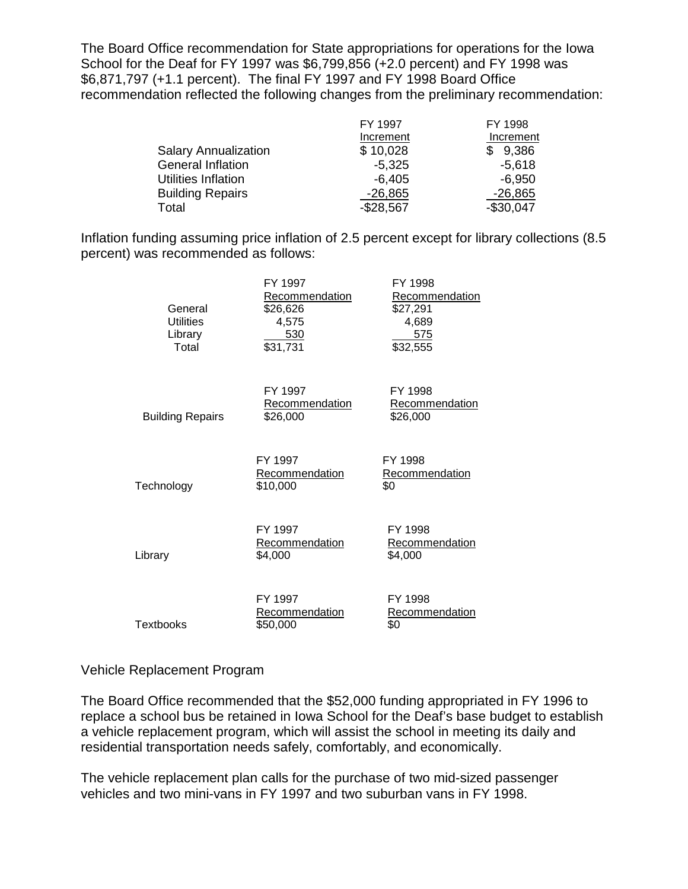The Board Office recommendation for State appropriations for operations for the Iowa School for the Deaf for FY 1997 was \$6,799,856 (+2.0 percent) and FY 1998 was \$6,871,797 (+1.1 percent). The final FY 1997 and FY 1998 Board Office recommendation reflected the following changes from the preliminary recommendation:

|                             | FY 1997    | FY 1998    |
|-----------------------------|------------|------------|
|                             | Increment  | Increment  |
| <b>Salary Annualization</b> | \$10,028   | \$9,386    |
| <b>General Inflation</b>    | $-5,325$   | $-5.618$   |
| Utilities Inflation         | -6,405     | -6,950     |
| <b>Building Repairs</b>     | $-26,865$  | $-26,865$  |
| Total                       | $-$28,567$ | $-$30,047$ |

Inflation funding assuming price inflation of 2.5 percent except for library collections (8.5 percent) was recommended as follows:

| General<br><b>Utilities</b><br>Library<br>Total | FY 1997<br>Recommendation<br>\$26,626<br>4,575<br>530<br>$\overline{$}31,731$ | FY 1998<br>Recommendation<br>\$27,291<br>4,689<br>575<br>\$32,555 |
|-------------------------------------------------|-------------------------------------------------------------------------------|-------------------------------------------------------------------|
| <b>Building Repairs</b>                         | FY 1997<br>Recommendation<br>\$26,000                                         | FY 1998<br><b>Recommendation</b><br>\$26,000                      |
| Technology                                      | FY 1997<br>Recommendation<br>\$10,000                                         | FY 1998<br>Recommendation<br>\$0                                  |
| Library                                         | FY 1997<br>Recommendation<br>\$4,000                                          | FY 1998<br>Recommendation<br>\$4,000                              |
| Textbooks                                       | FY 1997<br>Recommendation<br>\$50,000                                         | FY 1998<br>Recommendation<br>\$0                                  |

## Vehicle Replacement Program

The Board Office recommended that the \$52,000 funding appropriated in FY 1996 to replace a school bus be retained in Iowa School for the Deaf's base budget to establish a vehicle replacement program, which will assist the school in meeting its daily and residential transportation needs safely, comfortably, and economically.

The vehicle replacement plan calls for the purchase of two mid-sized passenger vehicles and two mini-vans in FY 1997 and two suburban vans in FY 1998.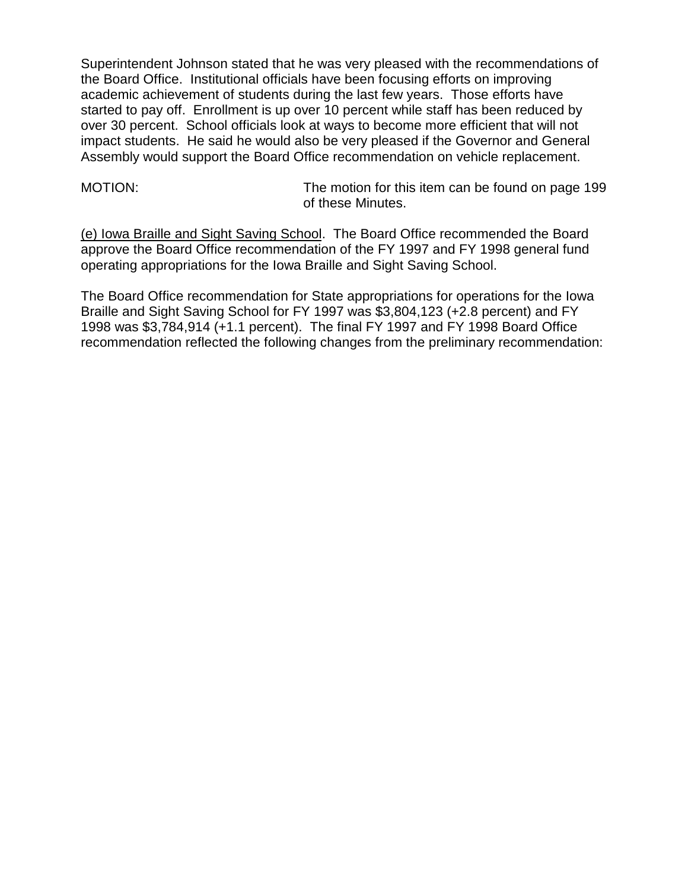Superintendent Johnson stated that he was very pleased with the recommendations of the Board Office. Institutional officials have been focusing efforts on improving academic achievement of students during the last few years. Those efforts have started to pay off. Enrollment is up over 10 percent while staff has been reduced by over 30 percent. School officials look at ways to become more efficient that will not impact students. He said he would also be very pleased if the Governor and General Assembly would support the Board Office recommendation on vehicle replacement.

MOTION: The motion for this item can be found on page 199 of these Minutes.

(e) Iowa Braille and Sight Saving School. The Board Office recommended the Board approve the Board Office recommendation of the FY 1997 and FY 1998 general fund operating appropriations for the Iowa Braille and Sight Saving School.

The Board Office recommendation for State appropriations for operations for the Iowa Braille and Sight Saving School for FY 1997 was \$3,804,123 (+2.8 percent) and FY 1998 was \$3,784,914 (+1.1 percent). The final FY 1997 and FY 1998 Board Office recommendation reflected the following changes from the preliminary recommendation: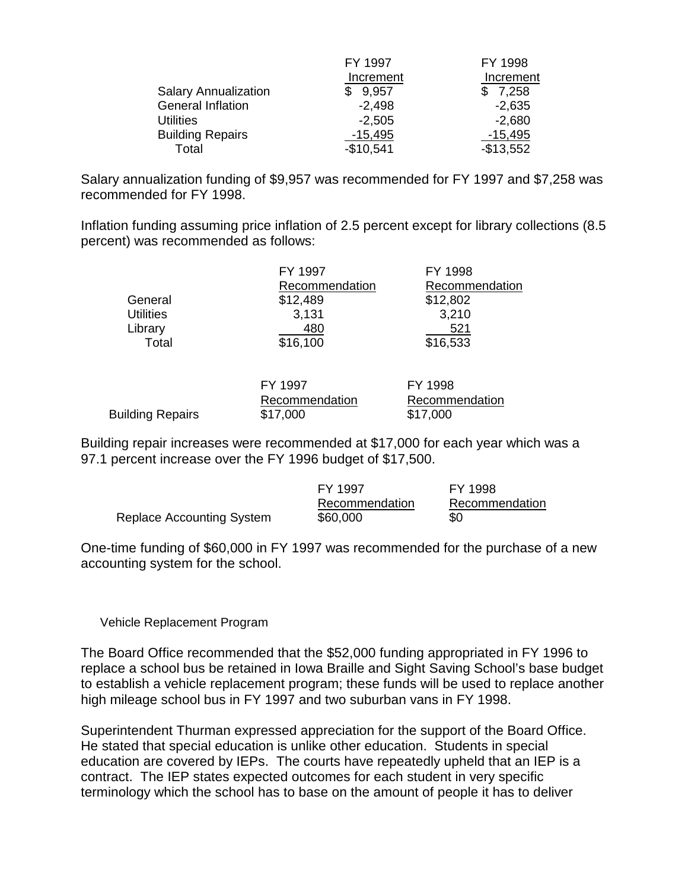|                             | FY 1997    | FY 1998    |
|-----------------------------|------------|------------|
|                             | Increment  | Increment  |
| <b>Salary Annualization</b> | 9,957      | 7,258      |
| <b>General Inflation</b>    | $-2,498$   | $-2,635$   |
| <b>Utilities</b>            | $-2,505$   | $-2,680$   |
| <b>Building Repairs</b>     | $-15,495$  | $-15,495$  |
| Total                       | $-$10,541$ | $-$13,552$ |

Salary annualization funding of \$9,957 was recommended for FY 1997 and \$7,258 was recommended for FY 1998.

Inflation funding assuming price inflation of 2.5 percent except for library collections (8.5 percent) was recommended as follows:

|                  | FY 1997        | FY 1998        |
|------------------|----------------|----------------|
|                  | Recommendation | Recommendation |
| General          | \$12,489       | \$12,802       |
| <b>Utilities</b> | 3,131          | 3,210          |
| Library          | 480            | 521            |
| Total            | \$16,100       | \$16,533       |
|                  |                |                |

|                  | FY 1997        | FY 1998        |
|------------------|----------------|----------------|
|                  | Recommendation | Recommendation |
| Building Repairs | \$17,000       | \$17,000       |

Building repair increases were recommended at \$17,000 for each year which was a 97.1 percent increase over the FY 1996 budget of \$17,500.

|                           | FY 1997        | FY 1998        |
|---------------------------|----------------|----------------|
|                           | Recommendation | Recommendation |
| Replace Accounting System | \$60,000       | \$0            |

One-time funding of \$60,000 in FY 1997 was recommended for the purchase of a new accounting system for the school.

Vehicle Replacement Program

The Board Office recommended that the \$52,000 funding appropriated in FY 1996 to replace a school bus be retained in Iowa Braille and Sight Saving School's base budget to establish a vehicle replacement program; these funds will be used to replace another high mileage school bus in FY 1997 and two suburban vans in FY 1998.

Superintendent Thurman expressed appreciation for the support of the Board Office. He stated that special education is unlike other education. Students in special education are covered by IEPs. The courts have repeatedly upheld that an IEP is a contract. The IEP states expected outcomes for each student in very specific terminology which the school has to base on the amount of people it has to deliver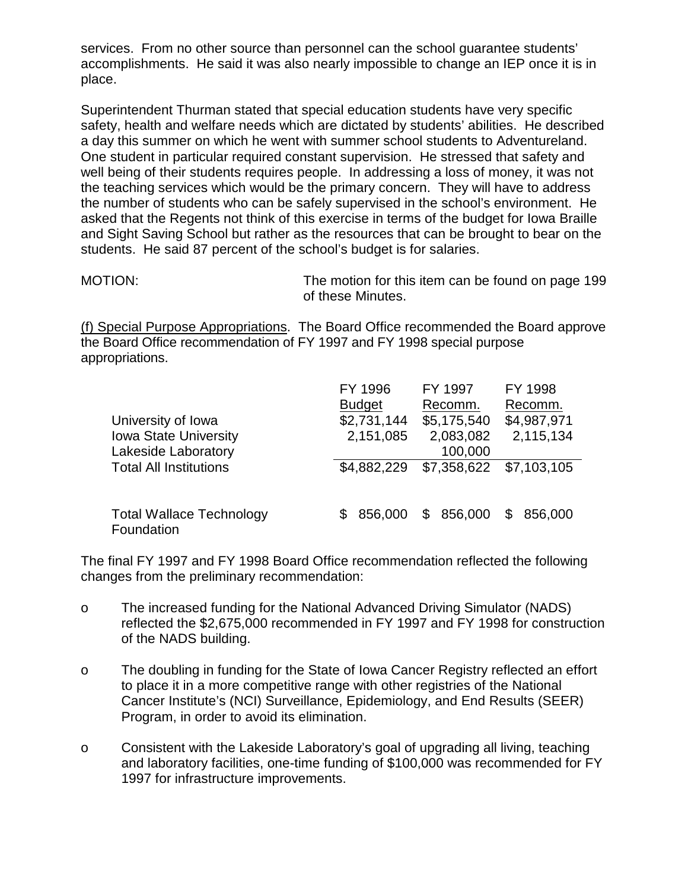services. From no other source than personnel can the school guarantee students' accomplishments. He said it was also nearly impossible to change an IEP once it is in place.

Superintendent Thurman stated that special education students have very specific safety, health and welfare needs which are dictated by students' abilities. He described a day this summer on which he went with summer school students to Adventureland. One student in particular required constant supervision. He stressed that safety and well being of their students requires people. In addressing a loss of money, it was not the teaching services which would be the primary concern. They will have to address the number of students who can be safely supervised in the school's environment. He asked that the Regents not think of this exercise in terms of the budget for Iowa Braille and Sight Saving School but rather as the resources that can be brought to bear on the students. He said 87 percent of the school's budget is for salaries.

MOTION: The motion for this item can be found on page 199 of these Minutes.

(f) Special Purpose Appropriations. The Board Office recommended the Board approve the Board Office recommendation of FY 1997 and FY 1998 special purpose appropriations.

|                                               | FY 1996        | FY 1997       | FY 1998       |
|-----------------------------------------------|----------------|---------------|---------------|
|                                               | <b>Budget</b>  | Recomm.       | Recomm.       |
| University of Iowa                            | \$2,731,144    | \$5,175,540   | \$4,987,971   |
| <b>Iowa State University</b>                  | 2,151,085      | 2,083,082     | 2,115,134     |
| <b>Lakeside Laboratory</b>                    |                | 100,000       |               |
| <b>Total All Institutions</b>                 | \$4,882,229    | \$7,358,622   | \$7,103,105   |
|                                               |                |               |               |
| <b>Total Wallace Technology</b><br>Foundation | 856,000<br>\$. | 856,000<br>\$ | 856,000<br>\$ |

The final FY 1997 and FY 1998 Board Office recommendation reflected the following changes from the preliminary recommendation:

- o The increased funding for the National Advanced Driving Simulator (NADS) reflected the \$2,675,000 recommended in FY 1997 and FY 1998 for construction of the NADS building.
- o The doubling in funding for the State of Iowa Cancer Registry reflected an effort to place it in a more competitive range with other registries of the National Cancer Institute's (NCI) Surveillance, Epidemiology, and End Results (SEER) Program, in order to avoid its elimination.
- o Consistent with the Lakeside Laboratory's goal of upgrading all living, teaching and laboratory facilities, one-time funding of \$100,000 was recommended for FY 1997 for infrastructure improvements.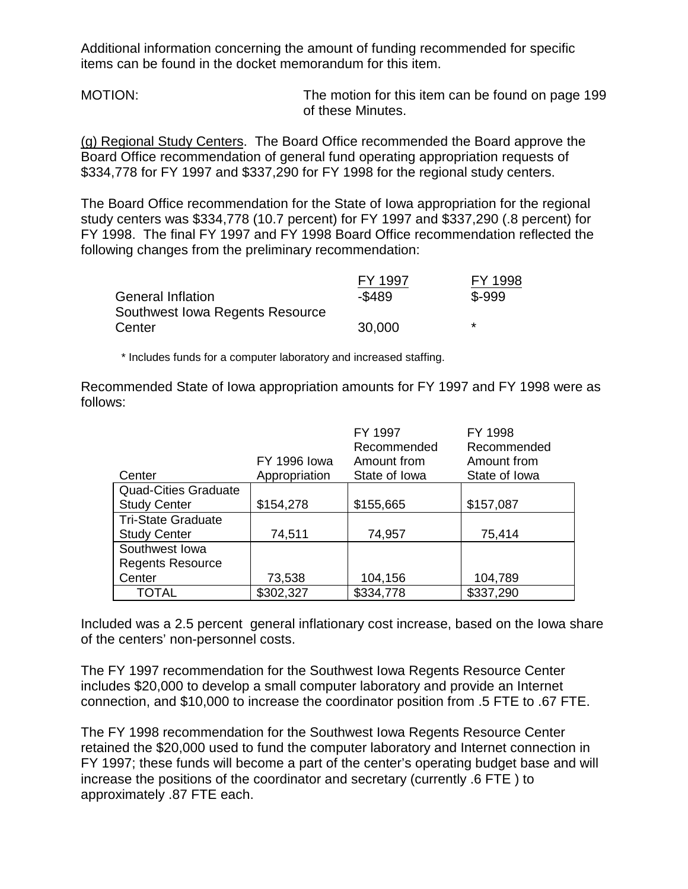Additional information concerning the amount of funding recommended for specific items can be found in the docket memorandum for this item.

MOTION: The motion for this item can be found on page 199 of these Minutes.

(g) Regional Study Centers. The Board Office recommended the Board approve the Board Office recommendation of general fund operating appropriation requests of \$334,778 for FY 1997 and \$337,290 for FY 1998 for the regional study centers.

The Board Office recommendation for the State of Iowa appropriation for the regional study centers was \$334,778 (10.7 percent) for FY 1997 and \$337,290 (.8 percent) for FY 1998. The final FY 1997 and FY 1998 Board Office recommendation reflected the following changes from the preliminary recommendation:

|                                 | FY 1997   | FY 1998 |
|---------------------------------|-----------|---------|
| <b>General Inflation</b>        | $-$ \$489 | $$-999$ |
| Southwest Iowa Regents Resource |           |         |
| Center                          | 30,000    | *       |

\* Includes funds for a computer laboratory and increased staffing.

Recommended State of Iowa appropriation amounts for FY 1997 and FY 1998 were as follows:

|                             |                     | FY 1997<br>Recommended | FY 1998<br>Recommended |
|-----------------------------|---------------------|------------------------|------------------------|
|                             | <b>FY 1996 lowa</b> | Amount from            | Amount from            |
| Center                      | Appropriation       | State of Iowa          | State of Iowa          |
| <b>Quad-Cities Graduate</b> |                     |                        |                        |
| <b>Study Center</b>         | \$154,278           | \$155,665              | \$157,087              |
| <b>Tri-State Graduate</b>   |                     |                        |                        |
| <b>Study Center</b>         | 74,511              | 74,957                 | 75,414                 |
| Southwest Iowa              |                     |                        |                        |
| <b>Regents Resource</b>     |                     |                        |                        |
| Center                      | 73,538              | 104,156                | 104,789                |
| TOTAL                       | \$302,327           | \$334,778              | \$337,290              |

Included was a 2.5 percent general inflationary cost increase, based on the Iowa share of the centers' non-personnel costs.

The FY 1997 recommendation for the Southwest Iowa Regents Resource Center includes \$20,000 to develop a small computer laboratory and provide an Internet connection, and \$10,000 to increase the coordinator position from .5 FTE to .67 FTE.

The FY 1998 recommendation for the Southwest Iowa Regents Resource Center retained the \$20,000 used to fund the computer laboratory and Internet connection in FY 1997; these funds will become a part of the center's operating budget base and will increase the positions of the coordinator and secretary (currently .6 FTE ) to approximately .87 FTE each.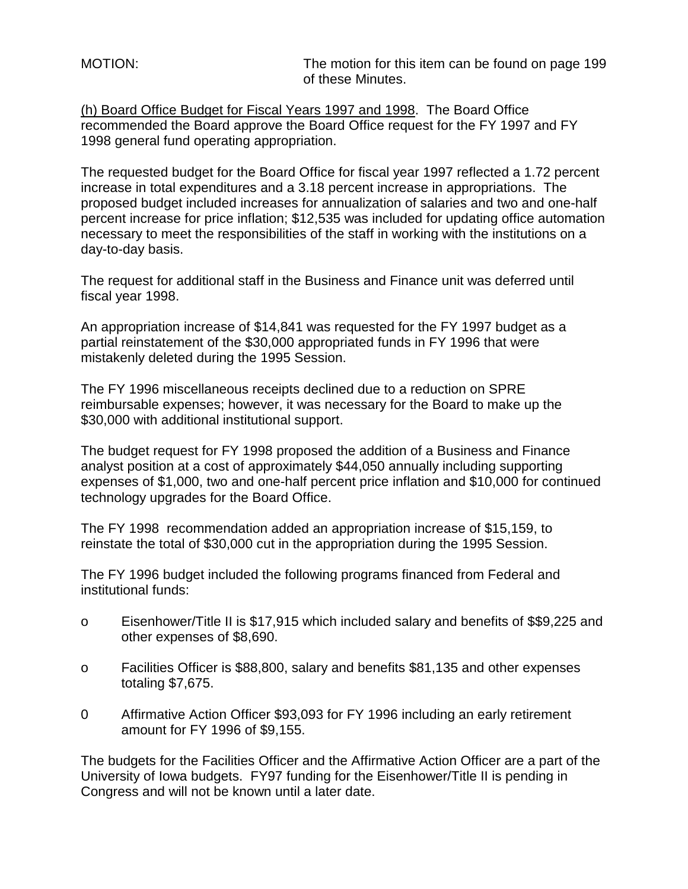MOTION: The motion for this item can be found on page 199 of these Minutes.

(h) Board Office Budget for Fiscal Years 1997 and 1998. The Board Office recommended the Board approve the Board Office request for the FY 1997 and FY 1998 general fund operating appropriation.

The requested budget for the Board Office for fiscal year 1997 reflected a 1.72 percent increase in total expenditures and a 3.18 percent increase in appropriations. The proposed budget included increases for annualization of salaries and two and one-half percent increase for price inflation; \$12,535 was included for updating office automation necessary to meet the responsibilities of the staff in working with the institutions on a day-to-day basis.

The request for additional staff in the Business and Finance unit was deferred until fiscal year 1998.

An appropriation increase of \$14,841 was requested for the FY 1997 budget as a partial reinstatement of the \$30,000 appropriated funds in FY 1996 that were mistakenly deleted during the 1995 Session.

The FY 1996 miscellaneous receipts declined due to a reduction on SPRE reimbursable expenses; however, it was necessary for the Board to make up the \$30,000 with additional institutional support.

The budget request for FY 1998 proposed the addition of a Business and Finance analyst position at a cost of approximately \$44,050 annually including supporting expenses of \$1,000, two and one-half percent price inflation and \$10,000 for continued technology upgrades for the Board Office.

The FY 1998 recommendation added an appropriation increase of \$15,159, to reinstate the total of \$30,000 cut in the appropriation during the 1995 Session.

The FY 1996 budget included the following programs financed from Federal and institutional funds:

- o Eisenhower/Title II is \$17,915 which included salary and benefits of \$\$9,225 and other expenses of \$8,690.
- o Facilities Officer is \$88,800, salary and benefits \$81,135 and other expenses totaling \$7,675.
- 0 Affirmative Action Officer \$93,093 for FY 1996 including an early retirement amount for FY 1996 of \$9,155.

The budgets for the Facilities Officer and the Affirmative Action Officer are a part of the University of Iowa budgets. FY97 funding for the Eisenhower/Title II is pending in Congress and will not be known until a later date.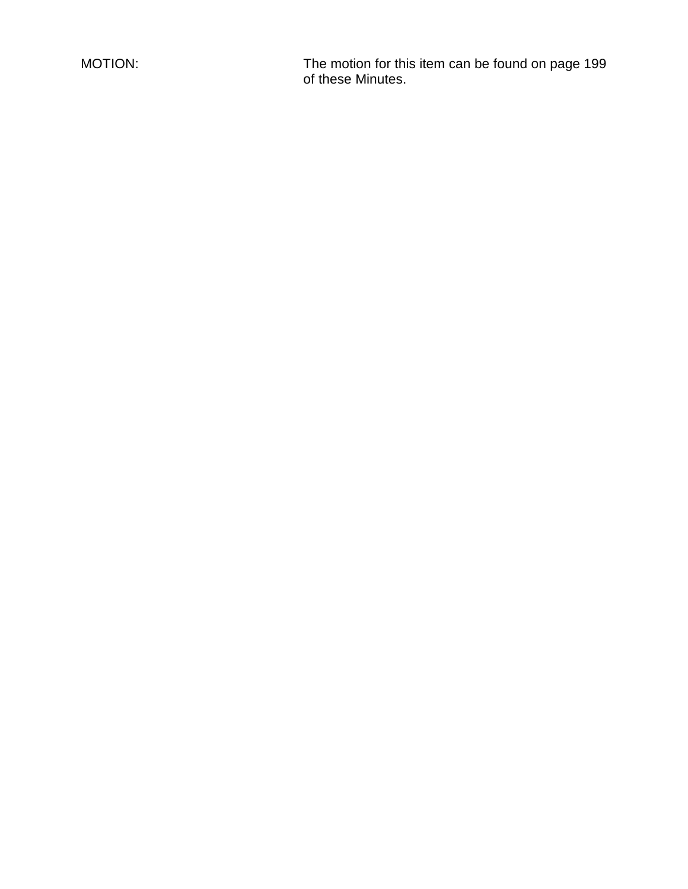MOTION: The motion for this item can be found on page 199 of these Minutes.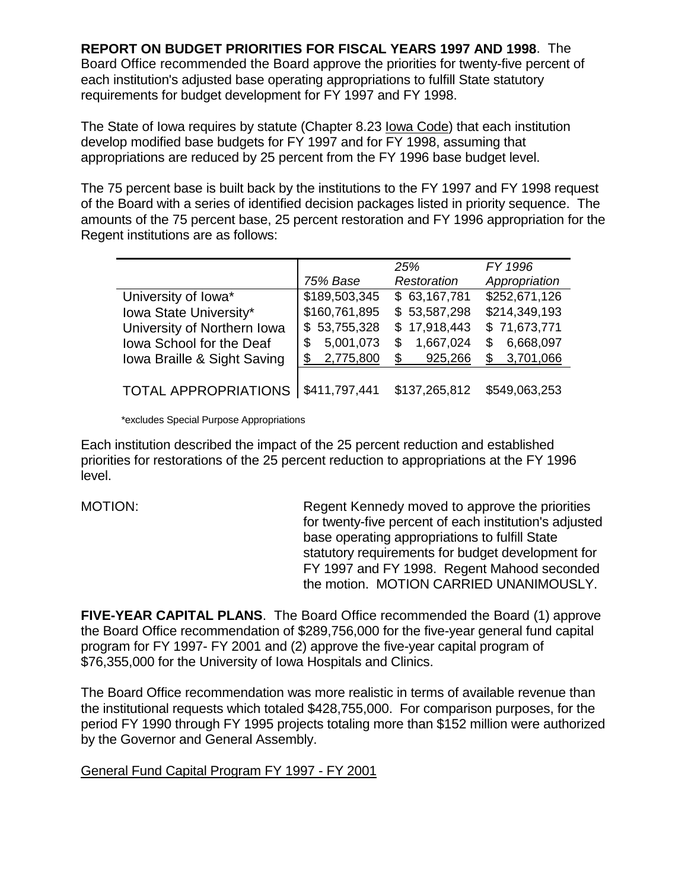**REPORT ON BUDGET PRIORITIES FOR FISCAL YEARS 1997 AND 1998**. The Board Office recommended the Board approve the priorities for twenty-five percent of each institution's adjusted base operating appropriations to fulfill State statutory requirements for budget development for FY 1997 and FY 1998.

The State of Iowa requires by statute (Chapter 8.23 Iowa Code) that each institution develop modified base budgets for FY 1997 and for FY 1998, assuming that appropriations are reduced by 25 percent from the FY 1996 base budget level.

The 75 percent base is built back by the institutions to the FY 1997 and FY 1998 request of the Board with a series of identified decision packages listed in priority sequence. The amounts of the 75 percent base, 25 percent restoration and FY 1996 appropriation for the Regent institutions are as follows:

|                             |                 | 25%            | FY 1996          |
|-----------------------------|-----------------|----------------|------------------|
|                             | 75% Base        | Restoration    | Appropriation    |
| University of Iowa*         | \$189,503,345   | \$63,167,781   | \$252,671,126    |
| Iowa State University*      | \$160,761,895   | \$53,587,298   | \$214,349,193    |
| University of Northern Iowa | \$53,755,328    | \$17,918,443   | \$71,673,771     |
| Iowa School for the Deaf    | 5,001,073<br>\$ | 1,667,024<br>S | 6,668,097<br>\$. |
| Iowa Braille & Sight Saving | 2,775,800       | 925,266<br>\$  | 3,701,066        |
|                             |                 |                |                  |
| <b>TOTAL APPROPRIATIONS</b> | \$411,797,441   | \$137,265,812  | \$549,063,253    |

\*excludes Special Purpose Appropriations

Each institution described the impact of the 25 percent reduction and established priorities for restorations of the 25 percent reduction to appropriations at the FY 1996 level.

MOTION: Regent Kennedy moved to approve the priorities for twenty-five percent of each institution's adjusted base operating appropriations to fulfill State statutory requirements for budget development for FY 1997 and FY 1998. Regent Mahood seconded the motion. MOTION CARRIED UNANIMOUSLY.

**FIVE-YEAR CAPITAL PLANS**. The Board Office recommended the Board (1) approve the Board Office recommendation of \$289,756,000 for the five-year general fund capital program for FY 1997- FY 2001 and (2) approve the five-year capital program of \$76,355,000 for the University of Iowa Hospitals and Clinics.

The Board Office recommendation was more realistic in terms of available revenue than the institutional requests which totaled \$428,755,000. For comparison purposes, for the period FY 1990 through FY 1995 projects totaling more than \$152 million were authorized by the Governor and General Assembly.

General Fund Capital Program FY 1997 - FY 2001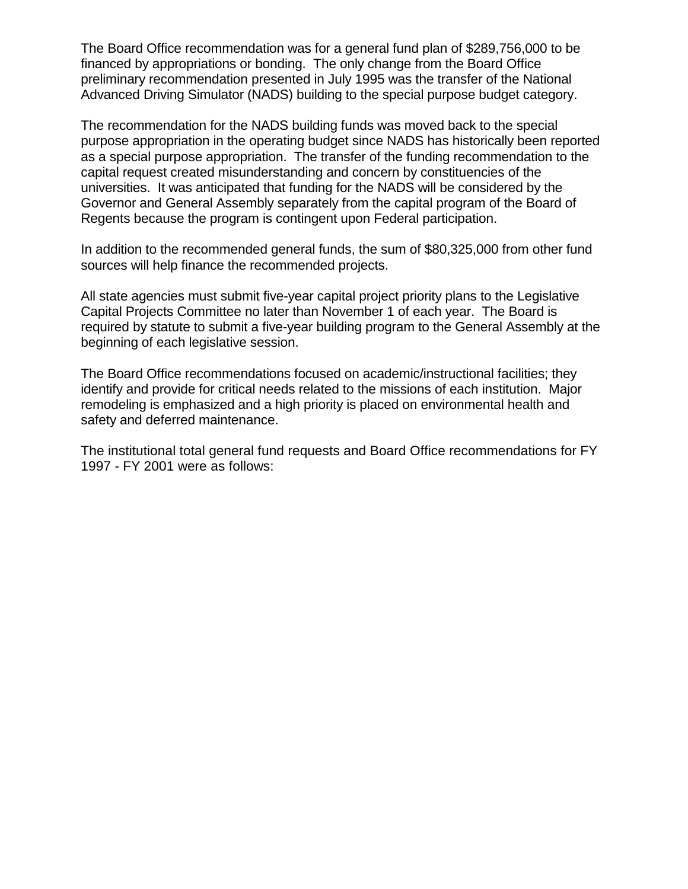The Board Office recommendation was for a general fund plan of \$289,756,000 to be financed by appropriations or bonding. The only change from the Board Office preliminary recommendation presented in July 1995 was the transfer of the National Advanced Driving Simulator (NADS) building to the special purpose budget category.

The recommendation for the NADS building funds was moved back to the special purpose appropriation in the operating budget since NADS has historically been reported as a special purpose appropriation. The transfer of the funding recommendation to the capital request created misunderstanding and concern by constituencies of the universities. It was anticipated that funding for the NADS will be considered by the Governor and General Assembly separately from the capital program of the Board of Regents because the program is contingent upon Federal participation.

In addition to the recommended general funds, the sum of \$80,325,000 from other fund sources will help finance the recommended projects.

All state agencies must submit five-year capital project priority plans to the Legislative Capital Projects Committee no later than November 1 of each year. The Board is required by statute to submit a five-year building program to the General Assembly at the beginning of each legislative session.

The Board Office recommendations focused on academic/instructional facilities; they identify and provide for critical needs related to the missions of each institution. Major remodeling is emphasized and a high priority is placed on environmental health and safety and deferred maintenance.

The institutional total general fund requests and Board Office recommendations for FY 1997 - FY 2001 were as follows: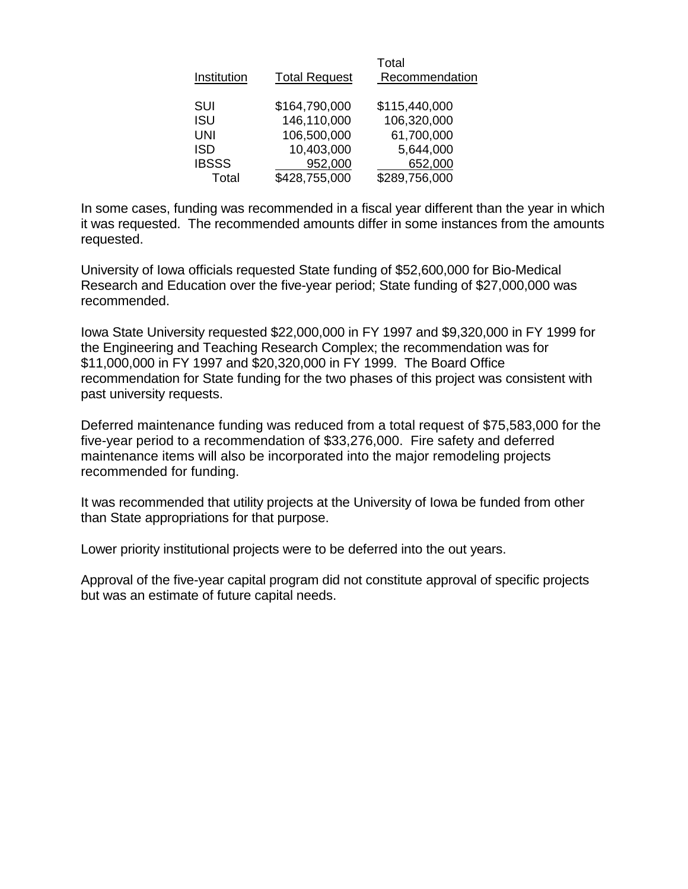| Institution  | <b>Total Request</b> | Total<br>Recommendation |
|--------------|----------------------|-------------------------|
| <b>SUI</b>   | \$164,790,000        | \$115,440,000           |
| <b>ISU</b>   | 146,110,000          | 106,320,000             |
| <b>UNI</b>   | 106,500,000          | 61,700,000              |
| <b>ISD</b>   | 10,403,000           | 5,644,000               |
| <b>IBSSS</b> | 952,000              | 652,000                 |
| Total        | \$428,755,000        | \$289,756,000           |

In some cases, funding was recommended in a fiscal year different than the year in which it was requested. The recommended amounts differ in some instances from the amounts requested.

University of Iowa officials requested State funding of \$52,600,000 for Bio-Medical Research and Education over the five-year period; State funding of \$27,000,000 was recommended.

Iowa State University requested \$22,000,000 in FY 1997 and \$9,320,000 in FY 1999 for the Engineering and Teaching Research Complex; the recommendation was for \$11,000,000 in FY 1997 and \$20,320,000 in FY 1999. The Board Office recommendation for State funding for the two phases of this project was consistent with past university requests.

Deferred maintenance funding was reduced from a total request of \$75,583,000 for the five-year period to a recommendation of \$33,276,000. Fire safety and deferred maintenance items will also be incorporated into the major remodeling projects recommended for funding.

It was recommended that utility projects at the University of Iowa be funded from other than State appropriations for that purpose.

Lower priority institutional projects were to be deferred into the out years.

Approval of the five-year capital program did not constitute approval of specific projects but was an estimate of future capital needs.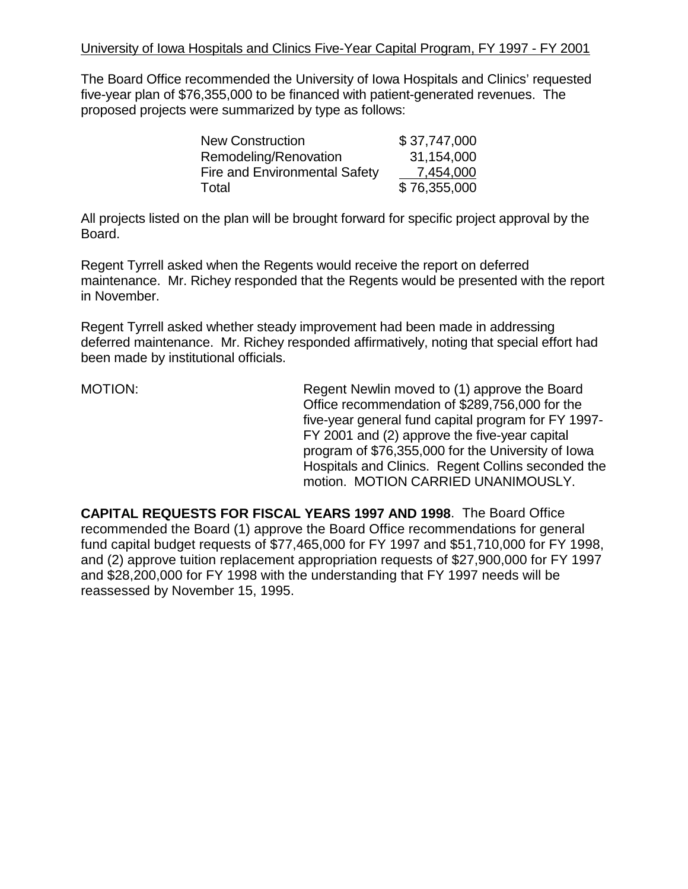The Board Office recommended the University of Iowa Hospitals and Clinics' requested five-year plan of \$76,355,000 to be financed with patient-generated revenues. The proposed projects were summarized by type as follows:

| <b>New Construction</b>              | \$37,747,000 |
|--------------------------------------|--------------|
| Remodeling/Renovation                | 31,154,000   |
| <b>Fire and Environmental Safety</b> | 7,454,000    |
| Total                                | \$76,355,000 |

All projects listed on the plan will be brought forward for specific project approval by the Board.

Regent Tyrrell asked when the Regents would receive the report on deferred maintenance. Mr. Richey responded that the Regents would be presented with the report in November.

Regent Tyrrell asked whether steady improvement had been made in addressing deferred maintenance. Mr. Richey responded affirmatively, noting that special effort had been made by institutional officials.

MOTION: Regent Newlin moved to (1) approve the Board Office recommendation of \$289,756,000 for the five-year general fund capital program for FY 1997- FY 2001 and (2) approve the five-year capital program of \$76,355,000 for the University of Iowa Hospitals and Clinics. Regent Collins seconded the motion. MOTION CARRIED UNANIMOUSLY.

**CAPITAL REQUESTS FOR FISCAL YEARS 1997 AND 1998**. The Board Office recommended the Board (1) approve the Board Office recommendations for general fund capital budget requests of \$77,465,000 for FY 1997 and \$51,710,000 for FY 1998, and (2) approve tuition replacement appropriation requests of \$27,900,000 for FY 1997 and \$28,200,000 for FY 1998 with the understanding that FY 1997 needs will be reassessed by November 15, 1995.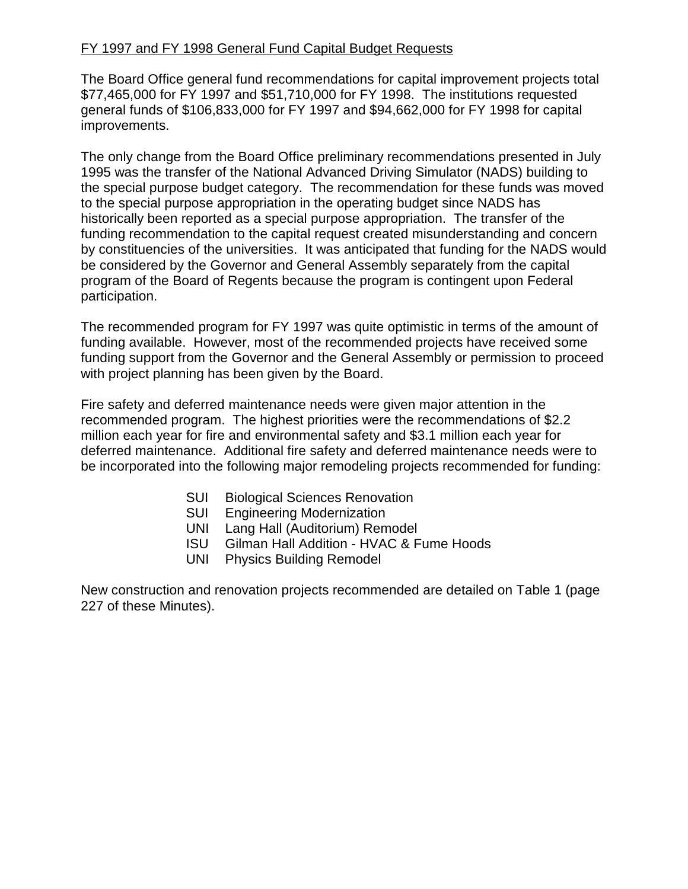## FY 1997 and FY 1998 General Fund Capital Budget Requests

The Board Office general fund recommendations for capital improvement projects total \$77,465,000 for FY 1997 and \$51,710,000 for FY 1998. The institutions requested general funds of \$106,833,000 for FY 1997 and \$94,662,000 for FY 1998 for capital improvements.

The only change from the Board Office preliminary recommendations presented in July 1995 was the transfer of the National Advanced Driving Simulator (NADS) building to the special purpose budget category. The recommendation for these funds was moved to the special purpose appropriation in the operating budget since NADS has historically been reported as a special purpose appropriation. The transfer of the funding recommendation to the capital request created misunderstanding and concern by constituencies of the universities. It was anticipated that funding for the NADS would be considered by the Governor and General Assembly separately from the capital program of the Board of Regents because the program is contingent upon Federal participation.

The recommended program for FY 1997 was quite optimistic in terms of the amount of funding available. However, most of the recommended projects have received some funding support from the Governor and the General Assembly or permission to proceed with project planning has been given by the Board.

Fire safety and deferred maintenance needs were given major attention in the recommended program. The highest priorities were the recommendations of \$2.2 million each year for fire and environmental safety and \$3.1 million each year for deferred maintenance. Additional fire safety and deferred maintenance needs were to be incorporated into the following major remodeling projects recommended for funding:

- SUI Biological Sciences Renovation
- SUI Engineering Modernization
- UNI Lang Hall (Auditorium) Remodel
- ISU Gilman Hall Addition HVAC & Fume Hoods
- UNI Physics Building Remodel

New construction and renovation projects recommended are detailed on Table 1 (page 227 of these Minutes).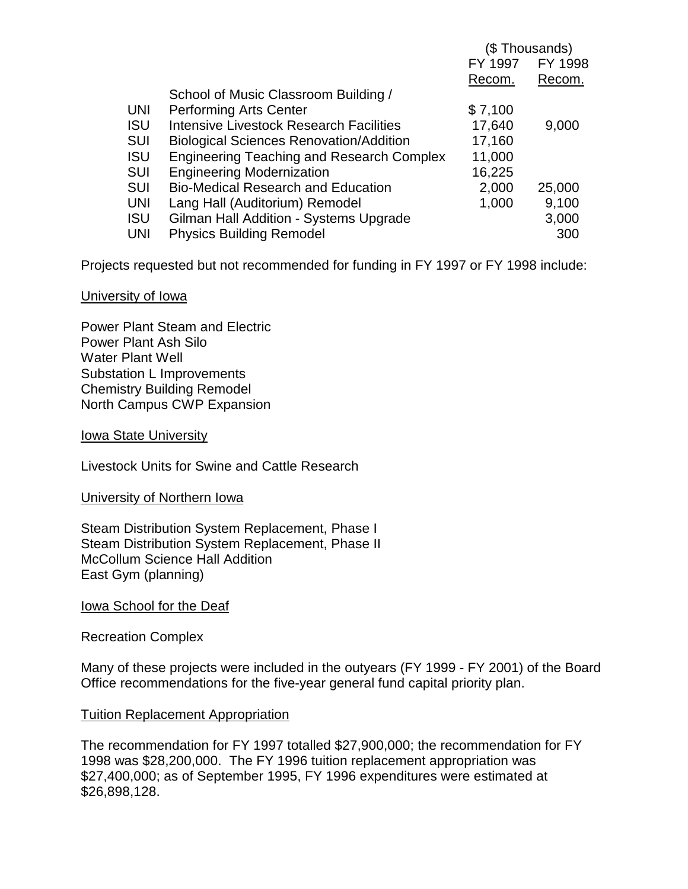|            |                                                  | (\$ Thousands) |         |
|------------|--------------------------------------------------|----------------|---------|
|            |                                                  | FY 1997        | FY 1998 |
|            |                                                  | Recom.         | Recom.  |
|            | School of Music Classroom Building /             |                |         |
| <b>UNI</b> | <b>Performing Arts Center</b>                    | \$7,100        |         |
| <b>ISU</b> | Intensive Livestock Research Facilities          | 17,640         | 9,000   |
| <b>SUI</b> | <b>Biological Sciences Renovation/Addition</b>   | 17,160         |         |
| <b>ISU</b> | <b>Engineering Teaching and Research Complex</b> | 11,000         |         |
| <b>SUI</b> | <b>Engineering Modernization</b>                 | 16,225         |         |
| <b>SUI</b> | <b>Bio-Medical Research and Education</b>        | 2,000          | 25,000  |
| <b>UNI</b> | Lang Hall (Auditorium) Remodel                   | 1,000          | 9,100   |
| ISU        | Gilman Hall Addition - Systems Upgrade           |                | 3,000   |
| <b>UNI</b> | <b>Physics Building Remodel</b>                  |                | 300     |

Projects requested but not recommended for funding in FY 1997 or FY 1998 include:

## University of Iowa

Power Plant Steam and Electric Power Plant Ash Silo Water Plant Well Substation L Improvements Chemistry Building Remodel North Campus CWP Expansion

Iowa State University

Livestock Units for Swine and Cattle Research

University of Northern Iowa

Steam Distribution System Replacement, Phase I Steam Distribution System Replacement, Phase II McCollum Science Hall Addition East Gym (planning)

Iowa School for the Deaf

Recreation Complex

Many of these projects were included in the outyears (FY 1999 - FY 2001) of the Board Office recommendations for the five-year general fund capital priority plan.

### Tuition Replacement Appropriation

The recommendation for FY 1997 totalled \$27,900,000; the recommendation for FY 1998 was \$28,200,000. The FY 1996 tuition replacement appropriation was \$27,400,000; as of September 1995, FY 1996 expenditures were estimated at \$26,898,128.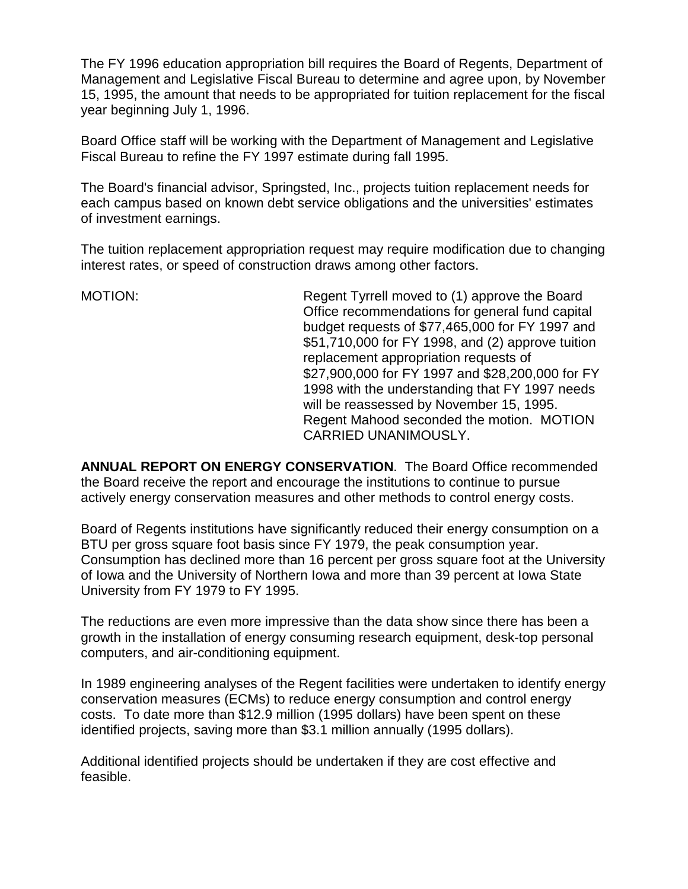The FY 1996 education appropriation bill requires the Board of Regents, Department of Management and Legislative Fiscal Bureau to determine and agree upon, by November 15, 1995, the amount that needs to be appropriated for tuition replacement for the fiscal year beginning July 1, 1996.

Board Office staff will be working with the Department of Management and Legislative Fiscal Bureau to refine the FY 1997 estimate during fall 1995.

The Board's financial advisor, Springsted, Inc., projects tuition replacement needs for each campus based on known debt service obligations and the universities' estimates of investment earnings.

The tuition replacement appropriation request may require modification due to changing interest rates, or speed of construction draws among other factors.

MOTION: Regent Tyrrell moved to (1) approve the Board Office recommendations for general fund capital budget requests of \$77,465,000 for FY 1997 and \$51,710,000 for FY 1998, and (2) approve tuition replacement appropriation requests of \$27,900,000 for FY 1997 and \$28,200,000 for FY 1998 with the understanding that FY 1997 needs will be reassessed by November 15, 1995. Regent Mahood seconded the motion. MOTION CARRIED UNANIMOUSLY.

**ANNUAL REPORT ON ENERGY CONSERVATION**. The Board Office recommended the Board receive the report and encourage the institutions to continue to pursue actively energy conservation measures and other methods to control energy costs.

Board of Regents institutions have significantly reduced their energy consumption on a BTU per gross square foot basis since FY 1979, the peak consumption year. Consumption has declined more than 16 percent per gross square foot at the University of Iowa and the University of Northern Iowa and more than 39 percent at Iowa State University from FY 1979 to FY 1995.

The reductions are even more impressive than the data show since there has been a growth in the installation of energy consuming research equipment, desk-top personal computers, and air-conditioning equipment.

In 1989 engineering analyses of the Regent facilities were undertaken to identify energy conservation measures (ECMs) to reduce energy consumption and control energy costs. To date more than \$12.9 million (1995 dollars) have been spent on these identified projects, saving more than \$3.1 million annually (1995 dollars).

Additional identified projects should be undertaken if they are cost effective and feasible.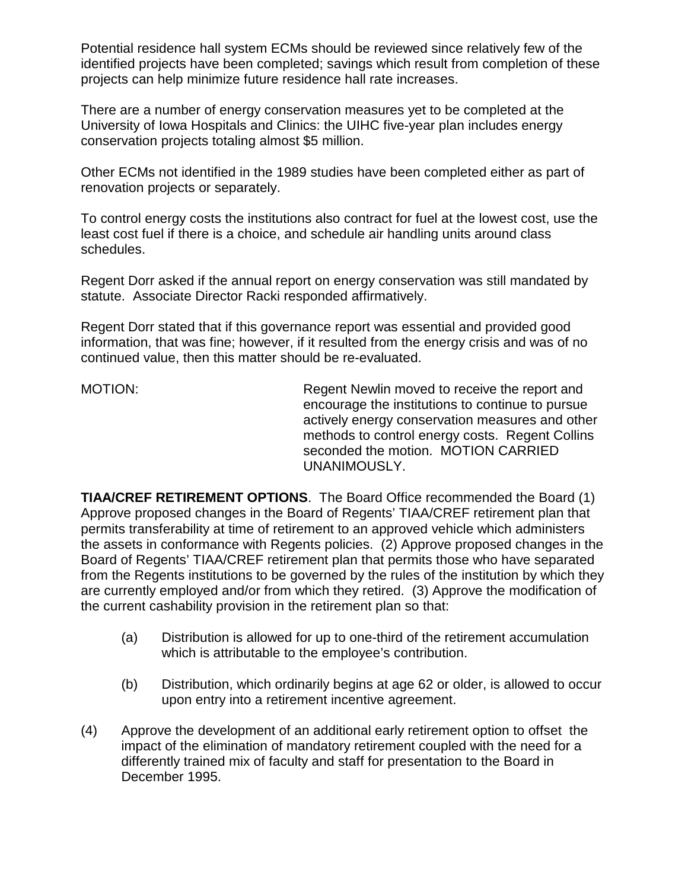Potential residence hall system ECMs should be reviewed since relatively few of the identified projects have been completed; savings which result from completion of these projects can help minimize future residence hall rate increases.

There are a number of energy conservation measures yet to be completed at the University of Iowa Hospitals and Clinics: the UIHC five-year plan includes energy conservation projects totaling almost \$5 million.

Other ECMs not identified in the 1989 studies have been completed either as part of renovation projects or separately.

To control energy costs the institutions also contract for fuel at the lowest cost, use the least cost fuel if there is a choice, and schedule air handling units around class schedules.

Regent Dorr asked if the annual report on energy conservation was still mandated by statute. Associate Director Racki responded affirmatively.

Regent Dorr stated that if this governance report was essential and provided good information, that was fine; however, if it resulted from the energy crisis and was of no continued value, then this matter should be re-evaluated.

MOTION: Regent Newlin moved to receive the report and encourage the institutions to continue to pursue actively energy conservation measures and other methods to control energy costs. Regent Collins seconded the motion. MOTION CARRIED UNANIMOUSLY.

**TIAA/CREF RETIREMENT OPTIONS**. The Board Office recommended the Board (1) Approve proposed changes in the Board of Regents' TIAA/CREF retirement plan that permits transferability at time of retirement to an approved vehicle which administers the assets in conformance with Regents policies. (2) Approve proposed changes in the Board of Regents' TIAA/CREF retirement plan that permits those who have separated from the Regents institutions to be governed by the rules of the institution by which they are currently employed and/or from which they retired. (3) Approve the modification of the current cashability provision in the retirement plan so that:

- (a) Distribution is allowed for up to one-third of the retirement accumulation which is attributable to the employee's contribution.
- (b) Distribution, which ordinarily begins at age 62 or older, is allowed to occur upon entry into a retirement incentive agreement.
- (4) Approve the development of an additional early retirement option to offset the impact of the elimination of mandatory retirement coupled with the need for a differently trained mix of faculty and staff for presentation to the Board in December 1995.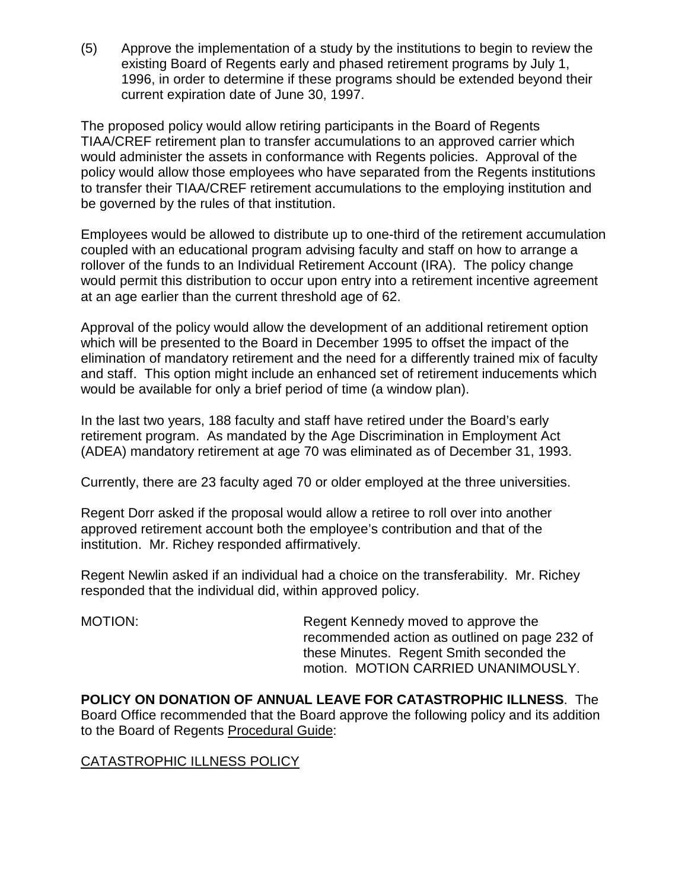(5) Approve the implementation of a study by the institutions to begin to review the existing Board of Regents early and phased retirement programs by July 1, 1996, in order to determine if these programs should be extended beyond their current expiration date of June 30, 1997.

The proposed policy would allow retiring participants in the Board of Regents TIAA/CREF retirement plan to transfer accumulations to an approved carrier which would administer the assets in conformance with Regents policies. Approval of the policy would allow those employees who have separated from the Regents institutions to transfer their TIAA/CREF retirement accumulations to the employing institution and be governed by the rules of that institution.

Employees would be allowed to distribute up to one-third of the retirement accumulation coupled with an educational program advising faculty and staff on how to arrange a rollover of the funds to an Individual Retirement Account (IRA). The policy change would permit this distribution to occur upon entry into a retirement incentive agreement at an age earlier than the current threshold age of 62.

Approval of the policy would allow the development of an additional retirement option which will be presented to the Board in December 1995 to offset the impact of the elimination of mandatory retirement and the need for a differently trained mix of faculty and staff. This option might include an enhanced set of retirement inducements which would be available for only a brief period of time (a window plan).

In the last two years, 188 faculty and staff have retired under the Board's early retirement program. As mandated by the Age Discrimination in Employment Act (ADEA) mandatory retirement at age 70 was eliminated as of December 31, 1993.

Currently, there are 23 faculty aged 70 or older employed at the three universities.

Regent Dorr asked if the proposal would allow a retiree to roll over into another approved retirement account both the employee's contribution and that of the institution. Mr. Richey responded affirmatively.

Regent Newlin asked if an individual had a choice on the transferability. Mr. Richey responded that the individual did, within approved policy.

MOTION: Regent Kennedy moved to approve the recommended action as outlined on page 232 of these Minutes. Regent Smith seconded the motion. MOTION CARRIED UNANIMOUSLY.

**POLICY ON DONATION OF ANNUAL LEAVE FOR CATASTROPHIC ILLNESS**. The Board Office recommended that the Board approve the following policy and its addition to the Board of Regents Procedural Guide:

# CATASTROPHIC ILLNESS POLICY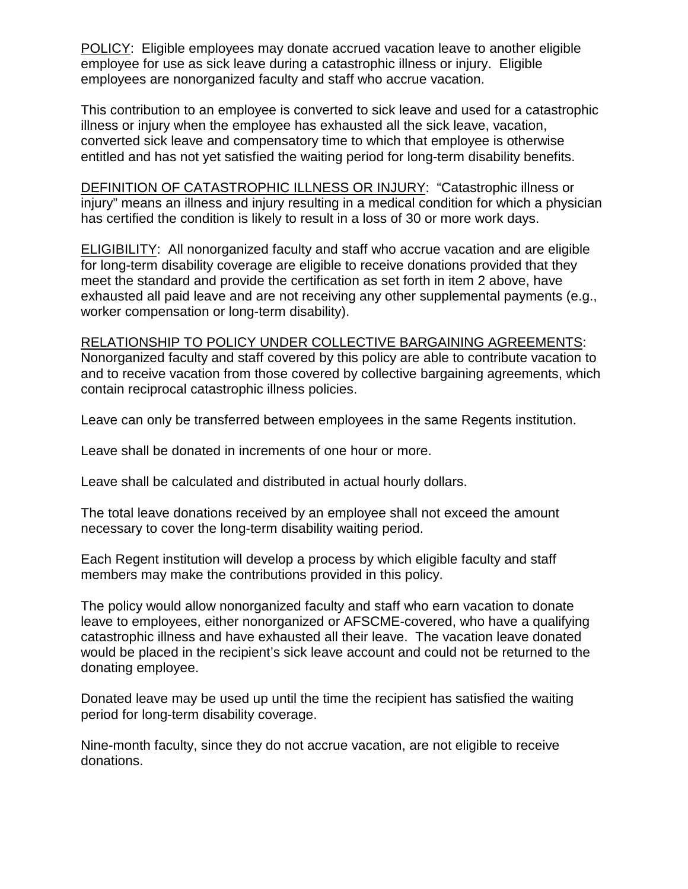POLICY: Eligible employees may donate accrued vacation leave to another eligible employee for use as sick leave during a catastrophic illness or injury. Eligible employees are nonorganized faculty and staff who accrue vacation.

This contribution to an employee is converted to sick leave and used for a catastrophic illness or injury when the employee has exhausted all the sick leave, vacation, converted sick leave and compensatory time to which that employee is otherwise entitled and has not yet satisfied the waiting period for long-term disability benefits.

DEFINITION OF CATASTROPHIC ILLNESS OR INJURY: "Catastrophic illness or injury" means an illness and injury resulting in a medical condition for which a physician has certified the condition is likely to result in a loss of 30 or more work days.

ELIGIBILITY: All nonorganized faculty and staff who accrue vacation and are eligible for long-term disability coverage are eligible to receive donations provided that they meet the standard and provide the certification as set forth in item 2 above, have exhausted all paid leave and are not receiving any other supplemental payments (e.g., worker compensation or long-term disability).

## RELATIONSHIP TO POLICY UNDER COLLECTIVE BARGAINING AGREEMENTS:

Nonorganized faculty and staff covered by this policy are able to contribute vacation to and to receive vacation from those covered by collective bargaining agreements, which contain reciprocal catastrophic illness policies.

Leave can only be transferred between employees in the same Regents institution.

Leave shall be donated in increments of one hour or more.

Leave shall be calculated and distributed in actual hourly dollars.

The total leave donations received by an employee shall not exceed the amount necessary to cover the long-term disability waiting period.

Each Regent institution will develop a process by which eligible faculty and staff members may make the contributions provided in this policy.

The policy would allow nonorganized faculty and staff who earn vacation to donate leave to employees, either nonorganized or AFSCME-covered, who have a qualifying catastrophic illness and have exhausted all their leave. The vacation leave donated would be placed in the recipient's sick leave account and could not be returned to the donating employee.

Donated leave may be used up until the time the recipient has satisfied the waiting period for long-term disability coverage.

Nine-month faculty, since they do not accrue vacation, are not eligible to receive donations.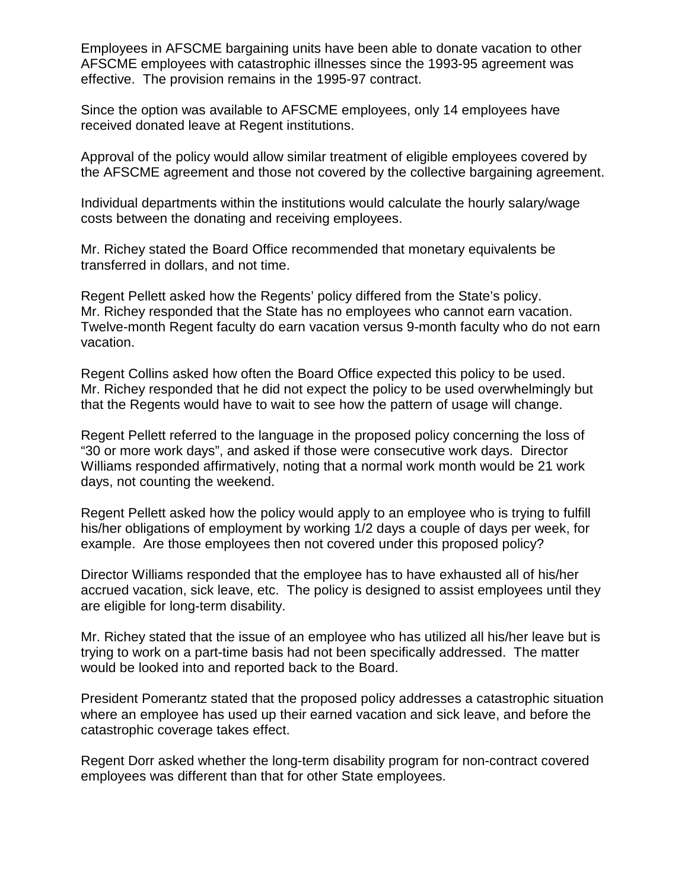Employees in AFSCME bargaining units have been able to donate vacation to other AFSCME employees with catastrophic illnesses since the 1993-95 agreement was effective. The provision remains in the 1995-97 contract.

Since the option was available to AFSCME employees, only 14 employees have received donated leave at Regent institutions.

Approval of the policy would allow similar treatment of eligible employees covered by the AFSCME agreement and those not covered by the collective bargaining agreement.

Individual departments within the institutions would calculate the hourly salary/wage costs between the donating and receiving employees.

Mr. Richey stated the Board Office recommended that monetary equivalents be transferred in dollars, and not time.

Regent Pellett asked how the Regents' policy differed from the State's policy. Mr. Richey responded that the State has no employees who cannot earn vacation. Twelve-month Regent faculty do earn vacation versus 9-month faculty who do not earn vacation.

Regent Collins asked how often the Board Office expected this policy to be used. Mr. Richey responded that he did not expect the policy to be used overwhelmingly but that the Regents would have to wait to see how the pattern of usage will change.

Regent Pellett referred to the language in the proposed policy concerning the loss of "30 or more work days", and asked if those were consecutive work days. Director Williams responded affirmatively, noting that a normal work month would be 21 work days, not counting the weekend.

Regent Pellett asked how the policy would apply to an employee who is trying to fulfill his/her obligations of employment by working 1/2 days a couple of days per week, for example. Are those employees then not covered under this proposed policy?

Director Williams responded that the employee has to have exhausted all of his/her accrued vacation, sick leave, etc. The policy is designed to assist employees until they are eligible for long-term disability.

Mr. Richey stated that the issue of an employee who has utilized all his/her leave but is trying to work on a part-time basis had not been specifically addressed. The matter would be looked into and reported back to the Board.

President Pomerantz stated that the proposed policy addresses a catastrophic situation where an employee has used up their earned vacation and sick leave, and before the catastrophic coverage takes effect.

Regent Dorr asked whether the long-term disability program for non-contract covered employees was different than that for other State employees.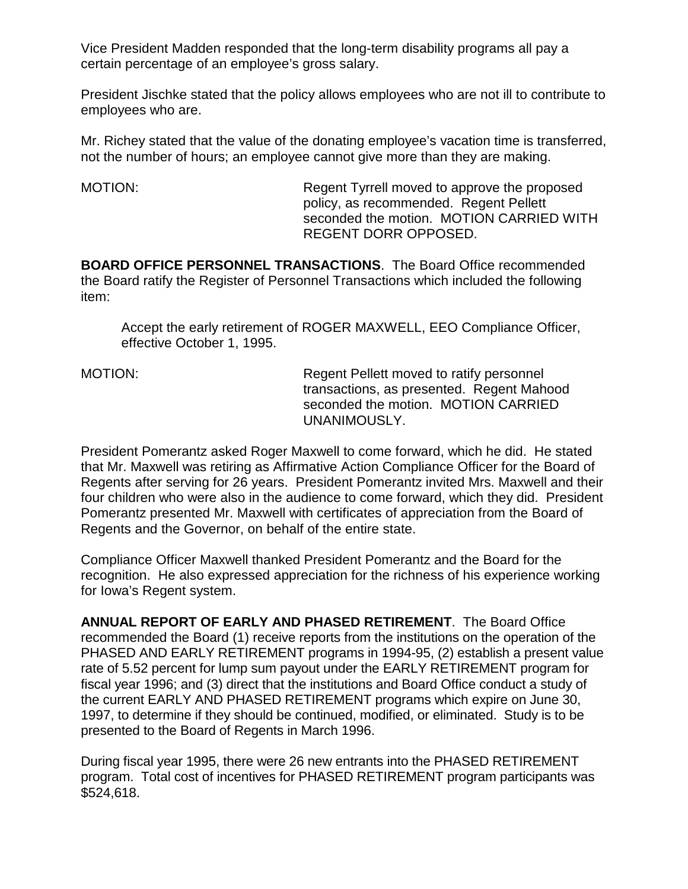Vice President Madden responded that the long-term disability programs all pay a certain percentage of an employee's gross salary.

President Jischke stated that the policy allows employees who are not ill to contribute to employees who are.

Mr. Richey stated that the value of the donating employee's vacation time is transferred, not the number of hours; an employee cannot give more than they are making.

MOTION: MOTION: Regent Tyrrell moved to approve the proposed policy, as recommended. Regent Pellett seconded the motion. MOTION CARRIED WITH REGENT DORR OPPOSED.

**BOARD OFFICE PERSONNEL TRANSACTIONS**. The Board Office recommended the Board ratify the Register of Personnel Transactions which included the following item:

Accept the early retirement of ROGER MAXWELL, EEO Compliance Officer, effective October 1, 1995.

MOTION: Regent Pellett moved to ratify personnel transactions, as presented. Regent Mahood seconded the motion. MOTION CARRIED UNANIMOUSLY.

President Pomerantz asked Roger Maxwell to come forward, which he did. He stated that Mr. Maxwell was retiring as Affirmative Action Compliance Officer for the Board of Regents after serving for 26 years. President Pomerantz invited Mrs. Maxwell and their four children who were also in the audience to come forward, which they did. President Pomerantz presented Mr. Maxwell with certificates of appreciation from the Board of Regents and the Governor, on behalf of the entire state.

Compliance Officer Maxwell thanked President Pomerantz and the Board for the recognition. He also expressed appreciation for the richness of his experience working for Iowa's Regent system.

**ANNUAL REPORT OF EARLY AND PHASED RETIREMENT**. The Board Office recommended the Board (1) receive reports from the institutions on the operation of the PHASED AND EARLY RETIREMENT programs in 1994-95, (2) establish a present value rate of 5.52 percent for lump sum payout under the EARLY RETIREMENT program for fiscal year 1996; and (3) direct that the institutions and Board Office conduct a study of the current EARLY AND PHASED RETIREMENT programs which expire on June 30, 1997, to determine if they should be continued, modified, or eliminated. Study is to be presented to the Board of Regents in March 1996.

During fiscal year 1995, there were 26 new entrants into the PHASED RETIREMENT program. Total cost of incentives for PHASED RETIREMENT program participants was \$524,618.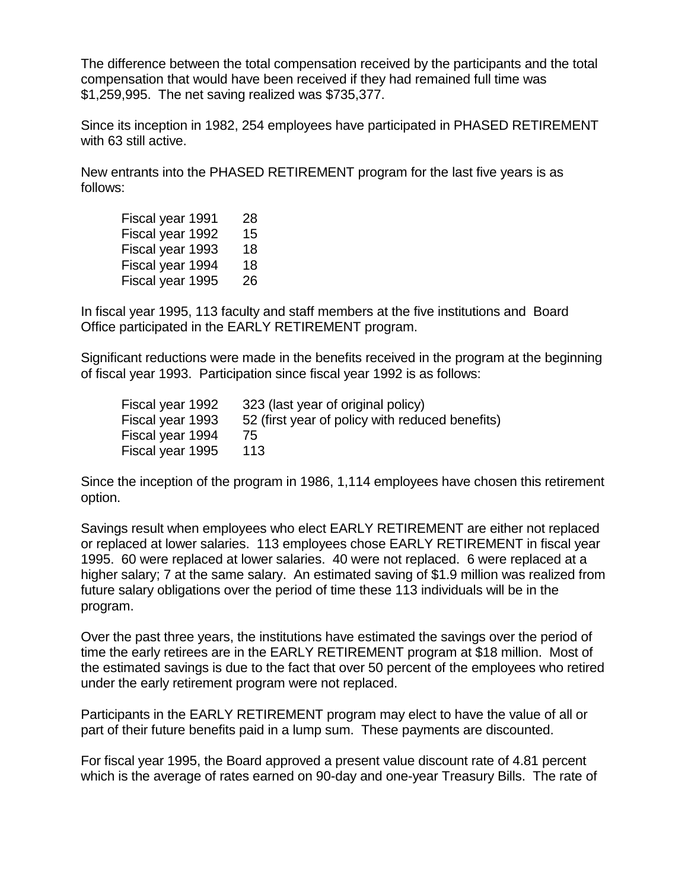The difference between the total compensation received by the participants and the total compensation that would have been received if they had remained full time was \$1,259,995. The net saving realized was \$735,377.

Since its inception in 1982, 254 employees have participated in PHASED RETIREMENT with 63 still active.

New entrants into the PHASED RETIREMENT program for the last five years is as follows:

| Fiscal year 1991 | 28 |
|------------------|----|
| Fiscal year 1992 | 15 |
| Fiscal year 1993 | 18 |
| Fiscal year 1994 | 18 |
| Fiscal year 1995 | 26 |

In fiscal year 1995, 113 faculty and staff members at the five institutions and Board Office participated in the EARLY RETIREMENT program.

Significant reductions were made in the benefits received in the program at the beginning of fiscal year 1993. Participation since fiscal year 1992 is as follows:

| Fiscal year 1992 | 323 (last year of original policy)              |
|------------------|-------------------------------------------------|
| Fiscal year 1993 | 52 (first year of policy with reduced benefits) |
| Fiscal year 1994 | 75                                              |
| Fiscal year 1995 | 113                                             |

Since the inception of the program in 1986, 1,114 employees have chosen this retirement option.

Savings result when employees who elect EARLY RETIREMENT are either not replaced or replaced at lower salaries. 113 employees chose EARLY RETIREMENT in fiscal year 1995. 60 were replaced at lower salaries. 40 were not replaced. 6 were replaced at a higher salary; 7 at the same salary. An estimated saving of \$1.9 million was realized from future salary obligations over the period of time these 113 individuals will be in the program.

Over the past three years, the institutions have estimated the savings over the period of time the early retirees are in the EARLY RETIREMENT program at \$18 million. Most of the estimated savings is due to the fact that over 50 percent of the employees who retired under the early retirement program were not replaced.

Participants in the EARLY RETIREMENT program may elect to have the value of all or part of their future benefits paid in a lump sum. These payments are discounted.

For fiscal year 1995, the Board approved a present value discount rate of 4.81 percent which is the average of rates earned on 90-day and one-year Treasury Bills. The rate of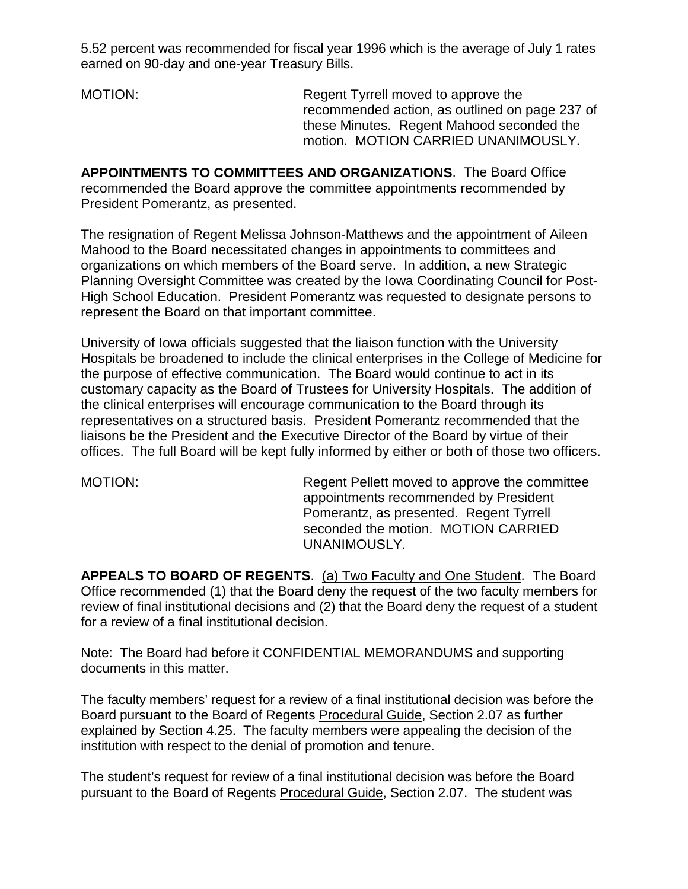5.52 percent was recommended for fiscal year 1996 which is the average of July 1 rates earned on 90-day and one-year Treasury Bills.

MOTION: Regent Tyrrell moved to approve the recommended action, as outlined on page 237 of these Minutes. Regent Mahood seconded the motion. MOTION CARRIED UNANIMOUSLY.

**APPOINTMENTS TO COMMITTEES AND ORGANIZATIONS**. The Board Office recommended the Board approve the committee appointments recommended by President Pomerantz, as presented.

The resignation of Regent Melissa Johnson-Matthews and the appointment of Aileen Mahood to the Board necessitated changes in appointments to committees and organizations on which members of the Board serve. In addition, a new Strategic Planning Oversight Committee was created by the Iowa Coordinating Council for Post-High School Education. President Pomerantz was requested to designate persons to represent the Board on that important committee.

University of Iowa officials suggested that the liaison function with the University Hospitals be broadened to include the clinical enterprises in the College of Medicine for the purpose of effective communication. The Board would continue to act in its customary capacity as the Board of Trustees for University Hospitals. The addition of the clinical enterprises will encourage communication to the Board through its representatives on a structured basis. President Pomerantz recommended that the liaisons be the President and the Executive Director of the Board by virtue of their offices. The full Board will be kept fully informed by either or both of those two officers.

MOTION: Regent Pellett moved to approve the committee appointments recommended by President Pomerantz, as presented. Regent Tyrrell seconded the motion. MOTION CARRIED UNANIMOUSLY.

**APPEALS TO BOARD OF REGENTS**. (a) Two Faculty and One Student. The Board Office recommended (1) that the Board deny the request of the two faculty members for review of final institutional decisions and (2) that the Board deny the request of a student for a review of a final institutional decision.

Note: The Board had before it CONFIDENTIAL MEMORANDUMS and supporting documents in this matter.

The faculty members' request for a review of a final institutional decision was before the Board pursuant to the Board of Regents Procedural Guide, Section 2.07 as further explained by Section 4.25. The faculty members were appealing the decision of the institution with respect to the denial of promotion and tenure.

The student's request for review of a final institutional decision was before the Board pursuant to the Board of Regents Procedural Guide, Section 2.07. The student was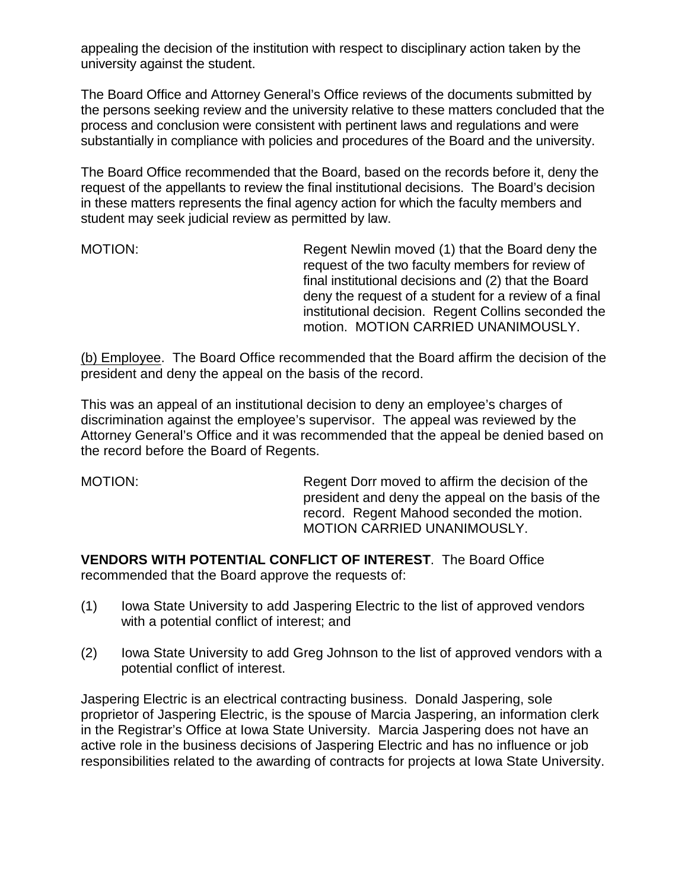appealing the decision of the institution with respect to disciplinary action taken by the university against the student.

The Board Office and Attorney General's Office reviews of the documents submitted by the persons seeking review and the university relative to these matters concluded that the process and conclusion were consistent with pertinent laws and regulations and were substantially in compliance with policies and procedures of the Board and the university.

The Board Office recommended that the Board, based on the records before it, deny the request of the appellants to review the final institutional decisions. The Board's decision in these matters represents the final agency action for which the faculty members and student may seek judicial review as permitted by law.

MOTION: Regent Newlin moved (1) that the Board deny the request of the two faculty members for review of final institutional decisions and (2) that the Board deny the request of a student for a review of a final institutional decision. Regent Collins seconded the motion. MOTION CARRIED UNANIMOUSLY.

(b) Employee. The Board Office recommended that the Board affirm the decision of the president and deny the appeal on the basis of the record.

This was an appeal of an institutional decision to deny an employee's charges of discrimination against the employee's supervisor. The appeal was reviewed by the Attorney General's Office and it was recommended that the appeal be denied based on the record before the Board of Regents.

MOTION: Regent Dorr moved to affirm the decision of the president and deny the appeal on the basis of the record. Regent Mahood seconded the motion. MOTION CARRIED UNANIMOUSLY.

**VENDORS WITH POTENTIAL CONFLICT OF INTEREST**. The Board Office recommended that the Board approve the requests of:

- (1) Iowa State University to add Jaspering Electric to the list of approved vendors with a potential conflict of interest; and
- (2) Iowa State University to add Greg Johnson to the list of approved vendors with a potential conflict of interest.

Jaspering Electric is an electrical contracting business. Donald Jaspering, sole proprietor of Jaspering Electric, is the spouse of Marcia Jaspering, an information clerk in the Registrar's Office at Iowa State University. Marcia Jaspering does not have an active role in the business decisions of Jaspering Electric and has no influence or job responsibilities related to the awarding of contracts for projects at Iowa State University.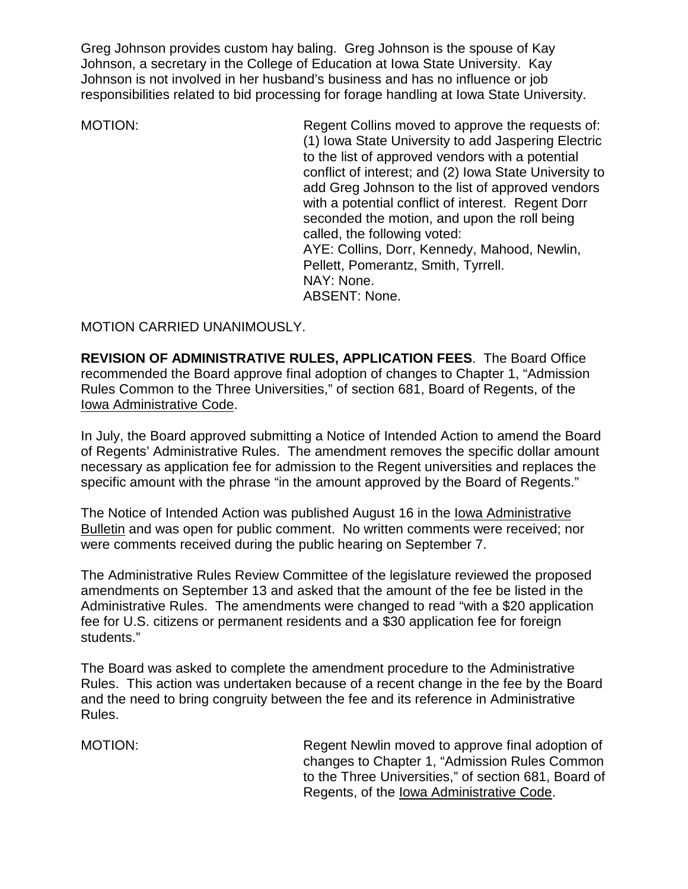Greg Johnson provides custom hay baling. Greg Johnson is the spouse of Kay Johnson, a secretary in the College of Education at Iowa State University. Kay Johnson is not involved in her husband's business and has no influence or job responsibilities related to bid processing for forage handling at Iowa State University.

MOTION: Regent Collins moved to approve the requests of: (1) Iowa State University to add Jaspering Electric to the list of approved vendors with a potential conflict of interest; and (2) Iowa State University to add Greg Johnson to the list of approved vendors with a potential conflict of interest. Regent Dorr seconded the motion, and upon the roll being called, the following voted: AYE: Collins, Dorr, Kennedy, Mahood, Newlin, Pellett, Pomerantz, Smith, Tyrrell. NAY: None. ABSENT: None.

MOTION CARRIED UNANIMOUSLY.

**REVISION OF ADMINISTRATIVE RULES, APPLICATION FEES**. The Board Office recommended the Board approve final adoption of changes to Chapter 1, "Admission Rules Common to the Three Universities," of section 681, Board of Regents, of the Iowa Administrative Code.

In July, the Board approved submitting a Notice of Intended Action to amend the Board of Regents' Administrative Rules. The amendment removes the specific dollar amount necessary as application fee for admission to the Regent universities and replaces the specific amount with the phrase "in the amount approved by the Board of Regents."

The Notice of Intended Action was published August 16 in the Iowa Administrative Bulletin and was open for public comment. No written comments were received; nor were comments received during the public hearing on September 7.

The Administrative Rules Review Committee of the legislature reviewed the proposed amendments on September 13 and asked that the amount of the fee be listed in the Administrative Rules. The amendments were changed to read "with a \$20 application fee for U.S. citizens or permanent residents and a \$30 application fee for foreign students."

The Board was asked to complete the amendment procedure to the Administrative Rules. This action was undertaken because of a recent change in the fee by the Board and the need to bring congruity between the fee and its reference in Administrative Rules.

MOTION: Regent Newlin moved to approve final adoption of changes to Chapter 1, "Admission Rules Common to the Three Universities," of section 681, Board of Regents, of the Iowa Administrative Code.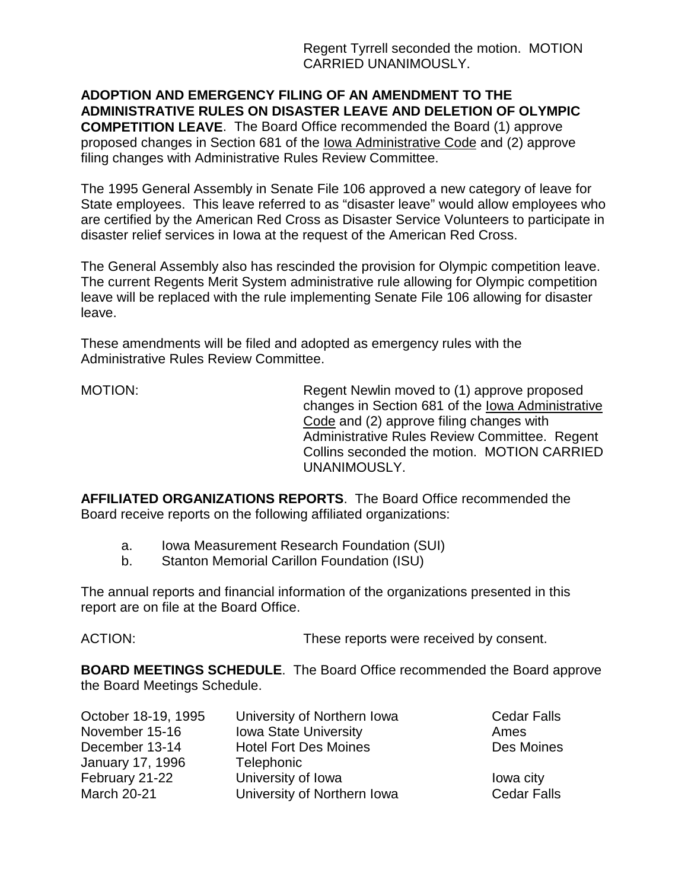Regent Tyrrell seconded the motion. MOTION CARRIED UNANIMOUSLY.

**ADOPTION AND EMERGENCY FILING OF AN AMENDMENT TO THE ADMINISTRATIVE RULES ON DISASTER LEAVE AND DELETION OF OLYMPIC**

**COMPETITION LEAVE**. The Board Office recommended the Board (1) approve proposed changes in Section 681 of the Iowa Administrative Code and (2) approve filing changes with Administrative Rules Review Committee.

The 1995 General Assembly in Senate File 106 approved a new category of leave for State employees. This leave referred to as "disaster leave" would allow employees who are certified by the American Red Cross as Disaster Service Volunteers to participate in disaster relief services in Iowa at the request of the American Red Cross.

The General Assembly also has rescinded the provision for Olympic competition leave. The current Regents Merit System administrative rule allowing for Olympic competition leave will be replaced with the rule implementing Senate File 106 allowing for disaster leave.

These amendments will be filed and adopted as emergency rules with the Administrative Rules Review Committee.

MOTION: Regent Newlin moved to (1) approve proposed changes in Section 681 of the Iowa Administrative Code and (2) approve filing changes with Administrative Rules Review Committee. Regent Collins seconded the motion. MOTION CARRIED UNANIMOUSLY.

**AFFILIATED ORGANIZATIONS REPORTS**. The Board Office recommended the Board receive reports on the following affiliated organizations:

- a. Iowa Measurement Research Foundation (SUI)
- b. Stanton Memorial Carillon Foundation (ISU)

The annual reports and financial information of the organizations presented in this report are on file at the Board Office.

ACTION: These reports were received by consent.

**BOARD MEETINGS SCHEDULE**. The Board Office recommended the Board approve the Board Meetings Schedule.

| October 18-19, 1995 | University of Northern Iowa  | <b>Cedar Falls</b> |
|---------------------|------------------------------|--------------------|
| November 15-16      | <b>Iowa State University</b> | Ames               |
| December 13-14      | <b>Hotel Fort Des Moines</b> | Des Moines         |
| January 17, 1996    | Telephonic                   |                    |
| February 21-22      | University of Iowa           | lowa city          |
| <b>March 20-21</b>  | University of Northern Iowa  | <b>Cedar Falls</b> |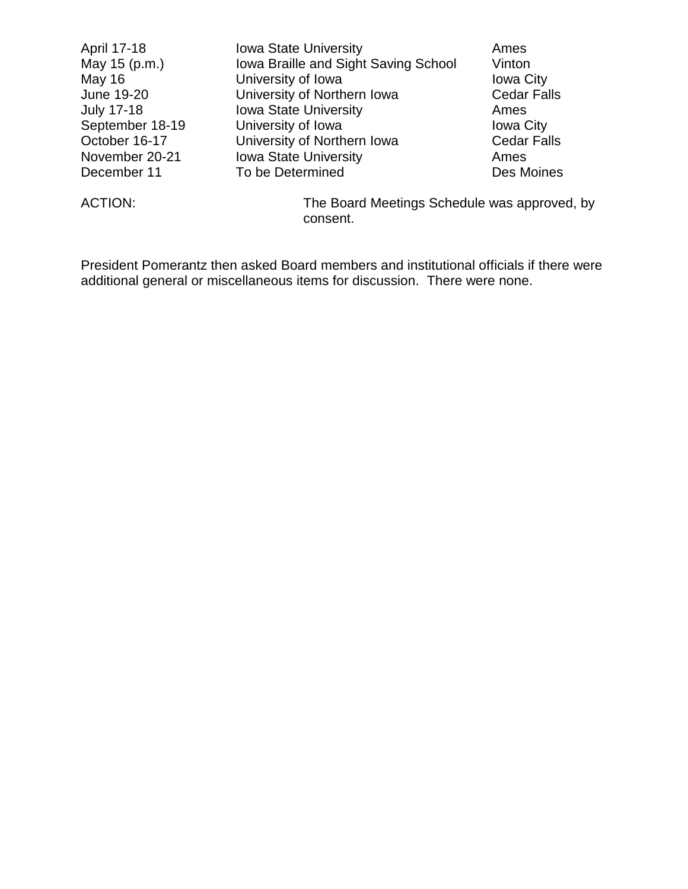| April 17-18       | <b>Iowa State University</b>         | Ames               |
|-------------------|--------------------------------------|--------------------|
| May 15 (p.m.)     | Iowa Braille and Sight Saving School | Vinton             |
| <b>May 16</b>     | University of Iowa                   | <b>Iowa City</b>   |
| June 19-20        | University of Northern Iowa          | <b>Cedar Falls</b> |
| <b>July 17-18</b> | <b>Iowa State University</b>         | Ames               |
| September 18-19   | University of Iowa                   | <b>Iowa City</b>   |
| October 16-17     | University of Northern Iowa          | <b>Cedar Falls</b> |
| November 20-21    | <b>Iowa State University</b>         | Ames               |
| December 11       | To be Determined                     | Des Moines         |
|                   |                                      |                    |

ACTION: The Board Meetings Schedule was approved, by consent.

President Pomerantz then asked Board members and institutional officials if there were additional general or miscellaneous items for discussion. There were none.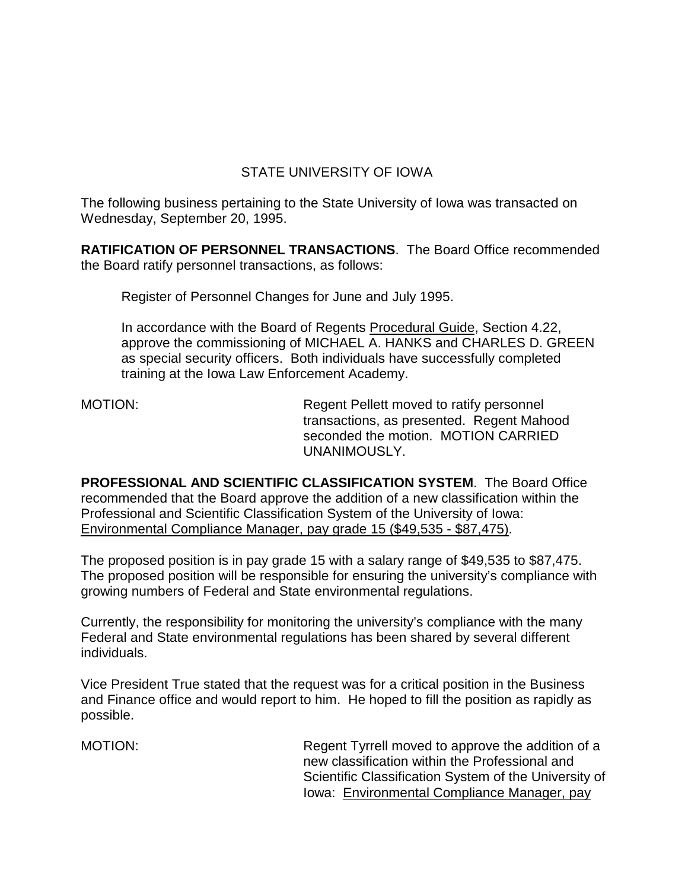# STATE UNIVERSITY OF IOWA

The following business pertaining to the State University of Iowa was transacted on Wednesday, September 20, 1995.

**RATIFICATION OF PERSONNEL TRANSACTIONS**. The Board Office recommended the Board ratify personnel transactions, as follows:

Register of Personnel Changes for June and July 1995.

In accordance with the Board of Regents Procedural Guide, Section 4.22, approve the commissioning of MICHAEL A. HANKS and CHARLES D. GREEN as special security officers. Both individuals have successfully completed training at the Iowa Law Enforcement Academy.

MOTION: Regent Pellett moved to ratify personnel transactions, as presented. Regent Mahood seconded the motion. MOTION CARRIED UNANIMOUSLY.

**PROFESSIONAL AND SCIENTIFIC CLASSIFICATION SYSTEM**. The Board Office recommended that the Board approve the addition of a new classification within the Professional and Scientific Classification System of the University of Iowa: Environmental Compliance Manager, pay grade 15 (\$49,535 - \$87,475).

The proposed position is in pay grade 15 with a salary range of \$49,535 to \$87,475. The proposed position will be responsible for ensuring the university's compliance with growing numbers of Federal and State environmental regulations.

Currently, the responsibility for monitoring the university's compliance with the many Federal and State environmental regulations has been shared by several different individuals.

Vice President True stated that the request was for a critical position in the Business and Finance office and would report to him. He hoped to fill the position as rapidly as possible.

MOTION: Regent Tyrrell moved to approve the addition of a new classification within the Professional and Scientific Classification System of the University of Iowa: Environmental Compliance Manager, pay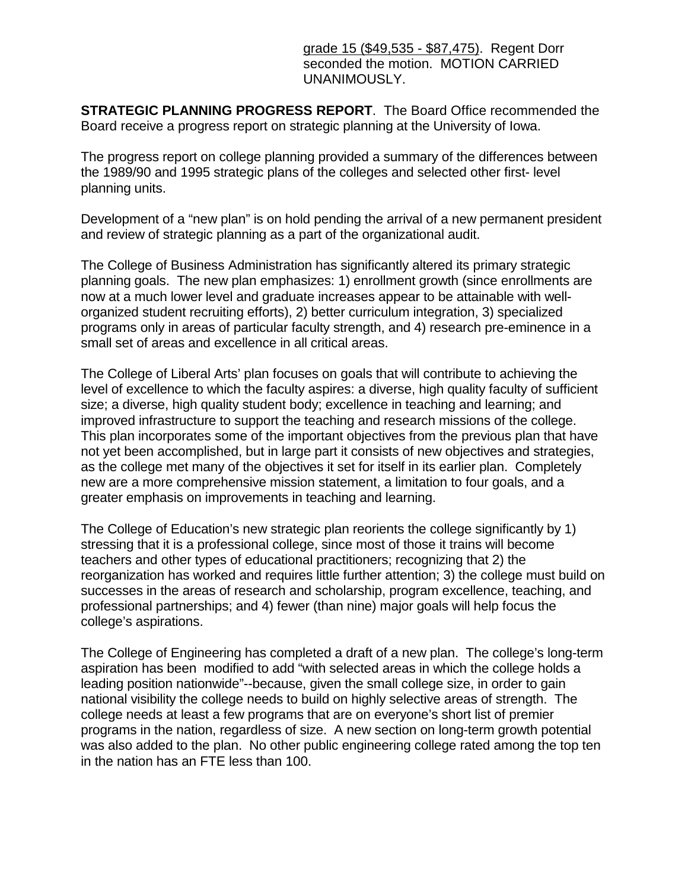grade 15 (\$49,535 - \$87,475). Regent Dorr seconded the motion. MOTION CARRIED UNANIMOUSLY.

**STRATEGIC PLANNING PROGRESS REPORT**. The Board Office recommended the Board receive a progress report on strategic planning at the University of Iowa.

The progress report on college planning provided a summary of the differences between the 1989/90 and 1995 strategic plans of the colleges and selected other first- level planning units.

Development of a "new plan" is on hold pending the arrival of a new permanent president and review of strategic planning as a part of the organizational audit.

The College of Business Administration has significantly altered its primary strategic planning goals. The new plan emphasizes: 1) enrollment growth (since enrollments are now at a much lower level and graduate increases appear to be attainable with wellorganized student recruiting efforts), 2) better curriculum integration, 3) specialized programs only in areas of particular faculty strength, and 4) research pre-eminence in a small set of areas and excellence in all critical areas.

The College of Liberal Arts' plan focuses on goals that will contribute to achieving the level of excellence to which the faculty aspires: a diverse, high quality faculty of sufficient size; a diverse, high quality student body; excellence in teaching and learning; and improved infrastructure to support the teaching and research missions of the college. This plan incorporates some of the important objectives from the previous plan that have not yet been accomplished, but in large part it consists of new objectives and strategies, as the college met many of the objectives it set for itself in its earlier plan. Completely new are a more comprehensive mission statement, a limitation to four goals, and a greater emphasis on improvements in teaching and learning.

The College of Education's new strategic plan reorients the college significantly by 1) stressing that it is a professional college, since most of those it trains will become teachers and other types of educational practitioners; recognizing that 2) the reorganization has worked and requires little further attention; 3) the college must build on successes in the areas of research and scholarship, program excellence, teaching, and professional partnerships; and 4) fewer (than nine) major goals will help focus the college's aspirations.

The College of Engineering has completed a draft of a new plan. The college's long-term aspiration has been modified to add "with selected areas in which the college holds a leading position nationwide"--because, given the small college size, in order to gain national visibility the college needs to build on highly selective areas of strength. The college needs at least a few programs that are on everyone's short list of premier programs in the nation, regardless of size. A new section on long-term growth potential was also added to the plan. No other public engineering college rated among the top ten in the nation has an FTE less than 100.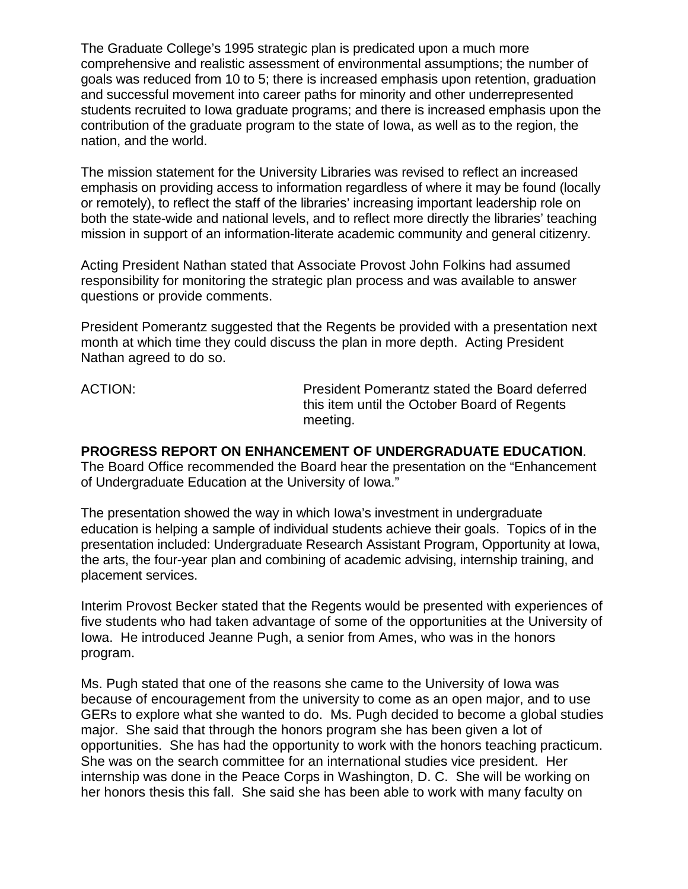The Graduate College's 1995 strategic plan is predicated upon a much more comprehensive and realistic assessment of environmental assumptions; the number of goals was reduced from 10 to 5; there is increased emphasis upon retention, graduation and successful movement into career paths for minority and other underrepresented students recruited to Iowa graduate programs; and there is increased emphasis upon the contribution of the graduate program to the state of Iowa, as well as to the region, the nation, and the world.

The mission statement for the University Libraries was revised to reflect an increased emphasis on providing access to information regardless of where it may be found (locally or remotely), to reflect the staff of the libraries' increasing important leadership role on both the state-wide and national levels, and to reflect more directly the libraries' teaching mission in support of an information-literate academic community and general citizenry.

Acting President Nathan stated that Associate Provost John Folkins had assumed responsibility for monitoring the strategic plan process and was available to answer questions or provide comments.

President Pomerantz suggested that the Regents be provided with a presentation next month at which time they could discuss the plan in more depth. Acting President Nathan agreed to do so.

ACTION: President Pomerantz stated the Board deferred this item until the October Board of Regents meeting.

**PROGRESS REPORT ON ENHANCEMENT OF UNDERGRADUATE EDUCATION**. The Board Office recommended the Board hear the presentation on the "Enhancement of Undergraduate Education at the University of Iowa."

The presentation showed the way in which Iowa's investment in undergraduate education is helping a sample of individual students achieve their goals. Topics of in the presentation included: Undergraduate Research Assistant Program, Opportunity at Iowa, the arts, the four-year plan and combining of academic advising, internship training, and placement services.

Interim Provost Becker stated that the Regents would be presented with experiences of five students who had taken advantage of some of the opportunities at the University of Iowa. He introduced Jeanne Pugh, a senior from Ames, who was in the honors program.

Ms. Pugh stated that one of the reasons she came to the University of Iowa was because of encouragement from the university to come as an open major, and to use GERs to explore what she wanted to do. Ms. Pugh decided to become a global studies major. She said that through the honors program she has been given a lot of opportunities. She has had the opportunity to work with the honors teaching practicum. She was on the search committee for an international studies vice president. Her internship was done in the Peace Corps in Washington, D. C. She will be working on her honors thesis this fall. She said she has been able to work with many faculty on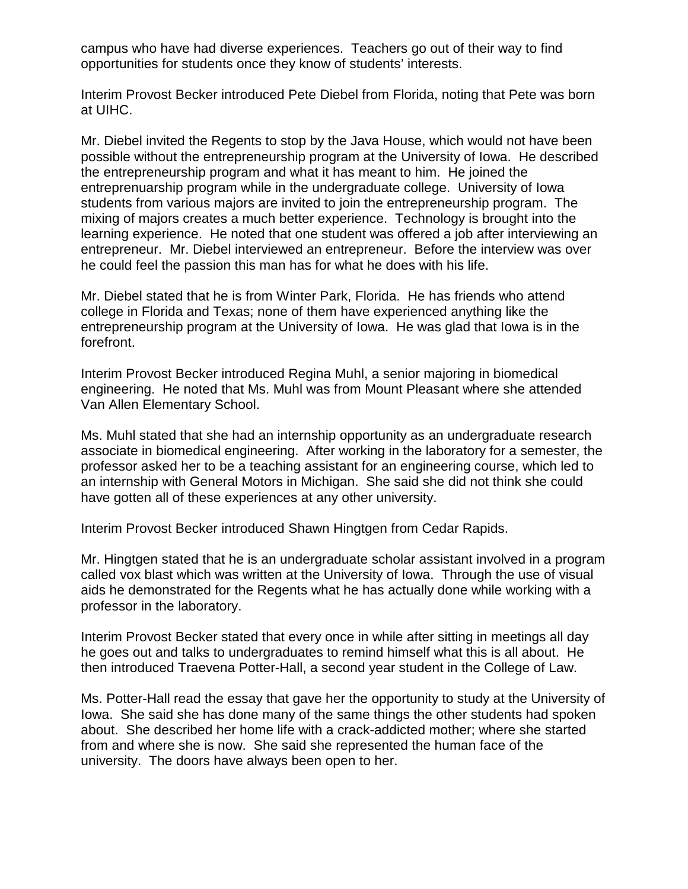campus who have had diverse experiences. Teachers go out of their way to find opportunities for students once they know of students' interests.

Interim Provost Becker introduced Pete Diebel from Florida, noting that Pete was born at UIHC.

Mr. Diebel invited the Regents to stop by the Java House, which would not have been possible without the entrepreneurship program at the University of Iowa. He described the entrepreneurship program and what it has meant to him. He joined the entreprenuarship program while in the undergraduate college. University of Iowa students from various majors are invited to join the entrepreneurship program. The mixing of majors creates a much better experience. Technology is brought into the learning experience. He noted that one student was offered a job after interviewing an entrepreneur. Mr. Diebel interviewed an entrepreneur. Before the interview was over he could feel the passion this man has for what he does with his life.

Mr. Diebel stated that he is from Winter Park, Florida. He has friends who attend college in Florida and Texas; none of them have experienced anything like the entrepreneurship program at the University of Iowa. He was glad that Iowa is in the forefront.

Interim Provost Becker introduced Regina Muhl, a senior majoring in biomedical engineering. He noted that Ms. Muhl was from Mount Pleasant where she attended Van Allen Elementary School.

Ms. Muhl stated that she had an internship opportunity as an undergraduate research associate in biomedical engineering. After working in the laboratory for a semester, the professor asked her to be a teaching assistant for an engineering course, which led to an internship with General Motors in Michigan. She said she did not think she could have gotten all of these experiences at any other university.

Interim Provost Becker introduced Shawn Hingtgen from Cedar Rapids.

Mr. Hingtgen stated that he is an undergraduate scholar assistant involved in a program called vox blast which was written at the University of Iowa. Through the use of visual aids he demonstrated for the Regents what he has actually done while working with a professor in the laboratory.

Interim Provost Becker stated that every once in while after sitting in meetings all day he goes out and talks to undergraduates to remind himself what this is all about. He then introduced Traevena Potter-Hall, a second year student in the College of Law.

Ms. Potter-Hall read the essay that gave her the opportunity to study at the University of Iowa. She said she has done many of the same things the other students had spoken about. She described her home life with a crack-addicted mother; where she started from and where she is now. She said she represented the human face of the university. The doors have always been open to her.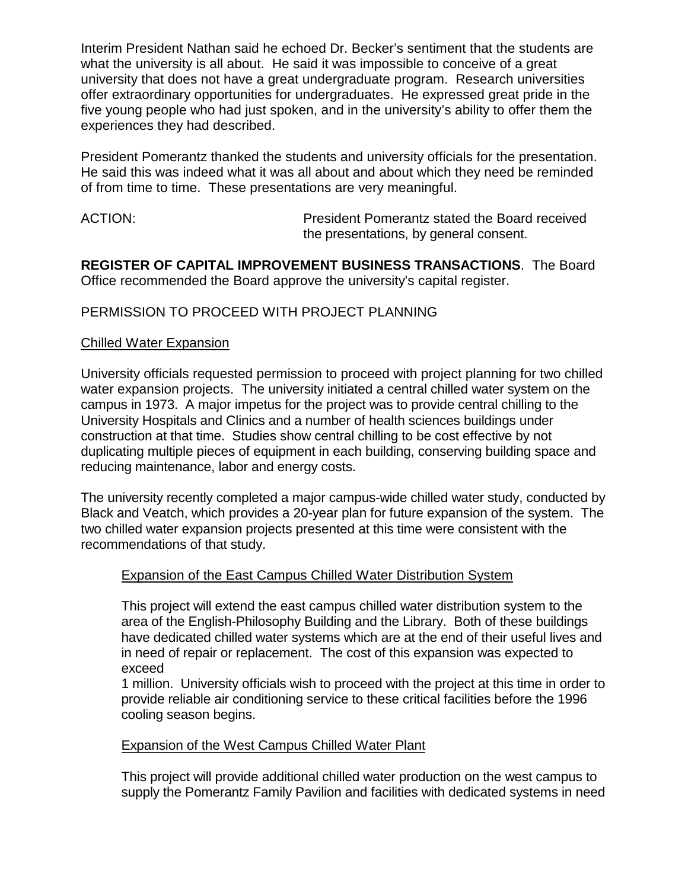Interim President Nathan said he echoed Dr. Becker's sentiment that the students are what the university is all about. He said it was impossible to conceive of a great university that does not have a great undergraduate program. Research universities offer extraordinary opportunities for undergraduates. He expressed great pride in the five young people who had just spoken, and in the university's ability to offer them the experiences they had described.

President Pomerantz thanked the students and university officials for the presentation. He said this was indeed what it was all about and about which they need be reminded of from time to time. These presentations are very meaningful.

ACTION: President Pomerantz stated the Board received the presentations, by general consent.

**REGISTER OF CAPITAL IMPROVEMENT BUSINESS TRANSACTIONS**. The Board Office recommended the Board approve the university's capital register.

## PERMISSION TO PROCEED WITH PROJECT PLANNING

## Chilled Water Expansion

University officials requested permission to proceed with project planning for two chilled water expansion projects. The university initiated a central chilled water system on the campus in 1973. A major impetus for the project was to provide central chilling to the University Hospitals and Clinics and a number of health sciences buildings under construction at that time. Studies show central chilling to be cost effective by not duplicating multiple pieces of equipment in each building, conserving building space and reducing maintenance, labor and energy costs.

The university recently completed a major campus-wide chilled water study, conducted by Black and Veatch, which provides a 20-year plan for future expansion of the system. The two chilled water expansion projects presented at this time were consistent with the recommendations of that study.

## Expansion of the East Campus Chilled Water Distribution System

This project will extend the east campus chilled water distribution system to the area of the English-Philosophy Building and the Library. Both of these buildings have dedicated chilled water systems which are at the end of their useful lives and in need of repair or replacement. The cost of this expansion was expected to exceed

1 million. University officials wish to proceed with the project at this time in order to provide reliable air conditioning service to these critical facilities before the 1996 cooling season begins.

## Expansion of the West Campus Chilled Water Plant

This project will provide additional chilled water production on the west campus to supply the Pomerantz Family Pavilion and facilities with dedicated systems in need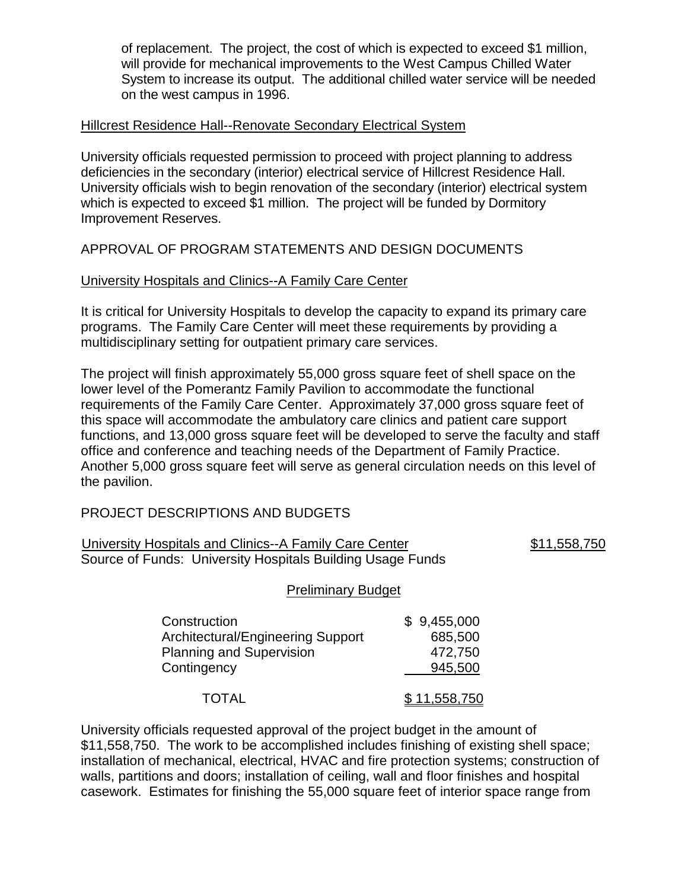of replacement. The project, the cost of which is expected to exceed \$1 million, will provide for mechanical improvements to the West Campus Chilled Water System to increase its output. The additional chilled water service will be needed on the west campus in 1996.

#### Hillcrest Residence Hall--Renovate Secondary Electrical System

University officials requested permission to proceed with project planning to address deficiencies in the secondary (interior) electrical service of Hillcrest Residence Hall. University officials wish to begin renovation of the secondary (interior) electrical system which is expected to exceed \$1 million. The project will be funded by Dormitory Improvement Reserves.

### APPROVAL OF PROGRAM STATEMENTS AND DESIGN DOCUMENTS

#### University Hospitals and Clinics--A Family Care Center

It is critical for University Hospitals to develop the capacity to expand its primary care programs. The Family Care Center will meet these requirements by providing a multidisciplinary setting for outpatient primary care services.

The project will finish approximately 55,000 gross square feet of shell space on the lower level of the Pomerantz Family Pavilion to accommodate the functional requirements of the Family Care Center. Approximately 37,000 gross square feet of this space will accommodate the ambulatory care clinics and patient care support functions, and 13,000 gross square feet will be developed to serve the faculty and staff office and conference and teaching needs of the Department of Family Practice. Another 5,000 gross square feet will serve as general circulation needs on this level of the pavilion.

## PROJECT DESCRIPTIONS AND BUDGETS

| University Hospitals and Clinics--A Family Care Center     | \$11,558,750 |
|------------------------------------------------------------|--------------|
| Source of Funds: University Hospitals Building Usage Funds |              |

#### Preliminary Budget

| Construction                      | \$9,455,000  |
|-----------------------------------|--------------|
| Architectural/Engineering Support | 685,500      |
| <b>Planning and Supervision</b>   | 472,750      |
| Contingency                       | 945,500      |
| <b>TOTAL</b>                      | \$11,558,750 |

University officials requested approval of the project budget in the amount of \$11,558,750. The work to be accomplished includes finishing of existing shell space; installation of mechanical, electrical, HVAC and fire protection systems; construction of walls, partitions and doors; installation of ceiling, wall and floor finishes and hospital casework. Estimates for finishing the 55,000 square feet of interior space range from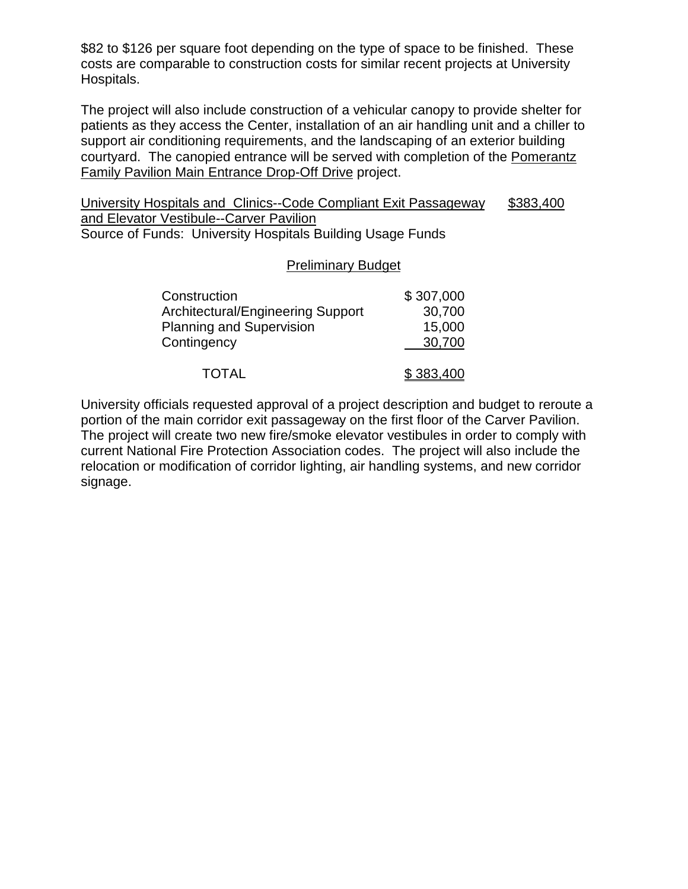\$82 to \$126 per square foot depending on the type of space to be finished. These costs are comparable to construction costs for similar recent projects at University Hospitals.

The project will also include construction of a vehicular canopy to provide shelter for patients as they access the Center, installation of an air handling unit and a chiller to support air conditioning requirements, and the landscaping of an exterior building courtyard. The canopied entrance will be served with completion of the Pomerantz Family Pavilion Main Entrance Drop-Off Drive project.

University Hospitals and Clinics--Code Compliant Exit Passageway \$383,400 and Elevator Vestibule--Carver Pavilion Source of Funds: University Hospitals Building Usage Funds

#### Preliminary Budget

| Construction                      | \$307,000 |
|-----------------------------------|-----------|
| Architectural/Engineering Support | 30,700    |
| <b>Planning and Supervision</b>   | 15,000    |
| Contingency                       | 30,700    |
| <b>TOTAL</b>                      | \$383,400 |

University officials requested approval of a project description and budget to reroute a portion of the main corridor exit passageway on the first floor of the Carver Pavilion. The project will create two new fire/smoke elevator vestibules in order to comply with current National Fire Protection Association codes. The project will also include the relocation or modification of corridor lighting, air handling systems, and new corridor signage.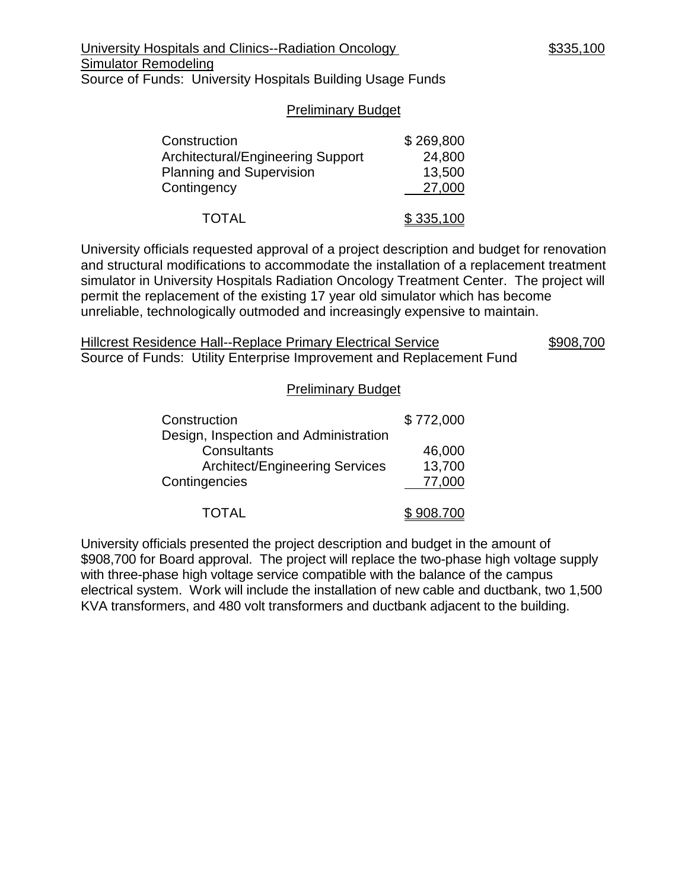#### Preliminary Budget

| Construction                      | \$269,800 |
|-----------------------------------|-----------|
| Architectural/Engineering Support | 24,800    |
| <b>Planning and Supervision</b>   | 13,500    |
| Contingency                       | 27,000    |
| <b>TOTAL</b>                      | \$335,100 |

University officials requested approval of a project description and budget for renovation and structural modifications to accommodate the installation of a replacement treatment simulator in University Hospitals Radiation Oncology Treatment Center. The project will permit the replacement of the existing 17 year old simulator which has become unreliable, technologically outmoded and increasingly expensive to maintain.

Hillcrest Residence Hall--Replace Primary Electrical Service \$908,700 Source of Funds: Utility Enterprise Improvement and Replacement Fund

#### Preliminary Budget

| Construction                          | \$772,000 |
|---------------------------------------|-----------|
| Design, Inspection and Administration |           |
| Consultants                           | 46,000    |
| <b>Architect/Engineering Services</b> | 13,700    |
| Contingencies                         | 77,000    |
|                                       | 908.700   |

University officials presented the project description and budget in the amount of \$908,700 for Board approval. The project will replace the two-phase high voltage supply with three-phase high voltage service compatible with the balance of the campus electrical system. Work will include the installation of new cable and ductbank, two 1,500 KVA transformers, and 480 volt transformers and ductbank adjacent to the building.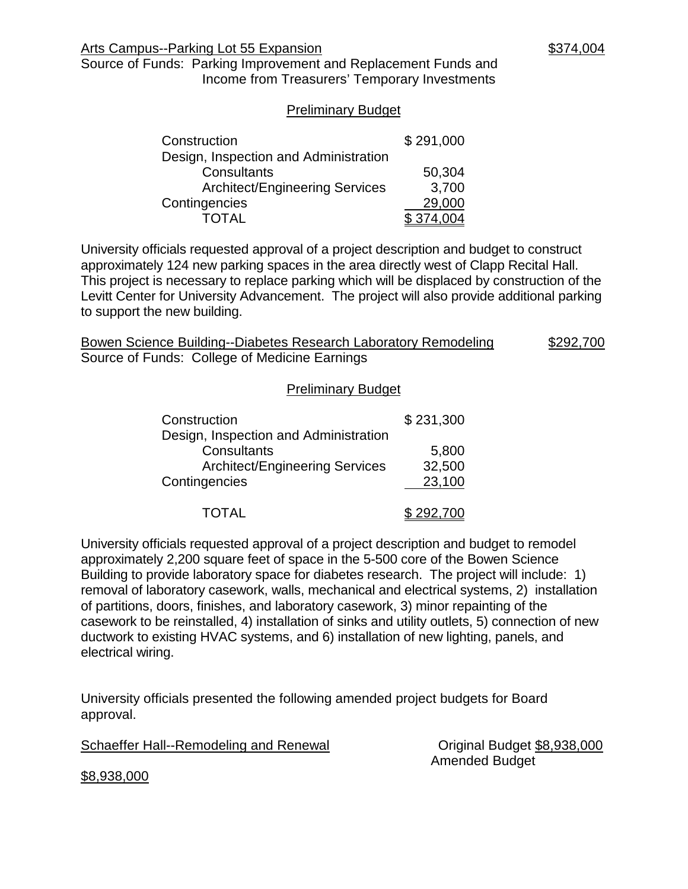#### Preliminary Budget

| Construction                          | \$291,000 |  |
|---------------------------------------|-----------|--|
| Design, Inspection and Administration |           |  |
| Consultants                           | 50,304    |  |
| <b>Architect/Engineering Services</b> | 3,700     |  |
| Contingencies                         | 29,000    |  |
| TOTAL                                 |           |  |

University officials requested approval of a project description and budget to construct approximately 124 new parking spaces in the area directly west of Clapp Recital Hall. This project is necessary to replace parking which will be displaced by construction of the Levitt Center for University Advancement. The project will also provide additional parking to support the new building.

Bowen Science Building--Diabetes Research Laboratory Remodeling \$292,700 Source of Funds: College of Medicine Earnings

#### Preliminary Budget

| Construction                          | \$231,300 |  |
|---------------------------------------|-----------|--|
| Design, Inspection and Administration |           |  |
| Consultants                           | 5,800     |  |
| <b>Architect/Engineering Services</b> | 32,500    |  |
| Contingencies                         | 23,100    |  |
|                                       | \$292,700 |  |

University officials requested approval of a project description and budget to remodel approximately 2,200 square feet of space in the 5-500 core of the Bowen Science Building to provide laboratory space for diabetes research. The project will include: 1) removal of laboratory casework, walls, mechanical and electrical systems, 2) installation of partitions, doors, finishes, and laboratory casework, 3) minor repainting of the casework to be reinstalled, 4) installation of sinks and utility outlets, 5) connection of new ductwork to existing HVAC systems, and 6) installation of new lighting, panels, and electrical wiring.

University officials presented the following amended project budgets for Board approval.

Schaeffer Hall--Remodeling and Renewal Criginal Budget \$8,938,000

Amended Budget

\$8,938,000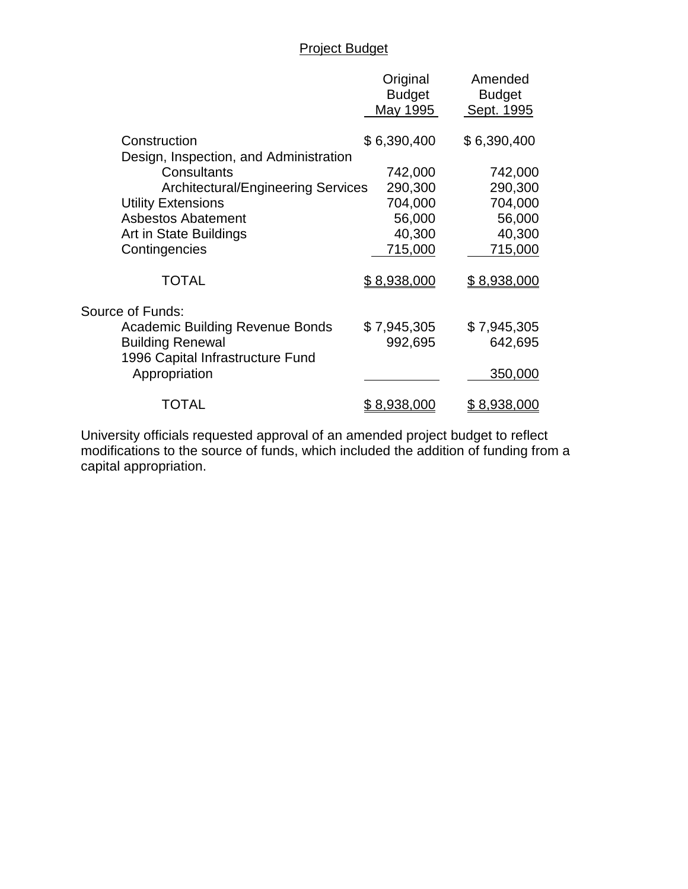# Project Budget

|                                                             | Original<br><b>Budget</b> | Amended<br><b>Budget</b> |
|-------------------------------------------------------------|---------------------------|--------------------------|
|                                                             | May 1995                  | Sept. 1995               |
| Construction<br>Design, Inspection, and Administration      | \$6,390,400               | \$6,390,400              |
| Consultants                                                 | 742,000                   | 742,000                  |
| <b>Architectural/Engineering Services</b>                   | 290,300                   | 290,300                  |
| <b>Utility Extensions</b>                                   | 704,000                   | 704,000                  |
| <b>Asbestos Abatement</b>                                   | 56,000                    | 56,000                   |
| Art in State Buildings                                      | 40,300                    | 40,300                   |
| Contingencies                                               | 715,000                   | 715,000                  |
| <b>TOTAL</b>                                                | \$8,938,000               | \$8,938,000              |
| Source of Funds:                                            |                           |                          |
| <b>Academic Building Revenue Bonds</b>                      | \$7,945,305               | \$7,945,305              |
| <b>Building Renewal</b><br>1996 Capital Infrastructure Fund | 992,695                   | 642,695                  |
| Appropriation                                               |                           | 350,000                  |
| TOTAL                                                       | <u>\$8,938,000</u>        | <u>\$8,938,000</u>       |

University officials requested approval of an amended project budget to reflect modifications to the source of funds, which included the addition of funding from a capital appropriation.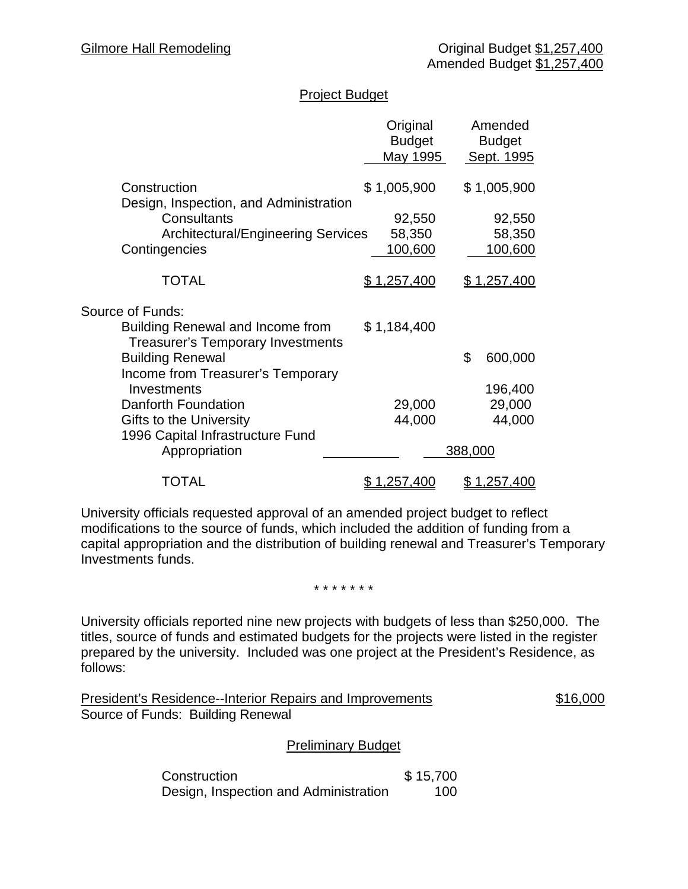# Project Budget

|                                                                                     | Original<br><b>Budget</b><br>May 1995 |         | Amended<br><b>Budget</b><br>Sept. 1995 |
|-------------------------------------------------------------------------------------|---------------------------------------|---------|----------------------------------------|
| Construction                                                                        | \$1,005,900                           |         | \$1,005,900                            |
| Design, Inspection, and Administration<br>Consultants                               | 92,550                                |         | 92,550                                 |
| <b>Architectural/Engineering Services</b>                                           | 58,350                                |         | 58,350                                 |
| Contingencies                                                                       | 100,600                               |         | 100,600                                |
|                                                                                     |                                       |         |                                        |
| <b>TOTAL</b>                                                                        | <u>\$1,257,400</u>                    |         | <u>\$1,257,400</u>                     |
| Source of Funds:                                                                    |                                       |         |                                        |
| <b>Building Renewal and Income from</b><br><b>Treasurer's Temporary Investments</b> | \$1,184,400                           |         |                                        |
| <b>Building Renewal</b>                                                             |                                       | \$      | 600,000                                |
| Income from Treasurer's Temporary                                                   |                                       |         |                                        |
| Investments                                                                         |                                       |         | 196,400                                |
| Danforth Foundation                                                                 | 29,000                                |         | 29,000                                 |
| Gifts to the University                                                             | 44,000                                |         | 44,000                                 |
| 1996 Capital Infrastructure Fund<br>Appropriation                                   |                                       | 388,000 |                                        |
| TOTAL                                                                               | <u>\$1,257,400</u>                    |         | <u>\$1,257,400</u>                     |

University officials requested approval of an amended project budget to reflect modifications to the source of funds, which included the addition of funding from a capital appropriation and the distribution of building renewal and Treasurer's Temporary Investments funds.

#### \* \* \* \* \* \* \*

University officials reported nine new projects with budgets of less than \$250,000. The titles, source of funds and estimated budgets for the projects were listed in the register prepared by the university. Included was one project at the President's Residence, as follows:

| President's Residence--Interior Repairs and Improvements | \$16,000 |
|----------------------------------------------------------|----------|
| Source of Funds: Building Renewal                        |          |

## Preliminary Budget

Construction \$15,700 Design, Inspection and Administration 100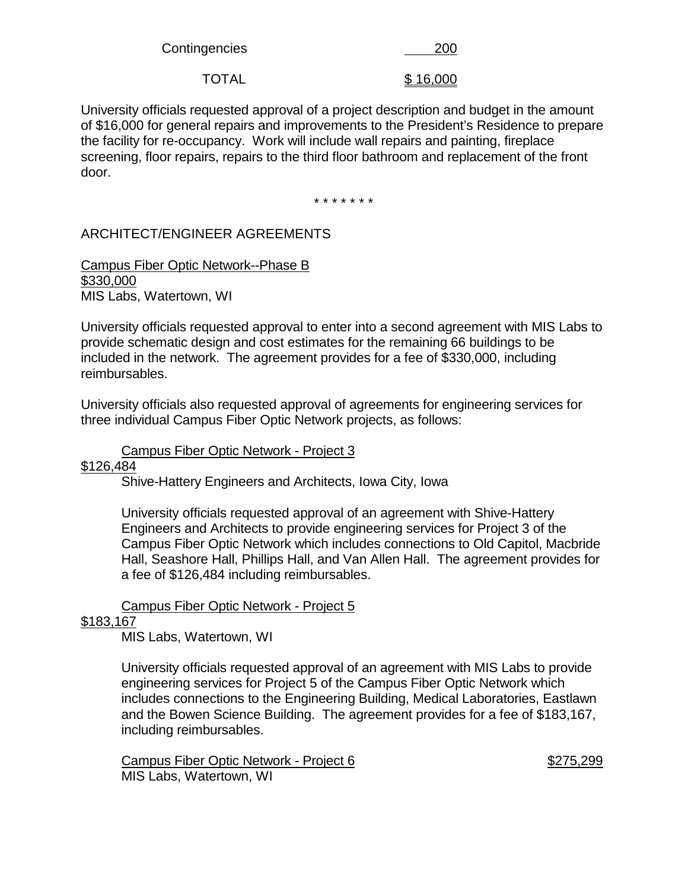Contingencies 200

TOTAL \$16,000

University officials requested approval of a project description and budget in the amount of \$16,000 for general repairs and improvements to the President's Residence to prepare the facility for re-occupancy. Work will include wall repairs and painting, fireplace screening, floor repairs, repairs to the third floor bathroom and replacement of the front door.

\* \* \* \* \* \* \*

# ARCHITECT/ENGINEER AGREEMENTS

Campus Fiber Optic Network--Phase B \$330,000 MIS Labs, Watertown, WI

University officials requested approval to enter into a second agreement with MIS Labs to provide schematic design and cost estimates for the remaining 66 buildings to be included in the network. The agreement provides for a fee of \$330,000, including reimbursables.

University officials also requested approval of agreements for engineering services for three individual Campus Fiber Optic Network projects, as follows:

#### Campus Fiber Optic Network - Project 3

#### \$126,484

Shive-Hattery Engineers and Architects, Iowa City, Iowa

University officials requested approval of an agreement with Shive-Hattery Engineers and Architects to provide engineering services for Project 3 of the Campus Fiber Optic Network which includes connections to Old Capitol, Macbride Hall, Seashore Hall, Phillips Hall, and Van Allen Hall. The agreement provides for a fee of \$126,484 including reimbursables.

## Campus Fiber Optic Network - Project 5

## \$183,167

MIS Labs, Watertown, WI

University officials requested approval of an agreement with MIS Labs to provide engineering services for Project 5 of the Campus Fiber Optic Network which includes connections to the Engineering Building, Medical Laboratories, Eastlawn and the Bowen Science Building. The agreement provides for a fee of \$183,167, including reimbursables.

Campus Fiber Optic Network - Project 6  $$275,299$ MIS Labs, Watertown, WI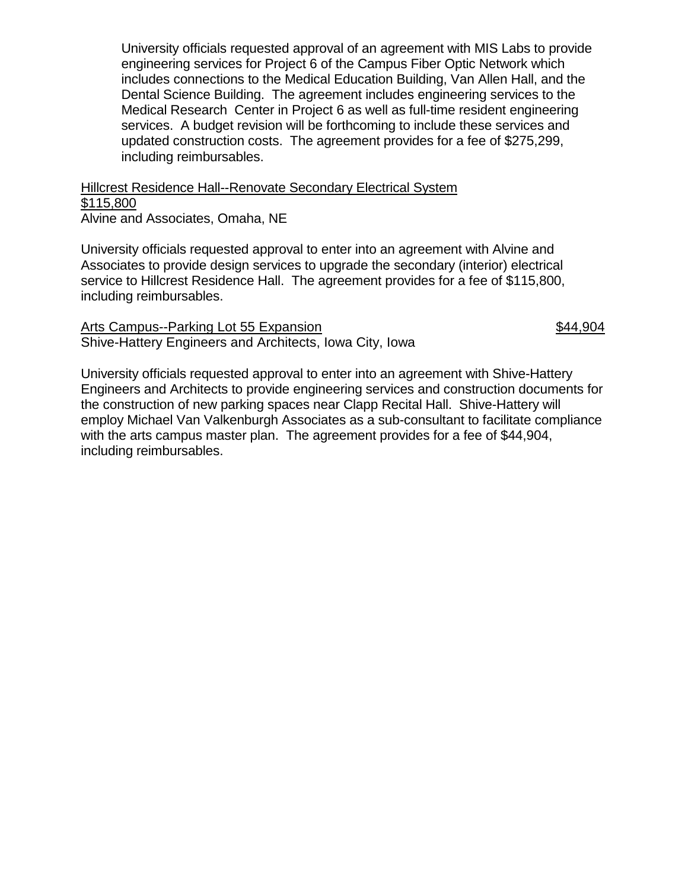University officials requested approval of an agreement with MIS Labs to provide engineering services for Project 6 of the Campus Fiber Optic Network which includes connections to the Medical Education Building, Van Allen Hall, and the Dental Science Building. The agreement includes engineering services to the Medical Research Center in Project 6 as well as full-time resident engineering services. A budget revision will be forthcoming to include these services and updated construction costs. The agreement provides for a fee of \$275,299, including reimbursables.

Hillcrest Residence Hall--Renovate Secondary Electrical System \$115,800 Alvine and Associates, Omaha, NE

University officials requested approval to enter into an agreement with Alvine and Associates to provide design services to upgrade the secondary (interior) electrical service to Hillcrest Residence Hall. The agreement provides for a fee of \$115,800, including reimbursables.

Arts Campus--Parking Lot 55 Expansion **\$44,904** Shive-Hattery Engineers and Architects, Iowa City, Iowa

University officials requested approval to enter into an agreement with Shive-Hattery Engineers and Architects to provide engineering services and construction documents for the construction of new parking spaces near Clapp Recital Hall. Shive-Hattery will employ Michael Van Valkenburgh Associates as a sub-consultant to facilitate compliance with the arts campus master plan. The agreement provides for a fee of \$44,904, including reimbursables.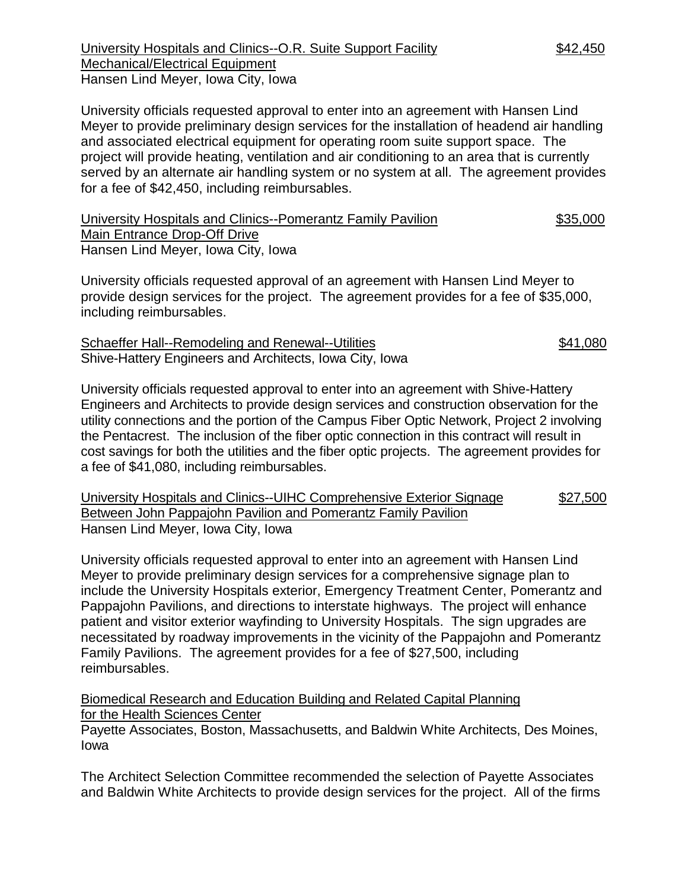University Hospitals and Clinics--O.R. Suite Support Facility \$42,450 Mechanical/Electrical Equipment Hansen Lind Meyer, Iowa City, Iowa

University officials requested approval to enter into an agreement with Hansen Lind Meyer to provide preliminary design services for the installation of headend air handling and associated electrical equipment for operating room suite support space. The project will provide heating, ventilation and air conditioning to an area that is currently served by an alternate air handling system or no system at all. The agreement provides for a fee of \$42,450, including reimbursables.

| University Hospitals and Clinics--Pomerantz Family Pavilion | \$35,000 |
|-------------------------------------------------------------|----------|
| Main Entrance Drop-Off Drive                                |          |
| Hansen Lind Meyer, Iowa City, Iowa                          |          |

University officials requested approval of an agreement with Hansen Lind Meyer to provide design services for the project. The agreement provides for a fee of \$35,000, including reimbursables.

Schaeffer Hall--Remodeling and Renewal--Utilities \$41,080 Shive-Hattery Engineers and Architects, Iowa City, Iowa

University officials requested approval to enter into an agreement with Shive-Hattery Engineers and Architects to provide design services and construction observation for the utility connections and the portion of the Campus Fiber Optic Network, Project 2 involving the Pentacrest. The inclusion of the fiber optic connection in this contract will result in cost savings for both the utilities and the fiber optic projects. The agreement provides for a fee of \$41,080, including reimbursables.

University Hospitals and Clinics--UIHC Comprehensive Exterior Signage \$27,500 Between John Pappajohn Pavilion and Pomerantz Family Pavilion Hansen Lind Meyer, Iowa City, Iowa

University officials requested approval to enter into an agreement with Hansen Lind Meyer to provide preliminary design services for a comprehensive signage plan to include the University Hospitals exterior, Emergency Treatment Center, Pomerantz and Pappajohn Pavilions, and directions to interstate highways. The project will enhance patient and visitor exterior wayfinding to University Hospitals. The sign upgrades are necessitated by roadway improvements in the vicinity of the Pappajohn and Pomerantz Family Pavilions. The agreement provides for a fee of \$27,500, including reimbursables.

Biomedical Research and Education Building and Related Capital Planning for the Health Sciences Center

Payette Associates, Boston, Massachusetts, and Baldwin White Architects, Des Moines, Iowa

The Architect Selection Committee recommended the selection of Payette Associates and Baldwin White Architects to provide design services for the project. All of the firms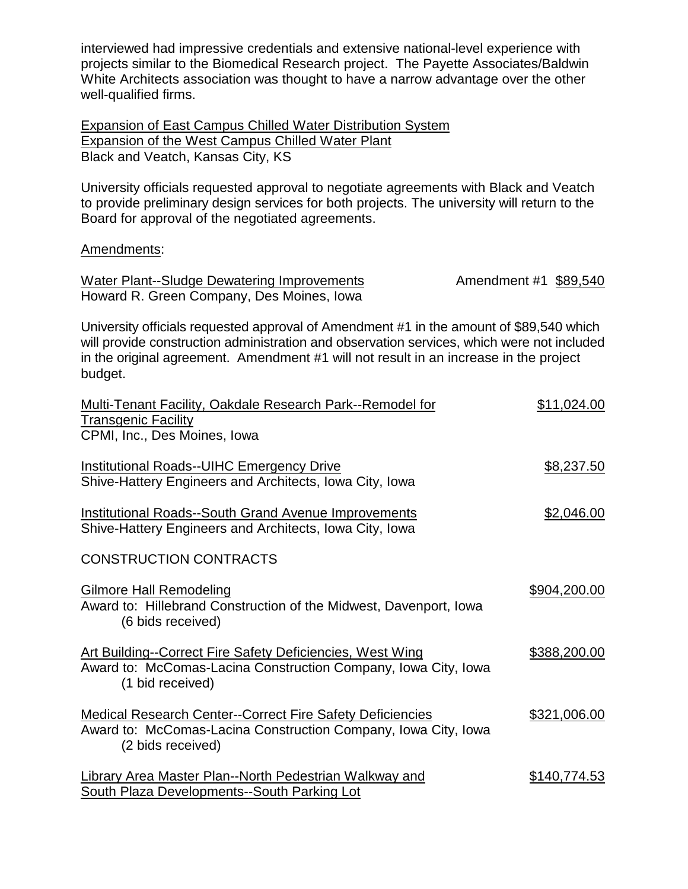interviewed had impressive credentials and extensive national-level experience with projects similar to the Biomedical Research project. The Payette Associates/Baldwin White Architects association was thought to have a narrow advantage over the other well-qualified firms.

Expansion of East Campus Chilled Water Distribution System Expansion of the West Campus Chilled Water Plant Black and Veatch, Kansas City, KS

University officials requested approval to negotiate agreements with Black and Veatch to provide preliminary design services for both projects. The university will return to the Board for approval of the negotiated agreements.

#### Amendments:

Water Plant--Sludge Dewatering Improvements **Amendment #1** \$89,540 Howard R. Green Company, Des Moines, Iowa

University officials requested approval of Amendment #1 in the amount of \$89,540 which will provide construction administration and observation services, which were not included in the original agreement. Amendment #1 will not result in an increase in the project budget.

| Multi-Tenant Facility, Oakdale Research Park--Remodel for                                                                                               | \$11,024.00  |
|---------------------------------------------------------------------------------------------------------------------------------------------------------|--------------|
| <b>Transgenic Facility</b><br>CPMI, Inc., Des Moines, Iowa                                                                                              |              |
| <b>Institutional Roads--UIHC Emergency Drive</b><br>Shive-Hattery Engineers and Architects, Iowa City, Iowa                                             | \$8,237.50   |
| <b>Institutional Roads--South Grand Avenue Improvements</b><br>Shive-Hattery Engineers and Architects, Iowa City, Iowa                                  | \$2,046.00   |
| <b>CONSTRUCTION CONTRACTS</b>                                                                                                                           |              |
| <b>Gilmore Hall Remodeling</b><br>Award to: Hillebrand Construction of the Midwest, Davenport, Iowa<br>(6 bids received)                                | \$904,200.00 |
| <b>Art Building--Correct Fire Safety Deficiencies, West Wing</b><br>Award to: McComas-Lacina Construction Company, Iowa City, Iowa<br>(1 bid received)  | \$388,200.00 |
| <b>Medical Research Center--Correct Fire Safety Deficiencies</b><br>Award to: McComas-Lacina Construction Company, Iowa City, Iowa<br>(2 bids received) | \$321,006.00 |
| <b>Library Area Master Plan--North Pedestrian Walkway and</b><br><b>South Plaza Developments--South Parking Lot</b>                                     | \$140,774.53 |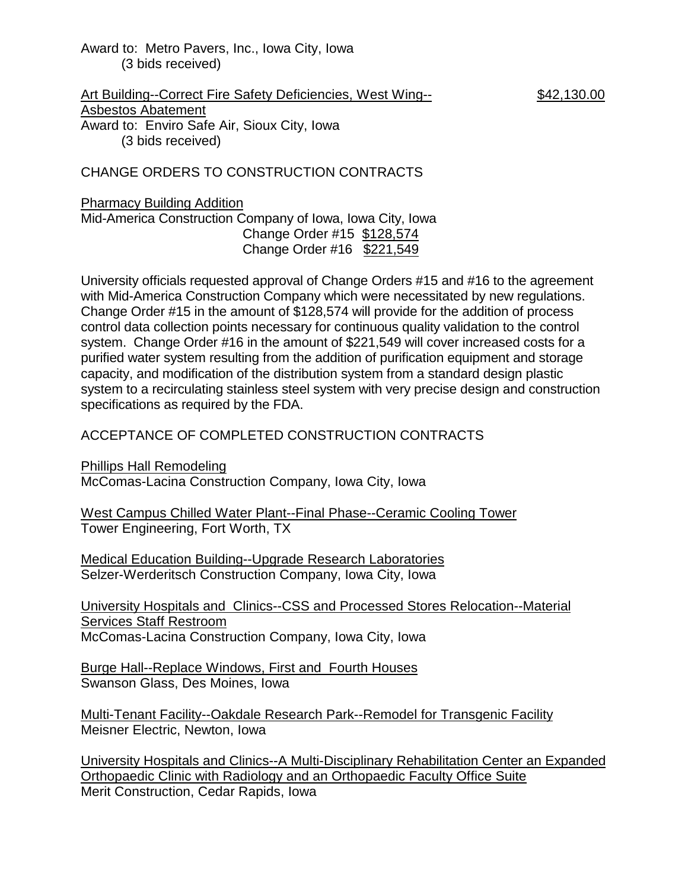Award to: Metro Pavers, Inc., Iowa City, Iowa (3 bids received)

Art Building--Correct Fire Safety Deficiencies, West Wing-- \$42,130.00 Asbestos Abatement Award to: Enviro Safe Air, Sioux City, Iowa (3 bids received)

CHANGE ORDERS TO CONSTRUCTION CONTRACTS

### Pharmacy Building Addition

Mid-America Construction Company of Iowa, Iowa City, Iowa Change Order #15 \$128,574 Change Order #16 \$221,549

University officials requested approval of Change Orders #15 and #16 to the agreement with Mid-America Construction Company which were necessitated by new regulations. Change Order #15 in the amount of \$128,574 will provide for the addition of process control data collection points necessary for continuous quality validation to the control system. Change Order #16 in the amount of \$221,549 will cover increased costs for a purified water system resulting from the addition of purification equipment and storage capacity, and modification of the distribution system from a standard design plastic system to a recirculating stainless steel system with very precise design and construction specifications as required by the FDA.

## ACCEPTANCE OF COMPLETED CONSTRUCTION CONTRACTS

Phillips Hall Remodeling McComas-Lacina Construction Company, Iowa City, Iowa

West Campus Chilled Water Plant--Final Phase--Ceramic Cooling Tower Tower Engineering, Fort Worth, TX

Medical Education Building--Upgrade Research Laboratories Selzer-Werderitsch Construction Company, Iowa City, Iowa

University Hospitals and Clinics--CSS and Processed Stores Relocation--Material Services Staff Restroom McComas-Lacina Construction Company, Iowa City, Iowa

Burge Hall--Replace Windows, First and Fourth Houses Swanson Glass, Des Moines, Iowa

Multi-Tenant Facility--Oakdale Research Park--Remodel for Transgenic Facility Meisner Electric, Newton, Iowa

University Hospitals and Clinics--A Multi-Disciplinary Rehabilitation Center an Expanded Orthopaedic Clinic with Radiology and an Orthopaedic Faculty Office Suite Merit Construction, Cedar Rapids, Iowa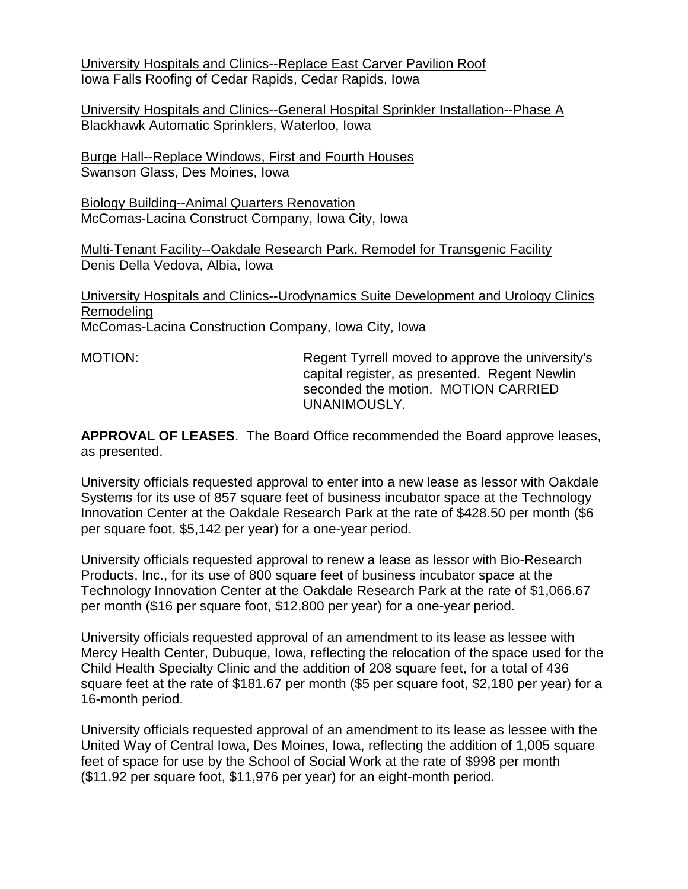University Hospitals and Clinics--Replace East Carver Pavilion Roof Iowa Falls Roofing of Cedar Rapids, Cedar Rapids, Iowa

University Hospitals and Clinics--General Hospital Sprinkler Installation--Phase A Blackhawk Automatic Sprinklers, Waterloo, Iowa

Burge Hall--Replace Windows, First and Fourth Houses Swanson Glass, Des Moines, Iowa

Biology Building--Animal Quarters Renovation McComas-Lacina Construct Company, Iowa City, Iowa

Multi-Tenant Facility--Oakdale Research Park, Remodel for Transgenic Facility Denis Della Vedova, Albia, Iowa

University Hospitals and Clinics--Urodynamics Suite Development and Urology Clinics Remodeling McComas-Lacina Construction Company, Iowa City, Iowa

MOTION: Regent Tyrrell moved to approve the university's capital register, as presented. Regent Newlin seconded the motion. MOTION CARRIED UNANIMOUSLY.

**APPROVAL OF LEASES**. The Board Office recommended the Board approve leases, as presented.

University officials requested approval to enter into a new lease as lessor with Oakdale Systems for its use of 857 square feet of business incubator space at the Technology Innovation Center at the Oakdale Research Park at the rate of \$428.50 per month (\$6 per square foot, \$5,142 per year) for a one-year period.

University officials requested approval to renew a lease as lessor with Bio-Research Products, Inc., for its use of 800 square feet of business incubator space at the Technology Innovation Center at the Oakdale Research Park at the rate of \$1,066.67 per month (\$16 per square foot, \$12,800 per year) for a one-year period.

University officials requested approval of an amendment to its lease as lessee with Mercy Health Center, Dubuque, Iowa, reflecting the relocation of the space used for the Child Health Specialty Clinic and the addition of 208 square feet, for a total of 436 square feet at the rate of \$181.67 per month (\$5 per square foot, \$2,180 per year) for a 16-month period.

University officials requested approval of an amendment to its lease as lessee with the United Way of Central Iowa, Des Moines, Iowa, reflecting the addition of 1,005 square feet of space for use by the School of Social Work at the rate of \$998 per month (\$11.92 per square foot, \$11,976 per year) for an eight-month period.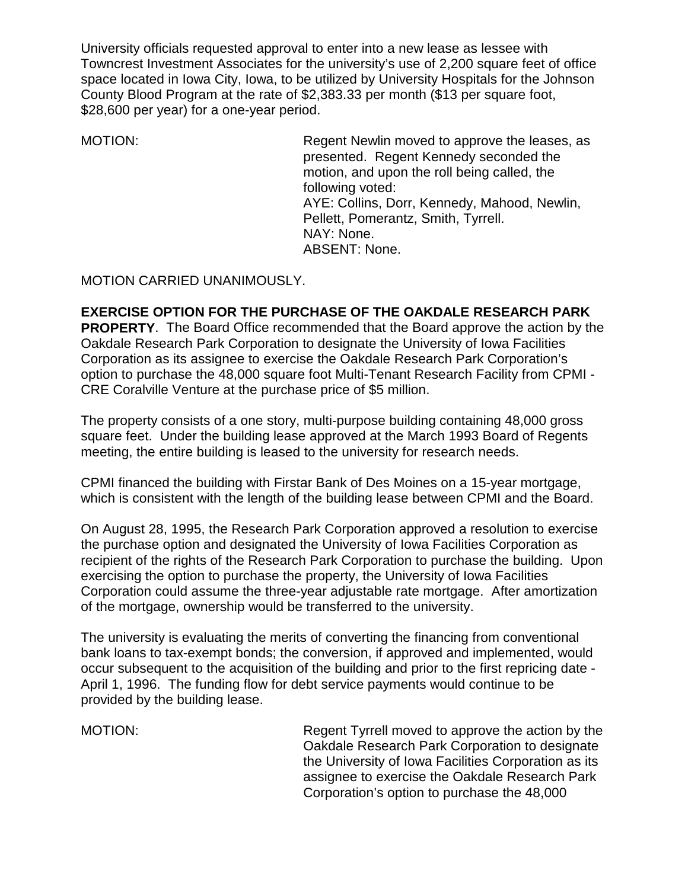University officials requested approval to enter into a new lease as lessee with Towncrest Investment Associates for the university's use of 2,200 square feet of office space located in Iowa City, Iowa, to be utilized by University Hospitals for the Johnson County Blood Program at the rate of \$2,383.33 per month (\$13 per square foot, \$28,600 per year) for a one-year period.

MOTION: Regent Newlin moved to approve the leases, as presented. Regent Kennedy seconded the motion, and upon the roll being called, the following voted: AYE: Collins, Dorr, Kennedy, Mahood, Newlin, Pellett, Pomerantz, Smith, Tyrrell. NAY: None. ABSENT: None.

MOTION CARRIED UNANIMOUSLY.

## **EXERCISE OPTION FOR THE PURCHASE OF THE OAKDALE RESEARCH PARK**

**PROPERTY**. The Board Office recommended that the Board approve the action by the Oakdale Research Park Corporation to designate the University of Iowa Facilities Corporation as its assignee to exercise the Oakdale Research Park Corporation's option to purchase the 48,000 square foot Multi-Tenant Research Facility from CPMI - CRE Coralville Venture at the purchase price of \$5 million.

The property consists of a one story, multi-purpose building containing 48,000 gross square feet. Under the building lease approved at the March 1993 Board of Regents meeting, the entire building is leased to the university for research needs.

CPMI financed the building with Firstar Bank of Des Moines on a 15-year mortgage, which is consistent with the length of the building lease between CPMI and the Board.

On August 28, 1995, the Research Park Corporation approved a resolution to exercise the purchase option and designated the University of Iowa Facilities Corporation as recipient of the rights of the Research Park Corporation to purchase the building. Upon exercising the option to purchase the property, the University of Iowa Facilities Corporation could assume the three-year adjustable rate mortgage. After amortization of the mortgage, ownership would be transferred to the university.

The university is evaluating the merits of converting the financing from conventional bank loans to tax-exempt bonds; the conversion, if approved and implemented, would occur subsequent to the acquisition of the building and prior to the first repricing date - April 1, 1996. The funding flow for debt service payments would continue to be provided by the building lease.

MOTION: Regent Tyrrell moved to approve the action by the Oakdale Research Park Corporation to designate the University of Iowa Facilities Corporation as its assignee to exercise the Oakdale Research Park Corporation's option to purchase the 48,000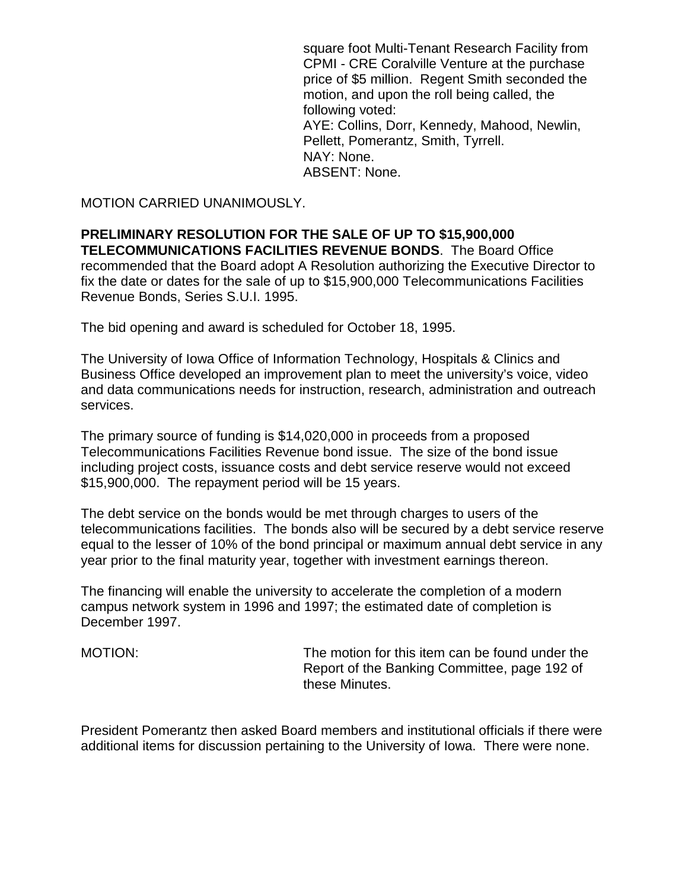square foot Multi-Tenant Research Facility from CPMI - CRE Coralville Venture at the purchase price of \$5 million. Regent Smith seconded the motion, and upon the roll being called, the following voted: AYE: Collins, Dorr, Kennedy, Mahood, Newlin, Pellett, Pomerantz, Smith, Tyrrell. NAY: None. ABSENT: None.

MOTION CARRIED UNANIMOUSLY.

**PRELIMINARY RESOLUTION FOR THE SALE OF UP TO \$15,900,000 TELECOMMUNICATIONS FACILITIES REVENUE BONDS**. The Board Office recommended that the Board adopt A Resolution authorizing the Executive Director to fix the date or dates for the sale of up to \$15,900,000 Telecommunications Facilities Revenue Bonds, Series S.U.I. 1995.

The bid opening and award is scheduled for October 18, 1995.

The University of Iowa Office of Information Technology, Hospitals & Clinics and Business Office developed an improvement plan to meet the university's voice, video and data communications needs for instruction, research, administration and outreach services.

The primary source of funding is \$14,020,000 in proceeds from a proposed Telecommunications Facilities Revenue bond issue. The size of the bond issue including project costs, issuance costs and debt service reserve would not exceed \$15,900,000. The repayment period will be 15 years.

The debt service on the bonds would be met through charges to users of the telecommunications facilities. The bonds also will be secured by a debt service reserve equal to the lesser of 10% of the bond principal or maximum annual debt service in any year prior to the final maturity year, together with investment earnings thereon.

The financing will enable the university to accelerate the completion of a modern campus network system in 1996 and 1997; the estimated date of completion is December 1997.

MOTION: The motion for this item can be found under the Report of the Banking Committee, page 192 of these Minutes.

President Pomerantz then asked Board members and institutional officials if there were additional items for discussion pertaining to the University of Iowa. There were none.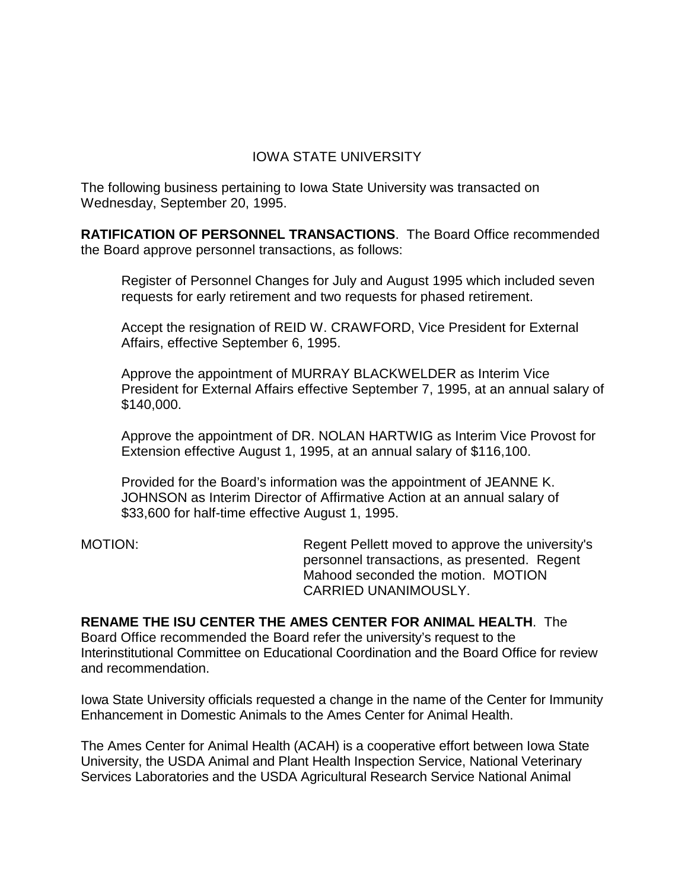# IOWA STATE UNIVERSITY

The following business pertaining to Iowa State University was transacted on Wednesday, September 20, 1995.

**RATIFICATION OF PERSONNEL TRANSACTIONS**. The Board Office recommended the Board approve personnel transactions, as follows:

Register of Personnel Changes for July and August 1995 which included seven requests for early retirement and two requests for phased retirement.

Accept the resignation of REID W. CRAWFORD, Vice President for External Affairs, effective September 6, 1995.

Approve the appointment of MURRAY BLACKWELDER as Interim Vice President for External Affairs effective September 7, 1995, at an annual salary of \$140,000.

Approve the appointment of DR. NOLAN HARTWIG as Interim Vice Provost for Extension effective August 1, 1995, at an annual salary of \$116,100.

Provided for the Board's information was the appointment of JEANNE K. JOHNSON as Interim Director of Affirmative Action at an annual salary of \$33,600 for half-time effective August 1, 1995.

MOTION: Regent Pellett moved to approve the university's personnel transactions, as presented. Regent Mahood seconded the motion. MOTION CARRIED UNANIMOUSLY.

**RENAME THE ISU CENTER THE AMES CENTER FOR ANIMAL HEALTH**. The Board Office recommended the Board refer the university's request to the Interinstitutional Committee on Educational Coordination and the Board Office for review and recommendation.

Iowa State University officials requested a change in the name of the Center for Immunity Enhancement in Domestic Animals to the Ames Center for Animal Health.

The Ames Center for Animal Health (ACAH) is a cooperative effort between Iowa State University, the USDA Animal and Plant Health Inspection Service, National Veterinary Services Laboratories and the USDA Agricultural Research Service National Animal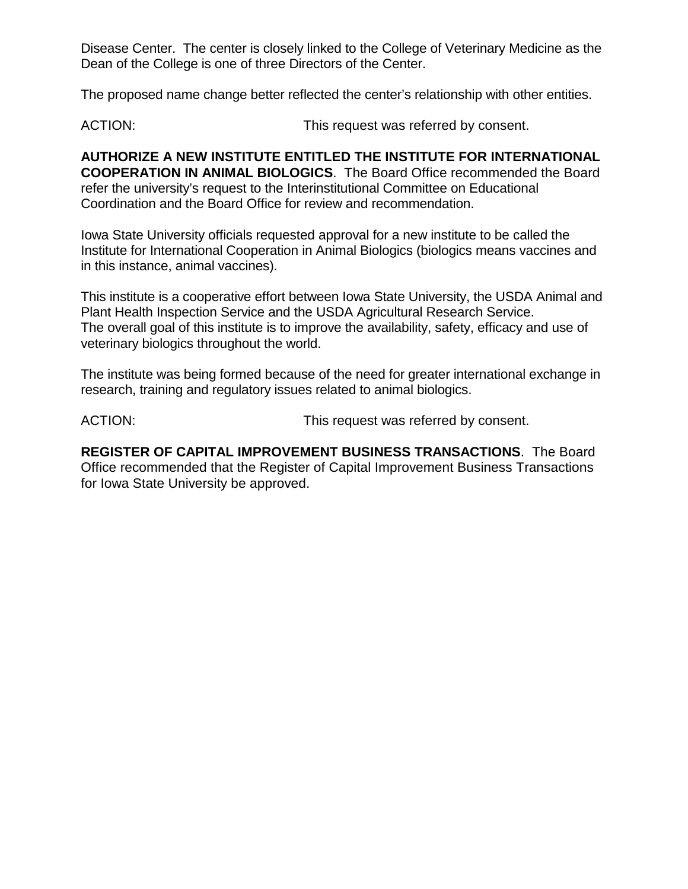Disease Center. The center is closely linked to the College of Veterinary Medicine as the Dean of the College is one of three Directors of the Center.

The proposed name change better reflected the center's relationship with other entities.

ACTION: This request was referred by consent.

**AUTHORIZE A NEW INSTITUTE ENTITLED THE INSTITUTE FOR INTERNATIONAL COOPERATION IN ANIMAL BIOLOGICS**. The Board Office recommended the Board refer the university's request to the Interinstitutional Committee on Educational Coordination and the Board Office for review and recommendation.

Iowa State University officials requested approval for a new institute to be called the Institute for International Cooperation in Animal Biologics (biologics means vaccines and in this instance, animal vaccines).

This institute is a cooperative effort between Iowa State University, the USDA Animal and Plant Health Inspection Service and the USDA Agricultural Research Service. The overall goal of this institute is to improve the availability, safety, efficacy and use of veterinary biologics throughout the world.

The institute was being formed because of the need for greater international exchange in research, training and regulatory issues related to animal biologics.

ACTION: This request was referred by consent.

**REGISTER OF CAPITAL IMPROVEMENT BUSINESS TRANSACTIONS**. The Board Office recommended that the Register of Capital Improvement Business Transactions for Iowa State University be approved.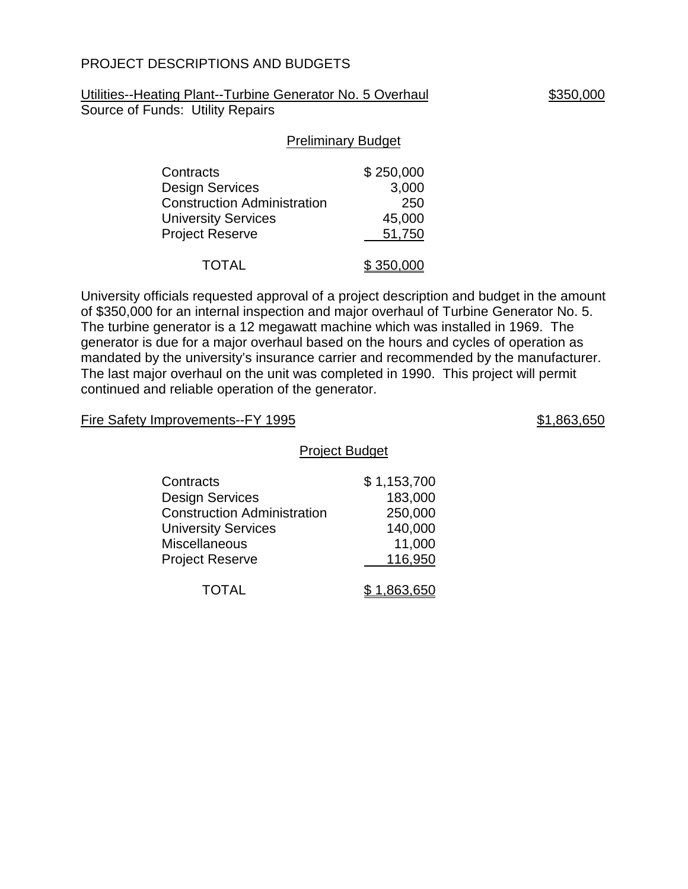## PROJECT DESCRIPTIONS AND BUDGETS

Utilities--Heating Plant--Turbine Generator No. 5 Overhaul \$350,000 Source of Funds: Utility Repairs

#### Preliminary Budget

| Contracts                          | \$250,000 |
|------------------------------------|-----------|
| Design Services                    | 3,000     |
| <b>Construction Administration</b> | 250       |
| <b>University Services</b>         | 45,000    |
| <b>Project Reserve</b>             | 51,750    |
| <b>TOTAL</b>                       | \$350,000 |

University officials requested approval of a project description and budget in the amount of \$350,000 for an internal inspection and major overhaul of Turbine Generator No. 5. The turbine generator is a 12 megawatt machine which was installed in 1969. The generator is due for a major overhaul based on the hours and cycles of operation as mandated by the university's insurance carrier and recommended by the manufacturer. The last major overhaul on the unit was completed in 1990. This project will permit continued and reliable operation of the generator.

#### Fire Safety Improvements--FY 1995 **\$1,863,650**

#### Project Budget

| Contracts                          | \$1,153,700 |
|------------------------------------|-------------|
| <b>Design Services</b>             | 183,000     |
| <b>Construction Administration</b> | 250,000     |
| <b>University Services</b>         | 140,000     |
| <b>Miscellaneous</b>               | 11,000      |
| <b>Project Reserve</b>             | 116,950     |
|                                    |             |
| <b>TOTAL</b>                       | \$1,863,650 |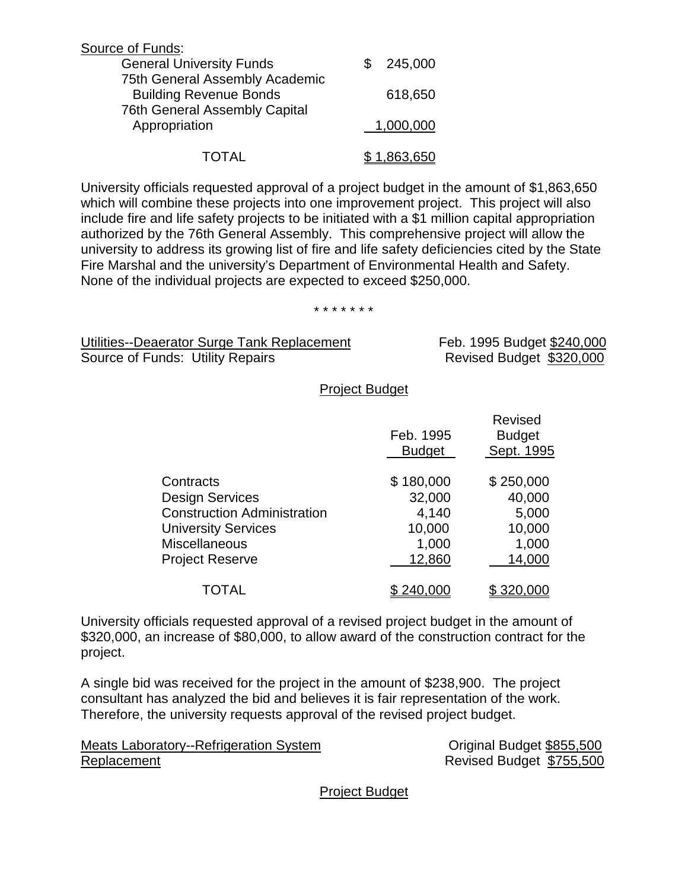| Source of Funds:                                                |           |
|-----------------------------------------------------------------|-----------|
| <b>General University Funds</b>                                 | 245,000   |
| 75th General Assembly Academic<br><b>Building Revenue Bonds</b> | 618,650   |
| <b>76th General Assembly Capital</b><br>Appropriation           | 1,000,000 |
| TOTAL                                                           | 1,863,650 |

University officials requested approval of a project budget in the amount of \$1,863,650 which will combine these projects into one improvement project. This project will also include fire and life safety projects to be initiated with a \$1 million capital appropriation authorized by the 76th General Assembly. This comprehensive project will allow the university to address its growing list of fire and life safety deficiencies cited by the State Fire Marshal and the university's Department of Environmental Health and Safety. None of the individual projects are expected to exceed \$250,000.

#### \* \* \* \* \* \* \*

Utilities--Deaerator Surge Tank Replacement Feb. 1995 Budget \$240,000 Source of Funds: Utility Repairs **Revised Budget \$320,000** 

#### Project Budget

|           |                                    | Feb. 1995<br><b>Budget</b> | <b>Revised</b><br><b>Budget</b><br>Sept. 1995 |
|-----------|------------------------------------|----------------------------|-----------------------------------------------|
| Contracts |                                    | \$180,000                  | \$250,000                                     |
|           | <b>Design Services</b>             | 32,000                     | 40,000                                        |
|           | <b>Construction Administration</b> | 4,140                      | 5,000                                         |
|           | <b>University Services</b>         | 10,000                     | 10,000                                        |
|           | <b>Miscellaneous</b>               | 1,000                      | 1,000                                         |
|           | <b>Project Reserve</b>             | 12,860                     | 14,000                                        |
|           | TOTAL                              |                            |                                               |

University officials requested approval of a revised project budget in the amount of \$320,000, an increase of \$80,000, to allow award of the construction contract for the project.

A single bid was received for the project in the amount of \$238,900. The project consultant has analyzed the bid and believes it is fair representation of the work. Therefore, the university requests approval of the revised project budget.

Meats Laboratory--Refrigeration System **Communist Constructs** Conservation Conservation Conservation Conservation Replacement Revised Budget \$755,500

Project Budget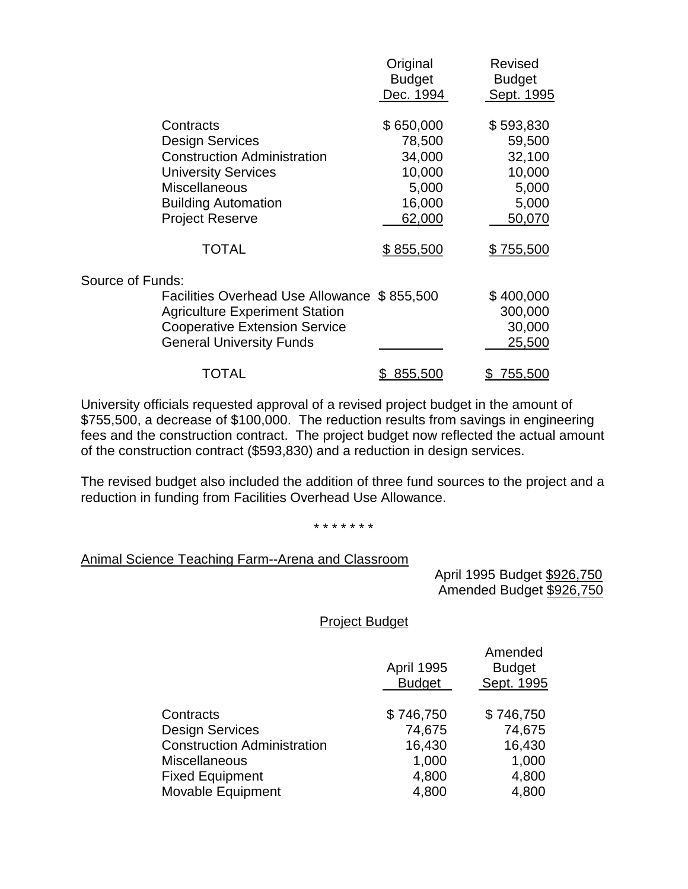|                                             | Original      | Revised        |
|---------------------------------------------|---------------|----------------|
|                                             | <b>Budget</b> | <b>Budget</b>  |
|                                             | Dec. 1994     | Sept. 1995     |
| Contracts                                   | \$650,000     | \$593,830      |
| <b>Design Services</b>                      | 78,500        | 59,500         |
| <b>Construction Administration</b>          | 34,000        | 32,100         |
| <b>University Services</b>                  | 10,000        | 10,000         |
| <b>Miscellaneous</b>                        | 5,000         | 5,000          |
| <b>Building Automation</b>                  | 16,000        | 5,000          |
| <b>Project Reserve</b>                      | 62,000        | 50,070         |
| <b>TOTAL</b>                                | \$855,500     | \$755,500      |
| Source of Funds:                            |               |                |
| Facilities Overhead Use Allowance \$855,500 |               | \$400,000      |
| <b>Agriculture Experiment Station</b>       |               | 300,000        |
| <b>Cooperative Extension Service</b>        |               | 30,000         |
| <b>General University Funds</b>             |               | 25,500         |
| TOTAL                                       | 855,500       | <u>755,500</u> |
|                                             |               |                |

University officials requested approval of a revised project budget in the amount of \$755,500, a decrease of \$100,000. The reduction results from savings in engineering fees and the construction contract. The project budget now reflected the actual amount of the construction contract (\$593,830) and a reduction in design services.

The revised budget also included the addition of three fund sources to the project and a reduction in funding from Facilities Overhead Use Allowance.

\* \* \* \* \* \* \*

#### Animal Science Teaching Farm--Arena and Classroom

 April 1995 Budget \$926,750 Amended Budget \$926,750

Project Budget

|                                    | <b>April 1995</b><br><b>Budget</b> | Amended<br><b>Budget</b><br>Sept. 1995 |
|------------------------------------|------------------------------------|----------------------------------------|
| Contracts                          | \$746,750                          | \$746,750                              |
| <b>Design Services</b>             | 74,675                             | 74,675                                 |
| <b>Construction Administration</b> | 16,430                             | 16,430                                 |
| Miscellaneous                      | 1,000                              | 1,000                                  |
| <b>Fixed Equipment</b>             | 4,800                              | 4,800                                  |
| Movable Equipment                  | 4,800                              | 4,800                                  |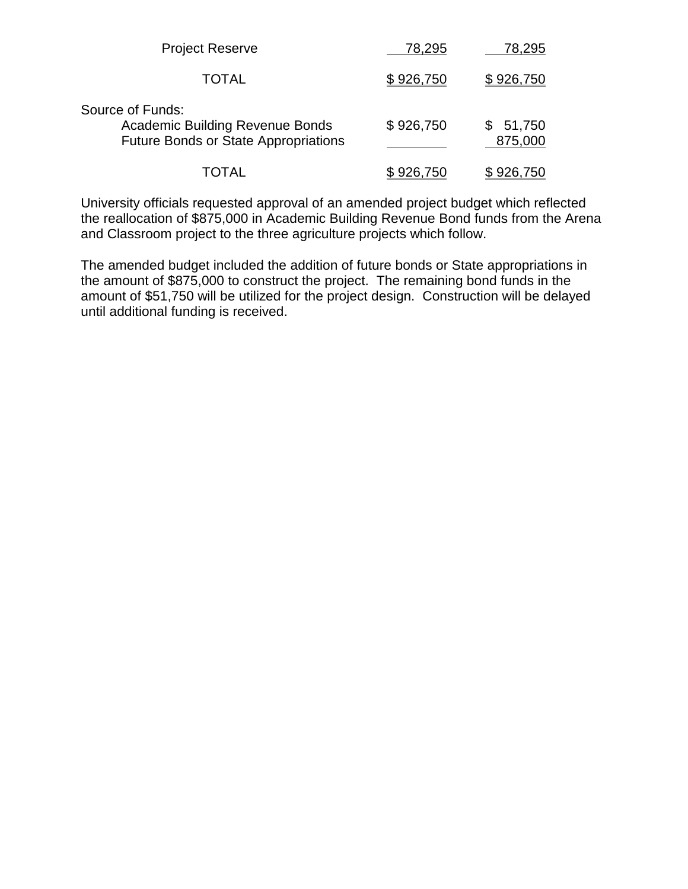| <b>Project Reserve</b>                                                                                    | 78,295    | 78,295              |
|-----------------------------------------------------------------------------------------------------------|-----------|---------------------|
| <b>TOTAL</b>                                                                                              | \$926,750 | \$926,750           |
| Source of Funds:<br><b>Academic Building Revenue Bonds</b><br><b>Future Bonds or State Appropriations</b> | \$926,750 | \$51,750<br>875,000 |
| TOTAL                                                                                                     | \$926,750 | 926,750             |

University officials requested approval of an amended project budget which reflected the reallocation of \$875,000 in Academic Building Revenue Bond funds from the Arena and Classroom project to the three agriculture projects which follow.

The amended budget included the addition of future bonds or State appropriations in the amount of \$875,000 to construct the project. The remaining bond funds in the amount of \$51,750 will be utilized for the project design. Construction will be delayed until additional funding is received.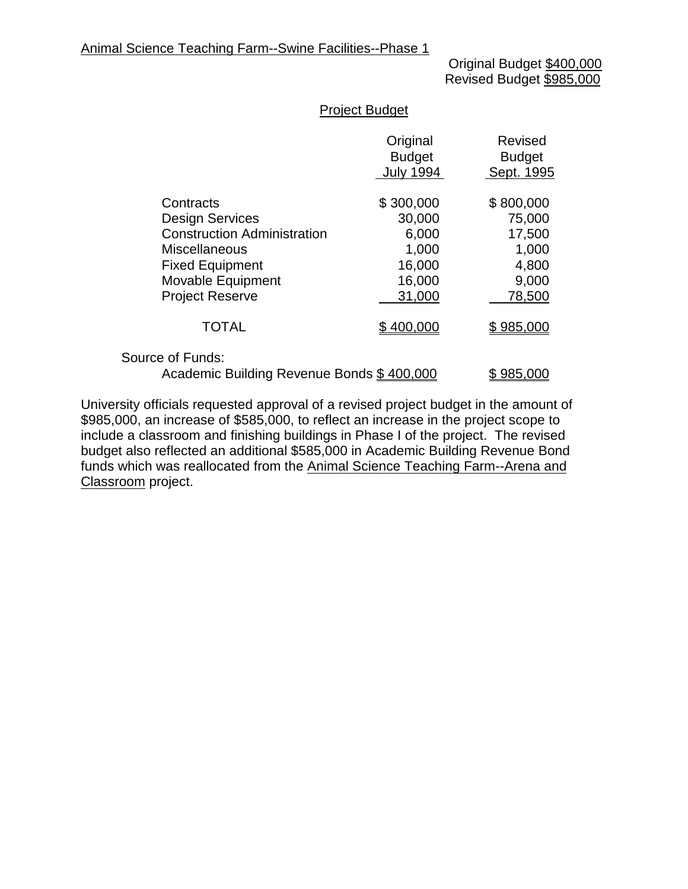Original Budget \$400,000 Revised Budget \$985,000

## Project Budget

|                                                               | Original<br><b>Budget</b><br><b>July 1994</b> | <b>Revised</b><br><b>Budget</b><br>Sept. 1995 |
|---------------------------------------------------------------|-----------------------------------------------|-----------------------------------------------|
| Contracts                                                     | \$300,000                                     | \$800,000                                     |
| <b>Design Services</b>                                        | 30,000                                        | 75,000                                        |
| <b>Construction Administration</b>                            | 6,000                                         | 17,500                                        |
| <b>Miscellaneous</b>                                          | 1,000                                         | 1,000                                         |
| <b>Fixed Equipment</b>                                        | 16,000                                        | 4,800                                         |
| Movable Equipment                                             | 16,000                                        | 9,000                                         |
| <b>Project Reserve</b>                                        | 31,000                                        | 78,500                                        |
| <b>TOTAL</b>                                                  | \$400,000                                     | \$985,000                                     |
| Source of Funds:<br>Academic Building Revenue Bonds \$400,000 |                                               | \$985,000                                     |
|                                                               |                                               |                                               |

University officials requested approval of a revised project budget in the amount of \$985,000, an increase of \$585,000, to reflect an increase in the project scope to include a classroom and finishing buildings in Phase I of the project. The revised budget also reflected an additional \$585,000 in Academic Building Revenue Bond funds which was reallocated from the Animal Science Teaching Farm--Arena and Classroom project.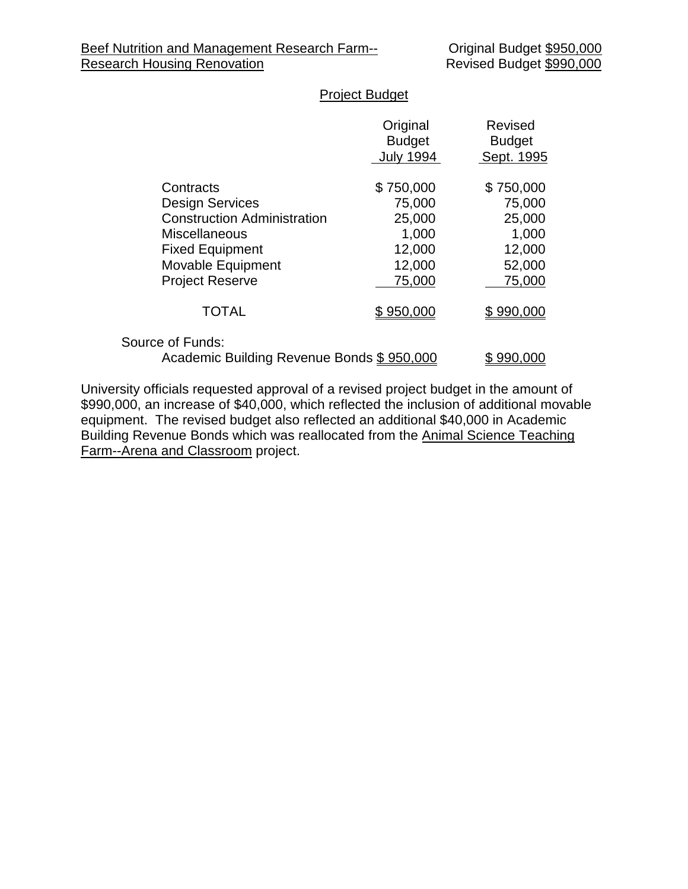# Project Budget

|                                                               | Original<br><b>Budget</b><br><b>July 1994</b> | Revised<br><b>Budget</b><br>Sept. 1995 |
|---------------------------------------------------------------|-----------------------------------------------|----------------------------------------|
| Contracts                                                     | \$750,000                                     | \$750,000                              |
| <b>Design Services</b>                                        | 75,000                                        | 75,000                                 |
| <b>Construction Administration</b>                            | 25,000                                        | 25,000                                 |
| <b>Miscellaneous</b>                                          | 1,000                                         | 1,000                                  |
| <b>Fixed Equipment</b>                                        | 12,000                                        | 12,000                                 |
| Movable Equipment                                             | 12,000                                        | 52,000                                 |
| <b>Project Reserve</b>                                        | 75,000                                        | 75,000                                 |
| <b>TOTAL</b>                                                  | \$950,000                                     | \$990,000                              |
| Source of Funds:<br>Academic Building Revenue Bonds \$950,000 |                                               | \$990,000                              |

University officials requested approval of a revised project budget in the amount of \$990,000, an increase of \$40,000, which reflected the inclusion of additional movable equipment. The revised budget also reflected an additional \$40,000 in Academic Building Revenue Bonds which was reallocated from the Animal Science Teaching Farm--Arena and Classroom project.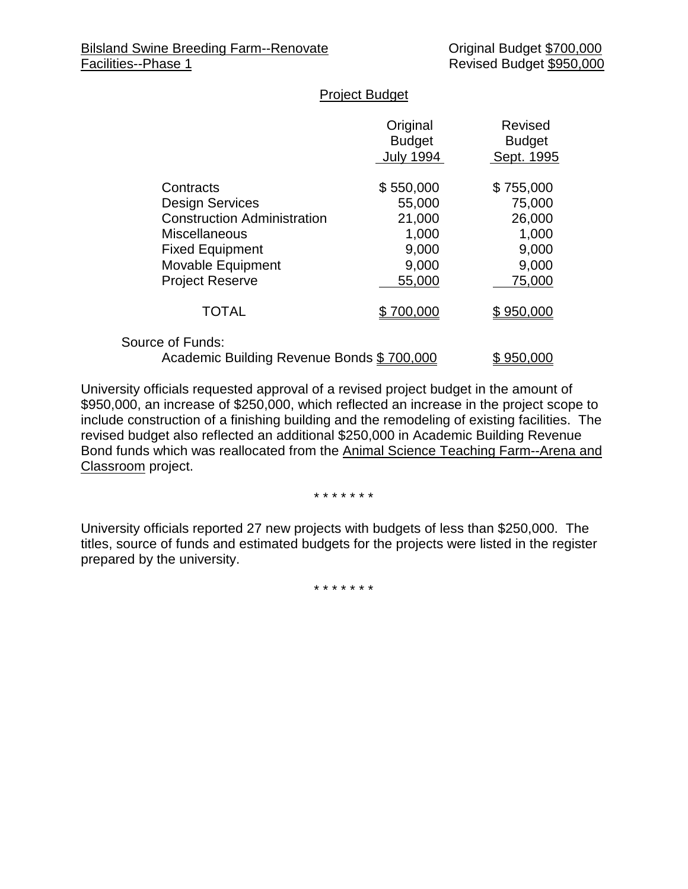#### Project Budget

|                                           | Original<br><b>Budget</b><br><b>July 1994</b> | Revised<br><b>Budget</b><br>Sept. 1995 |
|-------------------------------------------|-----------------------------------------------|----------------------------------------|
| Contracts                                 | \$550,000                                     | \$755,000                              |
| <b>Design Services</b>                    | 55,000                                        | 75,000                                 |
| <b>Construction Administration</b>        | 21,000                                        | 26,000                                 |
| <b>Miscellaneous</b>                      | 1,000                                         | 1,000                                  |
| <b>Fixed Equipment</b>                    | 9,000                                         | 9,000                                  |
| Movable Equipment                         | 9,000                                         | 9,000                                  |
| <b>Project Reserve</b>                    | 55,000                                        | 75,000                                 |
| <b>TOTAL</b>                              | \$700,000                                     | \$950,000                              |
| Source of Funds:                          |                                               |                                        |
| Academic Building Revenue Bonds \$700,000 |                                               | \$950,000                              |

University officials requested approval of a revised project budget in the amount of \$950,000, an increase of \$250,000, which reflected an increase in the project scope to include construction of a finishing building and the remodeling of existing facilities. The revised budget also reflected an additional \$250,000 in Academic Building Revenue Bond funds which was reallocated from the Animal Science Teaching Farm--Arena and Classroom project.

\* \* \* \* \* \* \*

University officials reported 27 new projects with budgets of less than \$250,000. The titles, source of funds and estimated budgets for the projects were listed in the register prepared by the university.

\* \* \* \* \* \* \*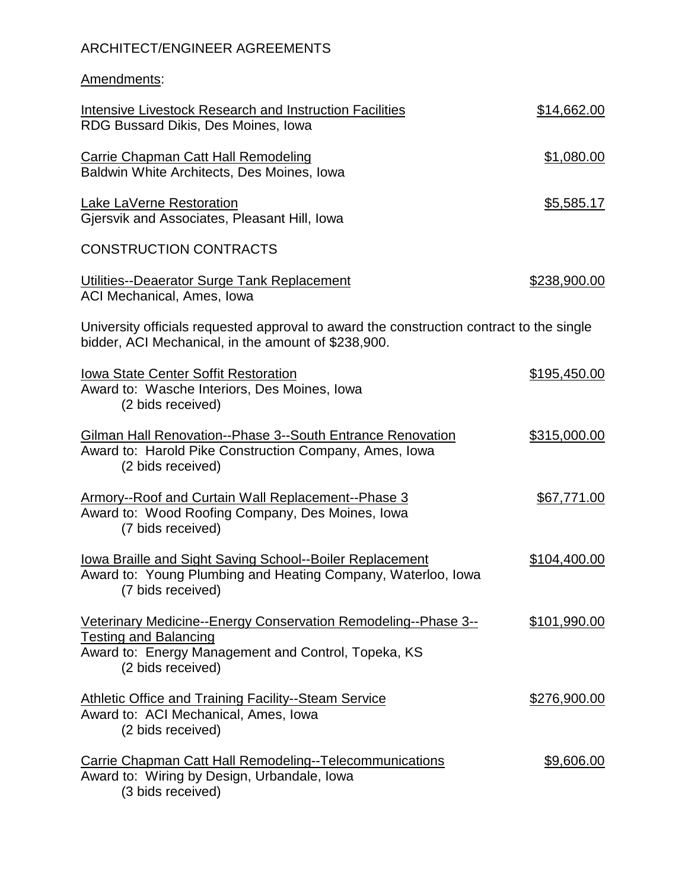# ARCHITECT/ENGINEER AGREEMENTS

Amendments:

| Intensive Livestock Research and Instruction Facilities<br>RDG Bussard Dikis, Des Moines, Iowa                                                                             | \$14,662.00  |
|----------------------------------------------------------------------------------------------------------------------------------------------------------------------------|--------------|
| <b>Carrie Chapman Catt Hall Remodeling</b><br>Baldwin White Architects, Des Moines, Iowa                                                                                   | \$1,080.00   |
| Lake LaVerne Restoration<br>Gjersvik and Associates, Pleasant Hill, Iowa                                                                                                   | \$5,585.17   |
| <b>CONSTRUCTION CONTRACTS</b>                                                                                                                                              |              |
| Utilities--Deaerator Surge Tank Replacement<br>ACI Mechanical, Ames, Iowa                                                                                                  | \$238,900.00 |
| University officials requested approval to award the construction contract to the single<br>bidder, ACI Mechanical, in the amount of \$238,900.                            |              |
| <b>Iowa State Center Soffit Restoration</b><br>Award to: Wasche Interiors, Des Moines, Iowa<br>(2 bids received)                                                           | \$195,450.00 |
| <b>Gilman Hall Renovation--Phase 3--South Entrance Renovation</b><br>Award to: Harold Pike Construction Company, Ames, Iowa<br>(2 bids received)                           | \$315,000.00 |
| <b>Armory--Roof and Curtain Wall Replacement--Phase 3</b><br>Award to: Wood Roofing Company, Des Moines, Iowa<br>(7 bids received)                                         | \$67,771.00  |
| lowa Braille and Sight Saving School--Boiler Replacement<br>Award to: Young Plumbing and Heating Company, Waterloo, Iowa<br>(7 bids received)                              | \$104,400.00 |
| Veterinary Medicine--Energy Conservation Remodeling--Phase 3--<br><b>Testing and Balancing</b><br>Award to: Energy Management and Control, Topeka, KS<br>(2 bids received) | \$101,990.00 |
| <b>Athletic Office and Training Facility--Steam Service</b><br>Award to: ACI Mechanical, Ames, Iowa<br>(2 bids received)                                                   | \$276,900.00 |
| <b>Carrie Chapman Catt Hall Remodeling--Telecommunications</b><br>Award to: Wiring by Design, Urbandale, Iowa<br>(3 bids received)                                         | \$9,606.00   |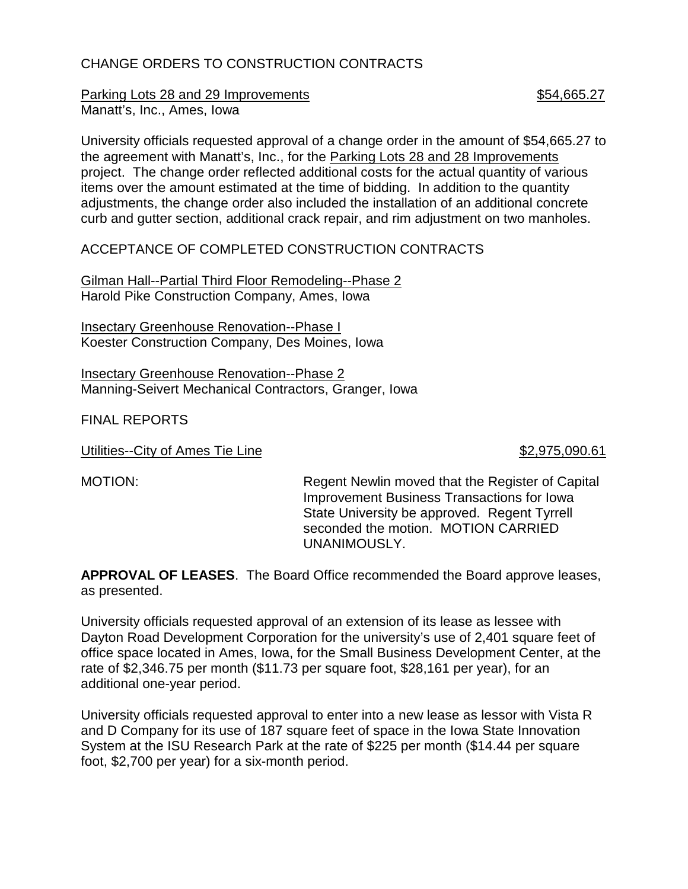# CHANGE ORDERS TO CONSTRUCTION CONTRACTS

Parking Lots 28 and 29 Improvements **\$54,665.27** Manatt's, Inc., Ames, Iowa

University officials requested approval of a change order in the amount of \$54,665.27 to the agreement with Manatt's, Inc., for the Parking Lots 28 and 28 Improvements project. The change order reflected additional costs for the actual quantity of various items over the amount estimated at the time of bidding. In addition to the quantity adjustments, the change order also included the installation of an additional concrete curb and gutter section, additional crack repair, and rim adjustment on two manholes.

ACCEPTANCE OF COMPLETED CONSTRUCTION CONTRACTS

Gilman Hall--Partial Third Floor Remodeling--Phase 2 Harold Pike Construction Company, Ames, Iowa

**Insectary Greenhouse Renovation--Phase I** Koester Construction Company, Des Moines, Iowa

Insectary Greenhouse Renovation--Phase 2 Manning-Seivert Mechanical Contractors, Granger, Iowa

FINAL REPORTS

Utilities--City of Ames Tie Line  $$2,975,090.61$ 

MOTION: Regent Newlin moved that the Register of Capital Improvement Business Transactions for Iowa State University be approved. Regent Tyrrell seconded the motion. MOTION CARRIED UNANIMOUSLY.

**APPROVAL OF LEASES**. The Board Office recommended the Board approve leases, as presented.

University officials requested approval of an extension of its lease as lessee with Dayton Road Development Corporation for the university's use of 2,401 square feet of office space located in Ames, Iowa, for the Small Business Development Center, at the rate of \$2,346.75 per month (\$11.73 per square foot, \$28,161 per year), for an additional one-year period.

University officials requested approval to enter into a new lease as lessor with Vista R and D Company for its use of 187 square feet of space in the Iowa State Innovation System at the ISU Research Park at the rate of \$225 per month (\$14.44 per square foot, \$2,700 per year) for a six-month period.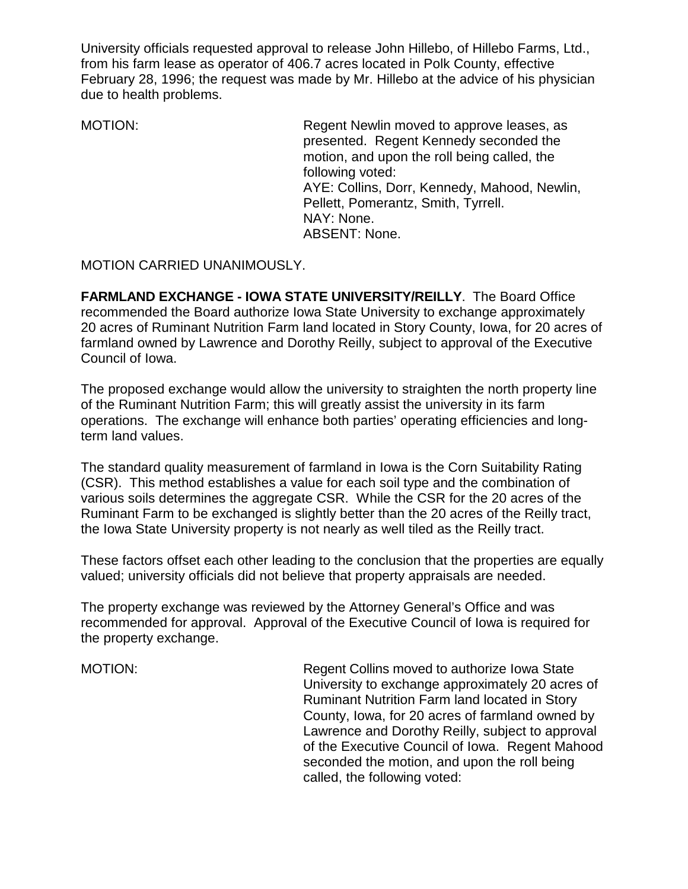University officials requested approval to release John Hillebo, of Hillebo Farms, Ltd., from his farm lease as operator of 406.7 acres located in Polk County, effective February 28, 1996; the request was made by Mr. Hillebo at the advice of his physician due to health problems.

MOTION: Regent Newlin moved to approve leases, as presented. Regent Kennedy seconded the motion, and upon the roll being called, the following voted: AYE: Collins, Dorr, Kennedy, Mahood, Newlin, Pellett, Pomerantz, Smith, Tyrrell. NAY: None. ABSENT: None.

MOTION CARRIED UNANIMOUSLY.

**FARMLAND EXCHANGE - IOWA STATE UNIVERSITY/REILLY**. The Board Office recommended the Board authorize Iowa State University to exchange approximately 20 acres of Ruminant Nutrition Farm land located in Story County, Iowa, for 20 acres of farmland owned by Lawrence and Dorothy Reilly, subject to approval of the Executive Council of Iowa.

The proposed exchange would allow the university to straighten the north property line of the Ruminant Nutrition Farm; this will greatly assist the university in its farm operations. The exchange will enhance both parties' operating efficiencies and longterm land values.

The standard quality measurement of farmland in Iowa is the Corn Suitability Rating (CSR). This method establishes a value for each soil type and the combination of various soils determines the aggregate CSR. While the CSR for the 20 acres of the Ruminant Farm to be exchanged is slightly better than the 20 acres of the Reilly tract, the Iowa State University property is not nearly as well tiled as the Reilly tract.

These factors offset each other leading to the conclusion that the properties are equally valued; university officials did not believe that property appraisals are needed.

The property exchange was reviewed by the Attorney General's Office and was recommended for approval. Approval of the Executive Council of Iowa is required for the property exchange.

MOTION: Regent Collins moved to authorize Iowa State University to exchange approximately 20 acres of Ruminant Nutrition Farm land located in Story County, Iowa, for 20 acres of farmland owned by Lawrence and Dorothy Reilly, subject to approval of the Executive Council of Iowa. Regent Mahood seconded the motion, and upon the roll being called, the following voted: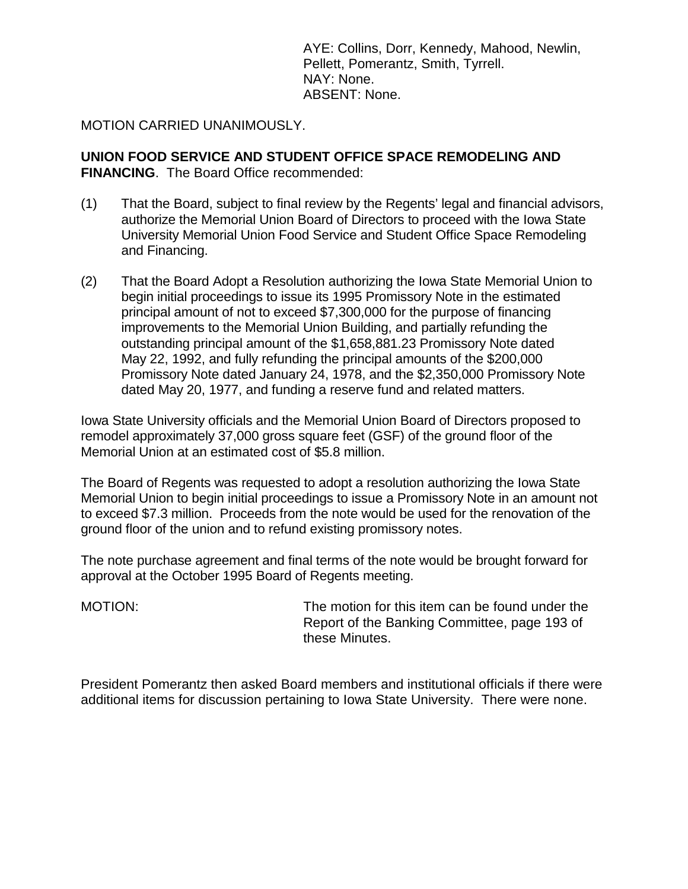AYE: Collins, Dorr, Kennedy, Mahood, Newlin, Pellett, Pomerantz, Smith, Tyrrell. NAY: None. ABSENT: None.

MOTION CARRIED UNANIMOUSLY.

**UNION FOOD SERVICE AND STUDENT OFFICE SPACE REMODELING AND FINANCING**. The Board Office recommended:

- (1) That the Board, subject to final review by the Regents' legal and financial advisors, authorize the Memorial Union Board of Directors to proceed with the Iowa State University Memorial Union Food Service and Student Office Space Remodeling and Financing.
- (2) That the Board Adopt a Resolution authorizing the Iowa State Memorial Union to begin initial proceedings to issue its 1995 Promissory Note in the estimated principal amount of not to exceed \$7,300,000 for the purpose of financing improvements to the Memorial Union Building, and partially refunding the outstanding principal amount of the \$1,658,881.23 Promissory Note dated May 22, 1992, and fully refunding the principal amounts of the \$200,000 Promissory Note dated January 24, 1978, and the \$2,350,000 Promissory Note dated May 20, 1977, and funding a reserve fund and related matters.

Iowa State University officials and the Memorial Union Board of Directors proposed to remodel approximately 37,000 gross square feet (GSF) of the ground floor of the Memorial Union at an estimated cost of \$5.8 million.

The Board of Regents was requested to adopt a resolution authorizing the Iowa State Memorial Union to begin initial proceedings to issue a Promissory Note in an amount not to exceed \$7.3 million. Proceeds from the note would be used for the renovation of the ground floor of the union and to refund existing promissory notes.

The note purchase agreement and final terms of the note would be brought forward for approval at the October 1995 Board of Regents meeting.

MOTION: The motion for this item can be found under the Report of the Banking Committee, page 193 of these Minutes.

President Pomerantz then asked Board members and institutional officials if there were additional items for discussion pertaining to Iowa State University. There were none.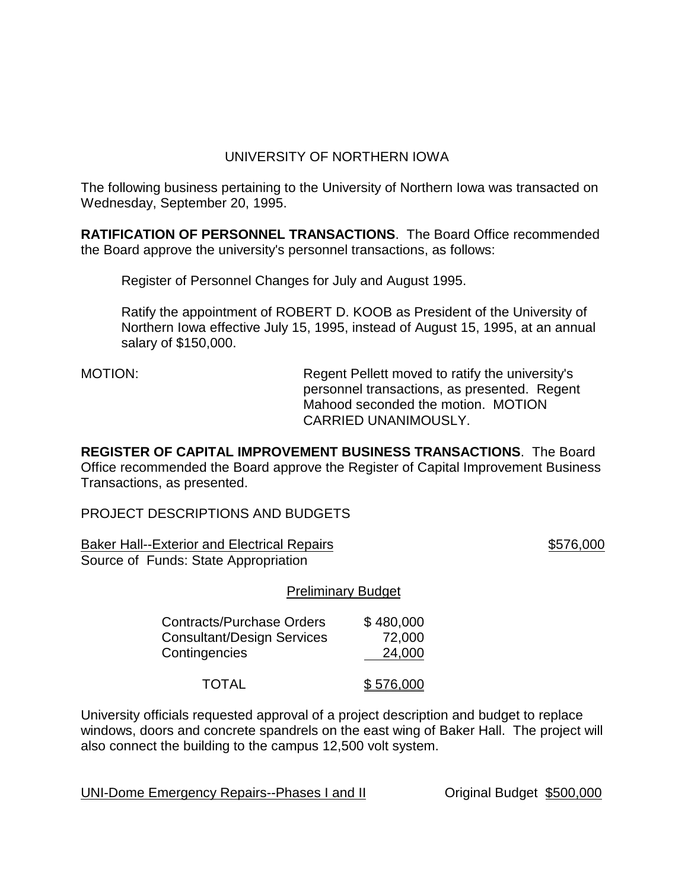# UNIVERSITY OF NORTHERN IOWA

The following business pertaining to the University of Northern Iowa was transacted on Wednesday, September 20, 1995.

**RATIFICATION OF PERSONNEL TRANSACTIONS**. The Board Office recommended the Board approve the university's personnel transactions, as follows:

Register of Personnel Changes for July and August 1995.

Ratify the appointment of ROBERT D. KOOB as President of the University of Northern Iowa effective July 15, 1995, instead of August 15, 1995, at an annual salary of \$150,000.

MOTION: Regent Pellett moved to ratify the university's personnel transactions, as presented. Regent Mahood seconded the motion. MOTION CARRIED UNANIMOUSLY.

**REGISTER OF CAPITAL IMPROVEMENT BUSINESS TRANSACTIONS**. The Board Office recommended the Board approve the Register of Capital Improvement Business Transactions, as presented.

PROJECT DESCRIPTIONS AND BUDGETS

Baker Hall--Exterior and Electrical Repairs **\$576,000** \$576,000 Source of Funds: State Appropriation

### Preliminary Budget

| <b>Contracts/Purchase Orders</b>  | \$480,000 |
|-----------------------------------|-----------|
| <b>Consultant/Design Services</b> | 72,000    |
| Contingencies                     | 24,000    |
| <b>TOTAL</b>                      | \$576,000 |

University officials requested approval of a project description and budget to replace windows, doors and concrete spandrels on the east wing of Baker Hall. The project will also connect the building to the campus 12,500 volt system.

UNI-Dome Emergency Repairs--Phases I and II Criginal Budget \$500,000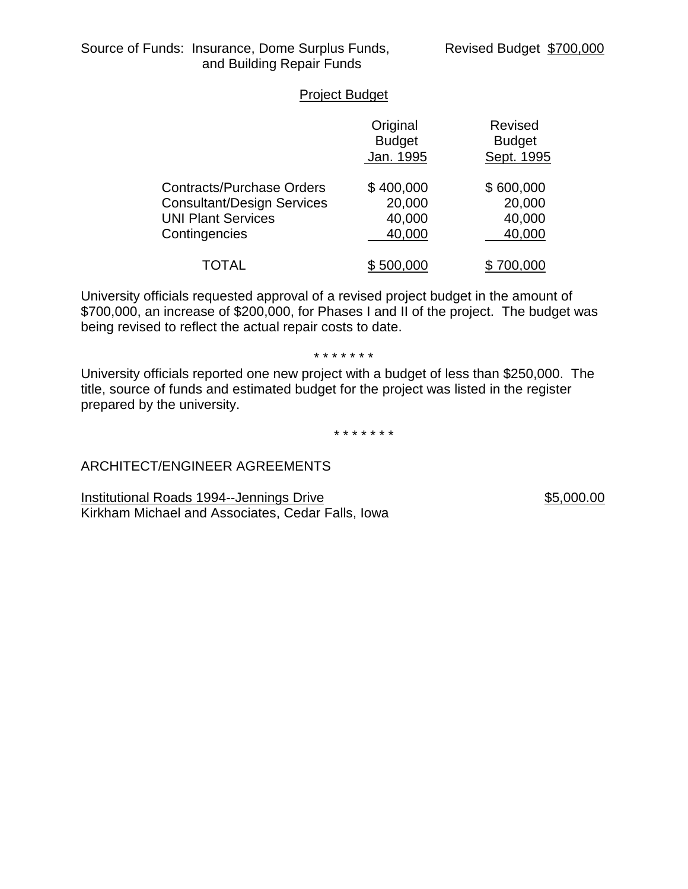## Project Budget

|                                                                                                                     | Original<br><b>Budget</b><br>Jan. 1995  | <b>Revised</b><br><b>Budget</b><br>Sept. 1995 |
|---------------------------------------------------------------------------------------------------------------------|-----------------------------------------|-----------------------------------------------|
| <b>Contracts/Purchase Orders</b><br><b>Consultant/Design Services</b><br><b>UNI Plant Services</b><br>Contingencies | \$400,000<br>20,000<br>40,000<br>40,000 | \$600,000<br>20,000<br>40,000<br>40,000       |
| TOTAL                                                                                                               | \$500.000                               | '00.000                                       |

University officials requested approval of a revised project budget in the amount of \$700,000, an increase of \$200,000, for Phases I and II of the project. The budget was being revised to reflect the actual repair costs to date.

\* \* \* \* \* \* \*

University officials reported one new project with a budget of less than \$250,000. The title, source of funds and estimated budget for the project was listed in the register prepared by the university.

\* \* \* \* \* \* \*

# ARCHITECT/ENGINEER AGREEMENTS

Institutional Roads 1994--Jennings Drive **\$5,000.00** \$5,000.00 Kirkham Michael and Associates, Cedar Falls, Iowa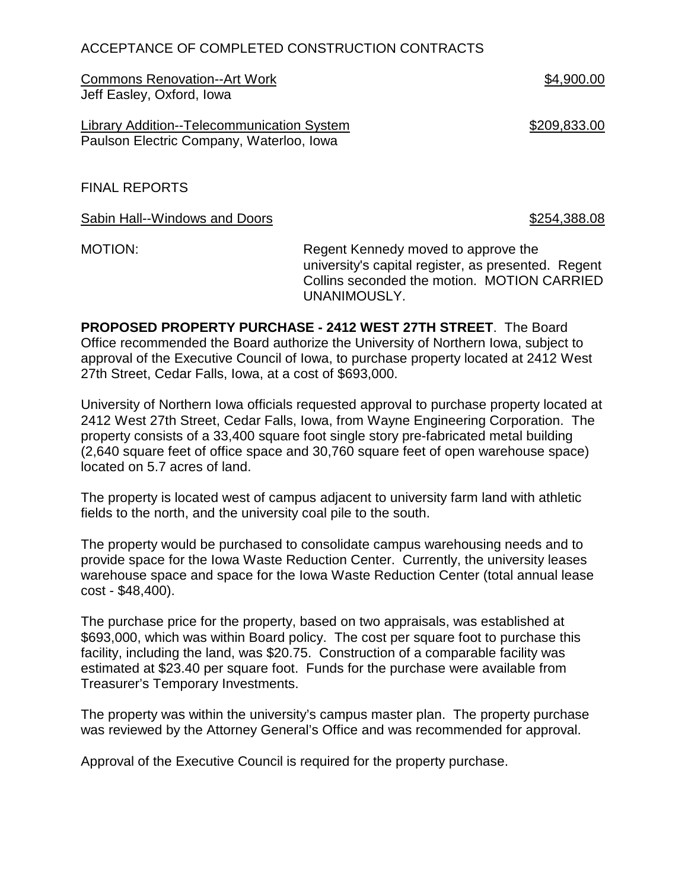# ACCEPTANCE OF COMPLETED CONSTRUCTION CONTRACTS

Commons Renovation--Art Work  $$4,900.00$ Jeff Easley, Oxford, Iowa

Library Addition--Telecommunication System **\$209,833.00** Paulson Electric Company, Waterloo, Iowa

FINAL REPORTS

Sabin Hall--Windows and Doors **\$254,388.08** \$254,388.08

MOTION: Regent Kennedy moved to approve the university's capital register, as presented. Regent Collins seconded the motion. MOTION CARRIED UNANIMOUSLY.

**PROPOSED PROPERTY PURCHASE - 2412 WEST 27TH STREET**. The Board Office recommended the Board authorize the University of Northern Iowa, subject to approval of the Executive Council of Iowa, to purchase property located at 2412 West 27th Street, Cedar Falls, Iowa, at a cost of \$693,000.

University of Northern Iowa officials requested approval to purchase property located at 2412 West 27th Street, Cedar Falls, Iowa, from Wayne Engineering Corporation. The property consists of a 33,400 square foot single story pre-fabricated metal building (2,640 square feet of office space and 30,760 square feet of open warehouse space) located on 5.7 acres of land.

The property is located west of campus adjacent to university farm land with athletic fields to the north, and the university coal pile to the south.

The property would be purchased to consolidate campus warehousing needs and to provide space for the Iowa Waste Reduction Center. Currently, the university leases warehouse space and space for the Iowa Waste Reduction Center (total annual lease cost - \$48,400).

The purchase price for the property, based on two appraisals, was established at \$693,000, which was within Board policy. The cost per square foot to purchase this facility, including the land, was \$20.75. Construction of a comparable facility was estimated at \$23.40 per square foot. Funds for the purchase were available from Treasurer's Temporary Investments.

The property was within the university's campus master plan. The property purchase was reviewed by the Attorney General's Office and was recommended for approval.

Approval of the Executive Council is required for the property purchase.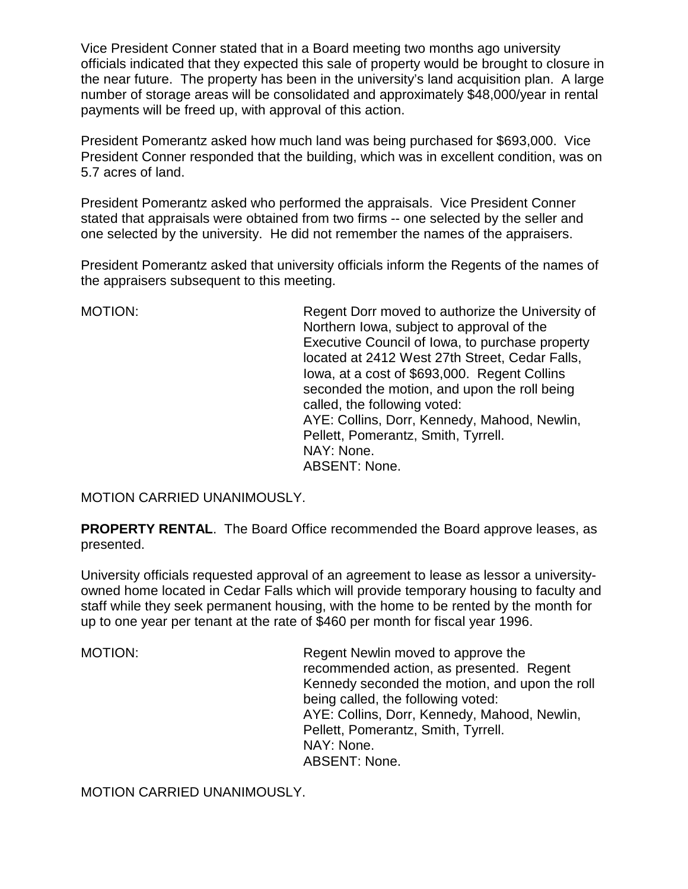Vice President Conner stated that in a Board meeting two months ago university officials indicated that they expected this sale of property would be brought to closure in the near future. The property has been in the university's land acquisition plan. A large number of storage areas will be consolidated and approximately \$48,000/year in rental payments will be freed up, with approval of this action.

President Pomerantz asked how much land was being purchased for \$693,000. Vice President Conner responded that the building, which was in excellent condition, was on 5.7 acres of land.

President Pomerantz asked who performed the appraisals. Vice President Conner stated that appraisals were obtained from two firms -- one selected by the seller and one selected by the university. He did not remember the names of the appraisers.

President Pomerantz asked that university officials inform the Regents of the names of the appraisers subsequent to this meeting.

MOTION: Regent Dorr moved to authorize the University of Northern Iowa, subject to approval of the Executive Council of Iowa, to purchase property located at 2412 West 27th Street, Cedar Falls, Iowa, at a cost of \$693,000. Regent Collins seconded the motion, and upon the roll being called, the following voted: AYE: Collins, Dorr, Kennedy, Mahood, Newlin, Pellett, Pomerantz, Smith, Tyrrell. NAY: None. ABSENT: None.

MOTION CARRIED UNANIMOUSLY.

**PROPERTY RENTAL.** The Board Office recommended the Board approve leases, as presented.

University officials requested approval of an agreement to lease as lessor a universityowned home located in Cedar Falls which will provide temporary housing to faculty and staff while they seek permanent housing, with the home to be rented by the month for up to one year per tenant at the rate of \$460 per month for fiscal year 1996.

MOTION: Regent Newlin moved to approve the recommended action, as presented. Regent Kennedy seconded the motion, and upon the roll being called, the following voted: AYE: Collins, Dorr, Kennedy, Mahood, Newlin, Pellett, Pomerantz, Smith, Tyrrell. NAY: None. ABSENT: None.

MOTION CARRIED UNANIMOUSLY.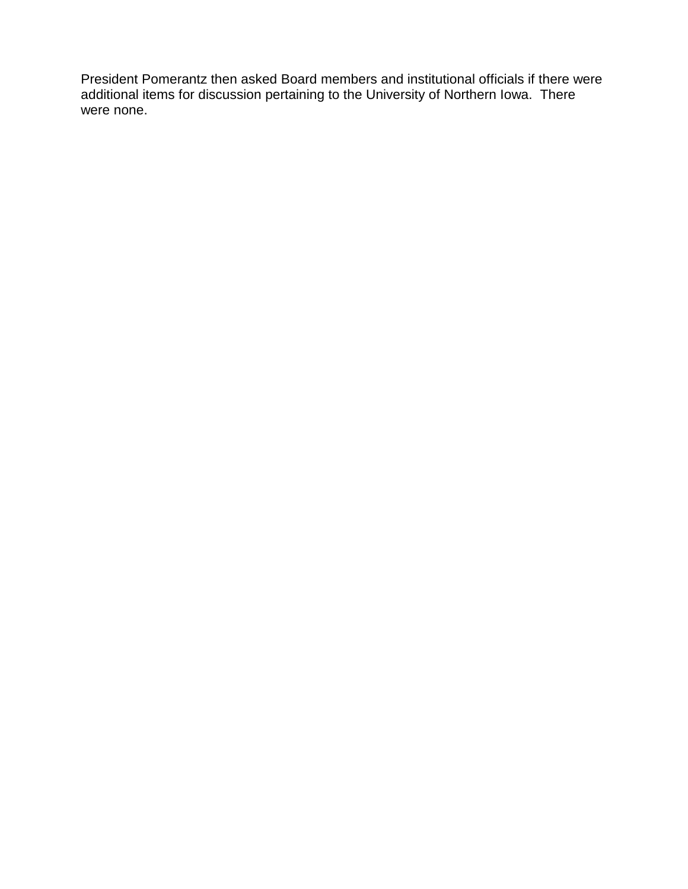President Pomerantz then asked Board members and institutional officials if there were additional items for discussion pertaining to the University of Northern Iowa. There were none.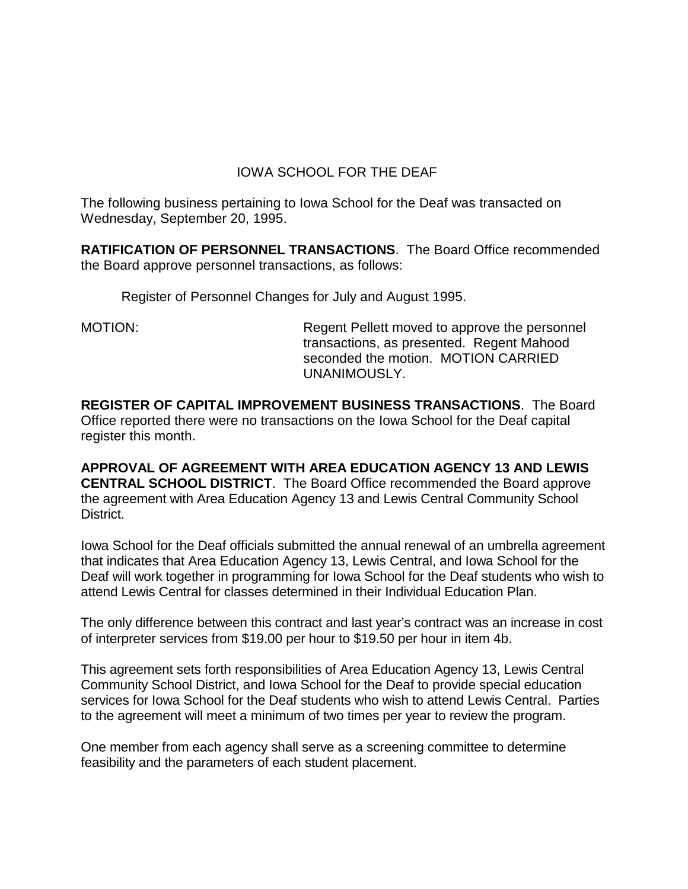# IOWA SCHOOL FOR THE DEAF

The following business pertaining to Iowa School for the Deaf was transacted on Wednesday, September 20, 1995.

**RATIFICATION OF PERSONNEL TRANSACTIONS**. The Board Office recommended the Board approve personnel transactions, as follows:

Register of Personnel Changes for July and August 1995.

MOTION: Regent Pellett moved to approve the personnel transactions, as presented. Regent Mahood seconded the motion. MOTION CARRIED UNANIMOUSLY.

**REGISTER OF CAPITAL IMPROVEMENT BUSINESS TRANSACTIONS**. The Board Office reported there were no transactions on the Iowa School for the Deaf capital register this month.

**APPROVAL OF AGREEMENT WITH AREA EDUCATION AGENCY 13 AND LEWIS CENTRAL SCHOOL DISTRICT**. The Board Office recommended the Board approve the agreement with Area Education Agency 13 and Lewis Central Community School District.

Iowa School for the Deaf officials submitted the annual renewal of an umbrella agreement that indicates that Area Education Agency 13, Lewis Central, and Iowa School for the Deaf will work together in programming for Iowa School for the Deaf students who wish to attend Lewis Central for classes determined in their Individual Education Plan.

The only difference between this contract and last year's contract was an increase in cost of interpreter services from \$19.00 per hour to \$19.50 per hour in item 4b.

This agreement sets forth responsibilities of Area Education Agency 13, Lewis Central Community School District, and Iowa School for the Deaf to provide special education services for Iowa School for the Deaf students who wish to attend Lewis Central. Parties to the agreement will meet a minimum of two times per year to review the program.

One member from each agency shall serve as a screening committee to determine feasibility and the parameters of each student placement.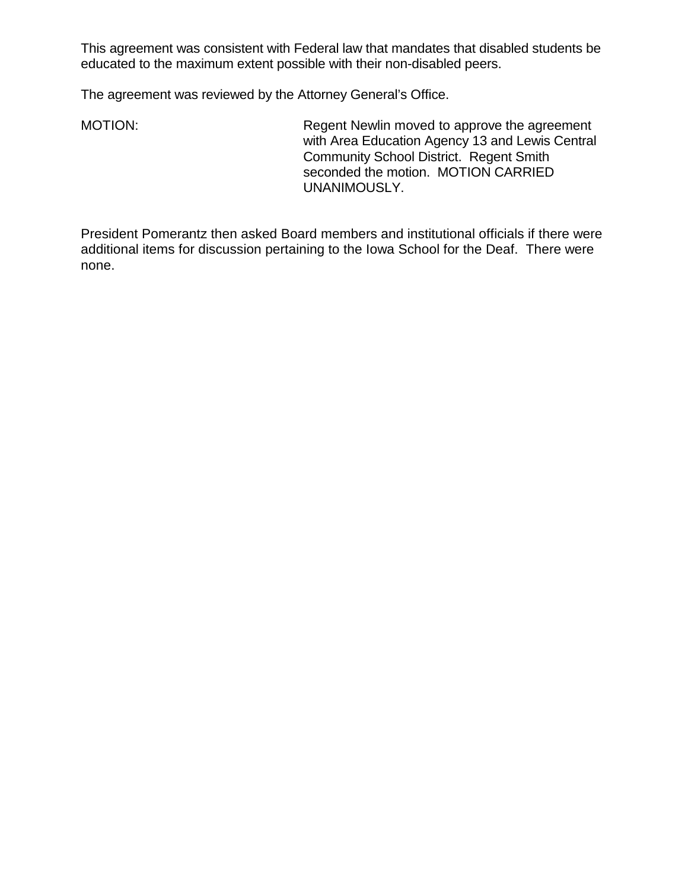This agreement was consistent with Federal law that mandates that disabled students be educated to the maximum extent possible with their non-disabled peers.

The agreement was reviewed by the Attorney General's Office.

MOTION: Regent Newlin moved to approve the agreement with Area Education Agency 13 and Lewis Central Community School District. Regent Smith seconded the motion. MOTION CARRIED UNANIMOUSLY.

President Pomerantz then asked Board members and institutional officials if there were additional items for discussion pertaining to the Iowa School for the Deaf. There were none.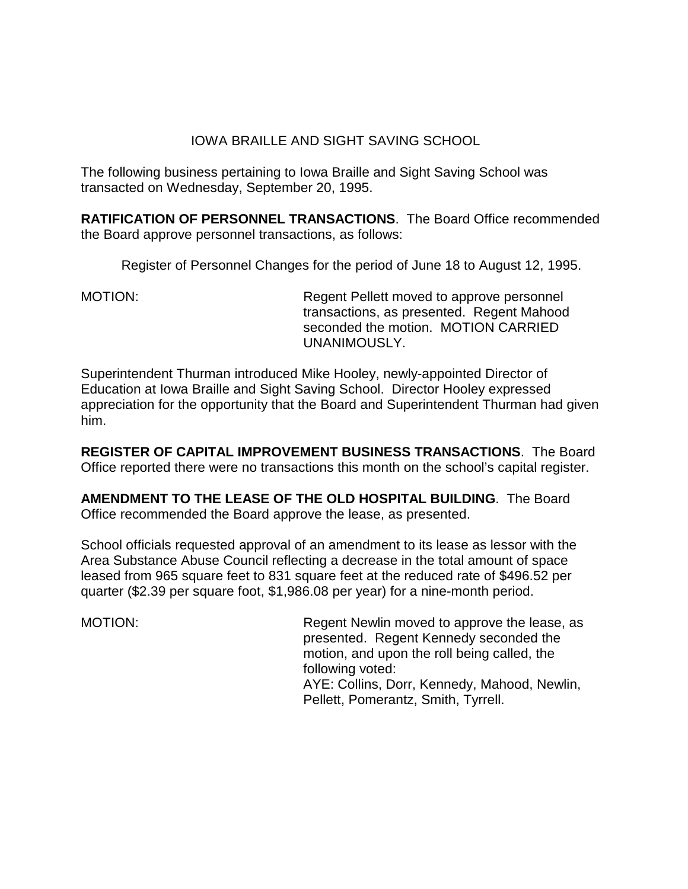## IOWA BRAILLE AND SIGHT SAVING SCHOOL

The following business pertaining to Iowa Braille and Sight Saving School was transacted on Wednesday, September 20, 1995.

**RATIFICATION OF PERSONNEL TRANSACTIONS**. The Board Office recommended the Board approve personnel transactions, as follows:

Register of Personnel Changes for the period of June 18 to August 12, 1995.

MOTION: Regent Pellett moved to approve personnel transactions, as presented. Regent Mahood seconded the motion. MOTION CARRIED UNANIMOUSLY.

Superintendent Thurman introduced Mike Hooley, newly-appointed Director of Education at Iowa Braille and Sight Saving School. Director Hooley expressed appreciation for the opportunity that the Board and Superintendent Thurman had given him.

**REGISTER OF CAPITAL IMPROVEMENT BUSINESS TRANSACTIONS**. The Board Office reported there were no transactions this month on the school's capital register.

**AMENDMENT TO THE LEASE OF THE OLD HOSPITAL BUILDING**. The Board Office recommended the Board approve the lease, as presented.

School officials requested approval of an amendment to its lease as lessor with the Area Substance Abuse Council reflecting a decrease in the total amount of space leased from 965 square feet to 831 square feet at the reduced rate of \$496.52 per quarter (\$2.39 per square foot, \$1,986.08 per year) for a nine-month period.

MOTION: MOTION: Regent Newlin moved to approve the lease, as presented. Regent Kennedy seconded the motion, and upon the roll being called, the following voted: AYE: Collins, Dorr, Kennedy, Mahood, Newlin,

Pellett, Pomerantz, Smith, Tyrrell.